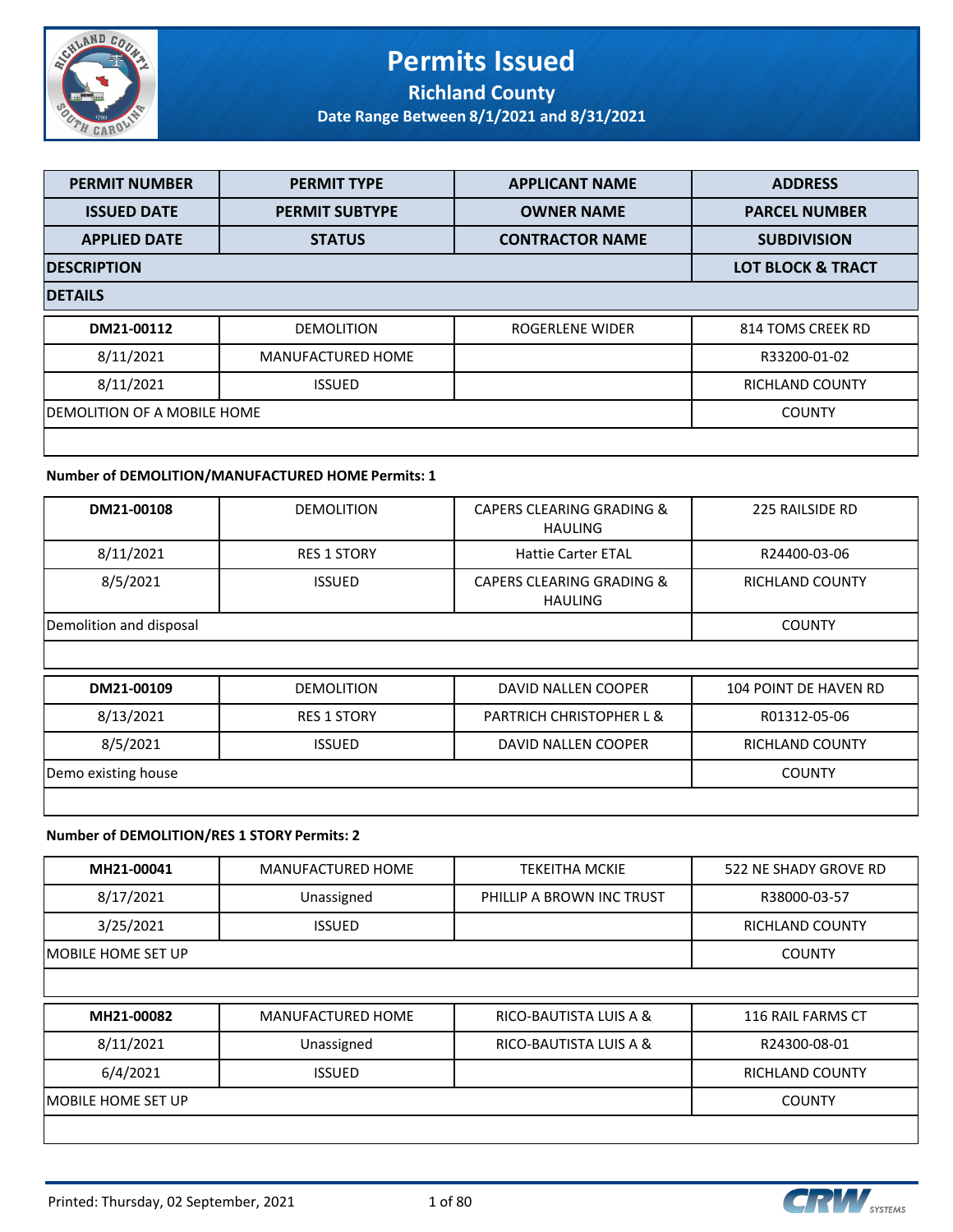

#### **Permits Issued Richland County**

**Date Range Between 8/1/2021 and 8/31/2021**

| <b>PERMIT NUMBER</b>         | <b>PERMIT TYPE</b>       | <b>APPLICANT NAME</b>  | <b>ADDRESS</b>         |  |  |
|------------------------------|--------------------------|------------------------|------------------------|--|--|
| <b>ISSUED DATE</b>           | <b>PERMIT SUBTYPE</b>    | <b>OWNER NAME</b>      | <b>PARCEL NUMBER</b>   |  |  |
| <b>APPLIED DATE</b>          | <b>STATUS</b>            | <b>CONTRACTOR NAME</b> | <b>SUBDIVISION</b>     |  |  |
| <b>DESCRIPTION</b>           |                          |                        |                        |  |  |
| <b>DETAILS</b>               |                          |                        |                        |  |  |
| DM21-00112                   | <b>DEMOLITION</b>        | ROGERLENE WIDER        | 814 TOMS CREEK RD      |  |  |
| 8/11/2021                    | <b>MANUFACTURED HOME</b> |                        | R33200-01-02           |  |  |
| 8/11/2021                    | <b>ISSUED</b>            |                        | <b>RICHLAND COUNTY</b> |  |  |
| IDEMOLITION OF A MOBILE HOME | <b>COUNTY</b>            |                        |                        |  |  |
|                              |                          |                        |                        |  |  |

#### **Number of DEMOLITION/MANUFACTURED HOME Permits: 1**

| DM21-00108              | <b>DEMOLITION</b>  | <b>CAPERS CLEARING GRADING &amp;</b><br><b>HAULING</b> | 225 RAILSIDE RD              |
|-------------------------|--------------------|--------------------------------------------------------|------------------------------|
| 8/11/2021               | <b>RES 1 STORY</b> | <b>Hattie Carter ETAL</b>                              | R24400-03-06                 |
| 8/5/2021                | <b>ISSUED</b>      | <b>CAPERS CLEARING GRADING &amp;</b><br><b>HAULING</b> | <b>RICHLAND COUNTY</b>       |
| Demolition and disposal | <b>COUNTY</b>      |                                                        |                              |
|                         |                    |                                                        |                              |
| DM21-00109              | <b>DEMOLITION</b>  | DAVID NALLEN COOPER                                    | <b>104 POINT DE HAVEN RD</b> |
| 8/13/2021               | <b>RES 1 STORY</b> | <b>PARTRICH CHRISTOPHER L &amp;</b>                    | R01312-05-06                 |
| 8/5/2021                | <b>ISSUED</b>      | DAVID NALLEN COOPER                                    | <b>RICHLAND COUNTY</b>       |
| Demo existing house     |                    |                                                        | <b>COUNTY</b>                |
|                         |                    |                                                        |                              |

#### **Number of DEMOLITION/RES 1 STORY Permits: 2**

| MH21-00041          | <b>MANUFACTURED HOME</b> | <b>TEKEITHA MCKIE</b>     | 522 NE SHADY GROVE RD  |
|---------------------|--------------------------|---------------------------|------------------------|
| 8/17/2021           | Unassigned               | PHILLIP A BROWN INC TRUST | R38000-03-57           |
| 3/25/2021           | <b>ISSUED</b>            |                           | <b>RICHLAND COUNTY</b> |
| IMOBILE HOME SET UP |                          |                           | <b>COUNTY</b>          |
|                     |                          |                           |                        |
| MH21-00082          | <b>MANUFACTURED HOME</b> | RICO-BAUTISTA LUIS A &    | 116 RAIL FARMS CT      |
| 8/11/2021           | Unassigned               | RICO-BAUTISTA LUIS A &    | R24300-08-01           |
| 6/4/2021            | <b>ISSUED</b>            |                           | <b>RICHLAND COUNTY</b> |
| IMOBILE HOME SET UP |                          |                           | <b>COUNTY</b>          |
|                     |                          |                           |                        |

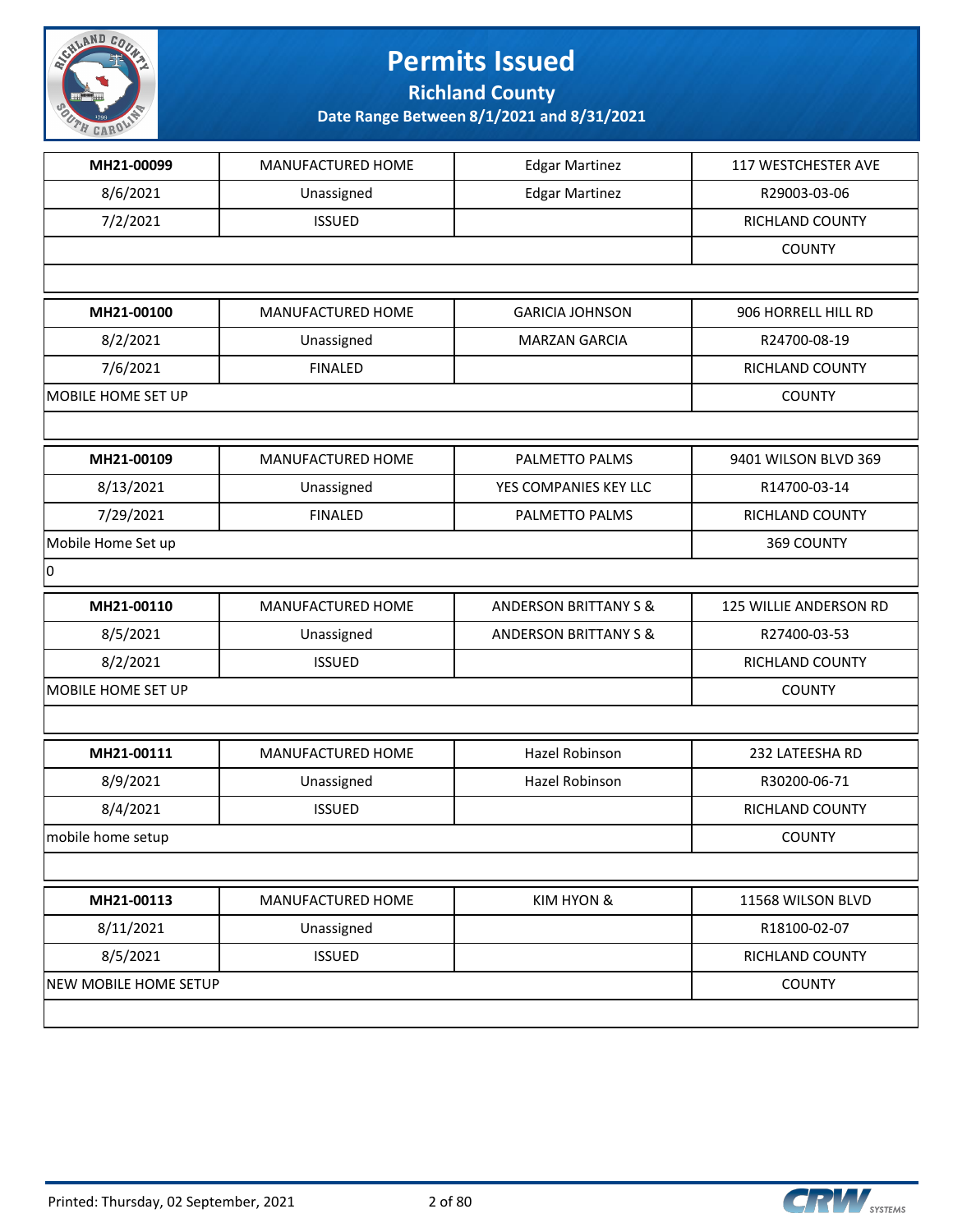

**Richland County**

| MH21-00099            | MANUFACTURED HOME | <b>Edgar Martinez</b>            | 117 WESTCHESTER AVE    |
|-----------------------|-------------------|----------------------------------|------------------------|
| 8/6/2021              | Unassigned        | <b>Edgar Martinez</b>            | R29003-03-06           |
| 7/2/2021              | <b>ISSUED</b>     |                                  | RICHLAND COUNTY        |
|                       |                   |                                  | <b>COUNTY</b>          |
|                       |                   |                                  |                        |
| MH21-00100            | MANUFACTURED HOME | <b>GARICIA JOHNSON</b>           | 906 HORRELL HILL RD    |
| 8/2/2021              | Unassigned        | <b>MARZAN GARCIA</b>             | R24700-08-19           |
| 7/6/2021              | <b>FINALED</b>    |                                  | RICHLAND COUNTY        |
| MOBILE HOME SET UP    |                   |                                  | <b>COUNTY</b>          |
|                       |                   |                                  |                        |
| MH21-00109            | MANUFACTURED HOME | PALMETTO PALMS                   | 9401 WILSON BLVD 369   |
| 8/13/2021             | Unassigned        | YES COMPANIES KEY LLC            | R14700-03-14           |
| 7/29/2021             | <b>FINALED</b>    | PALMETTO PALMS                   | RICHLAND COUNTY        |
| Mobile Home Set up    |                   |                                  | 369 COUNTY             |
| 0                     |                   |                                  |                        |
| MH21-00110            | MANUFACTURED HOME | <b>ANDERSON BRITTANY S &amp;</b> | 125 WILLIE ANDERSON RD |
| 8/5/2021              | Unassigned        | <b>ANDERSON BRITTANY S &amp;</b> | R27400-03-53           |
| 8/2/2021              | <b>ISSUED</b>     |                                  | RICHLAND COUNTY        |
| MOBILE HOME SET UP    |                   |                                  | <b>COUNTY</b>          |
|                       |                   |                                  |                        |
| MH21-00111            | MANUFACTURED HOME | Hazel Robinson                   | 232 LATEESHA RD        |
| 8/9/2021              | Unassigned        | Hazel Robinson                   | R30200-06-71           |
| 8/4/2021              | <b>ISSUED</b>     |                                  | RICHLAND COUNTY        |
| mobile home setup     |                   |                                  | <b>COUNTY</b>          |
|                       |                   |                                  |                        |
| MH21-00113            | MANUFACTURED HOME | KIM HYON &                       | 11568 WILSON BLVD      |
| 8/11/2021             | Unassigned        |                                  | R18100-02-07           |
| 8/5/2021              | <b>ISSUED</b>     |                                  | RICHLAND COUNTY        |
| NEW MOBILE HOME SETUP |                   |                                  | <b>COUNTY</b>          |
|                       |                   |                                  |                        |

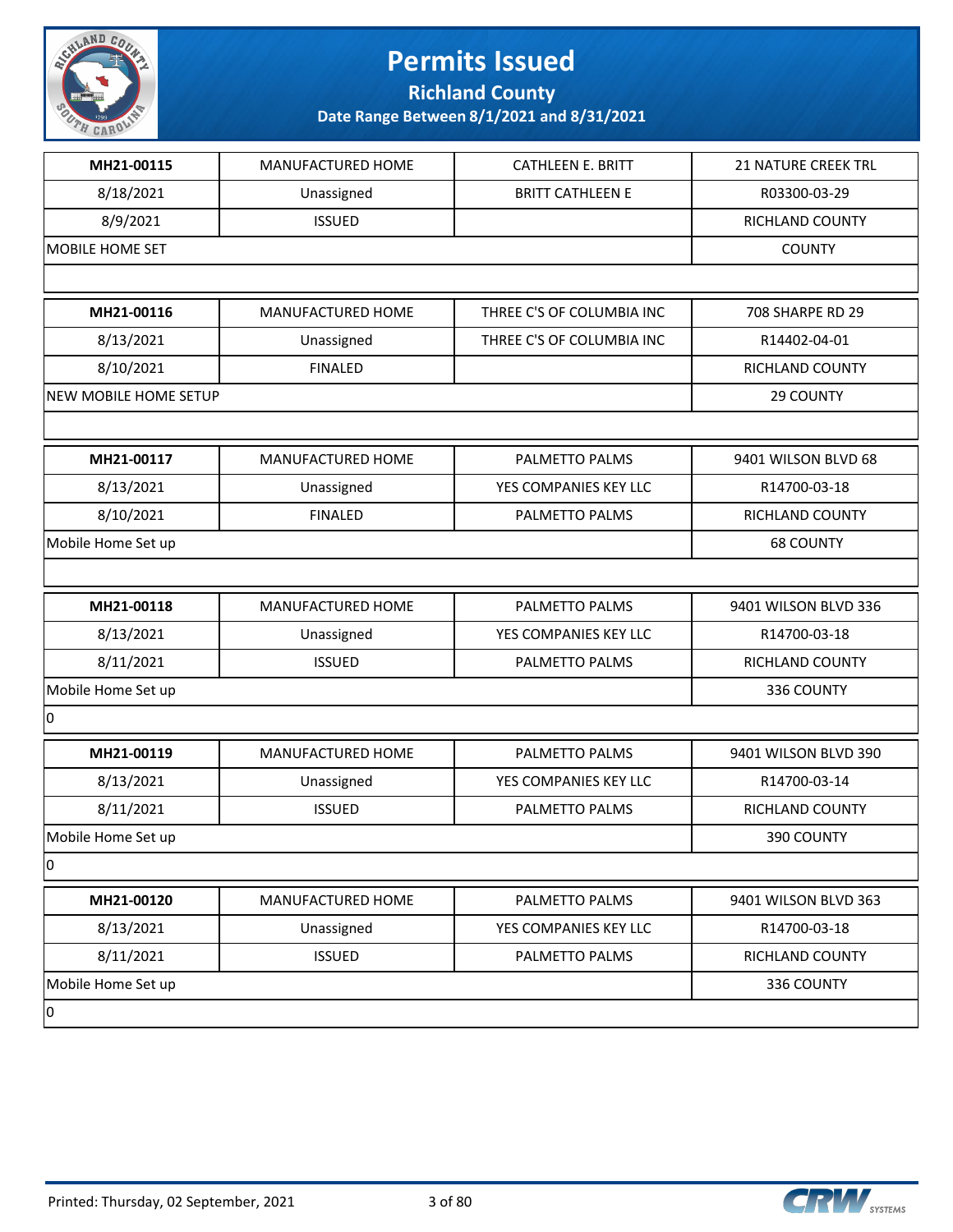

**Richland County**

| MH21-00115            | MANUFACTURED HOME | <b>CATHLEEN E. BRITT</b>  | <b>21 NATURE CREEK TRL</b> |
|-----------------------|-------------------|---------------------------|----------------------------|
| 8/18/2021             | Unassigned        | <b>BRITT CATHLEEN E</b>   | R03300-03-29               |
| 8/9/2021              | <b>ISSUED</b>     |                           | RICHLAND COUNTY            |
| MOBILE HOME SET       |                   |                           | <b>COUNTY</b>              |
|                       |                   |                           |                            |
| MH21-00116            | MANUFACTURED HOME | THREE C'S OF COLUMBIA INC | 708 SHARPE RD 29           |
| 8/13/2021             | Unassigned        | THREE C'S OF COLUMBIA INC | R14402-04-01               |
| 8/10/2021             | <b>FINALED</b>    |                           | <b>RICHLAND COUNTY</b>     |
| NEW MOBILE HOME SETUP |                   |                           | 29 COUNTY                  |
|                       |                   |                           |                            |
| MH21-00117            | MANUFACTURED HOME | PALMETTO PALMS            | 9401 WILSON BLVD 68        |
| 8/13/2021             | Unassigned        | YES COMPANIES KEY LLC     | R14700-03-18               |
| 8/10/2021             | <b>FINALED</b>    | PALMETTO PALMS            | RICHLAND COUNTY            |
| Mobile Home Set up    |                   |                           | <b>68 COUNTY</b>           |
|                       |                   |                           |                            |
| MH21-00118            | MANUFACTURED HOME | PALMETTO PALMS            | 9401 WILSON BLVD 336       |
| 8/13/2021             | Unassigned        | YES COMPANIES KEY LLC     | R14700-03-18               |
| 8/11/2021             | <b>ISSUED</b>     | PALMETTO PALMS            | RICHLAND COUNTY            |
| Mobile Home Set up    |                   |                           | 336 COUNTY                 |
| 10                    |                   |                           |                            |
| MH21-00119            | MANUFACTURED HOME | PALMETTO PALMS            | 9401 WILSON BLVD 390       |
| 8/13/2021             | Unassigned        | YES COMPANIES KEY LLC     | R14700-03-14               |
| 8/11/2021             | <b>ISSUED</b>     | PALMETTO PALMS            | RICHLAND COUNTY            |
| Mobile Home Set up    |                   |                           | 390 COUNTY                 |
| 0                     |                   |                           |                            |
| MH21-00120            | MANUFACTURED HOME | PALMETTO PALMS            | 9401 WILSON BLVD 363       |
| 8/13/2021             | Unassigned        | YES COMPANIES KEY LLC     | R14700-03-18               |
| 8/11/2021             | <b>ISSUED</b>     | PALMETTO PALMS            | RICHLAND COUNTY            |
| Mobile Home Set up    |                   |                           | 336 COUNTY                 |
| 0                     |                   |                           |                            |

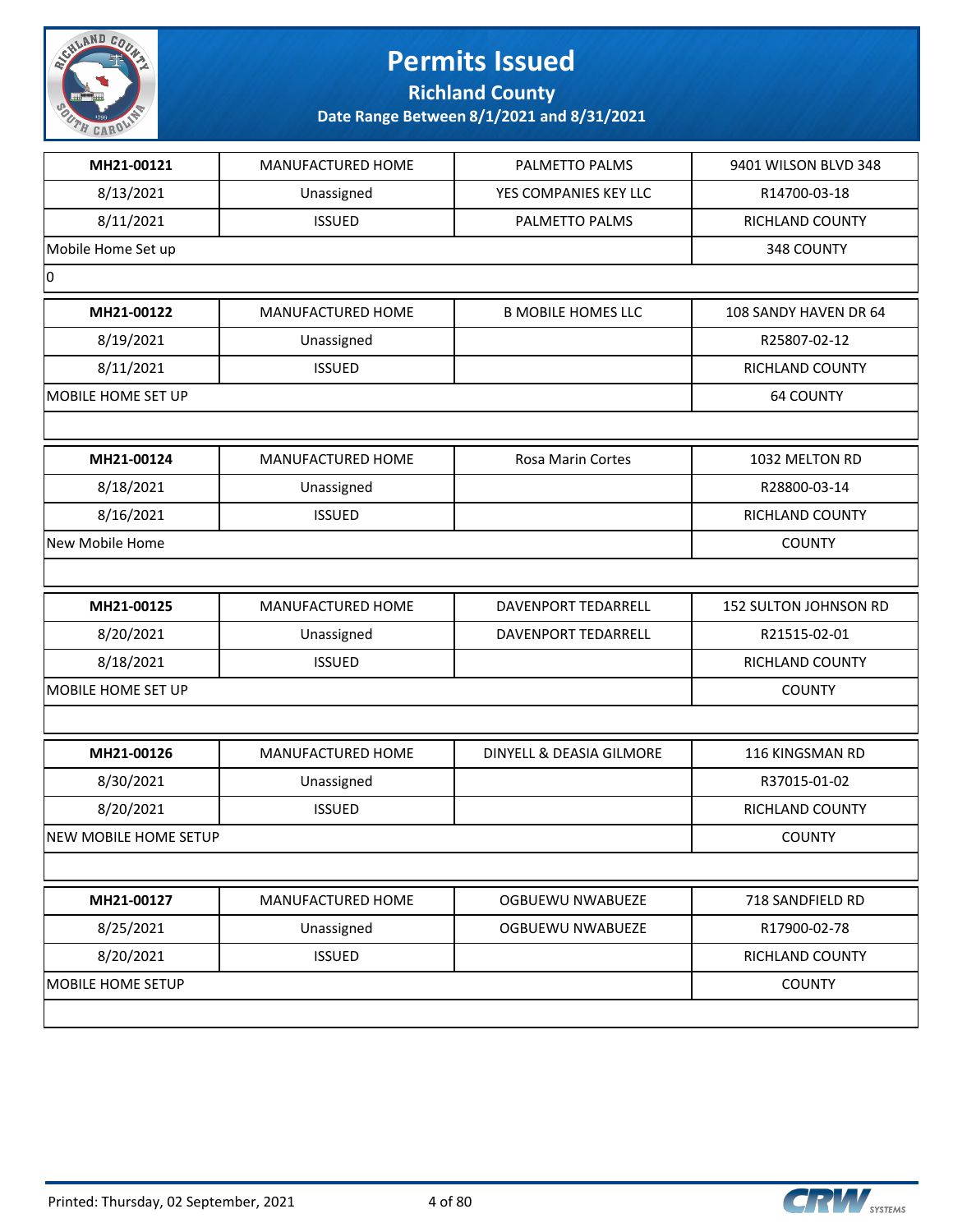

**Richland County**

| MH21-00121                   | MANUFACTURED HOME | PALMETTO PALMS            | 9401 WILSON BLVD 348   |
|------------------------------|-------------------|---------------------------|------------------------|
| 8/13/2021                    | Unassigned        | YES COMPANIES KEY LLC     | R14700-03-18           |
| 8/11/2021                    | <b>ISSUED</b>     | PALMETTO PALMS            | RICHLAND COUNTY        |
| Mobile Home Set up           |                   |                           | 348 COUNTY             |
| 0                            |                   |                           |                        |
| MH21-00122                   | MANUFACTURED HOME | <b>B MOBILE HOMES LLC</b> | 108 SANDY HAVEN DR 64  |
| 8/19/2021                    | Unassigned        |                           | R25807-02-12           |
| 8/11/2021                    | <b>ISSUED</b>     |                           | RICHLAND COUNTY        |
| MOBILE HOME SET UP           |                   |                           | <b>64 COUNTY</b>       |
|                              |                   |                           |                        |
| MH21-00124                   | MANUFACTURED HOME | Rosa Marin Cortes         | 1032 MELTON RD         |
| 8/18/2021                    | Unassigned        |                           | R28800-03-14           |
| 8/16/2021                    | <b>ISSUED</b>     |                           | <b>RICHLAND COUNTY</b> |
| New Mobile Home              |                   |                           | <b>COUNTY</b>          |
|                              |                   |                           |                        |
| MH21-00125                   | MANUFACTURED HOME | DAVENPORT TEDARRELL       | 152 SULTON JOHNSON RD  |
| 8/20/2021                    | Unassigned        | DAVENPORT TEDARRELL       | R21515-02-01           |
| 8/18/2021                    | <b>ISSUED</b>     |                           | RICHLAND COUNTY        |
| MOBILE HOME SET UP           |                   |                           | <b>COUNTY</b>          |
|                              |                   |                           |                        |
| MH21-00126                   | MANUFACTURED HOME | DINYELL & DEASIA GILMORE  | 116 KINGSMAN RD        |
| 8/30/2021                    | Unassigned        |                           | R37015-01-02           |
| 8/20/2021                    | <b>ISSUED</b>     |                           | RICHLAND COUNTY        |
| <b>NEW MOBILE HOME SETUP</b> |                   |                           | <b>COUNTY</b>          |
|                              |                   |                           |                        |
| MH21-00127                   | MANUFACTURED HOME | OGBUEWU NWABUEZE          | 718 SANDFIELD RD       |
| 8/25/2021                    | Unassigned        | <b>OGBUEWU NWABUEZE</b>   | R17900-02-78           |
| 8/20/2021                    | <b>ISSUED</b>     |                           | RICHLAND COUNTY        |
| MOBILE HOME SETUP            |                   |                           | <b>COUNTY</b>          |
|                              |                   |                           |                        |
|                              |                   |                           |                        |

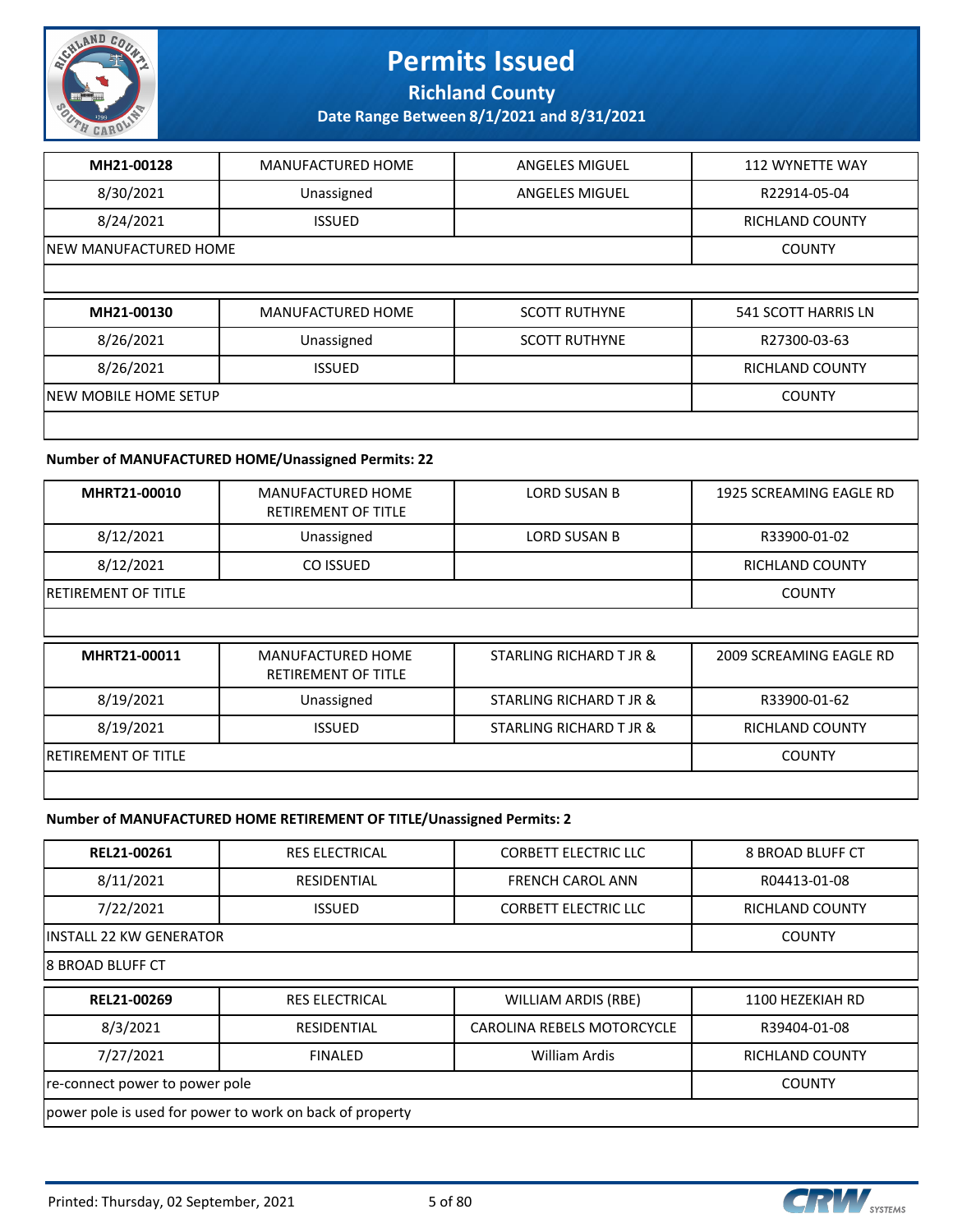

**Richland County**

**Date Range Between 8/1/2021 and 8/31/2021**

| MH21-00128             | <b>MANUFACTURED HOME</b> | <b>ANGELES MIGUEL</b> | <b>112 WYNETTE WAY</b> |
|------------------------|--------------------------|-----------------------|------------------------|
| 8/30/2021              | Unassigned               | <b>ANGELES MIGUEL</b> | R22914-05-04           |
| 8/24/2021              | <b>ISSUED</b>            |                       | <b>RICHLAND COUNTY</b> |
| INEW MANUFACTURED HOME |                          |                       | <b>COUNTY</b>          |
|                        |                          |                       |                        |
|                        |                          |                       |                        |
| MH21-00130             | MANUFACTURED HOME        | <b>SCOTT RUTHYNE</b>  | 541 SCOTT HARRIS LN    |
| 8/26/2021              | Unassigned               | <b>SCOTT RUTHYNE</b>  | R27300-03-63           |
| 8/26/2021              | <b>ISSUED</b>            |                       | <b>RICHLAND COUNTY</b> |
| NEW MOBILE HOME SETUP  |                          |                       | <b>COUNTY</b>          |

#### **Number of MANUFACTURED HOME/Unassigned Permits: 22**

| MHRT21-00010               | MANUFACTURED HOME<br>RETIREMENT OF TITLE | LORD SUSAN B | 1925 SCREAMING EAGLE RD |
|----------------------------|------------------------------------------|--------------|-------------------------|
| 8/12/2021                  | Unassigned                               | LORD SUSAN B | R33900-01-02            |
| 8/12/2021                  | CO ISSUED                                |              | RICHLAND COUNTY         |
| <b>RETIREMENT OF TITLE</b> |                                          |              | <b>COUNTY</b>           |
|                            |                                          |              |                         |

| MHRT21-00011                | MANUFACTURED HOME<br>RETIREMENT OF TITLE | STARLING RICHARD T JR & | 2009 SCREAMING EAGLE RD |
|-----------------------------|------------------------------------------|-------------------------|-------------------------|
| 8/19/2021                   | Unassigned                               | STARLING RICHARD T JR & | R33900-01-62            |
| 8/19/2021                   | <b>ISSUED</b>                            | STARLING RICHARD T JR & | <b>RICHLAND COUNTY</b>  |
| <b>IRETIREMENT OF TITLE</b> |                                          |                         | <b>COUNTY</b>           |
|                             |                                          |                         |                         |

#### **Number of MANUFACTURED HOME RETIREMENT OF TITLE/Unassigned Permits: 2**

| REL21-00261                                              | <b>RES ELECTRICAL</b> | <b>CORBETT ELECTRIC LLC</b> | <b>8 BROAD BLUFF CT</b> |  |
|----------------------------------------------------------|-----------------------|-----------------------------|-------------------------|--|
| 8/11/2021                                                | RESIDENTIAL           | <b>FRENCH CAROL ANN</b>     | R04413-01-08            |  |
| 7/22/2021                                                | <b>ISSUED</b>         | <b>CORBETT ELECTRIC LLC</b> | RICHLAND COUNTY         |  |
| lINSTALL 22 KW GENERATOR                                 | <b>COUNTY</b>         |                             |                         |  |
| I8 BROAD BLUFF CT                                        |                       |                             |                         |  |
| REL21-00269                                              | <b>RES ELECTRICAL</b> | <b>WILLIAM ARDIS (RBE)</b>  | 1100 HEZEKIAH RD        |  |
| 8/3/2021                                                 | RESIDENTIAL           | CAROLINA REBELS MOTORCYCLE  | R39404-01-08            |  |
| 7/27/2021                                                | <b>FINALED</b>        | <b>William Ardis</b>        | RICHLAND COUNTY         |  |
| re-connect power to power pole<br><b>COUNTY</b>          |                       |                             |                         |  |
| power pole is used for power to work on back of property |                       |                             |                         |  |

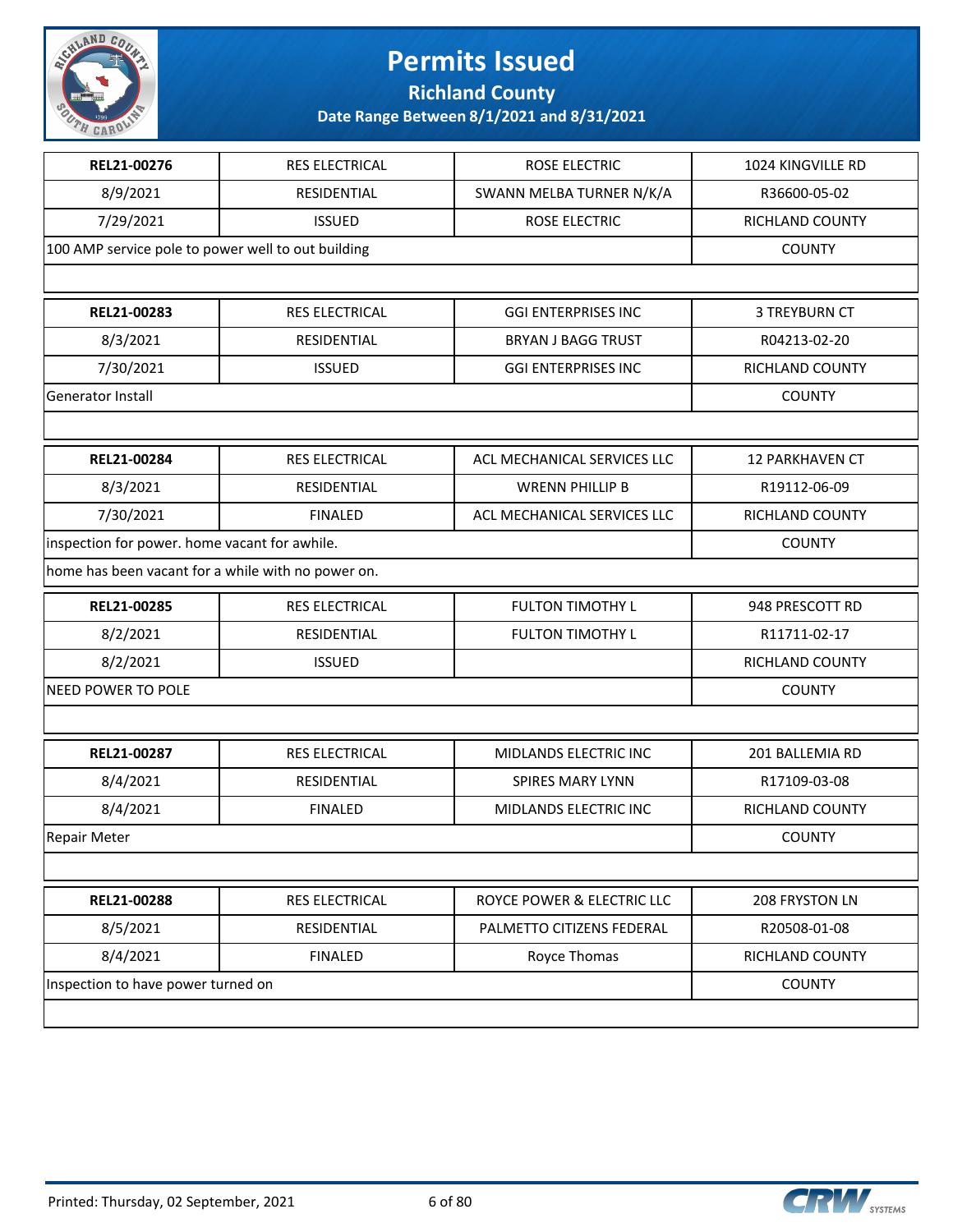

**Richland County**

| REL21-00276                                        | RES ELECTRICAL        | ROSE ELECTRIC               | 1024 KINGVILLE RD      |
|----------------------------------------------------|-----------------------|-----------------------------|------------------------|
| 8/9/2021                                           | RESIDENTIAL           | SWANN MELBA TURNER N/K/A    | R36600-05-02           |
| 7/29/2021                                          | <b>ISSUED</b>         | ROSE ELECTRIC               | RICHLAND COUNTY        |
| 100 AMP service pole to power well to out building |                       |                             | <b>COUNTY</b>          |
|                                                    |                       |                             |                        |
| REL21-00283                                        | RES ELECTRICAL        | <b>GGI ENTERPRISES INC</b>  | 3 TREYBURN CT          |
| 8/3/2021                                           | RESIDENTIAL           | BRYAN J BAGG TRUST          | R04213-02-20           |
| 7/30/2021                                          | <b>ISSUED</b>         | <b>GGI ENTERPRISES INC</b>  | RICHLAND COUNTY        |
| Generator Install                                  |                       |                             | <b>COUNTY</b>          |
|                                                    |                       |                             |                        |
| REL21-00284                                        | <b>RES ELECTRICAL</b> | ACL MECHANICAL SERVICES LLC | <b>12 PARKHAVEN CT</b> |
| 8/3/2021                                           | RESIDENTIAL           | <b>WRENN PHILLIP B</b>      | R19112-06-09           |
| 7/30/2021                                          | <b>FINALED</b>        | ACL MECHANICAL SERVICES LLC | RICHLAND COUNTY        |
| inspection for power. home vacant for awhile.      |                       |                             | <b>COUNTY</b>          |
| home has been vacant for a while with no power on. |                       |                             |                        |
| REL21-00285                                        | RES ELECTRICAL        | <b>FULTON TIMOTHY L</b>     | 948 PRESCOTT RD        |
| 8/2/2021                                           | RESIDENTIAL           | <b>FULTON TIMOTHY L</b>     | R11711-02-17           |
| 8/2/2021                                           | <b>ISSUED</b>         |                             | RICHLAND COUNTY        |
| <b>NEED POWER TO POLE</b>                          |                       |                             | <b>COUNTY</b>          |
|                                                    |                       |                             |                        |
| REL21-00287                                        | RES ELECTRICAL        | MIDLANDS ELECTRIC INC       | 201 BALLEMIA RD        |
| 8/4/2021                                           | RESIDENTIAL           | SPIRES MARY LYNN            | R17109-03-08           |
| 8/4/2021                                           | <b>FINALED</b>        | MIDLANDS ELECTRIC INC       | RICHLAND COUNTY        |
| Repair Meter                                       |                       |                             | <b>COUNTY</b>          |
|                                                    |                       |                             |                        |
| REL21-00288                                        | RES ELECTRICAL        | ROYCE POWER & ELECTRIC LLC  | 208 FRYSTON LN         |
| 8/5/2021                                           | RESIDENTIAL           | PALMETTO CITIZENS FEDERAL   | R20508-01-08           |
| 8/4/2021                                           | <b>FINALED</b>        | Royce Thomas                | RICHLAND COUNTY        |
| Inspection to have power turned on                 |                       |                             | <b>COUNTY</b>          |
|                                                    |                       |                             |                        |

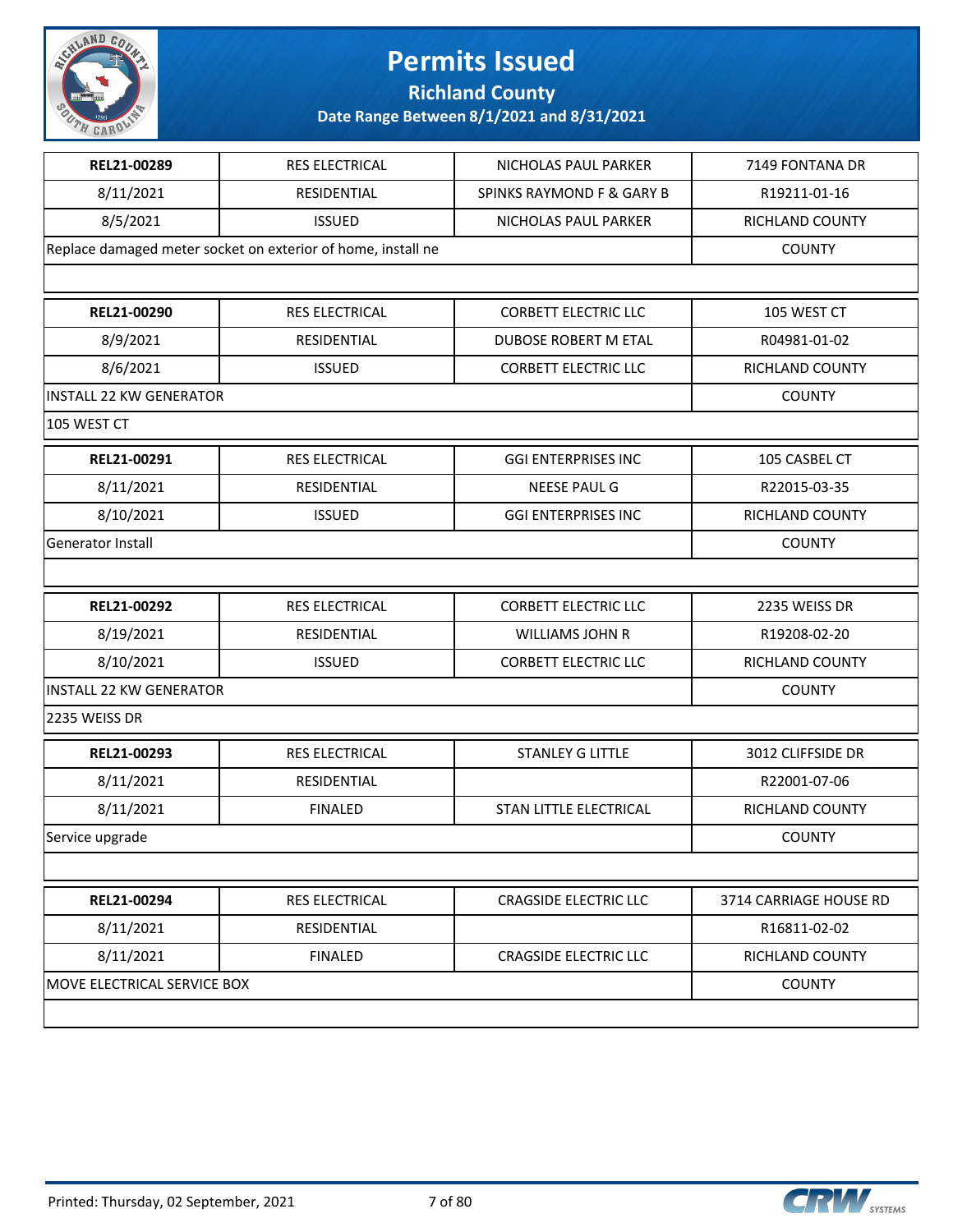

**Richland County**

| REL21-00289                    | <b>RES ELECTRICAL</b>                                        | NICHOLAS PAUL PARKER                 | 7149 FONTANA DR        |
|--------------------------------|--------------------------------------------------------------|--------------------------------------|------------------------|
| 8/11/2021                      | RESIDENTIAL                                                  | <b>SPINKS RAYMOND F &amp; GARY B</b> | R19211-01-16           |
| 8/5/2021                       | <b>ISSUED</b>                                                | NICHOLAS PAUL PARKER                 | RICHLAND COUNTY        |
|                                | Replace damaged meter socket on exterior of home, install ne |                                      | <b>COUNTY</b>          |
|                                |                                                              |                                      |                        |
| REL21-00290                    | <b>RES ELECTRICAL</b>                                        | <b>CORBETT ELECTRIC LLC</b>          | 105 WEST CT            |
| 8/9/2021                       | RESIDENTIAL                                                  | DUBOSE ROBERT M ETAL                 | R04981-01-02           |
| 8/6/2021                       | <b>ISSUED</b>                                                | <b>CORBETT ELECTRIC LLC</b>          | RICHLAND COUNTY        |
| <b>INSTALL 22 KW GENERATOR</b> |                                                              |                                      | <b>COUNTY</b>          |
| 105 WEST CT                    |                                                              |                                      |                        |
| REL21-00291                    | RES ELECTRICAL                                               | <b>GGI ENTERPRISES INC</b>           | 105 CASBEL CT          |
| 8/11/2021                      | RESIDENTIAL                                                  | <b>NEESE PAUL G</b>                  | R22015-03-35           |
| 8/10/2021                      | <b>ISSUED</b>                                                | <b>GGI ENTERPRISES INC</b>           | RICHLAND COUNTY        |
| Generator Install              |                                                              |                                      | <b>COUNTY</b>          |
|                                |                                                              |                                      |                        |
| REL21-00292                    | <b>RES ELECTRICAL</b>                                        | <b>CORBETT ELECTRIC LLC</b>          | 2235 WEISS DR          |
| 8/19/2021                      | RESIDENTIAL                                                  | <b>WILLIAMS JOHN R</b>               | R19208-02-20           |
| 8/10/2021                      | <b>ISSUED</b>                                                | <b>CORBETT ELECTRIC LLC</b>          | RICHLAND COUNTY        |
| <b>INSTALL 22 KW GENERATOR</b> |                                                              |                                      | <b>COUNTY</b>          |
| 2235 WEISS DR                  |                                                              |                                      |                        |
| REL21-00293                    | <b>RES ELECTRICAL</b>                                        | <b>STANLEY G LITTLE</b>              | 3012 CLIFFSIDE DR      |
| 8/11/2021                      | RESIDENTIAL                                                  |                                      | R22001-07-06           |
| 8/11/2021                      | <b>FINALED</b>                                               | STAN LITTLE ELECTRICAL               | RICHLAND COUNTY        |
| Service upgrade                |                                                              |                                      | <b>COUNTY</b>          |
|                                |                                                              |                                      |                        |
| REL21-00294                    | RES ELECTRICAL                                               | <b>CRAGSIDE ELECTRIC LLC</b>         | 3714 CARRIAGE HOUSE RD |
| 8/11/2021                      | RESIDENTIAL                                                  |                                      | R16811-02-02           |
| 8/11/2021                      | <b>FINALED</b>                                               | <b>CRAGSIDE ELECTRIC LLC</b>         | RICHLAND COUNTY        |
| MOVE ELECTRICAL SERVICE BOX    |                                                              |                                      | <b>COUNTY</b>          |
|                                |                                                              |                                      |                        |
|                                |                                                              |                                      |                        |

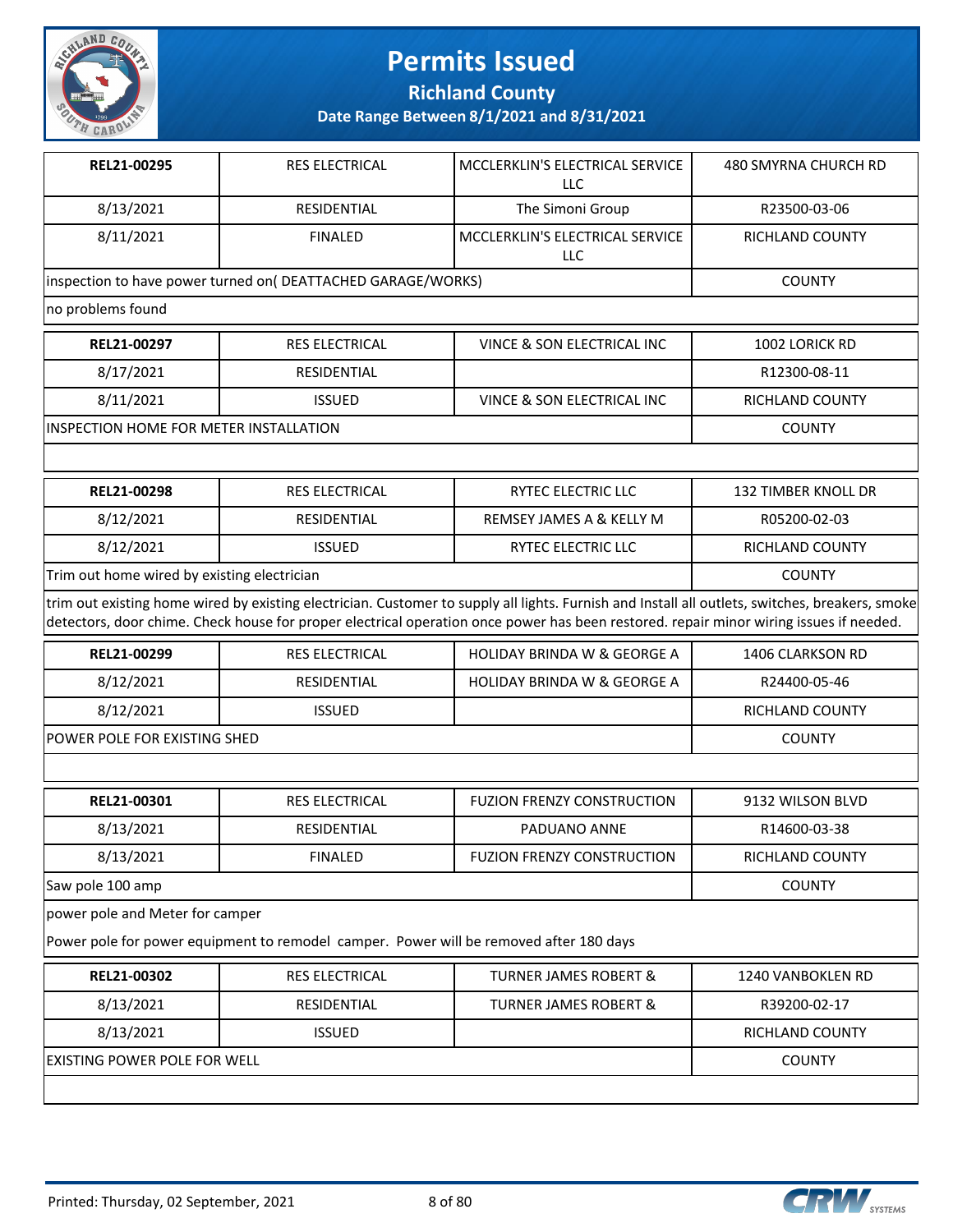

**Richland County**

| REL21-00295                                 | RES ELECTRICAL                                               | MCCLERKLIN'S ELECTRICAL SERVICE<br>LLC                                                                                                                                                                                                                                                    | 480 SMYRNA CHURCH RD       |
|---------------------------------------------|--------------------------------------------------------------|-------------------------------------------------------------------------------------------------------------------------------------------------------------------------------------------------------------------------------------------------------------------------------------------|----------------------------|
| 8/13/2021                                   | <b>RESIDENTIAL</b>                                           | The Simoni Group                                                                                                                                                                                                                                                                          | R23500-03-06               |
| 8/11/2021                                   | <b>FINALED</b>                                               | MCCLERKLIN'S ELECTRICAL SERVICE<br>LLC                                                                                                                                                                                                                                                    | <b>RICHLAND COUNTY</b>     |
|                                             | inspection to have power turned on( DEATTACHED GARAGE/WORKS) |                                                                                                                                                                                                                                                                                           | <b>COUNTY</b>              |
| no problems found                           |                                                              |                                                                                                                                                                                                                                                                                           |                            |
| REL21-00297                                 | <b>RES ELECTRICAL</b>                                        | VINCE & SON ELECTRICAL INC                                                                                                                                                                                                                                                                | 1002 LORICK RD             |
| 8/17/2021                                   | <b>RESIDENTIAL</b>                                           |                                                                                                                                                                                                                                                                                           | R12300-08-11               |
| 8/11/2021                                   | <b>ISSUED</b>                                                | VINCE & SON ELECTRICAL INC                                                                                                                                                                                                                                                                | RICHLAND COUNTY            |
| INSPECTION HOME FOR METER INSTALLATION      |                                                              |                                                                                                                                                                                                                                                                                           | <b>COUNTY</b>              |
|                                             |                                                              |                                                                                                                                                                                                                                                                                           |                            |
| REL21-00298                                 | <b>RES ELECTRICAL</b>                                        | RYTEC ELECTRIC LLC                                                                                                                                                                                                                                                                        | <b>132 TIMBER KNOLL DR</b> |
| 8/12/2021                                   | RESIDENTIAL                                                  | REMSEY JAMES A & KELLY M                                                                                                                                                                                                                                                                  | R05200-02-03               |
| 8/12/2021                                   | <b>ISSUED</b>                                                | RYTEC ELECTRIC LLC                                                                                                                                                                                                                                                                        | RICHLAND COUNTY            |
| Trim out home wired by existing electrician |                                                              |                                                                                                                                                                                                                                                                                           | <b>COUNTY</b>              |
|                                             |                                                              | trim out existing home wired by existing electrician. Customer to supply all lights. Furnish and Install all outlets, switches, breakers, smoke<br>detectors, door chime. Check house for proper electrical operation once power has been restored. repair minor wiring issues if needed. |                            |
| REL21-00299                                 | <b>RES ELECTRICAL</b>                                        | <b>HOLIDAY BRINDA W &amp; GEORGE A</b>                                                                                                                                                                                                                                                    | <b>1406 CLARKSON RD</b>    |
| 8/12/2021                                   | RESIDENTIAL                                                  | <b>HOLIDAY BRINDA W &amp; GEORGE A</b>                                                                                                                                                                                                                                                    | R24400-05-46               |
| 8/12/2021                                   | <b>ISSUED</b>                                                |                                                                                                                                                                                                                                                                                           | RICHLAND COUNTY            |
| POWER POLE FOR EXISTING SHED                | <b>COUNTY</b>                                                |                                                                                                                                                                                                                                                                                           |                            |
|                                             |                                                              |                                                                                                                                                                                                                                                                                           |                            |
| REL21-00301                                 | RES ELECTRICAL                                               | <b>FUZION FRENZY CONSTRUCTION</b>                                                                                                                                                                                                                                                         | 9132 WILSON BLVD           |
| 8/13/2021                                   | RESIDENTIAL                                                  | PADUANO ANNE                                                                                                                                                                                                                                                                              | R14600-03-38               |
| 8/13/2021                                   | <b>FINALED</b>                                               | <b>FUZION FRENZY CONSTRUCTION</b>                                                                                                                                                                                                                                                         | <b>RICHLAND COUNTY</b>     |
| Saw pole 100 amp                            |                                                              |                                                                                                                                                                                                                                                                                           | <b>COUNTY</b>              |
| power pole and Meter for camper             |                                                              |                                                                                                                                                                                                                                                                                           |                            |
|                                             |                                                              | Power pole for power equipment to remodel camper. Power will be removed after 180 days                                                                                                                                                                                                    |                            |
| REL21-00302                                 | RES ELECTRICAL                                               | <b>TURNER JAMES ROBERT &amp;</b>                                                                                                                                                                                                                                                          | 1240 VANBOKLEN RD          |
| 8/13/2021                                   | RESIDENTIAL                                                  | <b>TURNER JAMES ROBERT &amp;</b>                                                                                                                                                                                                                                                          | R39200-02-17               |
| 8/13/2021                                   | <b>ISSUED</b>                                                |                                                                                                                                                                                                                                                                                           | RICHLAND COUNTY            |
| EXISTING POWER POLE FOR WELL                |                                                              |                                                                                                                                                                                                                                                                                           | <b>COUNTY</b>              |
|                                             |                                                              |                                                                                                                                                                                                                                                                                           |                            |

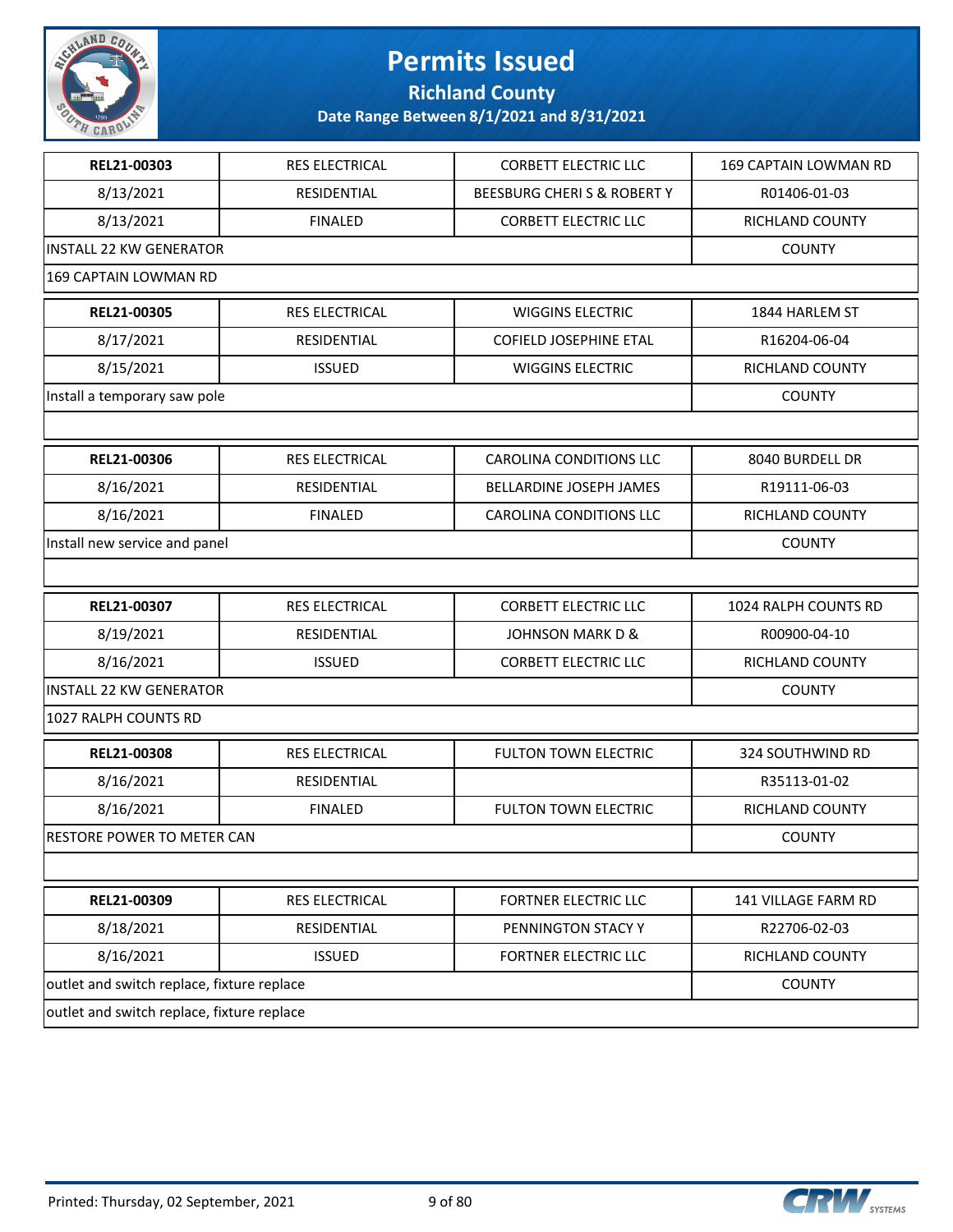

**Richland County**

| REL21-00303                                | <b>RES ELECTRICAL</b> | <b>CORBETT ELECTRIC LLC</b>    | 169 CAPTAIN LOWMAN RD |
|--------------------------------------------|-----------------------|--------------------------------|-----------------------|
| 8/13/2021                                  | RESIDENTIAL           | BEESBURG CHERIS & ROBERTY      | R01406-01-03          |
| 8/13/2021                                  | <b>FINALED</b>        | <b>CORBETT ELECTRIC LLC</b>    | RICHLAND COUNTY       |
| <b>INSTALL 22 KW GENERATOR</b>             |                       |                                | <b>COUNTY</b>         |
| 169 CAPTAIN LOWMAN RD                      |                       |                                |                       |
| REL21-00305                                | RES ELECTRICAL        | <b>WIGGINS ELECTRIC</b>        | 1844 HARLEM ST        |
| 8/17/2021                                  | RESIDENTIAL           | <b>COFIELD JOSEPHINE ETAL</b>  | R16204-06-04          |
| 8/15/2021                                  | <b>ISSUED</b>         | <b>WIGGINS ELECTRIC</b>        | RICHLAND COUNTY       |
| Install a temporary saw pole               |                       |                                | <b>COUNTY</b>         |
|                                            |                       |                                |                       |
| REL21-00306                                | RES ELECTRICAL        | <b>CAROLINA CONDITIONS LLC</b> | 8040 BURDELL DR       |
| 8/16/2021                                  | RESIDENTIAL           | <b>BELLARDINE JOSEPH JAMES</b> | R19111-06-03          |
| 8/16/2021                                  | <b>FINALED</b>        | <b>CAROLINA CONDITIONS LLC</b> | RICHLAND COUNTY       |
| Install new service and panel              |                       |                                | <b>COUNTY</b>         |
|                                            |                       |                                |                       |
| REL21-00307                                | RES ELECTRICAL        | <b>CORBETT ELECTRIC LLC</b>    | 1024 RALPH COUNTS RD  |
| 8/19/2021                                  | RESIDENTIAL           | <b>JOHNSON MARK D &amp;</b>    | R00900-04-10          |
| 8/16/2021                                  | <b>ISSUED</b>         | <b>CORBETT ELECTRIC LLC</b>    | RICHLAND COUNTY       |
| <b>INSTALL 22 KW GENERATOR</b>             |                       |                                | <b>COUNTY</b>         |
| 1027 RALPH COUNTS RD                       |                       |                                |                       |
| REL21-00308                                | RES ELECTRICAL        | <b>FULTON TOWN ELECTRIC</b>    | 324 SOUTHWIND RD      |
| 8/16/2021                                  | RESIDENTIAL           |                                | R35113-01-02          |
| 8/16/2021                                  | <b>FINALED</b>        | <b>FULTON TOWN ELECTRIC</b>    | RICHLAND COUNTY       |
| RESTORE POWER TO METER CAN                 |                       |                                | <b>COUNTY</b>         |
|                                            |                       |                                |                       |
| REL21-00309                                | RES ELECTRICAL        | FORTNER ELECTRIC LLC           | 141 VILLAGE FARM RD   |
|                                            | RESIDENTIAL           | PENNINGTON STACY Y             | R22706-02-03          |
| 8/18/2021                                  |                       |                                |                       |
| 8/16/2021                                  | <b>ISSUED</b>         | FORTNER ELECTRIC LLC           | RICHLAND COUNTY       |
| outlet and switch replace, fixture replace |                       |                                | <b>COUNTY</b>         |

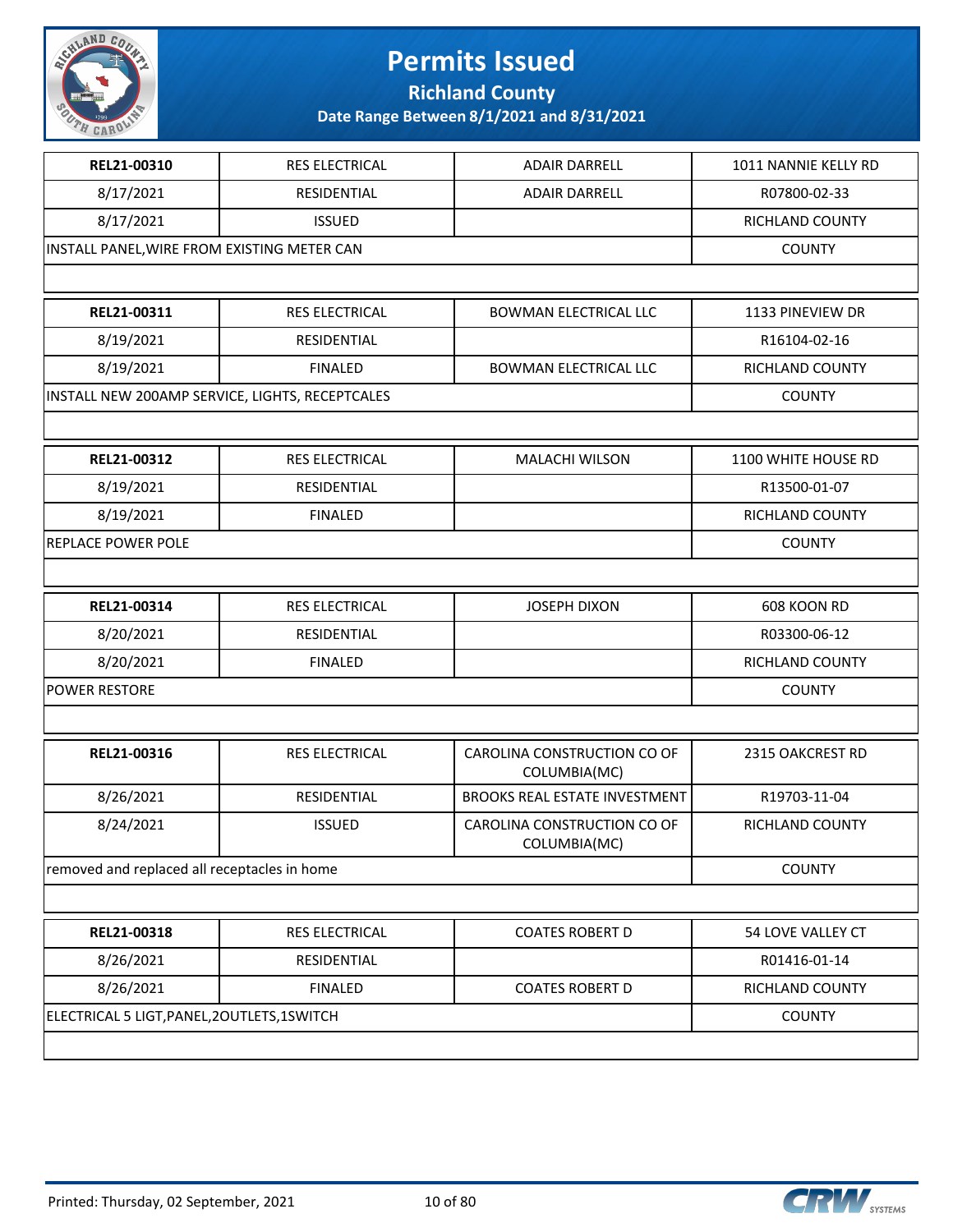

**Richland County**

| REL21-00310                                  | RES ELECTRICAL                                  | <b>ADAIR DARRELL</b>                        | 1011 NANNIE KELLY RD |
|----------------------------------------------|-------------------------------------------------|---------------------------------------------|----------------------|
| 8/17/2021                                    | RESIDENTIAL                                     | <b>ADAIR DARRELL</b>                        | R07800-02-33         |
| 8/17/2021                                    | <b>ISSUED</b>                                   |                                             | RICHLAND COUNTY      |
| INSTALL PANEL, WIRE FROM EXISTING METER CAN  |                                                 |                                             | <b>COUNTY</b>        |
|                                              |                                                 |                                             |                      |
| REL21-00311                                  | RES ELECTRICAL                                  | <b>BOWMAN ELECTRICAL LLC</b>                | 1133 PINEVIEW DR     |
| 8/19/2021                                    | RESIDENTIAL                                     |                                             | R16104-02-16         |
| 8/19/2021                                    | <b>FINALED</b>                                  | <b>BOWMAN ELECTRICAL LLC</b>                | RICHLAND COUNTY      |
|                                              | INSTALL NEW 200AMP SERVICE, LIGHTS, RECEPTCALES |                                             | <b>COUNTY</b>        |
|                                              |                                                 |                                             |                      |
| REL21-00312                                  | <b>RES ELECTRICAL</b>                           | <b>MALACHI WILSON</b>                       | 1100 WHITE HOUSE RD  |
| 8/19/2021                                    | RESIDENTIAL                                     |                                             | R13500-01-07         |
| 8/19/2021                                    | <b>FINALED</b>                                  |                                             | RICHLAND COUNTY      |
| REPLACE POWER POLE                           |                                                 |                                             | <b>COUNTY</b>        |
|                                              |                                                 |                                             |                      |
| REL21-00314                                  | RES ELECTRICAL                                  | <b>JOSEPH DIXON</b>                         | 608 KOON RD          |
| 8/20/2021                                    | RESIDENTIAL                                     |                                             | R03300-06-12         |
| 8/20/2021                                    | <b>FINALED</b>                                  |                                             | RICHLAND COUNTY      |
| <b>POWER RESTORE</b>                         |                                                 |                                             | <b>COUNTY</b>        |
|                                              |                                                 |                                             |                      |
| REL21-00316                                  | RES ELECTRICAL                                  | CAROLINA CONSTRUCTION CO OF<br>COLUMBIA(MC) | 2315 OAKCREST RD     |
| 8/26/2021                                    | RESIDENTIAL                                     | <b>BROOKS REAL ESTATE INVESTMENT</b>        | R19703-11-04         |
| 8/24/2021                                    | <b>ISSUED</b>                                   | CAROLINA CONSTRUCTION CO OF<br>COLUMBIA(MC) | RICHLAND COUNTY      |
| removed and replaced all receptacles in home |                                                 |                                             | <b>COUNTY</b>        |
|                                              |                                                 |                                             |                      |
| REL21-00318                                  | RES ELECTRICAL                                  | <b>COATES ROBERT D</b>                      | 54 LOVE VALLEY CT    |
| 8/26/2021                                    | RESIDENTIAL                                     |                                             | R01416-01-14         |
| 8/26/2021                                    | <b>FINALED</b>                                  | <b>COATES ROBERT D</b>                      | RICHLAND COUNTY      |
| ELECTRICAL 5 LIGT, PANEL, 20UTLETS, 1SWITCH  |                                                 |                                             | <b>COUNTY</b>        |
|                                              |                                                 |                                             |                      |

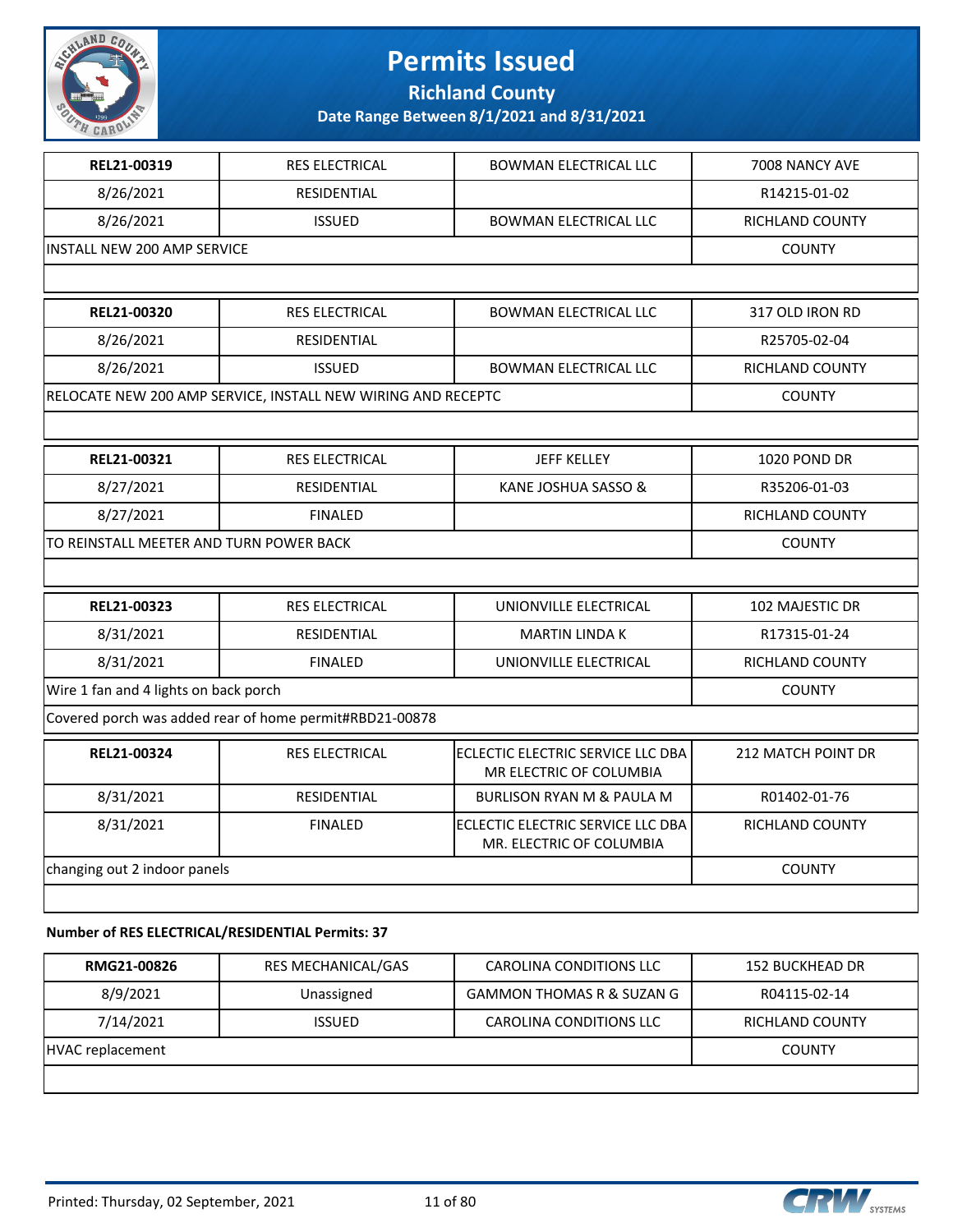

**Richland County**

**Date Range Between 8/1/2021 and 8/31/2021**

| REL21-00319                           | <b>RES ELECTRICAL</b>                                        | <b>BOWMAN ELECTRICAL LLC</b>                                  | 7008 NANCY AVE            |  |  |
|---------------------------------------|--------------------------------------------------------------|---------------------------------------------------------------|---------------------------|--|--|
| 8/26/2021                             | <b>RESIDENTIAL</b>                                           |                                                               | R14215-01-02              |  |  |
| 8/26/2021                             | <b>ISSUED</b>                                                | <b>BOWMAN ELECTRICAL LLC</b>                                  | RICHLAND COUNTY           |  |  |
| <b>INSTALL NEW 200 AMP SERVICE</b>    |                                                              |                                                               | <b>COUNTY</b>             |  |  |
|                                       |                                                              |                                                               |                           |  |  |
| REL21-00320                           | <b>RES ELECTRICAL</b>                                        | <b>BOWMAN ELECTRICAL LLC</b>                                  | 317 OLD IRON RD           |  |  |
| 8/26/2021                             | RESIDENTIAL                                                  |                                                               | R25705-02-04              |  |  |
| 8/26/2021                             | <b>ISSUED</b>                                                | <b>BOWMAN ELECTRICAL LLC</b>                                  | RICHLAND COUNTY           |  |  |
|                                       | RELOCATE NEW 200 AMP SERVICE, INSTALL NEW WIRING AND RECEPTC |                                                               | <b>COUNTY</b>             |  |  |
|                                       |                                                              |                                                               |                           |  |  |
| REL21-00321                           | <b>RES ELECTRICAL</b>                                        | <b>JEFF KELLEY</b>                                            | 1020 POND DR              |  |  |
| 8/27/2021                             | RESIDENTIAL                                                  | KANE JOSHUA SASSO &                                           | R35206-01-03              |  |  |
| 8/27/2021                             | <b>FINALED</b>                                               |                                                               | RICHLAND COUNTY           |  |  |
|                                       | TO REINSTALL MEETER AND TURN POWER BACK                      |                                                               |                           |  |  |
|                                       |                                                              |                                                               |                           |  |  |
| REL21-00323                           | <b>RES ELECTRICAL</b>                                        | UNIONVILLE ELECTRICAL                                         | 102 MAJESTIC DR           |  |  |
| 8/31/2021                             | <b>RESIDENTIAL</b>                                           | <b>MARTIN LINDA K</b>                                         | R17315-01-24              |  |  |
| 8/31/2021                             | <b>FINALED</b>                                               | UNIONVILLE ELECTRICAL                                         | RICHLAND COUNTY           |  |  |
| Wire 1 fan and 4 lights on back porch |                                                              |                                                               | <b>COUNTY</b>             |  |  |
|                                       | Covered porch was added rear of home permit#RBD21-00878      |                                                               |                           |  |  |
| REL21-00324                           | <b>RES ELECTRICAL</b>                                        | ECLECTIC ELECTRIC SERVICE LLC DBA<br>MR ELECTRIC OF COLUMBIA  | <b>212 MATCH POINT DR</b> |  |  |
| 8/31/2021                             | RESIDENTIAL                                                  | <b>BURLISON RYAN M &amp; PAULA M</b>                          | R01402-01-76              |  |  |
| 8/31/2021                             | <b>FINALED</b>                                               | ECLECTIC ELECTRIC SERVICE LLC DBA<br>MR. ELECTRIC OF COLUMBIA | RICHLAND COUNTY           |  |  |
| changing out 2 indoor panels          | <b>COUNTY</b>                                                |                                                               |                           |  |  |
|                                       |                                                              |                                                               |                           |  |  |
|                                       |                                                              |                                                               |                           |  |  |

#### **Number of RES ELECTRICAL/RESIDENTIAL Permits: 37**

| RMG21-00826      | RES MECHANICAL/GAS | CAROLINA CONDITIONS LLC   | 152 BUCKHEAD DR |
|------------------|--------------------|---------------------------|-----------------|
| 8/9/2021         | Unassigned         | GAMMON THOMAS R & SUZAN G | R04115-02-14    |
| 7/14/2021        | <b>ISSUED</b>      | CAROLINA CONDITIONS LLC   | RICHLAND COUNTY |
| HVAC replacement |                    |                           | <b>COUNTY</b>   |
|                  |                    |                           |                 |

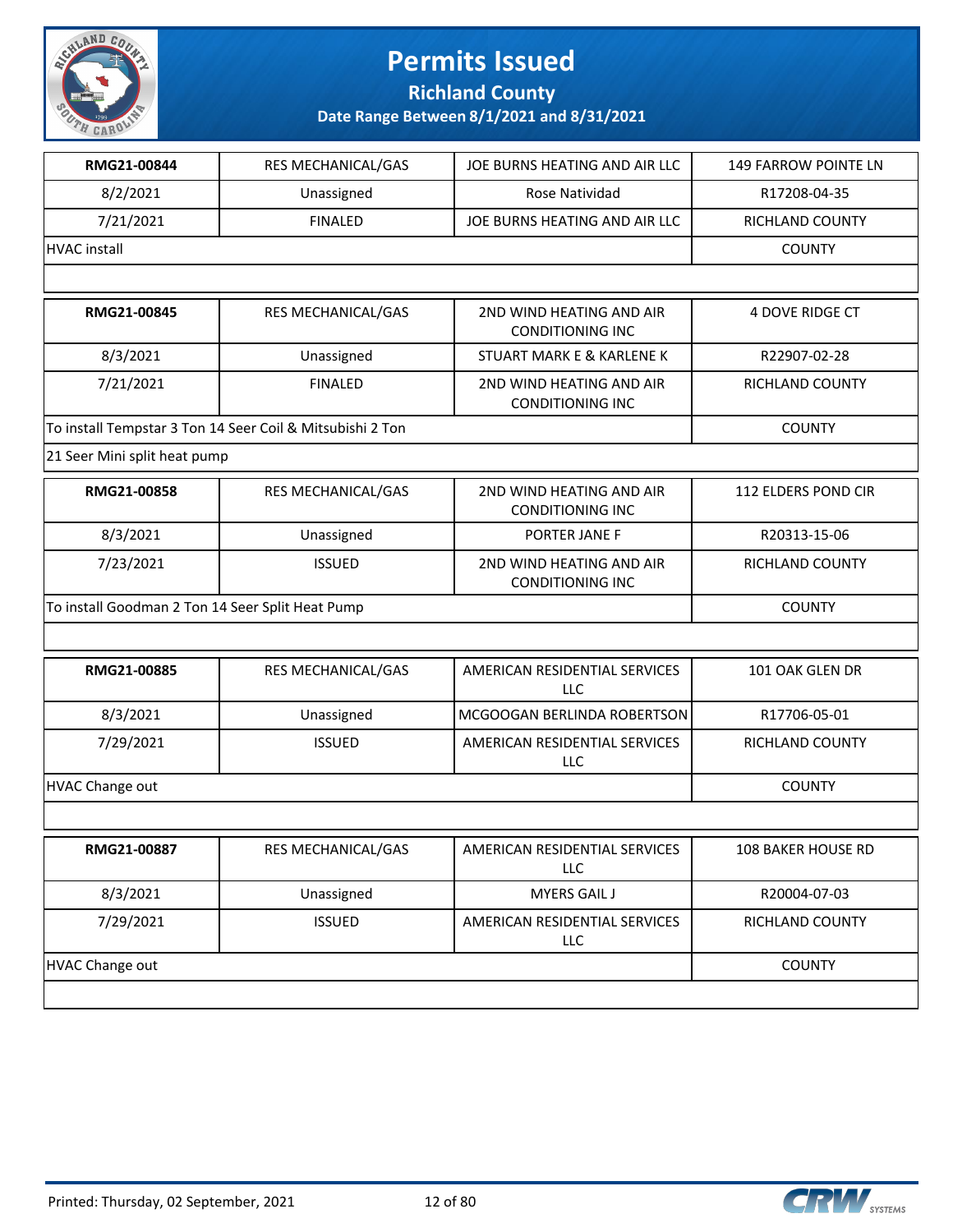

**Richland County**

| RMG21-00844                                      | RES MECHANICAL/GAS                                        | JOE BURNS HEATING AND AIR LLC                       | 149 FARROW POINTE LN   |
|--------------------------------------------------|-----------------------------------------------------------|-----------------------------------------------------|------------------------|
| 8/2/2021                                         | Unassigned                                                | Rose Natividad                                      | R17208-04-35           |
| 7/21/2021                                        | <b>FINALED</b>                                            | JOE BURNS HEATING AND AIR LLC                       | RICHLAND COUNTY        |
| <b>HVAC</b> install                              |                                                           |                                                     | <b>COUNTY</b>          |
|                                                  |                                                           |                                                     |                        |
| RMG21-00845                                      | RES MECHANICAL/GAS                                        | 2ND WIND HEATING AND AIR<br><b>CONDITIONING INC</b> | <b>4 DOVE RIDGE CT</b> |
| 8/3/2021                                         | Unassigned                                                | <b>STUART MARK E &amp; KARLENE K</b>                | R22907-02-28           |
| 7/21/2021                                        | <b>FINALED</b>                                            | 2ND WIND HEATING AND AIR<br><b>CONDITIONING INC</b> | RICHLAND COUNTY        |
|                                                  | To install Tempstar 3 Ton 14 Seer Coil & Mitsubishi 2 Ton |                                                     | <b>COUNTY</b>          |
| 21 Seer Mini split heat pump                     |                                                           |                                                     |                        |
| RMG21-00858                                      | RES MECHANICAL/GAS                                        | 2ND WIND HEATING AND AIR<br><b>CONDITIONING INC</b> | 112 ELDERS POND CIR    |
| 8/3/2021                                         | Unassigned                                                | PORTER JANE F                                       | R20313-15-06           |
| 7/23/2021                                        | <b>ISSUED</b>                                             | 2ND WIND HEATING AND AIR<br><b>CONDITIONING INC</b> | RICHLAND COUNTY        |
| To install Goodman 2 Ton 14 Seer Split Heat Pump | <b>COUNTY</b>                                             |                                                     |                        |
|                                                  |                                                           |                                                     |                        |
| RMG21-00885                                      | RES MECHANICAL/GAS                                        | AMERICAN RESIDENTIAL SERVICES<br>LLC                | 101 OAK GLEN DR        |
| 8/3/2021                                         | Unassigned                                                | MCGOOGAN BERLINDA ROBERTSON                         | R17706-05-01           |
| 7/29/2021                                        | <b>ISSUED</b>                                             | AMERICAN RESIDENTIAL SERVICES<br>LLC                | RICHLAND COUNTY        |
| <b>HVAC Change out</b>                           |                                                           |                                                     | <b>COUNTY</b>          |
|                                                  |                                                           |                                                     |                        |
| <b>RMG21-00887</b>                               | RES MECHANICAL/GAS                                        | AMERICAN RESIDENTIAL SERVICES<br>LLC                | 108 BAKER HOUSE RD     |
| 8/3/2021                                         | Unassigned                                                | <b>MYERS GAIL J</b>                                 | R20004-07-03           |
| 7/29/2021                                        | <b>ISSUED</b>                                             | AMERICAN RESIDENTIAL SERVICES<br>LLC                | RICHLAND COUNTY        |
| <b>HVAC Change out</b>                           |                                                           |                                                     | <b>COUNTY</b>          |
|                                                  |                                                           |                                                     |                        |

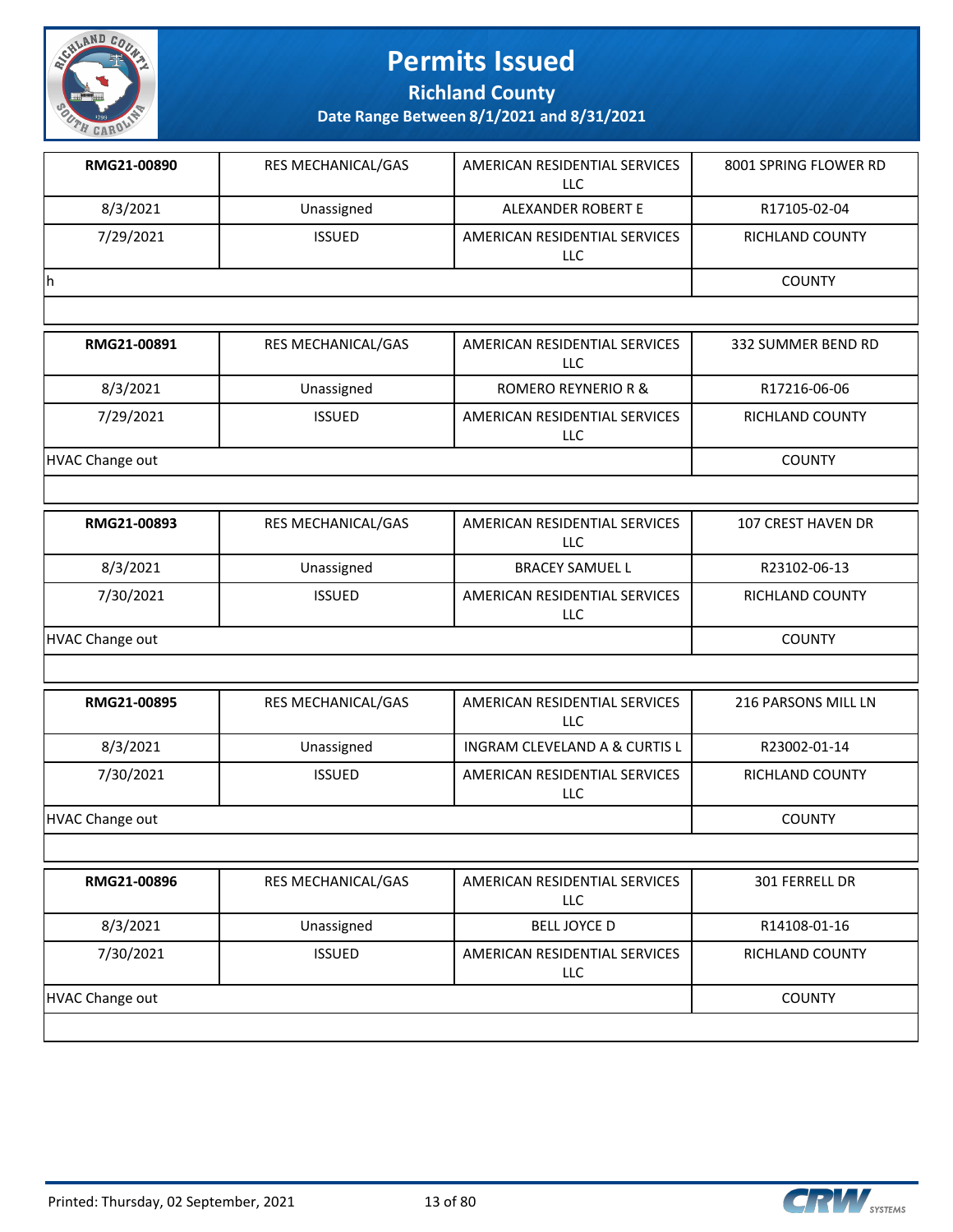

**Richland County**

| RMG21-00890 | <b>RES MECHANICAL/GAS</b> | AMERICAN RESIDENTIAL SERVICES<br>LLC | 8001 SPRING FLOWER RD |
|-------------|---------------------------|--------------------------------------|-----------------------|
| 8/3/2021    | Unassigned                | ALEXANDER ROBERT E                   | R17105-02-04          |
| 7/29/2021   | <b>ISSUED</b>             | AMERICAN RESIDENTIAL SERVICES<br>LLC | RICHLAND COUNTY       |
| h           |                           |                                      | <b>COUNTY</b>         |
|             |                           |                                      |                       |

| RMG21-00891     | <b>RES MECHANICAL/GAS</b> | AMERICAN RESIDENTIAL SERVICES<br>LLC. | 332 SUMMER BEND RD     |
|-----------------|---------------------------|---------------------------------------|------------------------|
| 8/3/2021        | Unassigned                | ROMERO REYNERIO R &                   | R17216-06-06           |
| 7/29/2021       | <b>ISSUED</b>             | AMERICAN RESIDENTIAL SERVICES<br>LLC  | <b>RICHLAND COUNTY</b> |
| HVAC Change out |                           |                                       | <b>COUNTY</b>          |

| RMG21-00893     | <b>RES MECHANICAL/GAS</b> | AMERICAN RESIDENTIAL SERVICES<br>LLC        | 107 CREST HAVEN DR |
|-----------------|---------------------------|---------------------------------------------|--------------------|
| 8/3/2021        | Unassigned                | <b>BRACEY SAMUEL L</b>                      | R23102-06-13       |
| 7/30/2021       | <b>ISSUED</b>             | AMERICAN RESIDENTIAL SERVICES<br><b>LLC</b> | RICHLAND COUNTY    |
| HVAC Change out |                           |                                             | <b>COUNTY</b>      |

| RMG21-00895     | <b>RES MECHANICAL/GAS</b> | AMERICAN RESIDENTIAL SERVICES<br>LLC | 216 PARSONS MILL LN |
|-----------------|---------------------------|--------------------------------------|---------------------|
| 8/3/2021        | Unassigned                | INGRAM CLEVELAND A & CURTIS L        | R23002-01-14        |
| 7/30/2021       | <b>ISSUED</b>             | AMERICAN RESIDENTIAL SERVICES<br>LLC | RICHLAND COUNTY     |
| HVAC Change out | <b>COUNTY</b>             |                                      |                     |

| RMG21-00896     | <b>RES MECHANICAL/GAS</b> | AMERICAN RESIDENTIAL SERVICES<br><b>LLC</b> | <b>301 FERRELL DR</b>  |
|-----------------|---------------------------|---------------------------------------------|------------------------|
| 8/3/2021        | Unassigned                | <b>BELL JOYCE D</b>                         | R14108-01-16           |
| 7/30/2021       | <b>ISSUED</b>             | AMERICAN RESIDENTIAL SERVICES<br>LLC        | <b>RICHLAND COUNTY</b> |
| HVAC Change out |                           |                                             | <b>COUNTY</b>          |
|                 |                           |                                             |                        |

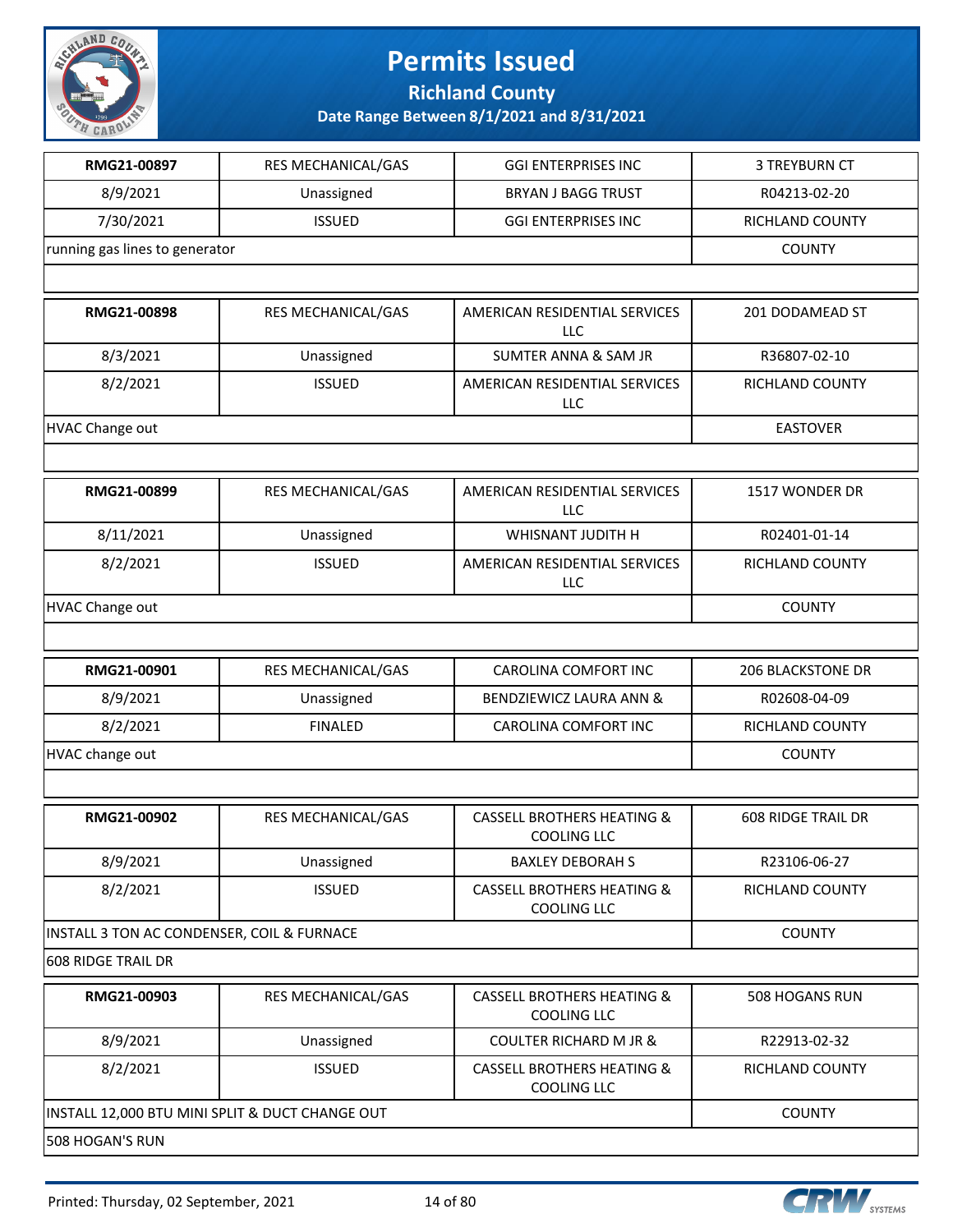

**Richland County**

| RMG21-00897                                | RES MECHANICAL/GAS                              | <b>GGI ENTERPRISES INC</b>                                  | <b>3 TREYBURN CT</b>      |
|--------------------------------------------|-------------------------------------------------|-------------------------------------------------------------|---------------------------|
| 8/9/2021                                   | Unassigned                                      | <b>BRYAN J BAGG TRUST</b>                                   | R04213-02-20              |
| 7/30/2021                                  | <b>ISSUED</b>                                   | <b>GGI ENTERPRISES INC</b>                                  | <b>RICHLAND COUNTY</b>    |
| running gas lines to generator             |                                                 |                                                             | <b>COUNTY</b>             |
|                                            |                                                 |                                                             |                           |
| RMG21-00898                                | RES MECHANICAL/GAS                              | AMERICAN RESIDENTIAL SERVICES<br><b>LLC</b>                 | 201 DODAMEAD ST           |
| 8/3/2021                                   | Unassigned                                      | <b>SUMTER ANNA &amp; SAM JR</b>                             | R36807-02-10              |
| 8/2/2021                                   | <b>ISSUED</b>                                   | AMERICAN RESIDENTIAL SERVICES<br><b>LLC</b>                 | RICHLAND COUNTY           |
| <b>HVAC Change out</b>                     |                                                 |                                                             | <b>EASTOVER</b>           |
|                                            |                                                 |                                                             |                           |
| RMG21-00899                                | RES MECHANICAL/GAS                              | AMERICAN RESIDENTIAL SERVICES<br><b>LLC</b>                 | 1517 WONDER DR            |
| 8/11/2021                                  | Unassigned                                      | WHISNANT JUDITH H                                           | R02401-01-14              |
| 8/2/2021                                   | <b>ISSUED</b>                                   | AMERICAN RESIDENTIAL SERVICES<br><b>LLC</b>                 | <b>RICHLAND COUNTY</b>    |
| <b>HVAC Change out</b>                     |                                                 |                                                             | <b>COUNTY</b>             |
|                                            |                                                 |                                                             |                           |
| RMG21-00901                                | RES MECHANICAL/GAS                              | CAROLINA COMFORT INC                                        | <b>206 BLACKSTONE DR</b>  |
| 8/9/2021                                   | Unassigned                                      | BENDZIEWICZ LAURA ANN &                                     | R02608-04-09              |
| 8/2/2021                                   | <b>FINALED</b>                                  | CAROLINA COMFORT INC                                        | RICHLAND COUNTY           |
| HVAC change out                            |                                                 |                                                             | <b>COUNTY</b>             |
|                                            |                                                 |                                                             |                           |
| RMG21-00902                                | RES MECHANICAL/GAS                              | <b>CASSELL BROTHERS HEATING &amp;</b><br>COOLING LLC        | <b>608 RIDGE TRAIL DR</b> |
| 8/9/2021                                   | Unassigned                                      | <b>BAXLEY DEBORAH S</b>                                     | R23106-06-27              |
| 8/2/2021                                   | <b>ISSUED</b>                                   | <b>CASSELL BROTHERS HEATING &amp;</b><br><b>COOLING LLC</b> | RICHLAND COUNTY           |
| INSTALL 3 TON AC CONDENSER, COIL & FURNACE |                                                 | <b>COUNTY</b>                                               |                           |
| 608 RIDGE TRAIL DR                         |                                                 |                                                             |                           |
| RMG21-00903                                | RES MECHANICAL/GAS                              | <b>CASSELL BROTHERS HEATING &amp;</b><br>COOLING LLC        | 508 HOGANS RUN            |
| 8/9/2021                                   | Unassigned                                      | <b>COULTER RICHARD M JR &amp;</b>                           | R22913-02-32              |
| 8/2/2021                                   | <b>ISSUED</b>                                   | <b>CASSELL BROTHERS HEATING &amp;</b><br>COOLING LLC        | RICHLAND COUNTY           |
|                                            | INSTALL 12,000 BTU MINI SPLIT & DUCT CHANGE OUT |                                                             | <b>COUNTY</b>             |
| 508 HOGAN'S RUN                            |                                                 |                                                             |                           |

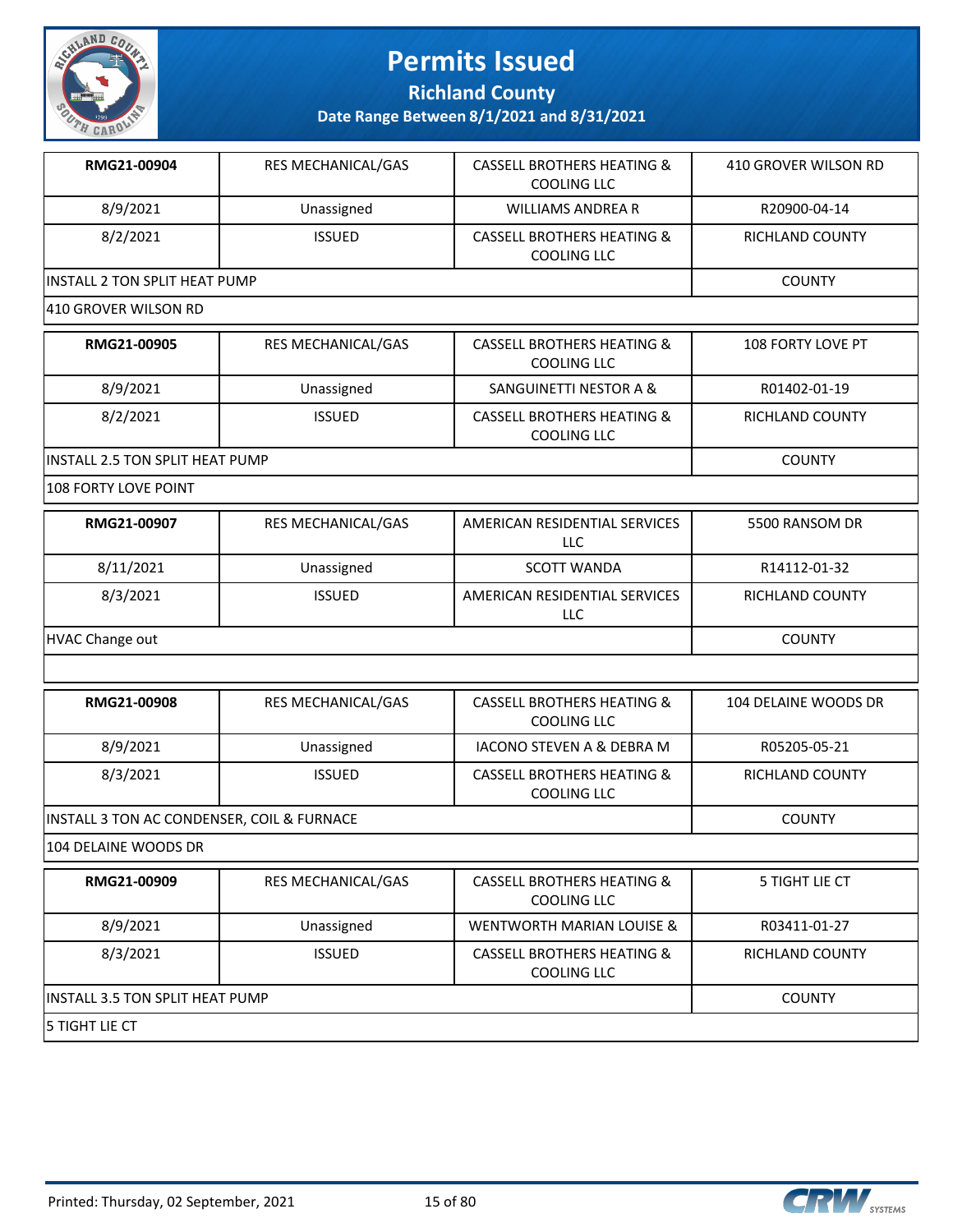

**Richland County**

**Date Range Between 8/1/2021 and 8/31/2021**

| RMG21-00904                    | <b>RES MECHANICAL/GAS</b> | <b>CASSELL BROTHERS HEATING &amp;</b><br>COOLING LLC        | 410 GROVER WILSON RD |
|--------------------------------|---------------------------|-------------------------------------------------------------|----------------------|
| 8/9/2021                       | Unassigned                | WILLIAMS ANDREA R                                           | R20900-04-14         |
| 8/2/2021                       | <b>ISSUED</b>             | <b>CASSELL BROTHERS HEATING &amp;</b><br><b>COOLING LLC</b> | RICHLAND COUNTY      |
| IINSTALL 2 TON SPLIT HEAT PUMP |                           |                                                             | <b>COUNTY</b>        |

#### 410 GROVER WILSON RD

| RMG21-00905                      | <b>RES MECHANICAL/GAS</b> | <b>CASSELL BROTHERS HEATING &amp;</b><br>COOLING LLC | <b>108 FORTY LOVE PT</b> |
|----------------------------------|---------------------------|------------------------------------------------------|--------------------------|
| 8/9/2021                         | Unassigned                | SANGUINETTI NESTOR A &                               | R01402-01-19             |
| 8/2/2021                         | <b>ISSUED</b>             | CASSELL BROTHERS HEATING &<br>COOLING LLC            | RICHLAND COUNTY          |
| IINSTALL 2.5 TON SPLIT HEAT PUMP |                           |                                                      | <b>COUNTY</b>            |

#### 108 FORTY LOVE POINT

| RMG21-00907     | <b>RES MECHANICAL/GAS</b> | AMERICAN RESIDENTIAL SERVICES<br>LLC | 5500 RANSOM DR         |
|-----------------|---------------------------|--------------------------------------|------------------------|
| 8/11/2021       | Unassigned                | <b>SCOTT WANDA</b>                   | R14112-01-32           |
| 8/3/2021        | <b>ISSUED</b>             | AMERICAN RESIDENTIAL SERVICES<br>LLC | <b>RICHLAND COUNTY</b> |
| HVAC Change out |                           |                                      | <b>COUNTY</b>          |

| RMG21-00908                                | <b>RES MECHANICAL/GAS</b> | <b>CASSELL BROTHERS HEATING &amp;</b><br>COOLING LLC | 104 DELAINE WOODS DR |
|--------------------------------------------|---------------------------|------------------------------------------------------|----------------------|
| 8/9/2021                                   | Unassigned                | IACONO STEVEN A & DEBRA M                            | R05205-05-21         |
| 8/3/2021                                   | <b>ISSUED</b>             | <b>CASSELL BROTHERS HEATING &amp;</b><br>COOLING LLC | RICHLAND COUNTY      |
| INSTALL 3 TON AC CONDENSER, COIL & FURNACE |                           |                                                      | <b>COUNTY</b>        |

#### 104 DELAINE WOODS DR

| RMG21-00909                            | <b>RES MECHANICAL/GAS</b> | <b>CASSELL BROTHERS HEATING &amp;</b><br>COOLING LLC | 5 TIGHT LIE CT  |
|----------------------------------------|---------------------------|------------------------------------------------------|-----------------|
| 8/9/2021                               | Unassigned                | WENTWORTH MARIAN LOUISE &                            | R03411-01-27    |
| 8/3/2021                               | <b>ISSUED</b>             | CASSELL BROTHERS HEATING &<br>COOLING LLC            | RICHLAND COUNTY |
| <b>INSTALL 3.5 TON SPLIT HEAT PUMP</b> |                           |                                                      | <b>COUNTY</b>   |
| 15 TIGHT LIE CT                        |                           |                                                      |                 |

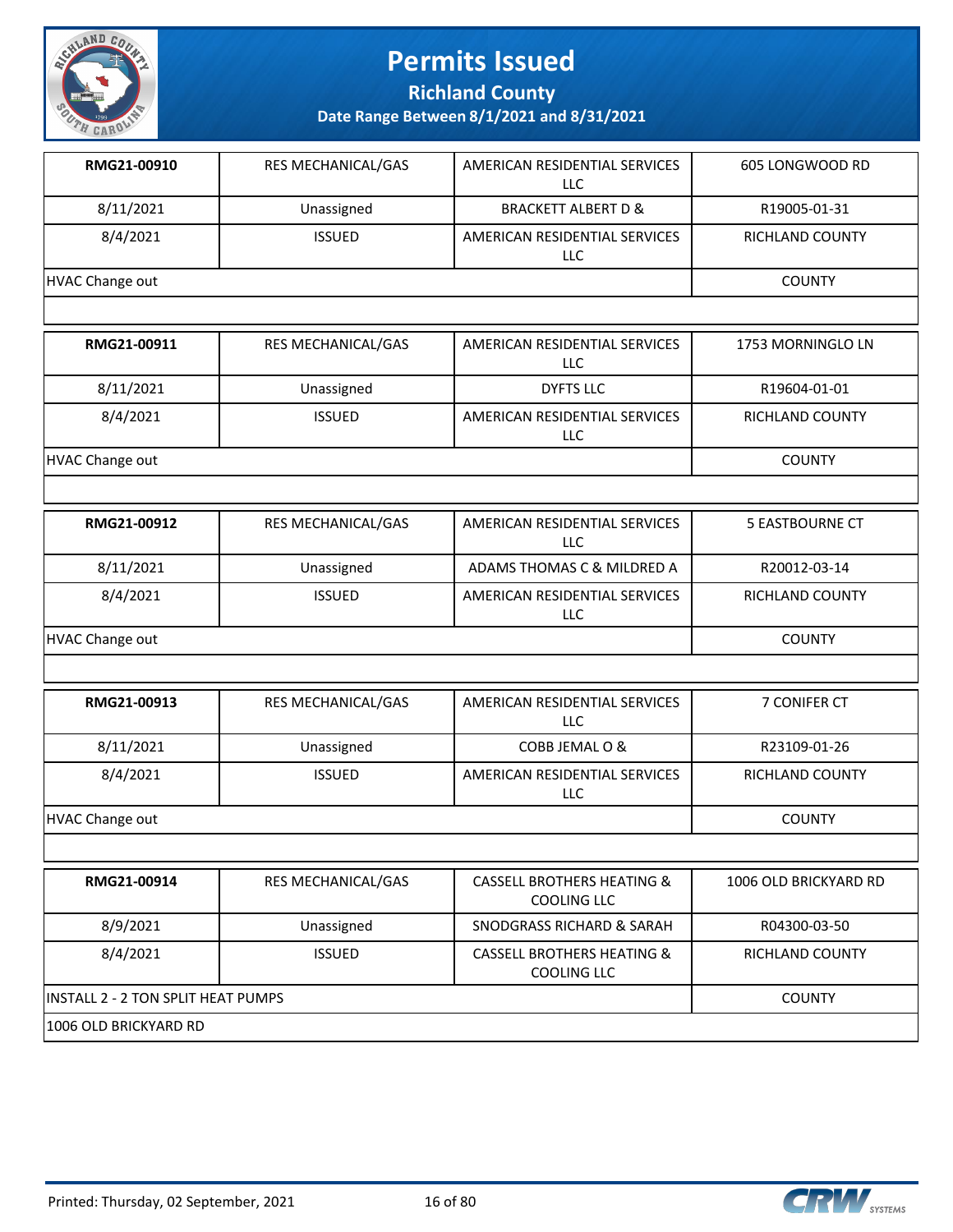

**Richland County**

**Date Range Between 8/1/2021 and 8/31/2021**

| RMG21-00910            | RES MECHANICAL/GAS | AMERICAN RESIDENTIAL SERVICES<br><b>LLC</b>                 | 605 LONGWOOD RD        |
|------------------------|--------------------|-------------------------------------------------------------|------------------------|
| 8/11/2021              | Unassigned         | <b>BRACKETT ALBERT D &amp;</b>                              | R19005-01-31           |
| 8/4/2021               | <b>ISSUED</b>      | AMERICAN RESIDENTIAL SERVICES<br>LLC                        | RICHLAND COUNTY        |
| <b>HVAC Change out</b> |                    |                                                             | <b>COUNTY</b>          |
|                        |                    |                                                             |                        |
| RMG21-00911            | RES MECHANICAL/GAS | AMERICAN RESIDENTIAL SERVICES<br>LLC                        | 1753 MORNINGLO LN      |
| 8/11/2021              | Unassigned         | <b>DYFTS LLC</b>                                            | R19604-01-01           |
| 8/4/2021               | <b>ISSUED</b>      | AMERICAN RESIDENTIAL SERVICES<br>LLC                        | RICHLAND COUNTY        |
| <b>HVAC Change out</b> |                    |                                                             | <b>COUNTY</b>          |
|                        |                    |                                                             |                        |
| RMG21-00912            | RES MECHANICAL/GAS | AMERICAN RESIDENTIAL SERVICES<br>LLC                        | <b>5 EASTBOURNE CT</b> |
| 8/11/2021              | Unassigned         | ADAMS THOMAS C & MILDRED A                                  | R20012-03-14           |
| 8/4/2021               | <b>ISSUED</b>      | AMERICAN RESIDENTIAL SERVICES<br><b>LLC</b>                 | <b>RICHLAND COUNTY</b> |
| <b>HVAC Change out</b> |                    |                                                             | <b>COUNTY</b>          |
|                        |                    |                                                             |                        |
| RMG21-00913            | RES MECHANICAL/GAS | AMERICAN RESIDENTIAL SERVICES<br>LLC                        | 7 CONIFER CT           |
| 8/11/2021              | Unassigned         | COBB JEMAL O &                                              | R23109-01-26           |
| 8/4/2021               | <b>ISSUED</b>      | AMERICAN RESIDENTIAL SERVICES<br>LLC                        | RICHLAND COUNTY        |
| <b>HVAC Change out</b> |                    |                                                             | <b>COUNTY</b>          |
|                        |                    |                                                             |                        |
| RMG21-00914            | RES MECHANICAL/GAS | <b>CASSELL BROTHERS HEATING &amp;</b><br><b>COOLING LLC</b> | 1006 OLD BRICKYARD RD  |
| 8/9/2021               | Unassigned         | <b>SNODGRASS RICHARD &amp; SARAH</b>                        | R04300-03-50           |
| 8/4/2021               | <b>ISSUED</b>      | <b>CASSELL BROTHERS HEATING &amp;</b>                       | RICHLAND COUNTY        |

1006 OLD BRICKYARD RD

INSTALL 2 - 2 TON SPLIT HEAT PUMPS COUNTY

COOLING LLC

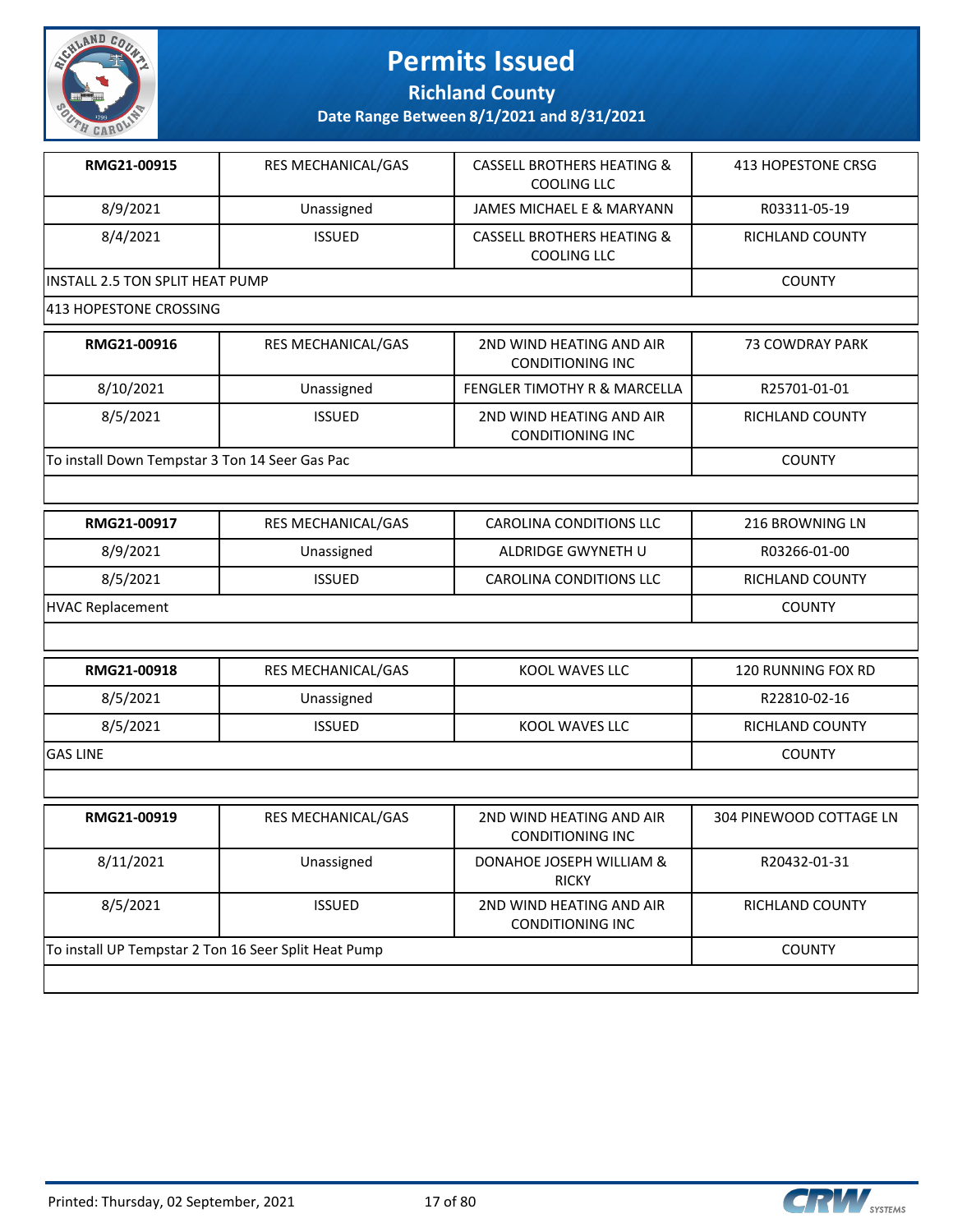

**Richland County**

| RMG21-00915                      | <b>RES MECHANICAL/GAS</b> | CASSELL BROTHERS HEATING &<br>COOLING LLC | 413 HOPESTONE CRSG |
|----------------------------------|---------------------------|-------------------------------------------|--------------------|
| 8/9/2021                         | Unassigned                | JAMES MICHAEL E & MARYANN                 | R03311-05-19       |
| 8/4/2021                         | <b>ISSUED</b>             | CASSELL BROTHERS HEATING &<br>COOLING LLC | RICHLAND COUNTY    |
| IINSTALL 2.5 TON SPLIT HEAT PUMP |                           |                                           | <b>COUNTY</b>      |

|  |  |  | 413 HOPESTONE CROSSING |
|--|--|--|------------------------|
|--|--|--|------------------------|

| RMG21-00916                                    | <b>RES MECHANICAL/GAS</b> | 2ND WIND HEATING AND AIR<br><b>CONDITIONING INC</b> | 73 COWDRAY PARK |
|------------------------------------------------|---------------------------|-----------------------------------------------------|-----------------|
| 8/10/2021                                      | Unassigned                | <b>FENGLER TIMOTHY R &amp; MARCELLA</b>             | R25701-01-01    |
| 8/5/2021                                       | <b>ISSUED</b>             | 2ND WIND HEATING AND AIR<br>CONDITIONING INC        | RICHLAND COUNTY |
| To install Down Tempstar 3 Ton 14 Seer Gas Pac |                           |                                                     | <b>COUNTY</b>   |

| RMG21-00917      | RES MECHANICAL/GAS | CAROLINA CONDITIONS LLC        | 216 BROWNING LN        |
|------------------|--------------------|--------------------------------|------------------------|
| 8/9/2021         | Unassigned         | ALDRIDGE GWYNETH U             | R03266-01-00           |
| 8/5/2021         | <b>ISSUED</b>      | <b>CAROLINA CONDITIONS LLC</b> | <b>RICHLAND COUNTY</b> |
| HVAC Replacement |                    |                                | <b>COUNTY</b>          |

| RMG21-00918     | RES MECHANICAL/GAS | KOOL WAVES LLC | 120 RUNNING FOX RD |
|-----------------|--------------------|----------------|--------------------|
| 8/5/2021        | Unassigned         |                | R22810-02-16       |
| 8/5/2021        | <b>ISSUED</b>      | KOOL WAVES LLC | RICHLAND COUNTY    |
| <b>GAS LINE</b> |                    |                | <b>COUNTY</b>      |

| RMG21-00919                                          | RES MECHANICAL/GAS | 2ND WIND HEATING AND AIR<br>CONDITIONING INC | 304 PINEWOOD COTTAGE LN |
|------------------------------------------------------|--------------------|----------------------------------------------|-------------------------|
| 8/11/2021                                            | Unassigned         | DONAHOE JOSEPH WILLIAM &<br><b>RICKY</b>     | R20432-01-31            |
| 8/5/2021                                             | <b>ISSUED</b>      | 2ND WIND HEATING AND AIR<br>CONDITIONING INC | RICHLAND COUNTY         |
| To install UP Tempstar 2 Ton 16 Seer Split Heat Pump |                    |                                              | <b>COUNTY</b>           |
|                                                      |                    |                                              |                         |

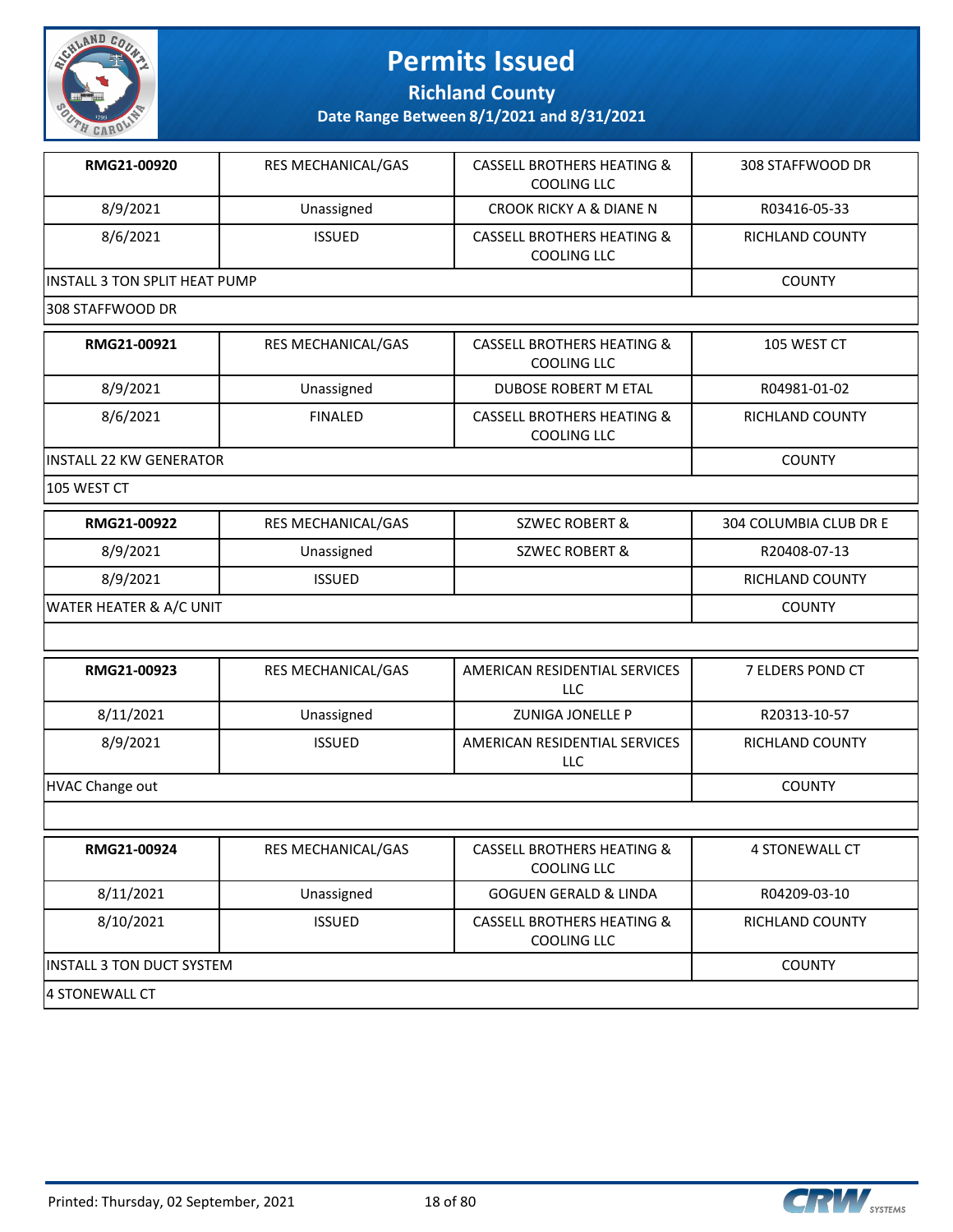

**Richland County**

| RMG21-00920                      | RES MECHANICAL/GAS | <b>CASSELL BROTHERS HEATING &amp;</b><br><b>COOLING LLC</b> | 308 STAFFWOOD DR       |
|----------------------------------|--------------------|-------------------------------------------------------------|------------------------|
| 8/9/2021                         | Unassigned         | <b>CROOK RICKY A &amp; DIANE N</b>                          | R03416-05-33           |
| 8/6/2021                         | <b>ISSUED</b>      | <b>CASSELL BROTHERS HEATING &amp;</b><br><b>COOLING LLC</b> | RICHLAND COUNTY        |
| INSTALL 3 TON SPLIT HEAT PUMP    | <b>COUNTY</b>      |                                                             |                        |
| 308 STAFFWOOD DR                 |                    |                                                             |                        |
| RMG21-00921                      | RES MECHANICAL/GAS | <b>CASSELL BROTHERS HEATING &amp;</b><br><b>COOLING LLC</b> | 105 WEST CT            |
| 8/9/2021                         | Unassigned         | DUBOSE ROBERT M ETAL                                        | R04981-01-02           |
| 8/6/2021                         | <b>FINALED</b>     | <b>CASSELL BROTHERS HEATING &amp;</b><br>COOLING LLC        | RICHLAND COUNTY        |
| <b>INSTALL 22 KW GENERATOR</b>   |                    |                                                             | <b>COUNTY</b>          |
| 105 WEST CT                      |                    |                                                             |                        |
| RMG21-00922                      | RES MECHANICAL/GAS | <b>SZWEC ROBERT &amp;</b>                                   | 304 COLUMBIA CLUB DR E |
| 8/9/2021                         | Unassigned         | <b>SZWEC ROBERT &amp;</b>                                   | R20408-07-13           |
| 8/9/2021                         | <b>ISSUED</b>      |                                                             | RICHLAND COUNTY        |
| WATER HEATER & A/C UNIT          |                    |                                                             | <b>COUNTY</b>          |
|                                  |                    |                                                             |                        |
| RMG21-00923                      | RES MECHANICAL/GAS | AMERICAN RESIDENTIAL SERVICES<br><b>LLC</b>                 | 7 ELDERS POND CT       |
| 8/11/2021                        | Unassigned         | <b>ZUNIGA JONELLE P</b>                                     | R20313-10-57           |
| 8/9/2021                         | <b>ISSUED</b>      | AMERICAN RESIDENTIAL SERVICES<br>LLC                        | RICHLAND COUNTY        |
| <b>HVAC Change out</b>           |                    |                                                             | <b>COUNTY</b>          |
|                                  |                    |                                                             |                        |
| RMG21-00924                      | RES MECHANICAL/GAS | <b>CASSELL BROTHERS HEATING &amp;</b><br><b>COOLING LLC</b> | 4 STONEWALL CT         |
| 8/11/2021                        | Unassigned         | <b>GOGUEN GERALD &amp; LINDA</b>                            | R04209-03-10           |
| 8/10/2021                        | <b>ISSUED</b>      | <b>CASSELL BROTHERS HEATING &amp;</b><br>COOLING LLC        | RICHLAND COUNTY        |
| <b>INSTALL 3 TON DUCT SYSTEM</b> |                    |                                                             | <b>COUNTY</b>          |
| 4 STONEWALL CT                   |                    |                                                             |                        |

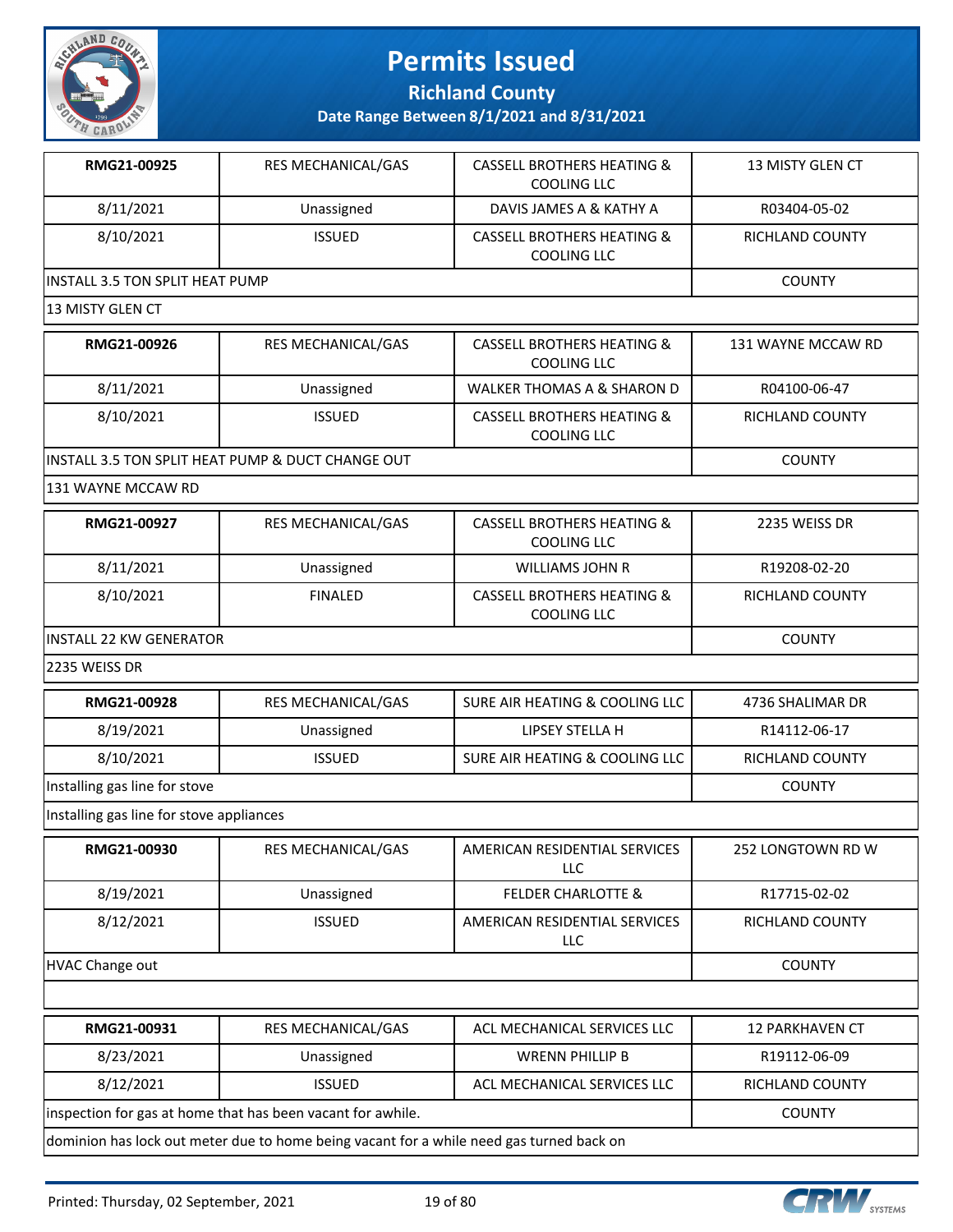

**Richland County**

| RMG21-00925                              | RES MECHANICAL/GAS                                                                       | <b>CASSELL BROTHERS HEATING &amp;</b><br><b>COOLING LLC</b> | 13 MISTY GLEN CT       |
|------------------------------------------|------------------------------------------------------------------------------------------|-------------------------------------------------------------|------------------------|
| 8/11/2021                                | Unassigned                                                                               | DAVIS JAMES A & KATHY A                                     | R03404-05-02           |
| 8/10/2021                                | <b>ISSUED</b>                                                                            | <b>CASSELL BROTHERS HEATING &amp;</b><br><b>COOLING LLC</b> | RICHLAND COUNTY        |
| <b>INSTALL 3.5 TON SPLIT HEAT PUMP</b>   |                                                                                          |                                                             | <b>COUNTY</b>          |
| 13 MISTY GLEN CT                         |                                                                                          |                                                             |                        |
| RMG21-00926                              | <b>RES MECHANICAL/GAS</b>                                                                | <b>CASSELL BROTHERS HEATING &amp;</b><br><b>COOLING LLC</b> | 131 WAYNE MCCAW RD     |
| 8/11/2021                                | Unassigned                                                                               | <b>WALKER THOMAS A &amp; SHARON D</b>                       | R04100-06-47           |
| 8/10/2021                                | <b>ISSUED</b>                                                                            | <b>CASSELL BROTHERS HEATING &amp;</b><br><b>COOLING LLC</b> | RICHLAND COUNTY        |
|                                          | INSTALL 3.5 TON SPLIT HEAT PUMP & DUCT CHANGE OUT                                        |                                                             | <b>COUNTY</b>          |
| 131 WAYNE MCCAW RD                       |                                                                                          |                                                             |                        |
| RMG21-00927                              | RES MECHANICAL/GAS                                                                       | <b>CASSELL BROTHERS HEATING &amp;</b><br><b>COOLING LLC</b> | 2235 WEISS DR          |
| 8/11/2021                                | Unassigned                                                                               | <b>WILLIAMS JOHN R</b>                                      | R19208-02-20           |
| 8/10/2021                                | <b>FINALED</b>                                                                           | <b>CASSELL BROTHERS HEATING &amp;</b><br><b>COOLING LLC</b> | RICHLAND COUNTY        |
| <b>INSTALL 22 KW GENERATOR</b>           | <b>COUNTY</b>                                                                            |                                                             |                        |
| 2235 WEISS DR                            |                                                                                          |                                                             |                        |
| RMG21-00928                              | RES MECHANICAL/GAS                                                                       | SURE AIR HEATING & COOLING LLC                              | 4736 SHALIMAR DR       |
| 8/19/2021                                | Unassigned                                                                               | <b>LIPSEY STELLA H</b>                                      | R14112-06-17           |
| 8/10/2021                                | <b>ISSUED</b>                                                                            | SURE AIR HEATING & COOLING LLC                              | RICHLAND COUNTY        |
| Installing gas line for stove            | <b>COUNTY</b>                                                                            |                                                             |                        |
| Installing gas line for stove appliances |                                                                                          |                                                             |                        |
| <b>RMG21-00930</b>                       | RES MECHANICAL/GAS                                                                       | AMERICAN RESIDENTIAL SERVICES<br>LLC.                       | 252 LONGTOWN RD W      |
| 8/19/2021                                | Unassigned                                                                               | <b>FELDER CHARLOTTE &amp;</b>                               | R17715-02-02           |
| 8/12/2021                                | <b>ISSUED</b>                                                                            | AMERICAN RESIDENTIAL SERVICES<br><b>LLC</b>                 | RICHLAND COUNTY        |
| HVAC Change out                          |                                                                                          |                                                             | <b>COUNTY</b>          |
|                                          |                                                                                          |                                                             |                        |
| RMG21-00931                              | RES MECHANICAL/GAS                                                                       | ACL MECHANICAL SERVICES LLC                                 | <b>12 PARKHAVEN CT</b> |
| 8/23/2021                                | Unassigned                                                                               | <b>WRENN PHILLIP B</b>                                      | R19112-06-09           |
| 8/12/2021                                | <b>ISSUED</b>                                                                            | ACL MECHANICAL SERVICES LLC                                 | RICHLAND COUNTY        |
|                                          | inspection for gas at home that has been vacant for awhile.                              |                                                             | <b>COUNTY</b>          |
|                                          | dominion has lock out meter due to home being vacant for a while need gas turned back on |                                                             |                        |

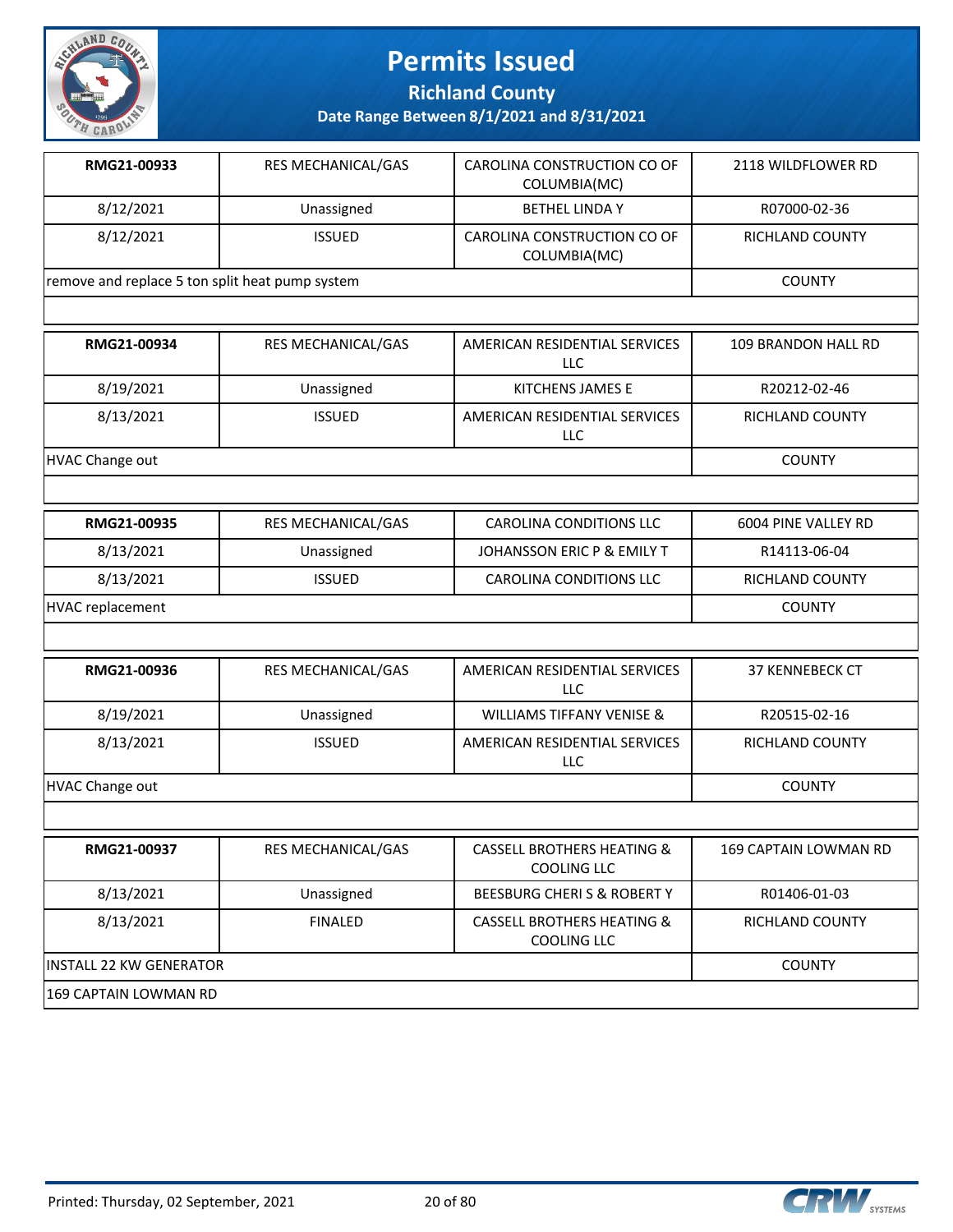

**Richland County**

| RMG21-00933                                     | <b>RES MECHANICAL/GAS</b> | CAROLINA CONSTRUCTION CO OF<br>COLUMBIA(MC) | 2118 WILDFLOWER RD  |
|-------------------------------------------------|---------------------------|---------------------------------------------|---------------------|
| 8/12/2021                                       | Unassigned                | <b>BETHEL LINDA Y</b>                       | R07000-02-36        |
| 8/12/2021                                       | <b>ISSUED</b>             | CAROLINA CONSTRUCTION CO OF<br>COLUMBIA(MC) | RICHLAND COUNTY     |
| remove and replace 5 ton split heat pump system |                           |                                             | <b>COUNTY</b>       |
|                                                 |                           |                                             |                     |
| RMG21-00934                                     | <b>RES MECHANICAL/GAS</b> | AMERICAN RESIDENTIAL SERVICES<br>LLC        | 109 BRANDON HALL RD |

|                        |               | LLC                                  |                        |
|------------------------|---------------|--------------------------------------|------------------------|
| 8/19/2021              | Unassigned    | KITCHENS JAMES E                     | R20212-02-46           |
| 8/13/2021              | <b>ISSUED</b> | AMERICAN RESIDENTIAL SERVICES<br>LLC | <b>RICHLAND COUNTY</b> |
| <b>HVAC Change out</b> |               |                                      | <b>COUNTY</b>          |

| <b>RMG21-00935</b> | RES MECHANICAL/GAS | CAROLINA CONDITIONS LLC    | 6004 PINE VALLEY RD |
|--------------------|--------------------|----------------------------|---------------------|
| 8/13/2021          | Unassigned         | JOHANSSON ERIC P & EMILY T | R14113-06-04        |
| 8/13/2021          | <b>ISSUED</b>      | CAROLINA CONDITIONS LLC    | RICHLAND COUNTY     |
| HVAC replacement   |                    |                            | <b>COUNTY</b>       |

| RMG21-00936     | <b>RES MECHANICAL/GAS</b> | AMERICAN RESIDENTIAL SERVICES<br>LLC. | <b>37 KENNEBECK CT</b>       |
|-----------------|---------------------------|---------------------------------------|------------------------------|
| 8/19/2021       | Unassigned                | <b>WILLIAMS TIFFANY VENISE &amp;</b>  | R20515-02-16                 |
| 8/13/2021       | <b>ISSUED</b>             | AMERICAN RESIDENTIAL SERVICES<br>LLC. | <b>RICHLAND COUNTY</b>       |
| HVAC Change out | <b>COUNTY</b>             |                                       |                              |
|                 |                           |                                       |                              |
| RMG21-00937     | RES MECHANICAL/GAS        | <b>CASSELL BROTHERS HEATING &amp;</b> | <b>169 CAPTAIN LOWMAN RD</b> |

| . <i>.</i> .                   | 1123111211112112112113112 | <u>Chodele Divonneno Ineminivo G</u><br>COOLING LLC  | ————————————————————   |
|--------------------------------|---------------------------|------------------------------------------------------|------------------------|
| 8/13/2021                      | Unassigned                | BEESBURG CHERIS & ROBERTY                            | R01406-01-03           |
| 8/13/2021                      | <b>FINALED</b>            | <b>CASSELL BROTHERS HEATING &amp;</b><br>COOLING LLC | <b>RICHLAND COUNTY</b> |
| <b>INSTALL 22 KW GENERATOR</b> |                           |                                                      | <b>COUNTY</b>          |
| 169 CAPTAIN LOWMAN RD          |                           |                                                      |                        |



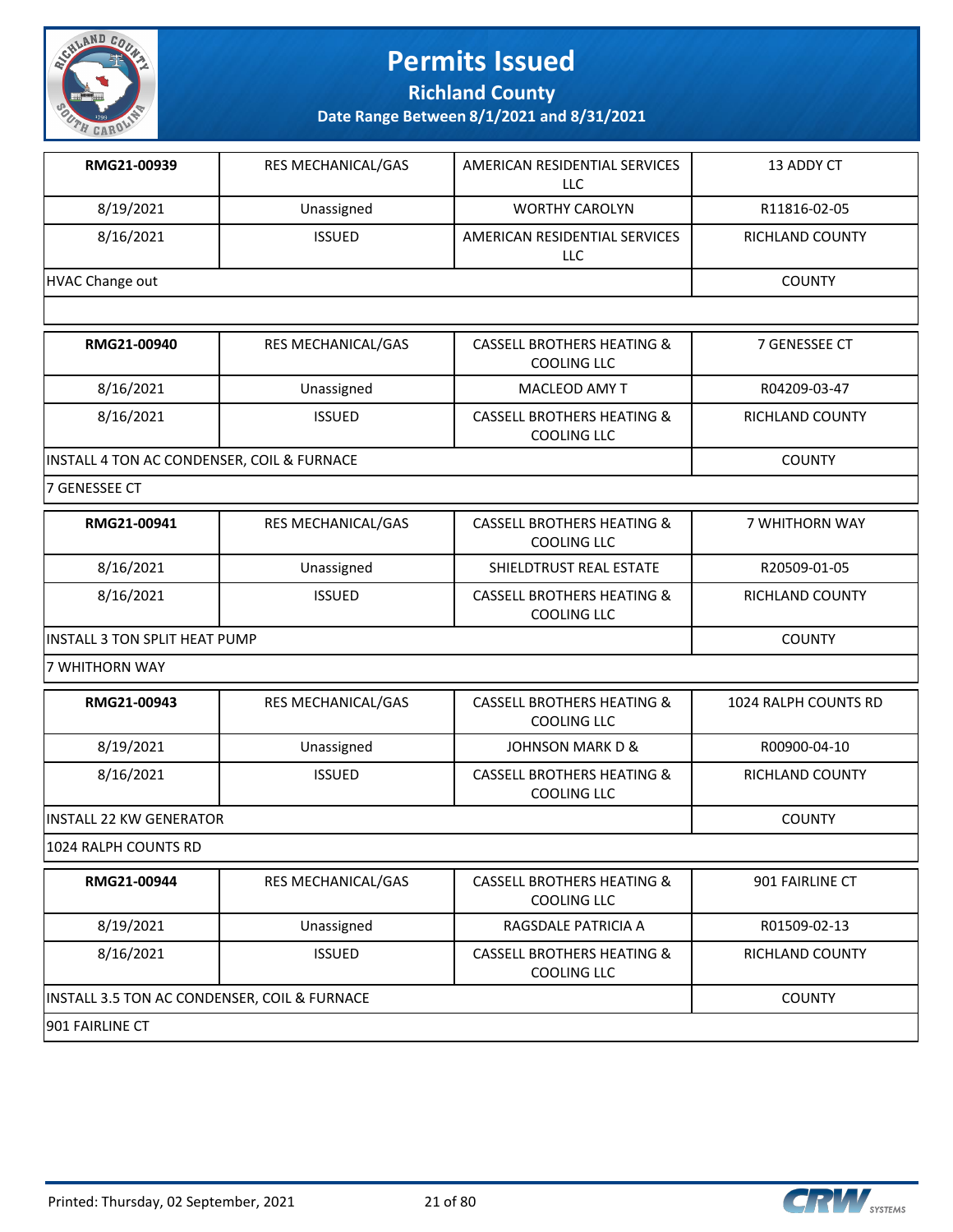

**Richland County**

**Date Range Between 8/1/2021 and 8/31/2021**

| Unassigned      | <b>WORTHY CAROLYN</b>                | R11816-02-05           |
|-----------------|--------------------------------------|------------------------|
| <b>ISSUED</b>   | AMERICAN RESIDENTIAL SERVICES<br>LLC | <b>RICHLAND COUNTY</b> |
| HVAC Change out |                                      |                        |
|                 |                                      |                        |

| RMG21-00940                                | <b>RES MECHANICAL/GAS</b> | <b>CASSELL BROTHERS HEATING &amp;</b><br>COOLING LLC        | 7 GENESSEE CT   |
|--------------------------------------------|---------------------------|-------------------------------------------------------------|-----------------|
| 8/16/2021                                  | Unassigned                | MACLEOD AMY T                                               | R04209-03-47    |
| 8/16/2021                                  | <b>ISSUED</b>             | <b>CASSELL BROTHERS HEATING &amp;</b><br><b>COOLING LLC</b> | RICHLAND COUNTY |
| INSTALL 4 TON AC CONDENSER, COIL & FURNACE |                           |                                                             | <b>COUNTY</b>   |

7 GENESSEE CT

| RMG21-00941                           | <b>RES MECHANICAL/GAS</b> | CASSELL BROTHERS HEATING &<br>COOLING LLC            | <b>7 WHITHORN WAY</b>  |
|---------------------------------------|---------------------------|------------------------------------------------------|------------------------|
| 8/16/2021                             | Unassigned                | SHIELDTRUST REAL ESTATE                              | R20509-01-05           |
| 8/16/2021                             | <b>ISSUED</b>             | <b>CASSELL BROTHERS HEATING &amp;</b><br>COOLING LLC | <b>RICHLAND COUNTY</b> |
| <b>IINSTALL 3 TON SPLIT HEAT PUMP</b> |                           |                                                      | <b>COUNTY</b>          |

7 WHITHORN WAY

| RMG21-00943              | <b>RES MECHANICAL/GAS</b> | <b>CASSELL BROTHERS HEATING &amp;</b><br>COOLING LLC | 1024 RALPH COUNTS RD |
|--------------------------|---------------------------|------------------------------------------------------|----------------------|
| 8/19/2021                | Unassigned                | JOHNSON MARK D &                                     | R00900-04-10         |
| 8/16/2021                | <b>ISSUED</b>             | CASSELL BROTHERS HEATING &<br>COOLING LLC            | RICHLAND COUNTY      |
| lINSTALL 22 KW GENERATOR |                           |                                                      | <b>COUNTY</b>        |

1024 RALPH COUNTS RD

| RMG21-00944                                  | <b>RES MECHANICAL/GAS</b> | CASSELL BROTHERS HEATING &<br>COOLING LLC            | 901 FAIRLINE CT        |
|----------------------------------------------|---------------------------|------------------------------------------------------|------------------------|
| 8/19/2021                                    | Unassigned                | RAGSDALE PATRICIA A                                  | R01509-02-13           |
| 8/16/2021                                    | <b>ISSUED</b>             | <b>CASSELL BROTHERS HEATING &amp;</b><br>COOLING LLC | <b>RICHLAND COUNTY</b> |
| INSTALL 3.5 TON AC CONDENSER, COIL & FURNACE |                           |                                                      | <b>COUNTY</b>          |
| 1901 FAIRLINE CT                             |                           |                                                      |                        |

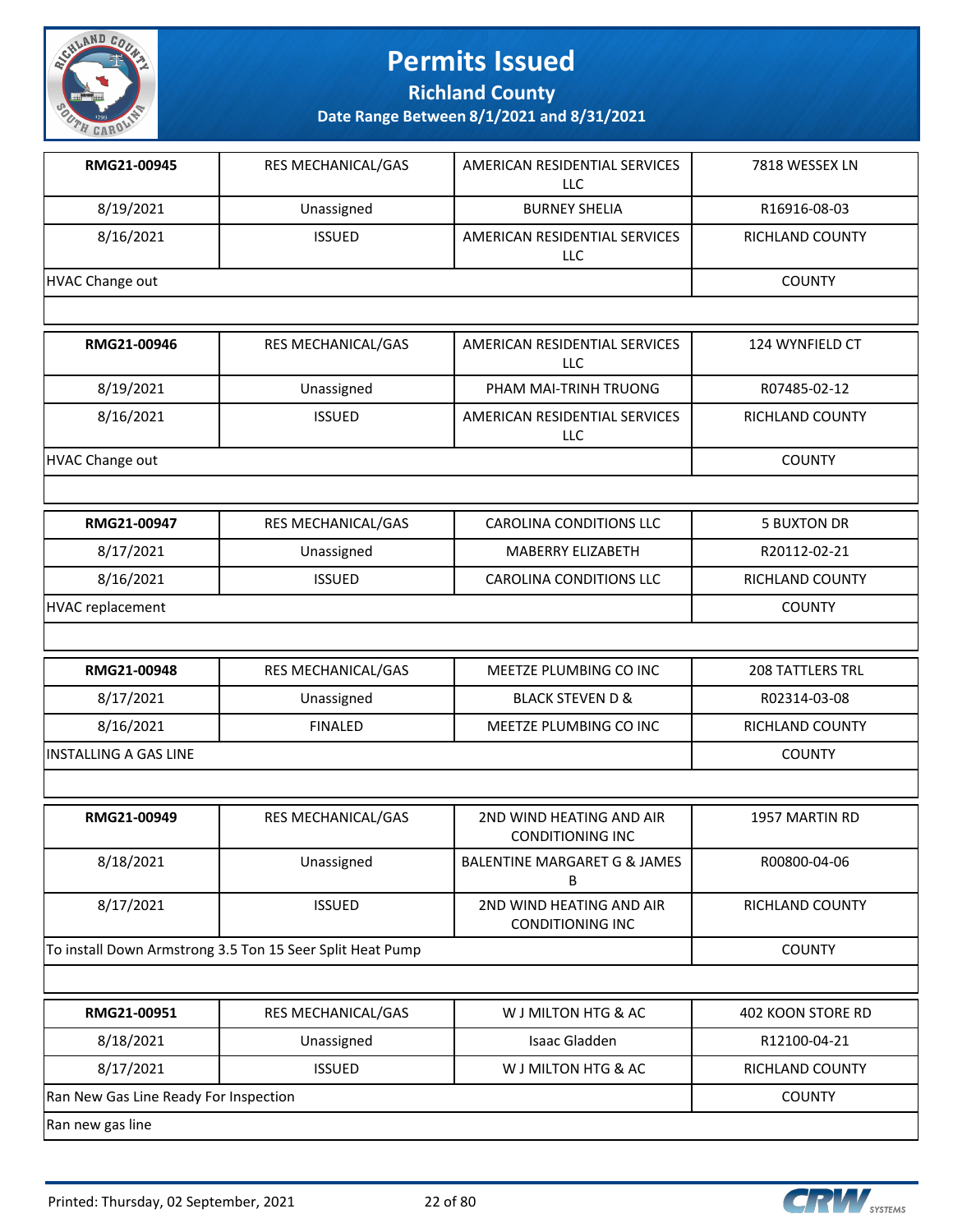

**Richland County**

| RMG21-00945                                               | RES MECHANICAL/GAS | AMERICAN RESIDENTIAL SERVICES<br><b>LLC</b>         | 7818 WESSEX LN     |
|-----------------------------------------------------------|--------------------|-----------------------------------------------------|--------------------|
| 8/19/2021                                                 | Unassigned         | <b>BURNEY SHELIA</b>                                | R16916-08-03       |
| 8/16/2021                                                 | <b>ISSUED</b>      | AMERICAN RESIDENTIAL SERVICES<br>LLC                | RICHLAND COUNTY    |
| <b>HVAC Change out</b>                                    |                    |                                                     | <b>COUNTY</b>      |
|                                                           |                    |                                                     |                    |
| RMG21-00946                                               | RES MECHANICAL/GAS | AMERICAN RESIDENTIAL SERVICES<br><b>LLC</b>         | 124 WYNFIELD CT    |
| 8/19/2021                                                 | Unassigned         | PHAM MAI-TRINH TRUONG                               | R07485-02-12       |
| 8/16/2021                                                 | <b>ISSUED</b>      | AMERICAN RESIDENTIAL SERVICES<br><b>LLC</b>         | RICHLAND COUNTY    |
| <b>HVAC Change out</b>                                    |                    |                                                     | <b>COUNTY</b>      |
|                                                           |                    |                                                     |                    |
| RMG21-00947                                               | RES MECHANICAL/GAS | <b>CAROLINA CONDITIONS LLC</b>                      | <b>5 BUXTON DR</b> |
| 8/17/2021                                                 | Unassigned         | MABERRY ELIZABETH                                   | R20112-02-21       |
| 8/16/2021                                                 | <b>ISSUED</b>      | <b>CAROLINA CONDITIONS LLC</b>                      | RICHLAND COUNTY    |
| <b>HVAC replacement</b>                                   |                    |                                                     | <b>COUNTY</b>      |
|                                                           |                    |                                                     |                    |
| RMG21-00948                                               | RES MECHANICAL/GAS | MEETZE PLUMBING CO INC                              | 208 TATTLERS TRL   |
| 8/17/2021                                                 | Unassigned         | <b>BLACK STEVEN D &amp;</b>                         | R02314-03-08       |
| 8/16/2021                                                 | <b>FINALED</b>     | MEETZE PLUMBING CO INC                              | RICHLAND COUNTY    |
| <b>INSTALLING A GAS LINE</b>                              | <b>COUNTY</b>      |                                                     |                    |
|                                                           |                    |                                                     |                    |
| RMG21-00949                                               | RES MECHANICAL/GAS | 2ND WIND HEATING AND AIR<br><b>CONDITIONING INC</b> | 1957 MARTIN RD     |
| 8/18/2021                                                 | Unassigned         | BALENTINE MARGARET G & JAMES<br>В                   | R00800-04-06       |
| 8/17/2021                                                 | <b>ISSUED</b>      | 2ND WIND HEATING AND AIR<br><b>CONDITIONING INC</b> | RICHLAND COUNTY    |
| To install Down Armstrong 3.5 Ton 15 Seer Split Heat Pump |                    | <b>COUNTY</b>                                       |                    |
|                                                           |                    |                                                     |                    |
| RMG21-00951                                               | RES MECHANICAL/GAS | W J MILTON HTG & AC                                 | 402 KOON STORE RD  |
| 8/18/2021                                                 | Unassigned         | Isaac Gladden                                       | R12100-04-21       |
| 8/17/2021                                                 | <b>ISSUED</b>      | W J MILTON HTG & AC                                 | RICHLAND COUNTY    |
| Ran New Gas Line Ready For Inspection                     | <b>COUNTY</b>      |                                                     |                    |
| Ran new gas line                                          |                    |                                                     |                    |

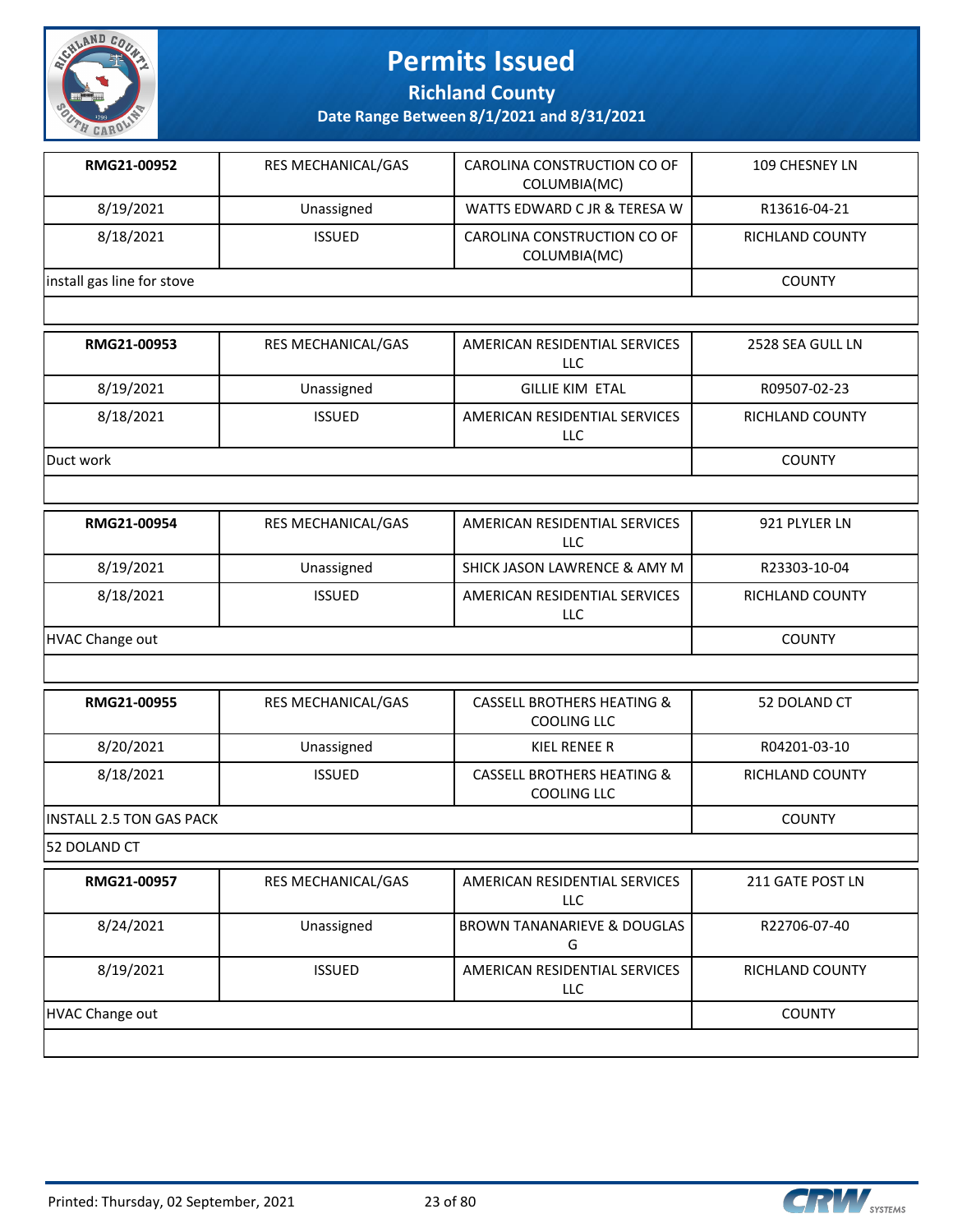

**Richland County**

**Date Range Between 8/1/2021 and 8/31/2021**

| RMG21-00952                | <b>RES MECHANICAL/GAS</b> | CAROLINA CONSTRUCTION CO OF<br>COLUMBIA(MC) | 109 CHESNEY LN  |
|----------------------------|---------------------------|---------------------------------------------|-----------------|
| 8/19/2021                  | Unassigned                | WATTS EDWARD C JR & TERESA W                | R13616-04-21    |
| 8/18/2021                  | <b>ISSUED</b>             | CAROLINA CONSTRUCTION CO OF<br>COLUMBIA(MC) | RICHLAND COUNTY |
| install gas line for stove | <b>COUNTY</b>             |                                             |                 |
|                            |                           |                                             |                 |

| RMG21-00953 | <b>RES MECHANICAL/GAS</b> | AMERICAN RESIDENTIAL SERVICES<br>LLC | 2528 SEA GULL LN |
|-------------|---------------------------|--------------------------------------|------------------|
| 8/19/2021   | Unassigned                | <b>GILLIE KIM ETAL</b>               | R09507-02-23     |
| 8/18/2021   | <b>ISSUED</b>             | AMERICAN RESIDENTIAL SERVICES<br>LLC | RICHLAND COUNTY  |
| Duct work   |                           |                                      | <b>COUNTY</b>    |

| RMG21-00954     | <b>RES MECHANICAL/GAS</b> | AMERICAN RESIDENTIAL SERVICES<br>LLC | 921 PLYLER LN          |
|-----------------|---------------------------|--------------------------------------|------------------------|
| 8/19/2021       | Unassigned                | SHICK JASON LAWRENCE & AMY M         | R23303-10-04           |
| 8/18/2021       | <b>ISSUED</b>             | AMERICAN RESIDENTIAL SERVICES<br>LLC | <b>RICHLAND COUNTY</b> |
| HVAC Change out |                           |                                      | <b>COUNTY</b>          |

| RMG21-00955                      | RES MECHANICAL/GAS | <b>CASSELL BROTHERS HEATING &amp;</b><br>COOLING LLC | 52 DOLAND CT    |
|----------------------------------|--------------------|------------------------------------------------------|-----------------|
| 8/20/2021                        | Unassigned         | KIEL RENEE R                                         | R04201-03-10    |
| 8/18/2021                        | <b>ISSUED</b>      | <b>CASSELL BROTHERS HEATING &amp;</b><br>COOLING LLC | RICHLAND COUNTY |
| <b>IINSTALL 2.5 TON GAS PACK</b> |                    |                                                      | <b>COUNTY</b>   |

52 DOLAND CT

| RMG21-00957     | <b>RES MECHANICAL/GAS</b> | AMERICAN RESIDENTIAL SERVICES<br>LLC.       | 211 GATE POST LN       |
|-----------------|---------------------------|---------------------------------------------|------------------------|
| 8/24/2021       | Unassigned                | BROWN TANANARIEVE & DOUGLAS<br>G            | R22706-07-40           |
| 8/19/2021       | <b>ISSUED</b>             | AMERICAN RESIDENTIAL SERVICES<br><b>LLC</b> | <b>RICHLAND COUNTY</b> |
| HVAC Change out | <b>COUNTY</b>             |                                             |                        |
|                 |                           |                                             |                        |

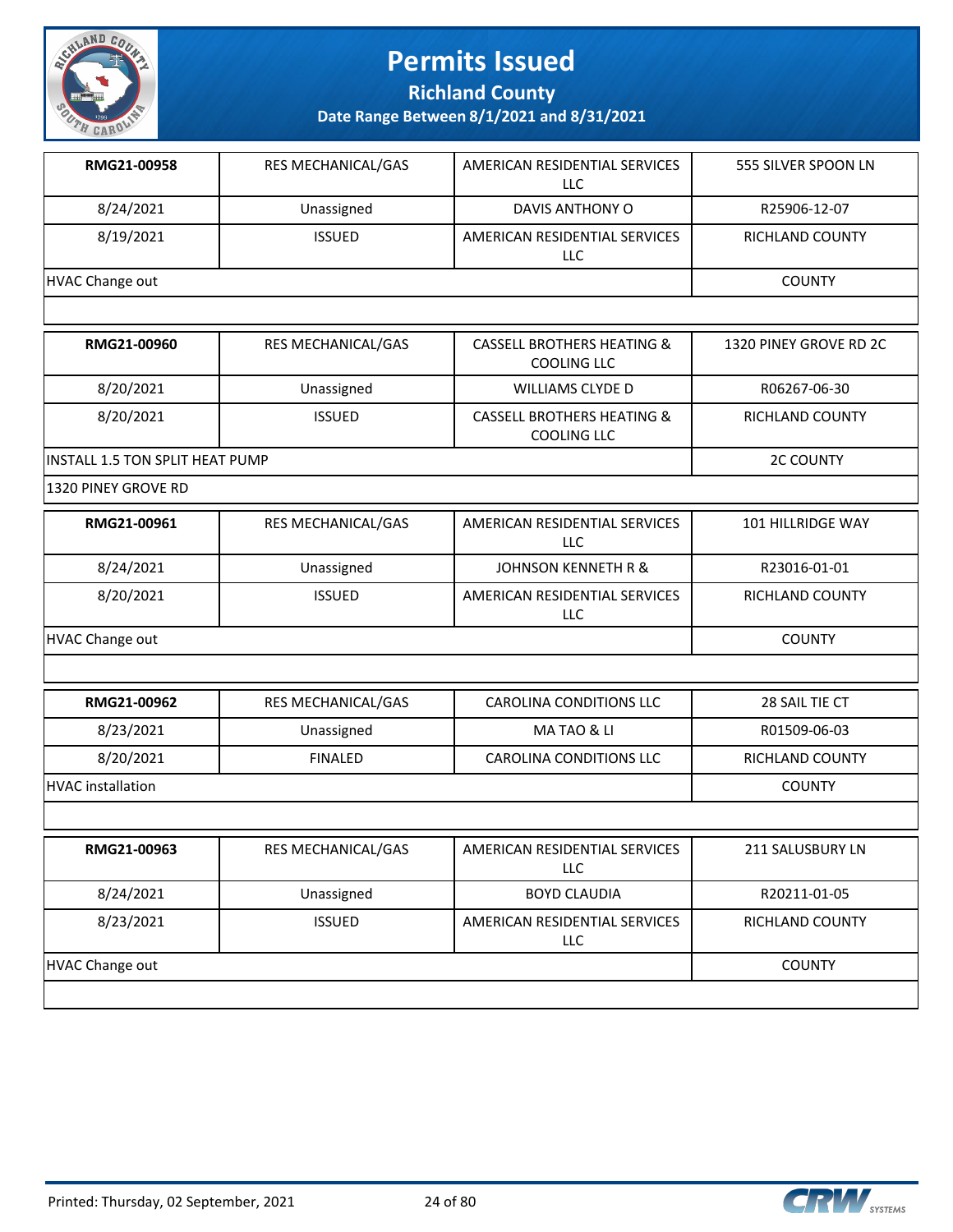

**Richland County**

| RMG21-00958                     | RES MECHANICAL/GAS | AMERICAN RESIDENTIAL SERVICES<br><b>LLC</b>                 | 555 SILVER SPOON LN    |
|---------------------------------|--------------------|-------------------------------------------------------------|------------------------|
| 8/24/2021                       | Unassigned         | DAVIS ANTHONY O                                             | R25906-12-07           |
| 8/19/2021                       | <b>ISSUED</b>      | AMERICAN RESIDENTIAL SERVICES<br>LLC                        | RICHLAND COUNTY        |
| HVAC Change out                 |                    |                                                             | <b>COUNTY</b>          |
|                                 |                    |                                                             |                        |
| RMG21-00960                     | RES MECHANICAL/GAS | <b>CASSELL BROTHERS HEATING &amp;</b><br><b>COOLING LLC</b> | 1320 PINEY GROVE RD 2C |
| 8/20/2021                       | Unassigned         | <b>WILLIAMS CLYDE D</b>                                     | R06267-06-30           |
| 8/20/2021                       | <b>ISSUED</b>      | <b>CASSELL BROTHERS HEATING &amp;</b><br><b>COOLING LLC</b> | RICHLAND COUNTY        |
| INSTALL 1.5 TON SPLIT HEAT PUMP |                    |                                                             | <b>2C COUNTY</b>       |
| 1320 PINEY GROVE RD             |                    |                                                             |                        |
| RMG21-00961                     | RES MECHANICAL/GAS | AMERICAN RESIDENTIAL SERVICES<br><b>LLC</b>                 | 101 HILLRIDGE WAY      |
| 8/24/2021                       | Unassigned         | <b>JOHNSON KENNETH R &amp;</b>                              | R23016-01-01           |
| 8/20/2021                       | <b>ISSUED</b>      | AMERICAN RESIDENTIAL SERVICES<br>LLC                        | RICHLAND COUNTY        |
| <b>HVAC Change out</b>          |                    |                                                             | <b>COUNTY</b>          |
|                                 |                    |                                                             |                        |
| RMG21-00962                     | RES MECHANICAL/GAS | <b>CAROLINA CONDITIONS LLC</b>                              | 28 SAIL TIE CT         |
| 8/23/2021                       | Unassigned         | MA TAO & LI                                                 | R01509-06-03           |
| 8/20/2021                       | <b>FINALED</b>     | <b>CAROLINA CONDITIONS LLC</b>                              | RICHLAND COUNTY        |
| <b>HVAC</b> installation        |                    |                                                             | <b>COUNTY</b>          |
|                                 |                    |                                                             |                        |
| RMG21-00963                     | RES MECHANICAL/GAS | AMERICAN RESIDENTIAL SERVICES<br>LLC                        | 211 SALUSBURY LN       |
| 8/24/2021                       | Unassigned         | <b>BOYD CLAUDIA</b>                                         | R20211-01-05           |
| 8/23/2021                       | <b>ISSUED</b>      | AMERICAN RESIDENTIAL SERVICES<br>LLC                        | RICHLAND COUNTY        |
| <b>HVAC Change out</b>          |                    |                                                             | <b>COUNTY</b>          |
|                                 |                    |                                                             |                        |

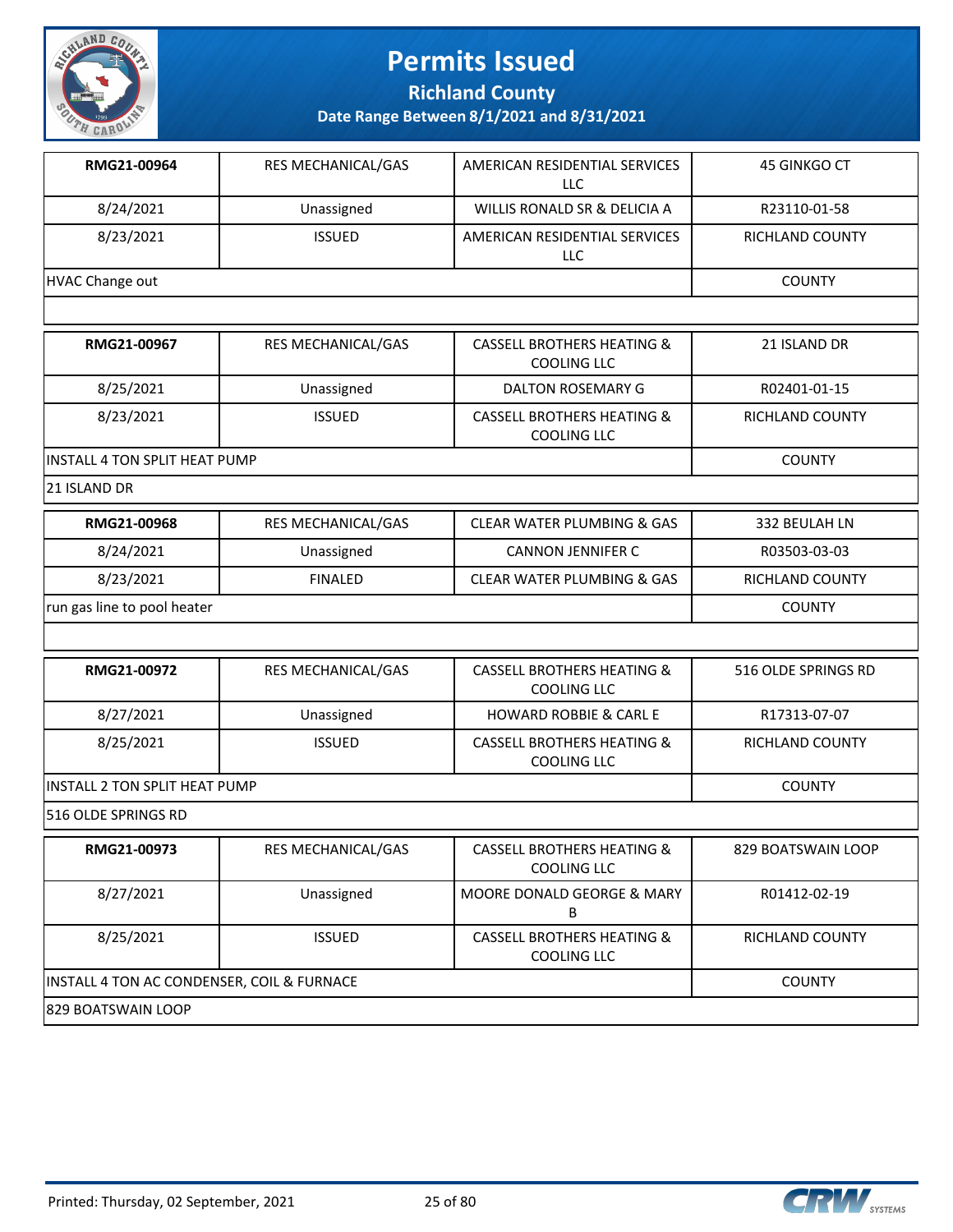

**Richland County**

**Date Range Between 8/1/2021 and 8/31/2021**

| RMG21-00964     | <b>RES MECHANICAL/GAS</b> | AMERICAN RESIDENTIAL SERVICES<br>LLC | 45 GINKGO CT           |
|-----------------|---------------------------|--------------------------------------|------------------------|
| 8/24/2021       | Unassigned                | WILLIS RONALD SR & DELICIA A         | R23110-01-58           |
| 8/23/2021       | <b>ISSUED</b>             | AMERICAN RESIDENTIAL SERVICES<br>LLC | <b>RICHLAND COUNTY</b> |
| HVAC Change out |                           |                                      | <b>COUNTY</b>          |
|                 |                           |                                      |                        |

| RMG21-00967                   | <b>RES MECHANICAL/GAS</b> | <b>CASSELL BROTHERS HEATING &amp;</b><br>COOLING LLC | 21 ISLAND DR    |
|-------------------------------|---------------------------|------------------------------------------------------|-----------------|
| 8/25/2021                     | Unassigned                | DALTON ROSEMARY G                                    | R02401-01-15    |
| 8/23/2021                     | <b>ISSUED</b>             | <b>CASSELL BROTHERS HEATING &amp;</b><br>COOLING LLC | RICHLAND COUNTY |
| INSTALL 4 TON SPLIT HEAT PUMP |                           |                                                      | <b>COUNTY</b>   |

21 ISLAND DR

| RMG21-00968                 | RES MECHANICAL/GAS | CLEAR WATER PLUMBING & GAS | 332 BEULAH LN   |
|-----------------------------|--------------------|----------------------------|-----------------|
| 8/24/2021                   | Unassigned         | <b>CANNON JENNIFER C</b>   | R03503-03-03    |
| 8/23/2021                   | <b>FINALED</b>     | CLEAR WATER PLUMBING & GAS | RICHLAND COUNTY |
| run gas line to pool heater |                    |                            | <b>COUNTY</b>   |

| RMG21-00972                           | <b>RES MECHANICAL/GAS</b> | <b>CASSELL BROTHERS HEATING &amp;</b><br>COOLING LLC | 516 OLDE SPRINGS RD |
|---------------------------------------|---------------------------|------------------------------------------------------|---------------------|
| 8/27/2021                             | Unassigned                | <b>HOWARD ROBBIE &amp; CARL E</b>                    | R17313-07-07        |
| 8/25/2021                             | <b>ISSUED</b>             | <b>CASSELL BROTHERS HEATING &amp;</b><br>COOLING LLC | RICHLAND COUNTY     |
| <b>IINSTALL 2 TON SPLIT HEAT PUMP</b> |                           |                                                      | <b>COUNTY</b>       |
| <b>516 OLDE SPRINGS RD</b>            |                           |                                                      |                     |

**RMG21-00973** RES MECHANICAL/GAS CASSELL BROTHERS HEATING & COOLING LLC 829 BOATSWAIN LOOP 8/27/2021 **Unassigned** MOORE DONALD GEORGE & MARY B R01412-02-19 8/25/2021 | ISSUED | CASSELL BROTHERS HEATING & COOLING LLC RICHLAND COUNTY INSTALL 4 TON AC CONDENSER, COIL & FURNACE COUNTY 829 BOATSWAIN LOOP

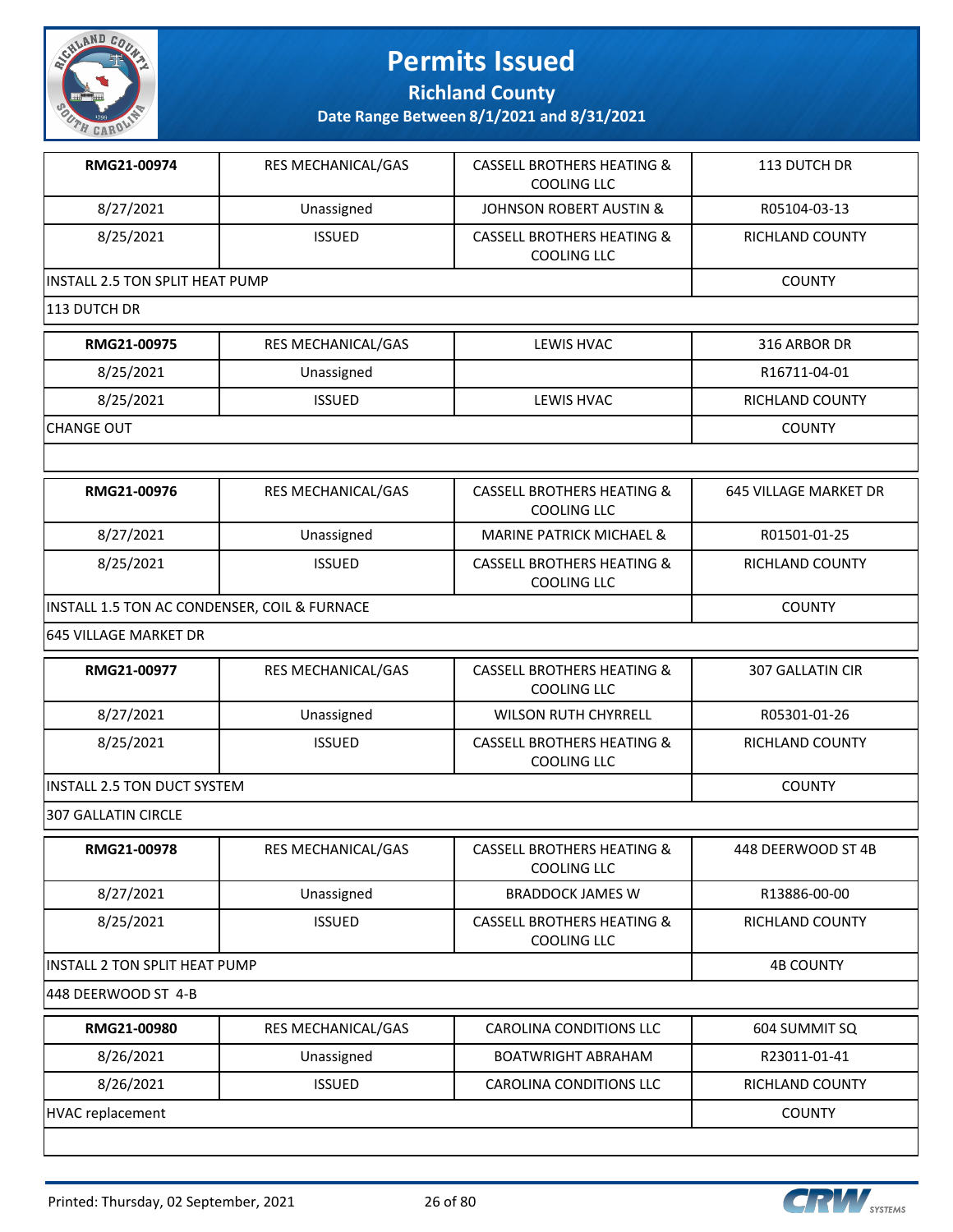

**Richland County**

| RMG21-00974                                  | RES MECHANICAL/GAS | <b>CASSELL BROTHERS HEATING &amp;</b><br><b>COOLING LLC</b> | 113 DUTCH DR                 |
|----------------------------------------------|--------------------|-------------------------------------------------------------|------------------------------|
| 8/27/2021                                    | Unassigned         | <b>JOHNSON ROBERT AUSTIN &amp;</b>                          | R05104-03-13                 |
| 8/25/2021                                    | <b>ISSUED</b>      | <b>CASSELL BROTHERS HEATING &amp;</b><br><b>COOLING LLC</b> | <b>RICHLAND COUNTY</b>       |
| INSTALL 2.5 TON SPLIT HEAT PUMP              | <b>COUNTY</b>      |                                                             |                              |
| 113 DUTCH DR                                 |                    |                                                             |                              |
| RMG21-00975                                  | RES MECHANICAL/GAS | LEWIS HVAC                                                  | 316 ARBOR DR                 |
| 8/25/2021                                    | Unassigned         |                                                             | R16711-04-01                 |
| 8/25/2021                                    | <b>ISSUED</b>      | LEWIS HVAC                                                  | RICHLAND COUNTY              |
| <b>CHANGE OUT</b>                            |                    |                                                             | <b>COUNTY</b>                |
|                                              |                    |                                                             |                              |
| RMG21-00976                                  | RES MECHANICAL/GAS | <b>CASSELL BROTHERS HEATING &amp;</b><br><b>COOLING LLC</b> | <b>645 VILLAGE MARKET DR</b> |
| 8/27/2021                                    | Unassigned         | <b>MARINE PATRICK MICHAEL &amp;</b>                         | R01501-01-25                 |
| 8/25/2021                                    | <b>ISSUED</b>      | <b>CASSELL BROTHERS HEATING &amp;</b><br><b>COOLING LLC</b> | <b>RICHLAND COUNTY</b>       |
| INSTALL 1.5 TON AC CONDENSER, COIL & FURNACE |                    |                                                             | <b>COUNTY</b>                |
| 645 VILLAGE MARKET DR                        |                    |                                                             |                              |
| RMG21-00977                                  | RES MECHANICAL/GAS | <b>CASSELL BROTHERS HEATING &amp;</b><br><b>COOLING LLC</b> | <b>307 GALLATIN CIR</b>      |
| 8/27/2021                                    | Unassigned         | <b>WILSON RUTH CHYRRELL</b>                                 | R05301-01-26                 |
| 8/25/2021                                    | <b>ISSUED</b>      | <b>CASSELL BROTHERS HEATING &amp;</b><br><b>COOLING LLC</b> | RICHLAND COUNTY              |
| INSTALL 2.5 TON DUCT SYSTEM                  |                    |                                                             | <b>COUNTY</b>                |
| 307 GALLATIN CIRCLE                          |                    |                                                             |                              |
| RMG21-00978                                  | RES MECHANICAL/GAS | <b>CASSELL BROTHERS HEATING &amp;</b><br><b>COOLING LLC</b> | 448 DEERWOOD ST 4B           |
| 8/27/2021                                    | Unassigned         | <b>BRADDOCK JAMES W</b>                                     | R13886-00-00                 |
| 8/25/2021                                    | <b>ISSUED</b>      | <b>CASSELL BROTHERS HEATING &amp;</b><br><b>COOLING LLC</b> | RICHLAND COUNTY              |
| INSTALL 2 TON SPLIT HEAT PUMP                | <b>4B COUNTY</b>   |                                                             |                              |
| 448 DEERWOOD ST 4-B                          |                    |                                                             |                              |
| RMG21-00980                                  | RES MECHANICAL/GAS | <b>CAROLINA CONDITIONS LLC</b>                              | 604 SUMMIT SQ                |
| 8/26/2021                                    | Unassigned         | <b>BOATWRIGHT ABRAHAM</b>                                   | R23011-01-41                 |
| 8/26/2021                                    | <b>ISSUED</b>      | CAROLINA CONDITIONS LLC                                     | RICHLAND COUNTY              |
| HVAC replacement                             |                    |                                                             | <b>COUNTY</b>                |

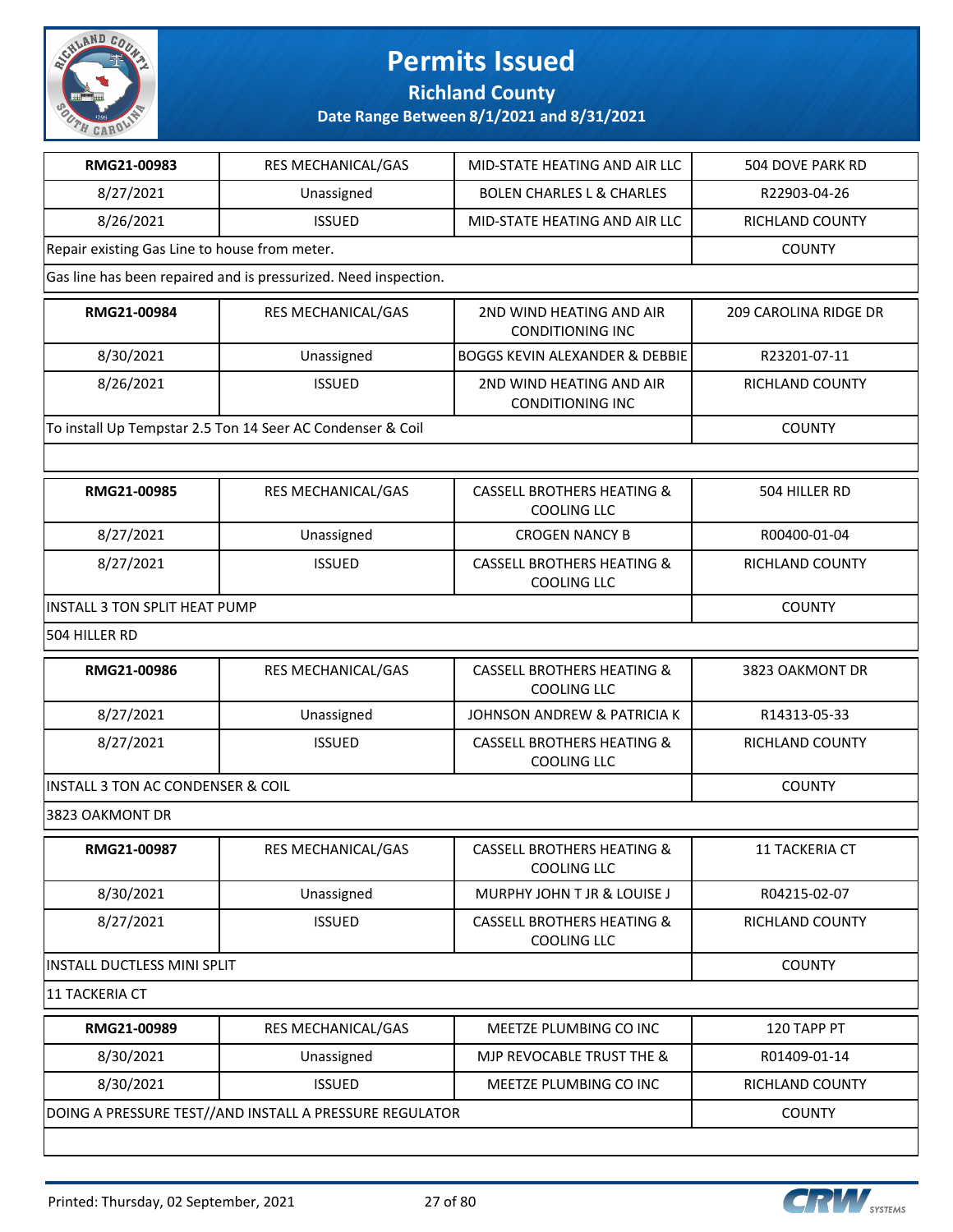

#### **Richland County**

| RMG21-00983                                   | RES MECHANICAL/GAS                                              | MID-STATE HEATING AND AIR LLC                               | 504 DOVE PARK RD      |
|-----------------------------------------------|-----------------------------------------------------------------|-------------------------------------------------------------|-----------------------|
| 8/27/2021                                     | Unassigned                                                      | <b>BOLEN CHARLES L &amp; CHARLES</b>                        | R22903-04-26          |
| 8/26/2021                                     | <b>ISSUED</b>                                                   | MID-STATE HEATING AND AIR LLC                               | RICHLAND COUNTY       |
| Repair existing Gas Line to house from meter. |                                                                 |                                                             | <b>COUNTY</b>         |
|                                               | Gas line has been repaired and is pressurized. Need inspection. |                                                             |                       |
| RMG21-00984                                   | RES MECHANICAL/GAS                                              | 2ND WIND HEATING AND AIR<br><b>CONDITIONING INC</b>         | 209 CAROLINA RIDGE DR |
| 8/30/2021                                     | Unassigned                                                      | <b>BOGGS KEVIN ALEXANDER &amp; DEBBIE</b>                   | R23201-07-11          |
| 8/26/2021                                     | <b>ISSUED</b>                                                   | 2ND WIND HEATING AND AIR<br><b>CONDITIONING INC</b>         | RICHLAND COUNTY       |
|                                               | To install Up Tempstar 2.5 Ton 14 Seer AC Condenser & Coil      |                                                             | <b>COUNTY</b>         |
|                                               |                                                                 |                                                             |                       |
| RMG21-00985                                   | RES MECHANICAL/GAS                                              | <b>CASSELL BROTHERS HEATING &amp;</b><br><b>COOLING LLC</b> | 504 HILLER RD         |
| 8/27/2021                                     | Unassigned                                                      | <b>CROGEN NANCY B</b>                                       | R00400-01-04          |
| 8/27/2021                                     | <b>ISSUED</b>                                                   | <b>CASSELL BROTHERS HEATING &amp;</b><br><b>COOLING LLC</b> | RICHLAND COUNTY       |
| INSTALL 3 TON SPLIT HEAT PUMP                 |                                                                 |                                                             | <b>COUNTY</b>         |
| 504 HILLER RD                                 |                                                                 |                                                             |                       |
| RMG21-00986                                   | RES MECHANICAL/GAS                                              | <b>CASSELL BROTHERS HEATING &amp;</b><br><b>COOLING LLC</b> | 3823 OAKMONT DR       |
| 8/27/2021                                     | Unassigned                                                      | JOHNSON ANDREW & PATRICIA K                                 | R14313-05-33          |
| 8/27/2021                                     | <b>ISSUED</b>                                                   | <b>CASSELL BROTHERS HEATING &amp;</b><br><b>COOLING LLC</b> | RICHLAND COUNTY       |
| <b>INSTALL 3 TON AC CONDENSER &amp; COIL</b>  |                                                                 |                                                             | <b>COUNTY</b>         |
| 3823 OAKMONT DR                               |                                                                 |                                                             |                       |
| RMG21-00987                                   | RES MECHANICAL/GAS                                              | <b>CASSELL BROTHERS HEATING &amp;</b><br>COOLING LLC        | 11 TACKERIA CT        |
| 8/30/2021                                     | Unassigned                                                      | MURPHY JOHN T JR & LOUISE J                                 | R04215-02-07          |
| 8/27/2021                                     | <b>ISSUED</b>                                                   | <b>CASSELL BROTHERS HEATING &amp;</b><br>COOLING LLC        | RICHLAND COUNTY       |
| INSTALL DUCTLESS MINI SPLIT                   | <b>COUNTY</b>                                                   |                                                             |                       |
| <b>11 TACKERIA CT</b>                         |                                                                 |                                                             |                       |
| RMG21-00989                                   | RES MECHANICAL/GAS                                              | MEETZE PLUMBING CO INC                                      | 120 TAPP PT           |
| 8/30/2021                                     | Unassigned                                                      | MJP REVOCABLE TRUST THE &                                   | R01409-01-14          |
| 8/30/2021                                     | <b>ISSUED</b>                                                   | MEETZE PLUMBING CO INC                                      | RICHLAND COUNTY       |
|                                               | DOING A PRESSURE TEST//AND INSTALL A PRESSURE REGULATOR         |                                                             | <b>COUNTY</b>         |
|                                               |                                                                 |                                                             |                       |

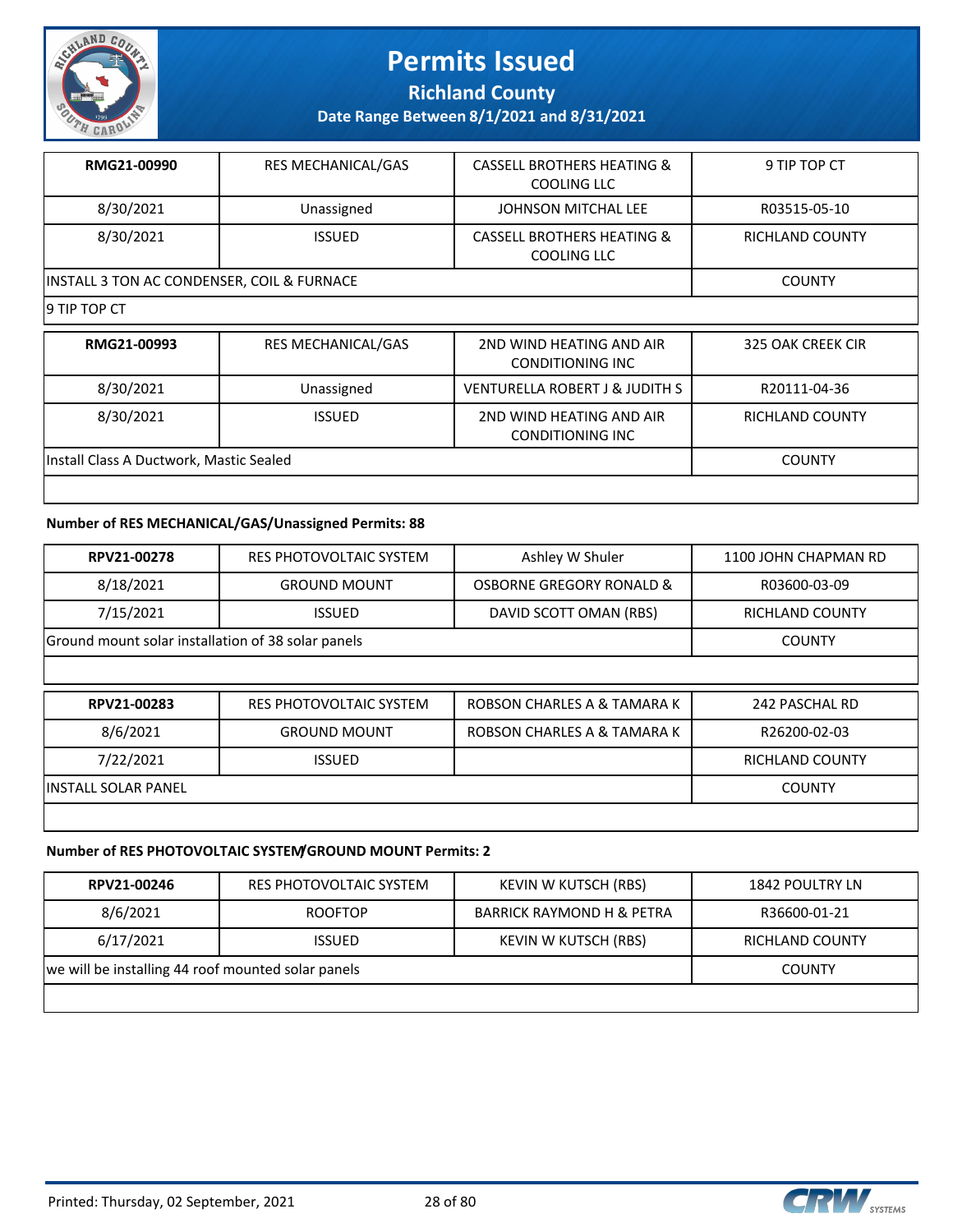

**Richland County**

**Date Range Between 8/1/2021 and 8/31/2021**

| RMG21-00990                                | <b>RES MECHANICAL/GAS</b> | <b>CASSELL BROTHERS HEATING &amp;</b><br>COOLING LLC | 9 TIP TOP CT    |
|--------------------------------------------|---------------------------|------------------------------------------------------|-----------------|
| 8/30/2021                                  | Unassigned                | JOHNSON MITCHAL LEE                                  | R03515-05-10    |
| 8/30/2021                                  | <b>ISSUED</b>             | <b>CASSELL BROTHERS HEATING &amp;</b><br>COOLING LLC | RICHLAND COUNTY |
| INSTALL 3 TON AC CONDENSER, COIL & FURNACE |                           |                                                      | <b>COUNTY</b>   |
| 19 TIP TOP CT                              |                           |                                                      |                 |

| RMG21-00993                             | <b>RES MECHANICAL/GAS</b> | 2ND WIND HEATING AND AIR<br><b>CONDITIONING INC</b> | 325 OAK CREEK CIR |
|-----------------------------------------|---------------------------|-----------------------------------------------------|-------------------|
| 8/30/2021                               | Unassigned                | VENTURELLA ROBERT J & JUDITH S                      | R20111-04-36      |
| 8/30/2021                               | <b>ISSUED</b>             | 2ND WIND HEATING AND AIR<br><b>CONDITIONING INC</b> | RICHLAND COUNTY   |
|                                         |                           |                                                     | <b>COUNTY</b>     |
| Install Class A Ductwork, Mastic Sealed |                           |                                                     |                   |

#### **Number of RES MECHANICAL/GAS/Unassigned Permits: 88**

| RPV21-00278                 | RES PHOTOVOLTAIC SYSTEM                            | Ashley W Shuler             | 1100 JOHN CHAPMAN RD   |  |  |
|-----------------------------|----------------------------------------------------|-----------------------------|------------------------|--|--|
| 8/18/2021                   | <b>GROUND MOUNT</b>                                | OSBORNE GREGORY RONALD &    | R03600-03-09           |  |  |
| 7/15/2021                   | <b>ISSUED</b>                                      | DAVID SCOTT OMAN (RBS)      | <b>RICHLAND COUNTY</b> |  |  |
|                             | Ground mount solar installation of 38 solar panels |                             |                        |  |  |
|                             |                                                    |                             |                        |  |  |
|                             |                                                    |                             |                        |  |  |
| RPV21-00283                 | RES PHOTOVOLTAIC SYSTEM                            | ROBSON CHARLES A & TAMARA K | 242 PASCHAL RD         |  |  |
| 8/6/2021                    | <b>GROUND MOUNT</b>                                | ROBSON CHARLES A & TAMARA K | R26200-02-03           |  |  |
| 7/22/2021                   | <b>ISSUED</b>                                      |                             | <b>RICHLAND COUNTY</b> |  |  |
| <b>IINSTALL SOLAR PANEL</b> |                                                    |                             | <b>COUNTY</b>          |  |  |

#### **Number of RES PHOTOVOLTAIC SYSTEM/GROUND MOUNT Permits: 2**

| RPV21-00246                                        | RES PHOTOVOLTAIC SYSTEM | KEVIN W KUTSCH (RBS)                 | 1842 POULTRY LN |
|----------------------------------------------------|-------------------------|--------------------------------------|-----------------|
| 8/6/2021                                           | <b>ROOFTOP</b>          | <b>BARRICK RAYMOND H &amp; PETRA</b> | R36600-01-21    |
| 6/17/2021                                          | <b>ISSUED</b>           | KEVIN W KUTSCH (RBS)                 | RICHLAND COUNTY |
| we will be installing 44 roof mounted solar panels |                         |                                      | <b>COUNTY</b>   |
|                                                    |                         |                                      |                 |

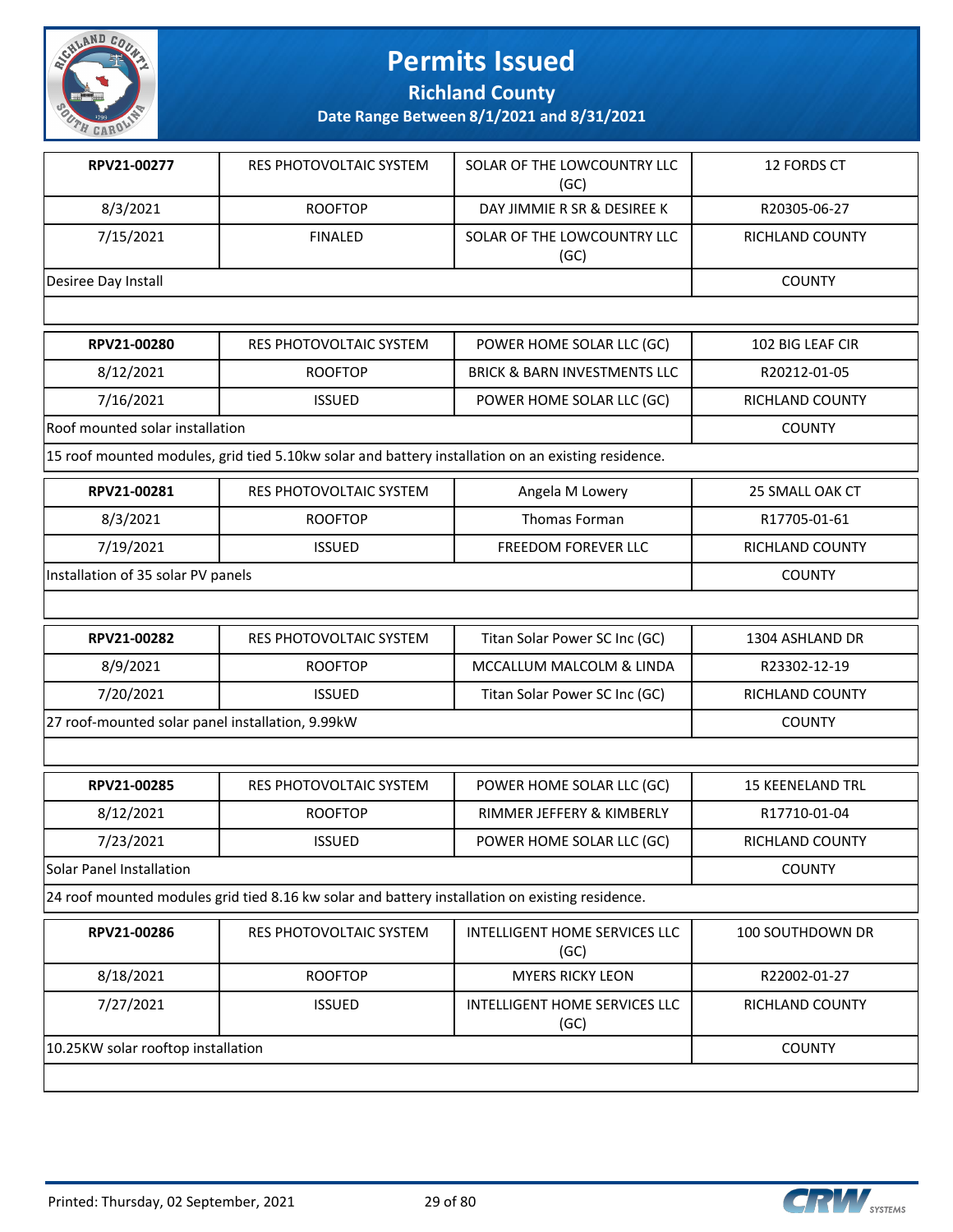

**Richland County**

| RPV21-00277                                      | RES PHOTOVOLTAIC SYSTEM                                                                            | SOLAR OF THE LOWCOUNTRY LLC<br>(GC)     | 12 FORDS CT             |
|--------------------------------------------------|----------------------------------------------------------------------------------------------------|-----------------------------------------|-------------------------|
| 8/3/2021                                         | <b>ROOFTOP</b>                                                                                     | DAY JIMMIE R SR & DESIREE K             | R20305-06-27            |
| 7/15/2021                                        | <b>FINALED</b>                                                                                     | SOLAR OF THE LOWCOUNTRY LLC<br>(GC)     | <b>RICHLAND COUNTY</b>  |
| Desiree Day Install                              |                                                                                                    |                                         | <b>COUNTY</b>           |
|                                                  |                                                                                                    |                                         |                         |
| RPV21-00280                                      | RES PHOTOVOLTAIC SYSTEM                                                                            | POWER HOME SOLAR LLC (GC)               | 102 BIG LEAF CIR        |
| 8/12/2021                                        | <b>ROOFTOP</b>                                                                                     | <b>BRICK &amp; BARN INVESTMENTS LLC</b> | R20212-01-05            |
| 7/16/2021                                        | <b>ISSUED</b>                                                                                      | POWER HOME SOLAR LLC (GC)               | RICHLAND COUNTY         |
| Roof mounted solar installation                  |                                                                                                    |                                         | <b>COUNTY</b>           |
|                                                  | 15 roof mounted modules, grid tied 5.10kw solar and battery installation on an existing residence. |                                         |                         |
| RPV21-00281                                      | RES PHOTOVOLTAIC SYSTEM                                                                            | Angela M Lowery                         | 25 SMALL OAK CT         |
| 8/3/2021                                         | <b>ROOFTOP</b>                                                                                     | Thomas Forman                           | R17705-01-61            |
| 7/19/2021                                        | <b>ISSUED</b>                                                                                      | FREEDOM FOREVER LLC                     | RICHLAND COUNTY         |
| Installation of 35 solar PV panels               |                                                                                                    |                                         | <b>COUNTY</b>           |
|                                                  |                                                                                                    |                                         |                         |
| RPV21-00282                                      | RES PHOTOVOLTAIC SYSTEM                                                                            | Titan Solar Power SC Inc (GC)           | 1304 ASHLAND DR         |
| 8/9/2021                                         | <b>ROOFTOP</b>                                                                                     | MCCALLUM MALCOLM & LINDA                | R23302-12-19            |
| 7/20/2021                                        | <b>ISSUED</b>                                                                                      | Titan Solar Power SC Inc (GC)           | RICHLAND COUNTY         |
| 27 roof-mounted solar panel installation, 9.99kW | <b>COUNTY</b>                                                                                      |                                         |                         |
|                                                  |                                                                                                    |                                         |                         |
| RPV21-00285                                      | <b>RES PHOTOVOLTAIC SYSTEM</b>                                                                     | POWER HOME SOLAR LLC (GC)               | <b>15 KEENELAND TRL</b> |
| 8/12/2021                                        | <b>ROOFTOP</b>                                                                                     | RIMMER JEFFERY & KIMBERLY               | R17710-01-04            |
| 7/23/2021                                        | <b>ISSUED</b>                                                                                      | POWER HOME SOLAR LLC (GC)               | RICHLAND COUNTY         |
| Solar Panel Installation                         |                                                                                                    |                                         | <b>COUNTY</b>           |
|                                                  | 24 roof mounted modules grid tied 8.16 kw solar and battery installation on existing residence.    |                                         |                         |
| RPV21-00286                                      | RES PHOTOVOLTAIC SYSTEM                                                                            | INTELLIGENT HOME SERVICES LLC<br>(GC)   | 100 SOUTHDOWN DR        |
| 8/18/2021                                        | <b>ROOFTOP</b>                                                                                     | <b>MYERS RICKY LEON</b>                 | R22002-01-27            |
| 7/27/2021                                        | <b>ISSUED</b>                                                                                      | INTELLIGENT HOME SERVICES LLC<br>(GC)   | RICHLAND COUNTY         |
| 10.25KW solar rooftop installation               |                                                                                                    |                                         | <b>COUNTY</b>           |
|                                                  |                                                                                                    |                                         |                         |

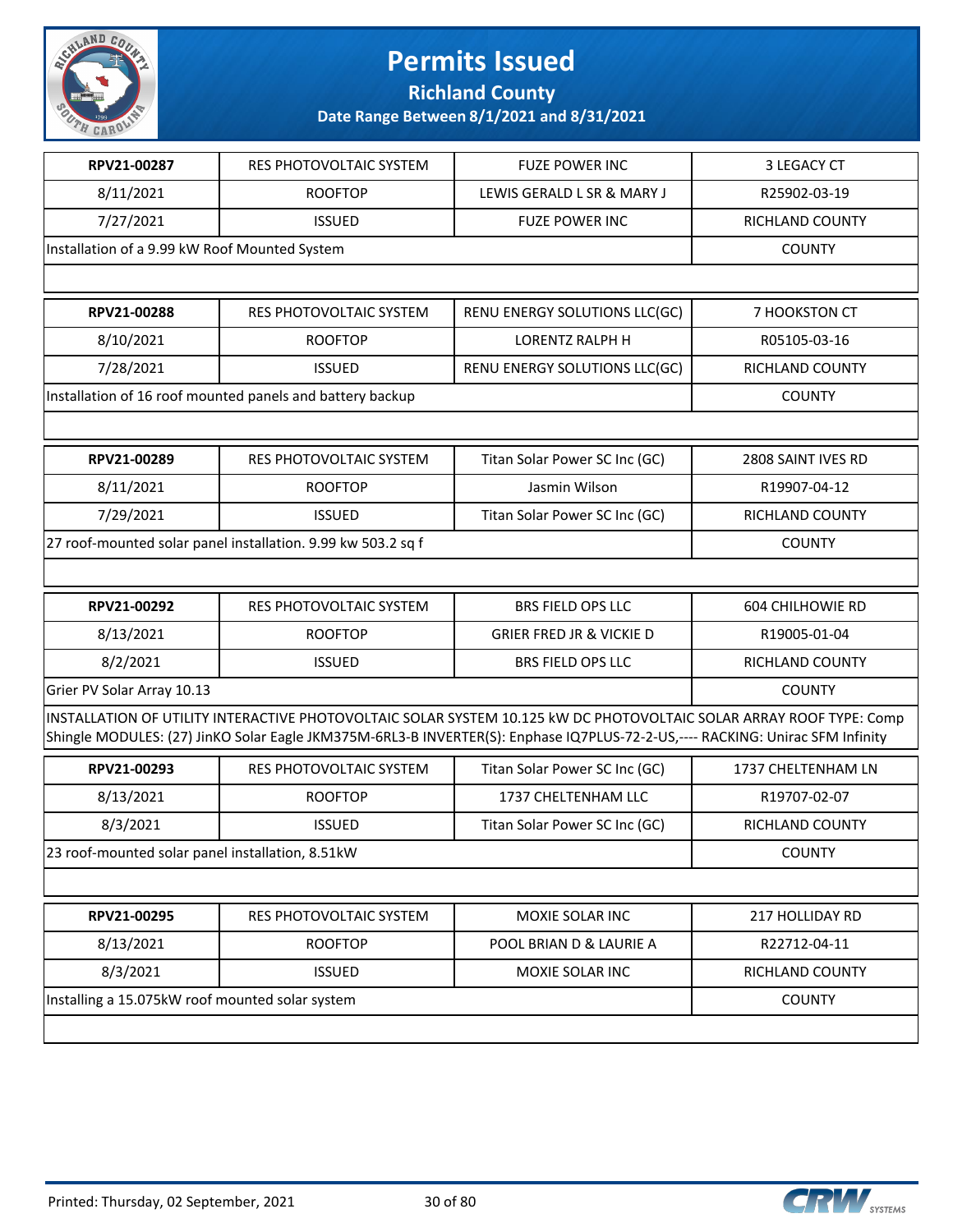

**Richland County**

| RPV21-00287                                      | RES PHOTOVOLTAIC SYSTEM                                      | <b>FUZE POWER INC</b>                                                                                                                                                                                                                                | 3 LEGACY CT             |
|--------------------------------------------------|--------------------------------------------------------------|------------------------------------------------------------------------------------------------------------------------------------------------------------------------------------------------------------------------------------------------------|-------------------------|
| 8/11/2021                                        | <b>ROOFTOP</b>                                               | LEWIS GERALD L SR & MARY J                                                                                                                                                                                                                           | R25902-03-19            |
| 7/27/2021                                        | <b>ISSUED</b>                                                | <b>FUZE POWER INC</b>                                                                                                                                                                                                                                | RICHLAND COUNTY         |
| Installation of a 9.99 kW Roof Mounted System    |                                                              |                                                                                                                                                                                                                                                      | <b>COUNTY</b>           |
|                                                  |                                                              |                                                                                                                                                                                                                                                      |                         |
| RPV21-00288                                      | <b>RES PHOTOVOLTAIC SYSTEM</b>                               | RENU ENERGY SOLUTIONS LLC(GC)                                                                                                                                                                                                                        | 7 HOOKSTON CT           |
| 8/10/2021                                        | <b>ROOFTOP</b>                                               | <b>LORENTZ RALPH H</b>                                                                                                                                                                                                                               | R05105-03-16            |
| 7/28/2021                                        | <b>ISSUED</b>                                                | RENU ENERGY SOLUTIONS LLC(GC)                                                                                                                                                                                                                        | <b>RICHLAND COUNTY</b>  |
|                                                  | Installation of 16 roof mounted panels and battery backup    |                                                                                                                                                                                                                                                      | <b>COUNTY</b>           |
|                                                  |                                                              |                                                                                                                                                                                                                                                      |                         |
| RPV21-00289                                      | RES PHOTOVOLTAIC SYSTEM                                      | Titan Solar Power SC Inc (GC)                                                                                                                                                                                                                        | 2808 SAINT IVES RD      |
| 8/11/2021                                        | <b>ROOFTOP</b>                                               | Jasmin Wilson                                                                                                                                                                                                                                        | R19907-04-12            |
| 7/29/2021                                        | <b>ISSUED</b>                                                | Titan Solar Power SC Inc (GC)                                                                                                                                                                                                                        | RICHLAND COUNTY         |
|                                                  | 27 roof-mounted solar panel installation. 9.99 kw 503.2 sq f |                                                                                                                                                                                                                                                      | <b>COUNTY</b>           |
|                                                  |                                                              |                                                                                                                                                                                                                                                      |                         |
| RPV21-00292                                      | RES PHOTOVOLTAIC SYSTEM                                      | <b>BRS FIELD OPS LLC</b>                                                                                                                                                                                                                             | <b>604 CHILHOWIE RD</b> |
| 8/13/2021                                        | <b>ROOFTOP</b>                                               | <b>GRIER FRED JR &amp; VICKIE D</b>                                                                                                                                                                                                                  | R19005-01-04            |
| 8/2/2021                                         | <b>ISSUED</b>                                                | <b>BRS FIELD OPS LLC</b>                                                                                                                                                                                                                             | RICHLAND COUNTY         |
| Grier PV Solar Array 10.13                       | <b>COUNTY</b>                                                |                                                                                                                                                                                                                                                      |                         |
|                                                  |                                                              | INSTALLATION OF UTILITY INTERACTIVE PHOTOVOLTAIC SOLAR SYSTEM 10.125 kW DC PHOTOVOLTAIC SOLAR ARRAY ROOF TYPE: Comp<br>Shingle MODULES: (27) JinKO Solar Eagle JKM375M-6RL3-B INVERTER(S): Enphase IQ7PLUS-72-2-US,---- RACKING: Unirac SFM Infinity |                         |
| RPV21-00293                                      | RES PHOTOVOLTAIC SYSTEM                                      | Titan Solar Power SC Inc (GC)                                                                                                                                                                                                                        | 1737 CHELTENHAM LN      |
| 8/13/2021                                        | <b>ROOFTOP</b>                                               | 1737 CHELTENHAM LLC                                                                                                                                                                                                                                  | R19707-02-07            |
| 8/3/2021                                         | <b>ISSUED</b>                                                | Titan Solar Power SC Inc (GC)                                                                                                                                                                                                                        | RICHLAND COUNTY         |
| 23 roof-mounted solar panel installation, 8.51kW |                                                              |                                                                                                                                                                                                                                                      | <b>COUNTY</b>           |
|                                                  |                                                              |                                                                                                                                                                                                                                                      |                         |
| RPV21-00295                                      | RES PHOTOVOLTAIC SYSTEM                                      | MOXIE SOLAR INC                                                                                                                                                                                                                                      | 217 HOLLIDAY RD         |
| 8/13/2021                                        | <b>ROOFTOP</b>                                               | POOL BRIAN D & LAURIE A                                                                                                                                                                                                                              | R22712-04-11            |
| 8/3/2021                                         | <b>ISSUED</b>                                                | MOXIE SOLAR INC                                                                                                                                                                                                                                      | RICHLAND COUNTY         |
| Installing a 15.075kW roof mounted solar system  |                                                              |                                                                                                                                                                                                                                                      | <b>COUNTY</b>           |
|                                                  |                                                              |                                                                                                                                                                                                                                                      |                         |

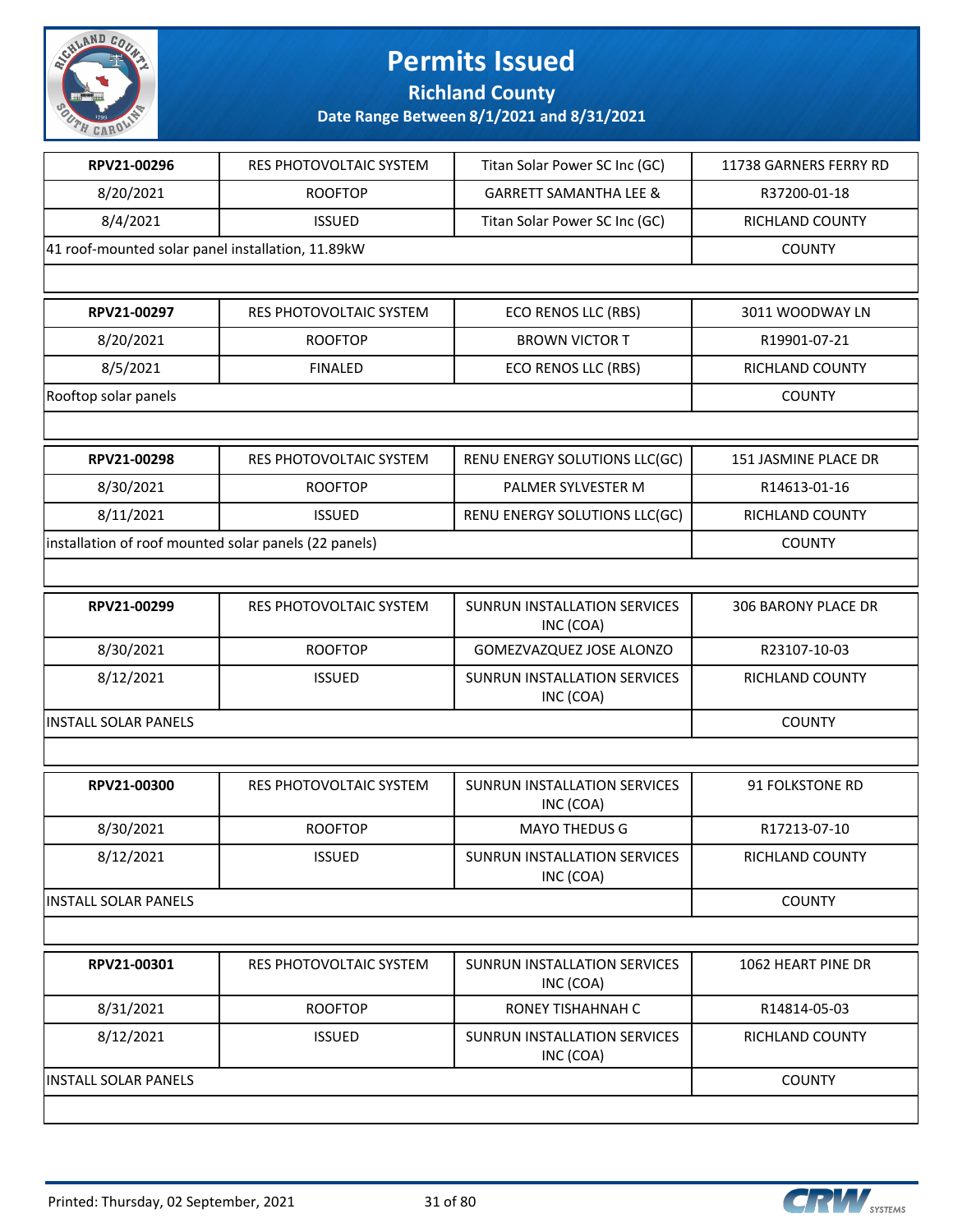

**Richland County**

| RPV21-00296                                       | RES PHOTOVOLTAIC SYSTEM                               | Titan Solar Power SC Inc (GC)                    | 11738 GARNERS FERRY RD |
|---------------------------------------------------|-------------------------------------------------------|--------------------------------------------------|------------------------|
| 8/20/2021                                         | <b>ROOFTOP</b>                                        | <b>GARRETT SAMANTHA LEE &amp;</b>                | R37200-01-18           |
| 8/4/2021                                          | <b>ISSUED</b>                                         | Titan Solar Power SC Inc (GC)                    | <b>RICHLAND COUNTY</b> |
| 41 roof-mounted solar panel installation, 11.89kW |                                                       |                                                  | <b>COUNTY</b>          |
|                                                   |                                                       |                                                  |                        |
| RPV21-00297                                       | RES PHOTOVOLTAIC SYSTEM                               | ECO RENOS LLC (RBS)                              | 3011 WOODWAY LN        |
| 8/20/2021                                         | <b>ROOFTOP</b>                                        | <b>BROWN VICTOR T</b>                            | R19901-07-21           |
| 8/5/2021                                          | <b>FINALED</b>                                        | <b>ECO RENOS LLC (RBS)</b>                       | RICHLAND COUNTY        |
| Rooftop solar panels                              |                                                       |                                                  | <b>COUNTY</b>          |
|                                                   |                                                       |                                                  |                        |
| RPV21-00298                                       | RES PHOTOVOLTAIC SYSTEM                               | RENU ENERGY SOLUTIONS LLC(GC)                    | 151 JASMINE PLACE DR   |
| 8/30/2021                                         | <b>ROOFTOP</b>                                        | PALMER SYLVESTER M                               | R14613-01-16           |
| 8/11/2021                                         | <b>ISSUED</b>                                         | RENU ENERGY SOLUTIONS LLC(GC)                    | RICHLAND COUNTY        |
|                                                   | installation of roof mounted solar panels (22 panels) |                                                  | <b>COUNTY</b>          |
|                                                   |                                                       |                                                  |                        |
| RPV21-00299                                       | RES PHOTOVOLTAIC SYSTEM                               | SUNRUN INSTALLATION SERVICES<br>INC (COA)        | 306 BARONY PLACE DR    |
| 8/30/2021                                         | <b>ROOFTOP</b>                                        | GOMEZVAZQUEZ JOSE ALONZO                         | R23107-10-03           |
| 8/12/2021                                         | <b>ISSUED</b>                                         | SUNRUN INSTALLATION SERVICES<br>INC (COA)        | RICHLAND COUNTY        |
| <b>INSTALL SOLAR PANELS</b>                       |                                                       |                                                  | <b>COUNTY</b>          |
|                                                   |                                                       |                                                  |                        |
| RPV21-00300                                       | RES PHOTOVOLTAIC SYSTEM                               | SUNRUN INSTALLATION SERVICES<br>INC (COA)        | 91 FOLKSTONE RD        |
| 8/30/2021                                         | <b>ROOFTOP</b>                                        | <b>MAYO THEDUS G</b>                             | R17213-07-10           |
| 8/12/2021                                         | <b>ISSUED</b>                                         | SUNRUN INSTALLATION SERVICES<br>INC (COA)        | RICHLAND COUNTY        |
| <b>INSTALL SOLAR PANELS</b>                       |                                                       |                                                  | <b>COUNTY</b>          |
|                                                   |                                                       |                                                  |                        |
| RPV21-00301                                       | RES PHOTOVOLTAIC SYSTEM                               | <b>SUNRUN INSTALLATION SERVICES</b><br>INC (COA) | 1062 HEART PINE DR     |
| 8/31/2021                                         | <b>ROOFTOP</b>                                        | RONEY TISHAHNAH C                                | R14814-05-03           |
| 8/12/2021                                         | <b>ISSUED</b>                                         | <b>SUNRUN INSTALLATION SERVICES</b><br>INC (COA) | RICHLAND COUNTY        |
|                                                   |                                                       |                                                  |                        |

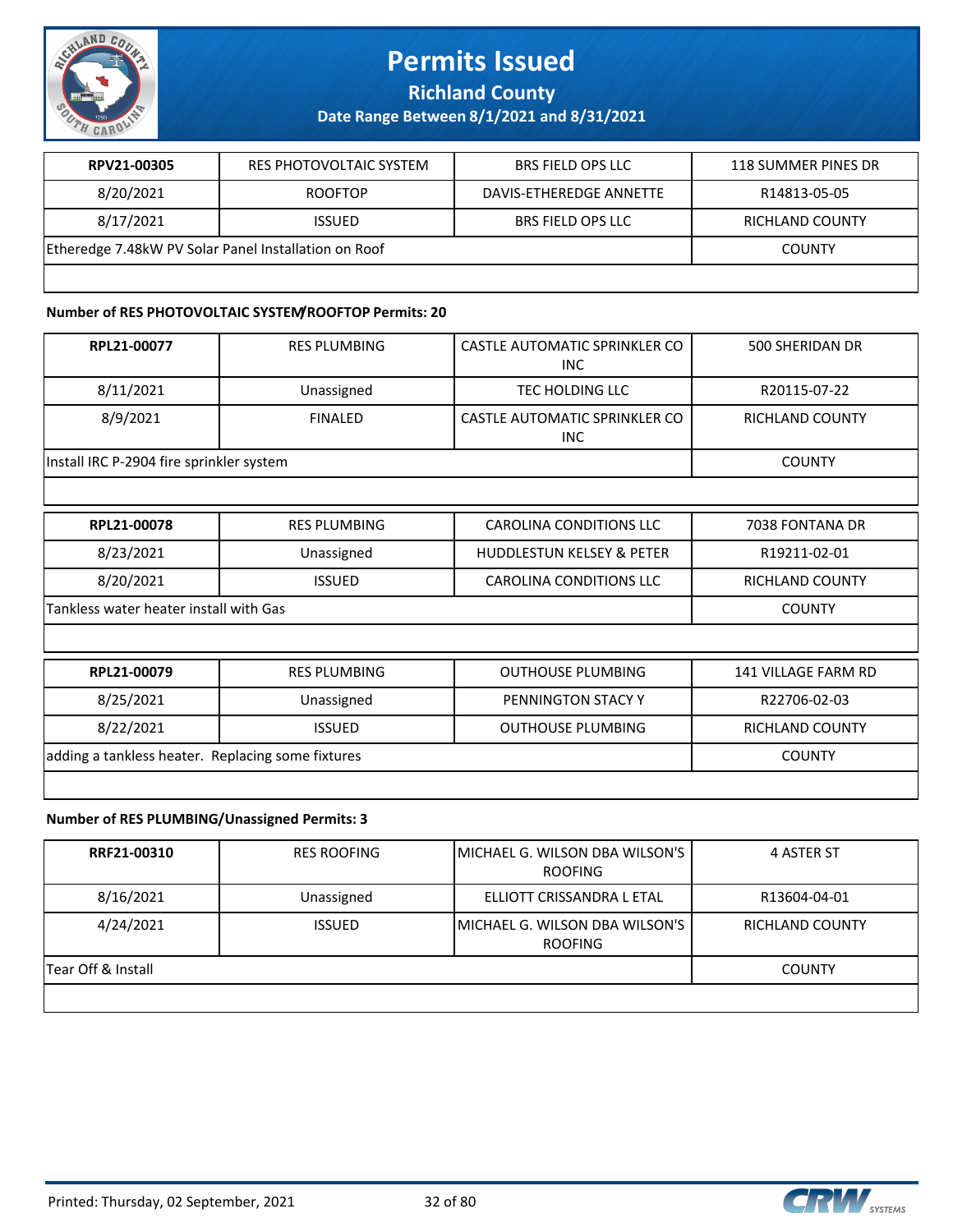

**Richland County**

**Date Range Between 8/1/2021 and 8/31/2021**

| RPV21-00305                                          | RES PHOTOVOLTAIC SYSTEM | <b>BRS FIELD OPS LLC</b> | 118 SUMMER PINES DR |
|------------------------------------------------------|-------------------------|--------------------------|---------------------|
| 8/20/2021                                            | <b>ROOFTOP</b>          | DAVIS-ETHEREDGE ANNETTE  | R14813-05-05        |
| 8/17/2021                                            | <b>ISSUED</b>           | <b>BRS FIELD OPS LLC</b> | RICHLAND COUNTY     |
| Etheredge 7.48kW PV Solar Panel Installation on Roof | COUNTY                  |                          |                     |
|                                                      |                         |                          |                     |

#### **Number of RES PHOTOVOLTAIC SYSTEM/ROOFTOP Permits: 20**

| RPL21-00077                                       | <b>RES PLUMBING</b> | CASTLE AUTOMATIC SPRINKLER CO<br><b>INC</b> | 500 SHERIDAN DR            |
|---------------------------------------------------|---------------------|---------------------------------------------|----------------------------|
| 8/11/2021                                         | Unassigned          | TEC HOLDING LLC                             | R20115-07-22               |
| 8/9/2021                                          | <b>FINALED</b>      | CASTLE AUTOMATIC SPRINKLER CO<br><b>INC</b> | <b>RICHLAND COUNTY</b>     |
| Install IRC P-2904 fire sprinkler system          |                     |                                             | <b>COUNTY</b>              |
|                                                   |                     |                                             |                            |
| RPL21-00078                                       | <b>RES PLUMBING</b> | <b>CAROLINA CONDITIONS LLC</b>              | 7038 FONTANA DR            |
| 8/23/2021                                         | Unassigned          | <b>HUDDLESTUN KELSEY &amp; PETER</b>        | R19211-02-01               |
| 8/20/2021                                         | <b>ISSUED</b>       | CAROLINA CONDITIONS LLC                     | RICHLAND COUNTY            |
| Tankless water heater install with Gas            |                     |                                             | <b>COUNTY</b>              |
|                                                   |                     |                                             |                            |
| RPL21-00079                                       | <b>RES PLUMBING</b> | <b>OUTHOUSE PLUMBING</b>                    | <b>141 VILLAGE FARM RD</b> |
| 8/25/2021                                         | Unassigned          | PENNINGTON STACY Y                          | R22706-02-03               |
| 8/22/2021                                         | <b>ISSUED</b>       | <b>OUTHOUSE PLUMBING</b>                    | <b>RICHLAND COUNTY</b>     |
| adding a tankless heater. Replacing some fixtures |                     |                                             | <b>COUNTY</b>              |
|                                                   |                     |                                             |                            |

#### **Number of RES PLUMBING/Unassigned Permits: 3**

| RRF21-00310        | <b>RES ROOFING</b> | <b>IMICHAEL G. WILSON DBA WILSON'S</b><br><b>ROOFING</b> | 4 ASTER ST      |
|--------------------|--------------------|----------------------------------------------------------|-----------------|
| 8/16/2021          | Unassigned         | ELLIOTT CRISSANDRA L ETAL                                | R13604-04-01    |
| 4/24/2021          | <b>ISSUED</b>      | <b>IMICHAEL G. WILSON DBA WILSON'S</b><br><b>ROOFING</b> | RICHLAND COUNTY |
| Tear Off & Install |                    |                                                          | <b>COUNTY</b>   |
|                    |                    |                                                          |                 |



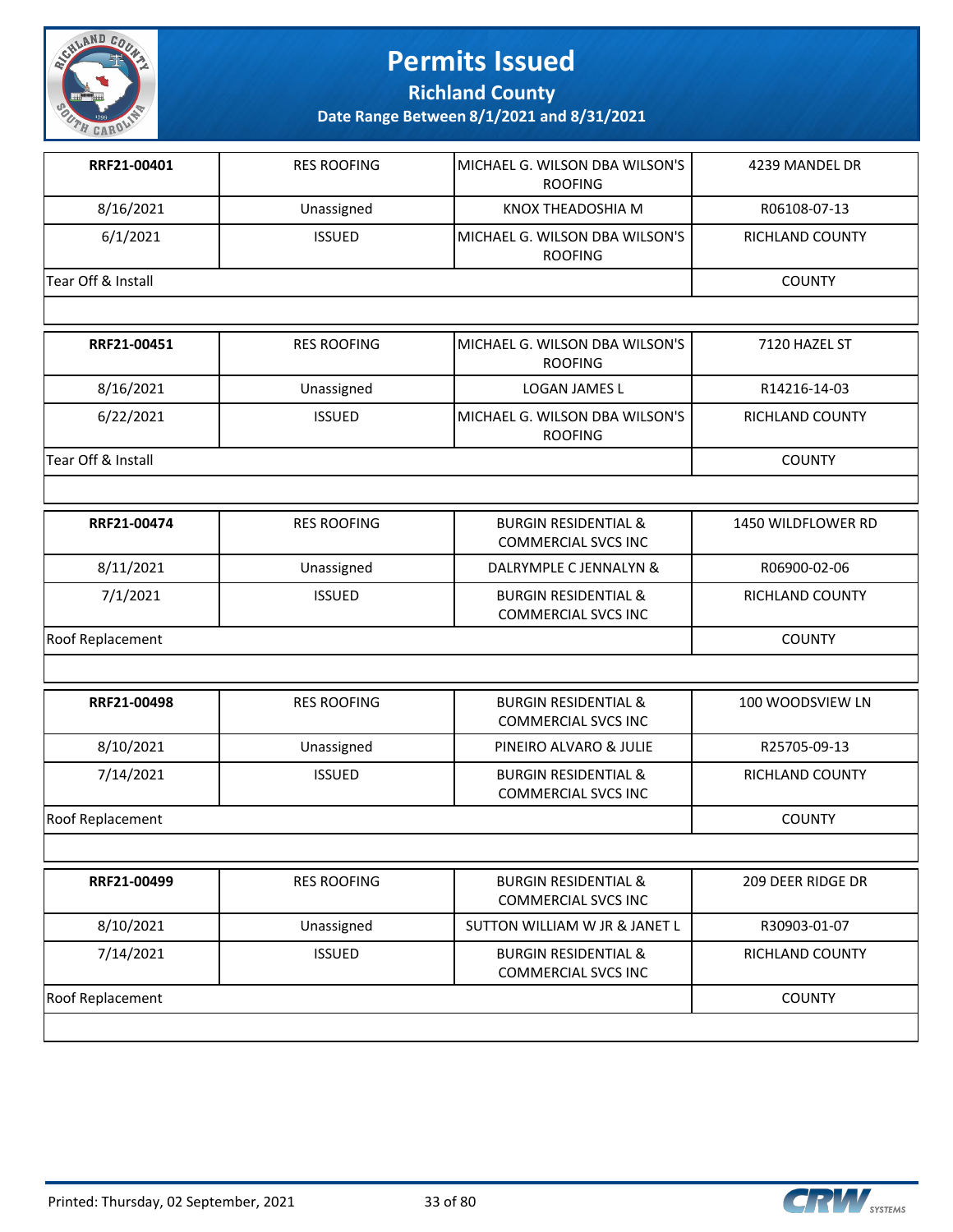

**Richland County**

| RRF21-00401        | <b>RES ROOFING</b> | MICHAEL G. WILSON DBA WILSON'S<br><b>ROOFING</b>              | 4239 MANDEL DR         |
|--------------------|--------------------|---------------------------------------------------------------|------------------------|
| 8/16/2021          | Unassigned         | KNOX THEADOSHIA M                                             | R06108-07-13           |
| 6/1/2021           | <b>ISSUED</b>      | MICHAEL G. WILSON DBA WILSON'S<br><b>ROOFING</b>              | <b>RICHLAND COUNTY</b> |
| Tear Off & Install |                    |                                                               | <b>COUNTY</b>          |
|                    |                    |                                                               |                        |
| RRF21-00451        | <b>RES ROOFING</b> | MICHAEL G. WILSON DBA WILSON'S<br><b>ROOFING</b>              | 7120 HAZEL ST          |
| 8/16/2021          | Unassigned         | LOGAN JAMES L                                                 | R14216-14-03           |
| 6/22/2021          | <b>ISSUED</b>      | MICHAEL G. WILSON DBA WILSON'S<br><b>ROOFING</b>              | RICHLAND COUNTY        |
| Tear Off & Install |                    |                                                               | <b>COUNTY</b>          |
|                    |                    |                                                               |                        |
| RRF21-00474        | <b>RES ROOFING</b> | <b>BURGIN RESIDENTIAL &amp;</b><br><b>COMMERCIAL SVCS INC</b> | 1450 WILDFLOWER RD     |
| 8/11/2021          | Unassigned         | DALRYMPLE C JENNALYN &                                        | R06900-02-06           |
| 7/1/2021           | <b>ISSUED</b>      | <b>BURGIN RESIDENTIAL &amp;</b><br><b>COMMERCIAL SVCS INC</b> | RICHLAND COUNTY        |
| Roof Replacement   |                    |                                                               | <b>COUNTY</b>          |
|                    |                    |                                                               |                        |
| RRF21-00498        | <b>RES ROOFING</b> | <b>BURGIN RESIDENTIAL &amp;</b><br><b>COMMERCIAL SVCS INC</b> | 100 WOODSVIEW LN       |
| 8/10/2021          | Unassigned         | PINEIRO ALVARO & JULIE                                        | R25705-09-13           |
| 7/14/2021          | <b>ISSUED</b>      | <b>BURGIN RESIDENTIAL &amp;</b><br><b>COMMERCIAL SVCS INC</b> | RICHLAND COUNTY        |
| Roof Replacement   |                    |                                                               | <b>COUNTY</b>          |
|                    |                    |                                                               |                        |
| RRF21-00499        | <b>RES ROOFING</b> | <b>BURGIN RESIDENTIAL &amp;</b><br><b>COMMERCIAL SVCS INC</b> | 209 DEER RIDGE DR      |
| 8/10/2021          | Unassigned         | SUTTON WILLIAM W JR & JANET L                                 | R30903-01-07           |
| 7/14/2021          | <b>ISSUED</b>      | <b>BURGIN RESIDENTIAL &amp;</b><br><b>COMMERCIAL SVCS INC</b> | RICHLAND COUNTY        |
| Roof Replacement   |                    |                                                               | <b>COUNTY</b>          |

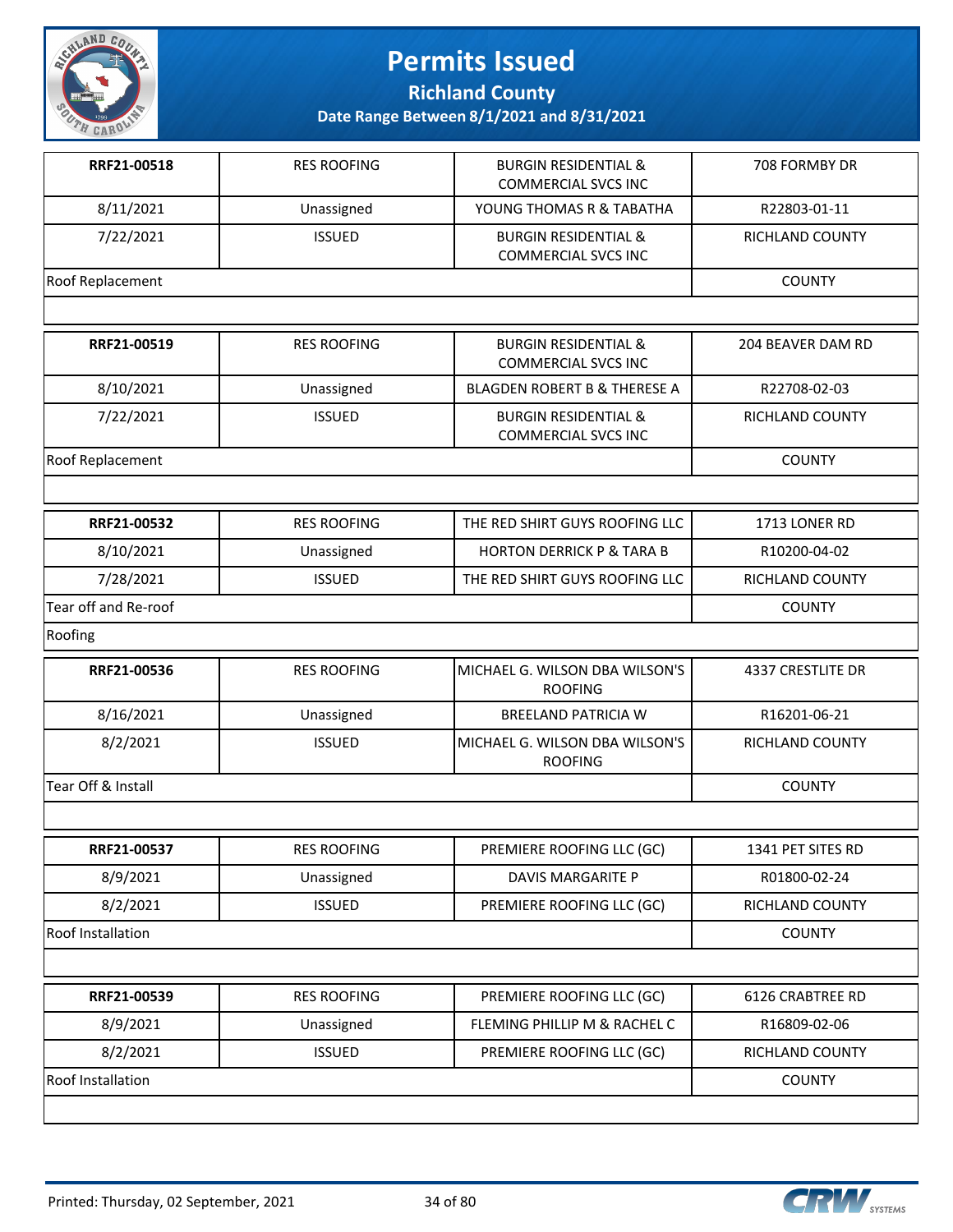

**Richland County**

| RRF21-00518          | <b>RES ROOFING</b> | <b>BURGIN RESIDENTIAL &amp;</b><br><b>COMMERCIAL SVCS INC</b> | 708 FORMBY DR     |
|----------------------|--------------------|---------------------------------------------------------------|-------------------|
| 8/11/2021            | Unassigned         | YOUNG THOMAS R & TABATHA                                      | R22803-01-11      |
| 7/22/2021            | <b>ISSUED</b>      | <b>BURGIN RESIDENTIAL &amp;</b><br><b>COMMERCIAL SVCS INC</b> | RICHLAND COUNTY   |
| Roof Replacement     |                    |                                                               | <b>COUNTY</b>     |
|                      |                    |                                                               |                   |
| RRF21-00519          | <b>RES ROOFING</b> | <b>BURGIN RESIDENTIAL &amp;</b><br><b>COMMERCIAL SVCS INC</b> | 204 BEAVER DAM RD |
| 8/10/2021            | Unassigned         | BLAGDEN ROBERT B & THERESE A                                  | R22708-02-03      |
| 7/22/2021            | <b>ISSUED</b>      | <b>BURGIN RESIDENTIAL &amp;</b><br><b>COMMERCIAL SVCS INC</b> | RICHLAND COUNTY   |
| Roof Replacement     |                    |                                                               | <b>COUNTY</b>     |
|                      |                    |                                                               |                   |
| RRF21-00532          | <b>RES ROOFING</b> | THE RED SHIRT GUYS ROOFING LLC                                | 1713 LONER RD     |
| 8/10/2021            | Unassigned         | <b>HORTON DERRICK P &amp; TARA B</b>                          | R10200-04-02      |
| 7/28/2021            | <b>ISSUED</b>      | THE RED SHIRT GUYS ROOFING LLC                                | RICHLAND COUNTY   |
| Tear off and Re-roof |                    |                                                               | <b>COUNTY</b>     |
| Roofing              |                    |                                                               |                   |
| RRF21-00536          | <b>RES ROOFING</b> | MICHAEL G. WILSON DBA WILSON'S<br><b>ROOFING</b>              | 4337 CRESTLITE DR |
| 8/16/2021            | Unassigned         | <b>BREELAND PATRICIA W</b>                                    | R16201-06-21      |
| 8/2/2021             | <b>ISSUED</b>      | MICHAEL G. WILSON DBA WILSON'S<br><b>ROOFING</b>              | RICHLAND COUNTY   |
| Tear Off & Install   |                    |                                                               | <b>COUNTY</b>     |
|                      |                    |                                                               |                   |
| RRF21-00537          | <b>RES ROOFING</b> | PREMIERE ROOFING LLC (GC)                                     | 1341 PET SITES RD |
| 8/9/2021             | Unassigned         | DAVIS MARGARITE P                                             | R01800-02-24      |
| 8/2/2021             | <b>ISSUED</b>      | PREMIERE ROOFING LLC (GC)                                     | RICHLAND COUNTY   |
| Roof Installation    | <b>COUNTY</b>      |                                                               |                   |
|                      |                    |                                                               |                   |
| RRF21-00539          | <b>RES ROOFING</b> | PREMIERE ROOFING LLC (GC)                                     | 6126 CRABTREE RD  |
| 8/9/2021             | Unassigned         | FLEMING PHILLIP M & RACHEL C                                  | R16809-02-06      |
| 8/2/2021             | <b>ISSUED</b>      | PREMIERE ROOFING LLC (GC)                                     | RICHLAND COUNTY   |
| Roof Installation    |                    |                                                               | <b>COUNTY</b>     |
|                      |                    |                                                               |                   |

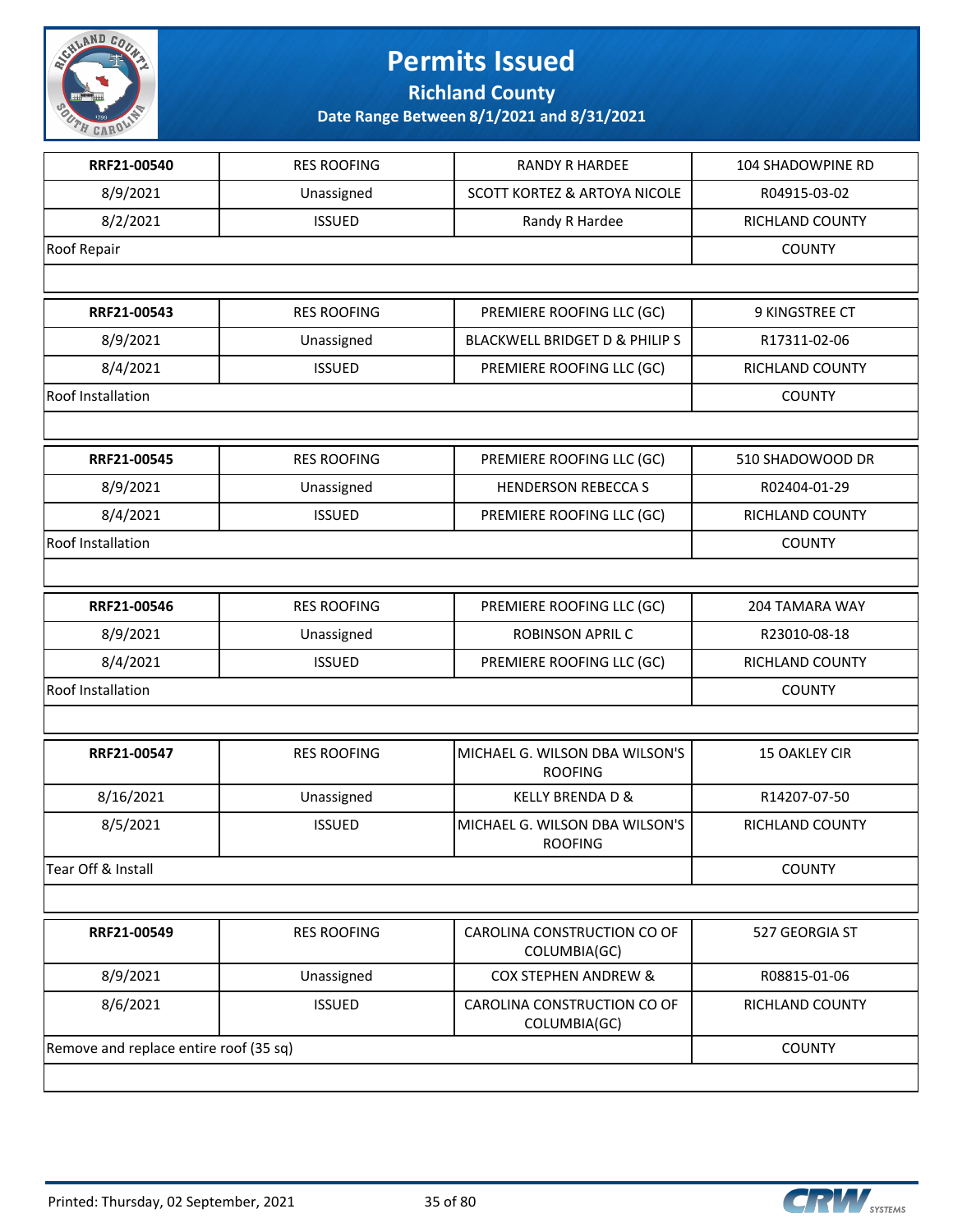

**Richland County**

| RRF21-00540        | <b>RES ROOFING</b> | <b>RANDY R HARDEE</b>                            | 104 SHADOWPINE RD     |  |
|--------------------|--------------------|--------------------------------------------------|-----------------------|--|
| 8/9/2021           | Unassigned         | <b>SCOTT KORTEZ &amp; ARTOYA NICOLE</b>          | R04915-03-02          |  |
| 8/2/2021           | <b>ISSUED</b>      | Randy R Hardee                                   | RICHLAND COUNTY       |  |
| Roof Repair        |                    |                                                  | <b>COUNTY</b>         |  |
|                    |                    |                                                  |                       |  |
| RRF21-00543        | <b>RES ROOFING</b> | PREMIERE ROOFING LLC (GC)                        | 9 KINGSTREE CT        |  |
| 8/9/2021           | Unassigned         | <b>BLACKWELL BRIDGET D &amp; PHILIP S</b>        | R17311-02-06          |  |
| 8/4/2021           | <b>ISSUED</b>      | PREMIERE ROOFING LLC (GC)                        | RICHLAND COUNTY       |  |
| Roof Installation  |                    |                                                  |                       |  |
|                    |                    |                                                  |                       |  |
| RRF21-00545        | <b>RES ROOFING</b> | PREMIERE ROOFING LLC (GC)                        | 510 SHADOWOOD DR      |  |
| 8/9/2021           | Unassigned         | <b>HENDERSON REBECCA S</b>                       | R02404-01-29          |  |
| 8/4/2021           | <b>ISSUED</b>      | PREMIERE ROOFING LLC (GC)                        | RICHLAND COUNTY       |  |
| Roof Installation  |                    |                                                  | <b>COUNTY</b>         |  |
|                    |                    |                                                  |                       |  |
| RRF21-00546        | <b>RES ROOFING</b> | PREMIERE ROOFING LLC (GC)                        | <b>204 TAMARA WAY</b> |  |
| 8/9/2021           | Unassigned         | <b>ROBINSON APRIL C</b>                          | R23010-08-18          |  |
| 8/4/2021           | <b>ISSUED</b>      | PREMIERE ROOFING LLC (GC)                        | RICHLAND COUNTY       |  |
| Roof Installation  |                    |                                                  | <b>COUNTY</b>         |  |
|                    |                    |                                                  |                       |  |
| RRF21-00547        | <b>RES ROOFING</b> | MICHAEL G. WILSON DBA WILSON'S<br><b>ROOFING</b> | <b>15 OAKLEY CIR</b>  |  |
| 8/16/2021          | Unassigned         | <b>KELLY BRENDA D &amp;</b>                      | R14207-07-50          |  |
| 8/5/2021           | <b>ISSUED</b>      | MICHAEL G. WILSON DBA WILSON'S<br><b>ROOFING</b> | RICHLAND COUNTY       |  |
| Tear Off & Install |                    |                                                  | <b>COUNTY</b>         |  |
|                    |                    |                                                  |                       |  |
| RRF21-00549        | <b>RES ROOFING</b> | CAROLINA CONSTRUCTION CO OF<br>COLUMBIA(GC)      | 527 GEORGIA ST        |  |
| 8/9/2021           | Unassigned         | <b>COX STEPHEN ANDREW &amp;</b>                  | R08815-01-06          |  |
| 8/6/2021           | <b>ISSUED</b>      | CAROLINA CONSTRUCTION CO OF<br>COLUMBIA(GC)      | RICHLAND COUNTY       |  |
|                    |                    |                                                  |                       |  |

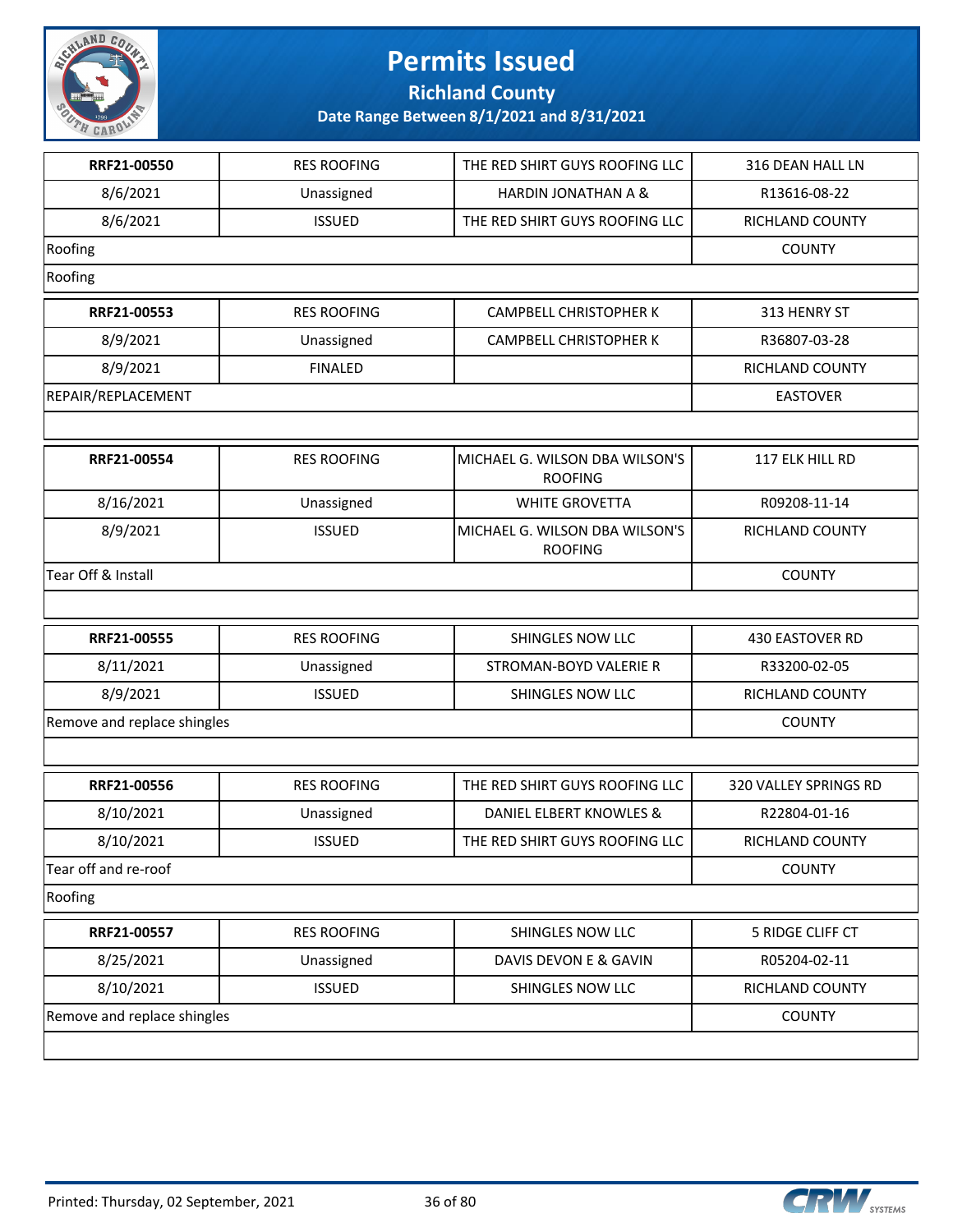

**Richland County**

| RRF21-00550                 | <b>RES ROOFING</b> | THE RED SHIRT GUYS ROOFING LLC                   | 316 DEAN HALL LN      |
|-----------------------------|--------------------|--------------------------------------------------|-----------------------|
| 8/6/2021                    | Unassigned         | HARDIN JONATHAN A &                              | R13616-08-22          |
| 8/6/2021                    | <b>ISSUED</b>      | THE RED SHIRT GUYS ROOFING LLC                   | RICHLAND COUNTY       |
| Roofing                     |                    |                                                  | <b>COUNTY</b>         |
| Roofing                     |                    |                                                  |                       |
| RRF21-00553                 | <b>RES ROOFING</b> | <b>CAMPBELL CHRISTOPHER K</b>                    | 313 HENRY ST          |
| 8/9/2021                    | Unassigned         | CAMPBELL CHRISTOPHER K                           | R36807-03-28          |
| 8/9/2021                    | <b>FINALED</b>     |                                                  | RICHLAND COUNTY       |
| REPAIR/REPLACEMENT          |                    |                                                  | <b>EASTOVER</b>       |
|                             |                    |                                                  |                       |
| RRF21-00554                 | <b>RES ROOFING</b> | MICHAEL G. WILSON DBA WILSON'S<br><b>ROOFING</b> | 117 ELK HILL RD       |
| 8/16/2021                   | Unassigned         | <b>WHITE GROVETTA</b>                            | R09208-11-14          |
| 8/9/2021                    | <b>ISSUED</b>      | MICHAEL G. WILSON DBA WILSON'S<br><b>ROOFING</b> | RICHLAND COUNTY       |
| Tear Off & Install          |                    | <b>COUNTY</b>                                    |                       |
|                             |                    |                                                  |                       |
| RRF21-00555                 | <b>RES ROOFING</b> | SHINGLES NOW LLC                                 | 430 EASTOVER RD       |
| 8/11/2021                   | Unassigned         | STROMAN-BOYD VALERIE R                           | R33200-02-05          |
| 8/9/2021                    | <b>ISSUED</b>      | SHINGLES NOW LLC                                 | RICHLAND COUNTY       |
| Remove and replace shingles |                    |                                                  | <b>COUNTY</b>         |
|                             |                    |                                                  |                       |
| RRF21-00556                 | <b>RES ROOFING</b> | THE RED SHIRT GUYS ROOFING LLC                   | 320 VALLEY SPRINGS RD |
| 8/10/2021                   | Unassigned         | DANIEL ELBERT KNOWLES &                          | R22804-01-16          |
| 8/10/2021                   | <b>ISSUED</b>      | THE RED SHIRT GUYS ROOFING LLC                   | RICHLAND COUNTY       |
| Tear off and re-roof        | <b>COUNTY</b>      |                                                  |                       |
| Roofing                     |                    |                                                  |                       |
| RRF21-00557                 | <b>RES ROOFING</b> | SHINGLES NOW LLC                                 | 5 RIDGE CLIFF CT      |
| 8/25/2021                   | Unassigned         | DAVIS DEVON E & GAVIN                            | R05204-02-11          |
| 8/10/2021                   | <b>ISSUED</b>      | SHINGLES NOW LLC                                 | RICHLAND COUNTY       |
| Remove and replace shingles | <b>COUNTY</b>      |                                                  |                       |
|                             |                    |                                                  |                       |

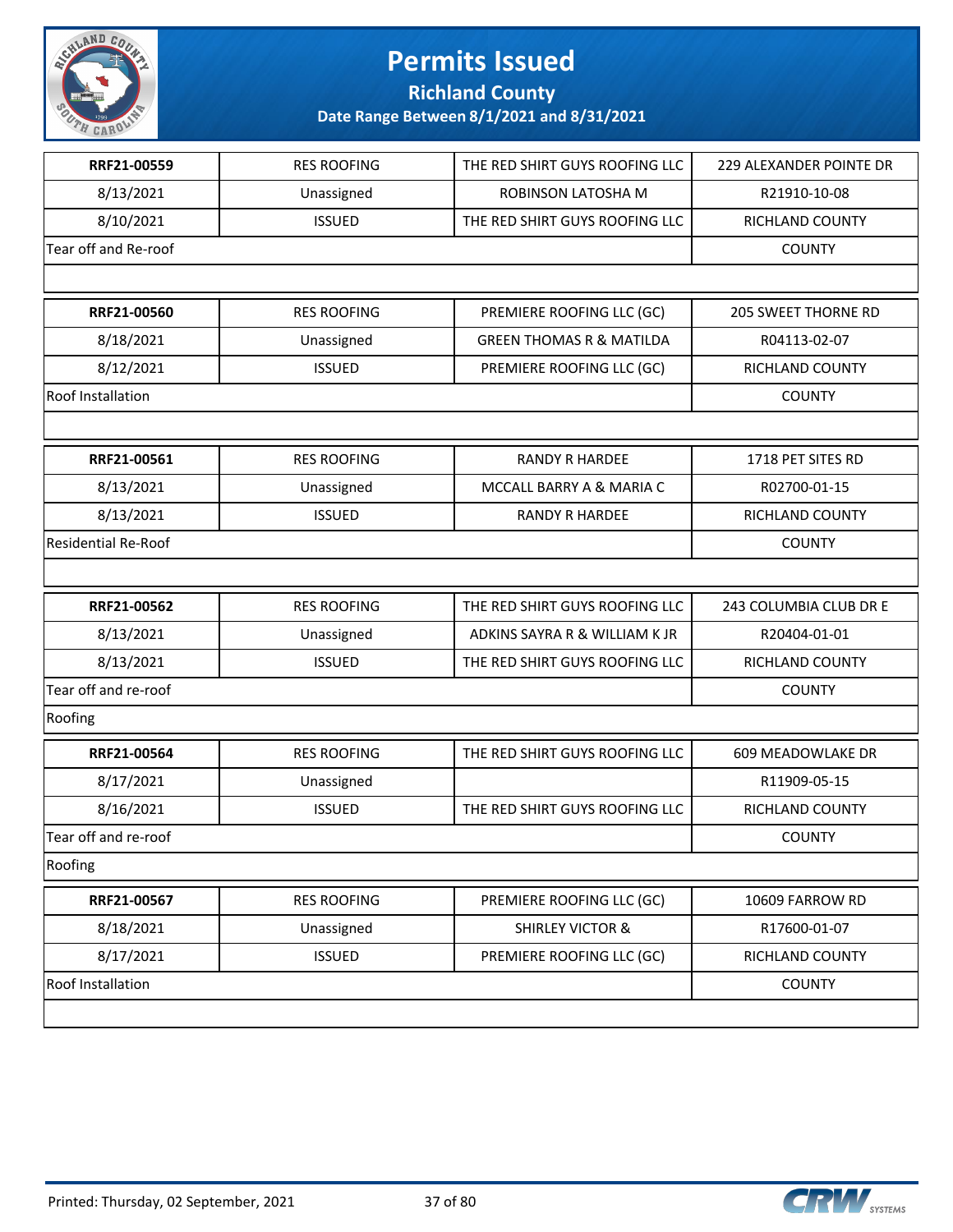

**Richland County**

| RRF21-00559                | <b>RES ROOFING</b> | THE RED SHIRT GUYS ROOFING LLC      | <b>229 ALEXANDER POINTE DR</b> |
|----------------------------|--------------------|-------------------------------------|--------------------------------|
| 8/13/2021                  | Unassigned         | ROBINSON LATOSHA M                  | R21910-10-08                   |
| 8/10/2021                  | <b>ISSUED</b>      | THE RED SHIRT GUYS ROOFING LLC      | RICHLAND COUNTY                |
| Tear off and Re-roof       |                    |                                     | <b>COUNTY</b>                  |
|                            |                    |                                     |                                |
| RRF21-00560                | <b>RES ROOFING</b> | PREMIERE ROOFING LLC (GC)           | <b>205 SWEET THORNE RD</b>     |
| 8/18/2021                  | Unassigned         | <b>GREEN THOMAS R &amp; MATILDA</b> | R04113-02-07                   |
| 8/12/2021                  | <b>ISSUED</b>      | PREMIERE ROOFING LLC (GC)           | <b>RICHLAND COUNTY</b>         |
| <b>Roof Installation</b>   |                    |                                     | <b>COUNTY</b>                  |
|                            |                    |                                     |                                |
| RRF21-00561                | <b>RES ROOFING</b> | <b>RANDY R HARDEE</b>               | 1718 PET SITES RD              |
| 8/13/2021                  | Unassigned         | MCCALL BARRY A & MARIA C            | R02700-01-15                   |
| 8/13/2021                  | <b>ISSUED</b>      | <b>RANDY R HARDEE</b>               | RICHLAND COUNTY                |
| <b>Residential Re-Roof</b> |                    |                                     | <b>COUNTY</b>                  |
|                            |                    |                                     |                                |
| RRF21-00562                | <b>RES ROOFING</b> | THE RED SHIRT GUYS ROOFING LLC      | 243 COLUMBIA CLUB DR E         |
| 8/13/2021                  | Unassigned         | ADKINS SAYRA R & WILLIAM K JR       | R20404-01-01                   |
| 8/13/2021                  | <b>ISSUED</b>      | THE RED SHIRT GUYS ROOFING LLC      | RICHLAND COUNTY                |
| Tear off and re-roof       |                    |                                     | <b>COUNTY</b>                  |
| Roofing                    |                    |                                     |                                |
| RRF21-00564                | <b>RES ROOFING</b> | THE RED SHIRT GUYS ROOFING LLC      | 609 MEADOWLAKE DR              |
| 8/17/2021                  | Unassigned         |                                     | R11909-05-15                   |
| 8/16/2021                  | <b>ISSUED</b>      | THE RED SHIRT GUYS ROOFING LLC      | RICHLAND COUNTY                |
| Tear off and re-roof       |                    |                                     | <b>COUNTY</b>                  |
| Roofing                    |                    |                                     |                                |
| RRF21-00567                | <b>RES ROOFING</b> | PREMIERE ROOFING LLC (GC)           | 10609 FARROW RD                |
| 8/18/2021                  | Unassigned         | <b>SHIRLEY VICTOR &amp;</b>         | R17600-01-07                   |
| 8/17/2021                  | <b>ISSUED</b>      | PREMIERE ROOFING LLC (GC)           | RICHLAND COUNTY                |
| <b>Roof Installation</b>   |                    |                                     | <b>COUNTY</b>                  |
|                            |                    |                                     |                                |

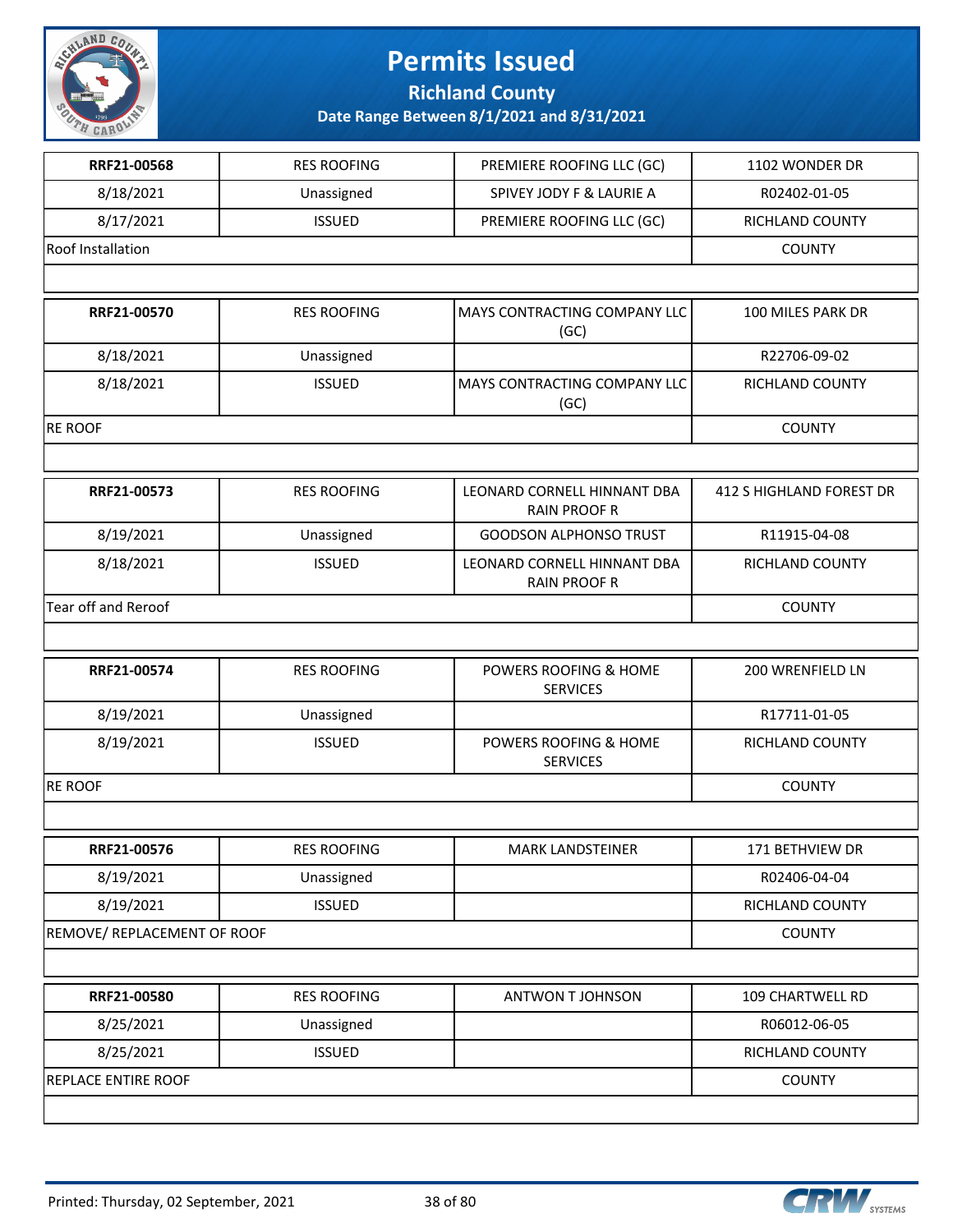

**Richland County**

| RRF21-00568                 | <b>RES ROOFING</b> | PREMIERE ROOFING LLC (GC)                          | 1102 WONDER DR           |
|-----------------------------|--------------------|----------------------------------------------------|--------------------------|
| 8/18/2021                   | Unassigned         | SPIVEY JODY F & LAURIE A                           | R02402-01-05             |
| 8/17/2021                   | <b>ISSUED</b>      | PREMIERE ROOFING LLC (GC)                          | RICHLAND COUNTY          |
| Roof Installation           |                    |                                                    | <b>COUNTY</b>            |
|                             |                    |                                                    |                          |
| RRF21-00570                 | <b>RES ROOFING</b> | MAYS CONTRACTING COMPANY LLC<br>(GC)               | 100 MILES PARK DR        |
| 8/18/2021                   | Unassigned         |                                                    | R22706-09-02             |
| 8/18/2021                   | <b>ISSUED</b>      | MAYS CONTRACTING COMPANY LLC<br>(GC)               | RICHLAND COUNTY          |
| <b>RE ROOF</b>              |                    |                                                    | <b>COUNTY</b>            |
|                             |                    |                                                    |                          |
| RRF21-00573                 | <b>RES ROOFING</b> | LEONARD CORNELL HINNANT DBA<br><b>RAIN PROOF R</b> | 412 S HIGHLAND FOREST DR |
| 8/19/2021                   | Unassigned         | <b>GOODSON ALPHONSO TRUST</b>                      | R11915-04-08             |
| 8/18/2021                   | <b>ISSUED</b>      | LEONARD CORNELL HINNANT DBA<br><b>RAIN PROOF R</b> | RICHLAND COUNTY          |
| Tear off and Reroof         |                    |                                                    | <b>COUNTY</b>            |
|                             |                    |                                                    |                          |
| RRF21-00574                 | <b>RES ROOFING</b> | POWERS ROOFING & HOME<br><b>SERVICES</b>           | 200 WRENFIELD LN         |
| 8/19/2021                   | Unassigned         |                                                    | R17711-01-05             |
| 8/19/2021                   | <b>ISSUED</b>      | POWERS ROOFING & HOME<br><b>SERVICES</b>           | RICHLAND COUNTY          |
| <b>RE ROOF</b>              |                    |                                                    | <b>COUNTY</b>            |
|                             |                    |                                                    |                          |
| RRF21-00576                 | <b>RES ROOFING</b> | MARK LANDSTEINER                                   | 171 BETHVIEW DR          |
| 8/19/2021                   | Unassigned         |                                                    | R02406-04-04             |
| 8/19/2021                   | <b>ISSUED</b>      |                                                    | <b>RICHLAND COUNTY</b>   |
| REMOVE/ REPLACEMENT OF ROOF |                    |                                                    | <b>COUNTY</b>            |
|                             |                    |                                                    |                          |
| RRF21-00580                 | <b>RES ROOFING</b> | ANTWON T JOHNSON                                   | 109 CHARTWELL RD         |
| 8/25/2021                   | Unassigned         |                                                    | R06012-06-05             |
| 8/25/2021                   | <b>ISSUED</b>      |                                                    | RICHLAND COUNTY          |
| <b>REPLACE ENTIRE ROOF</b>  |                    |                                                    | <b>COUNTY</b>            |
|                             |                    |                                                    |                          |

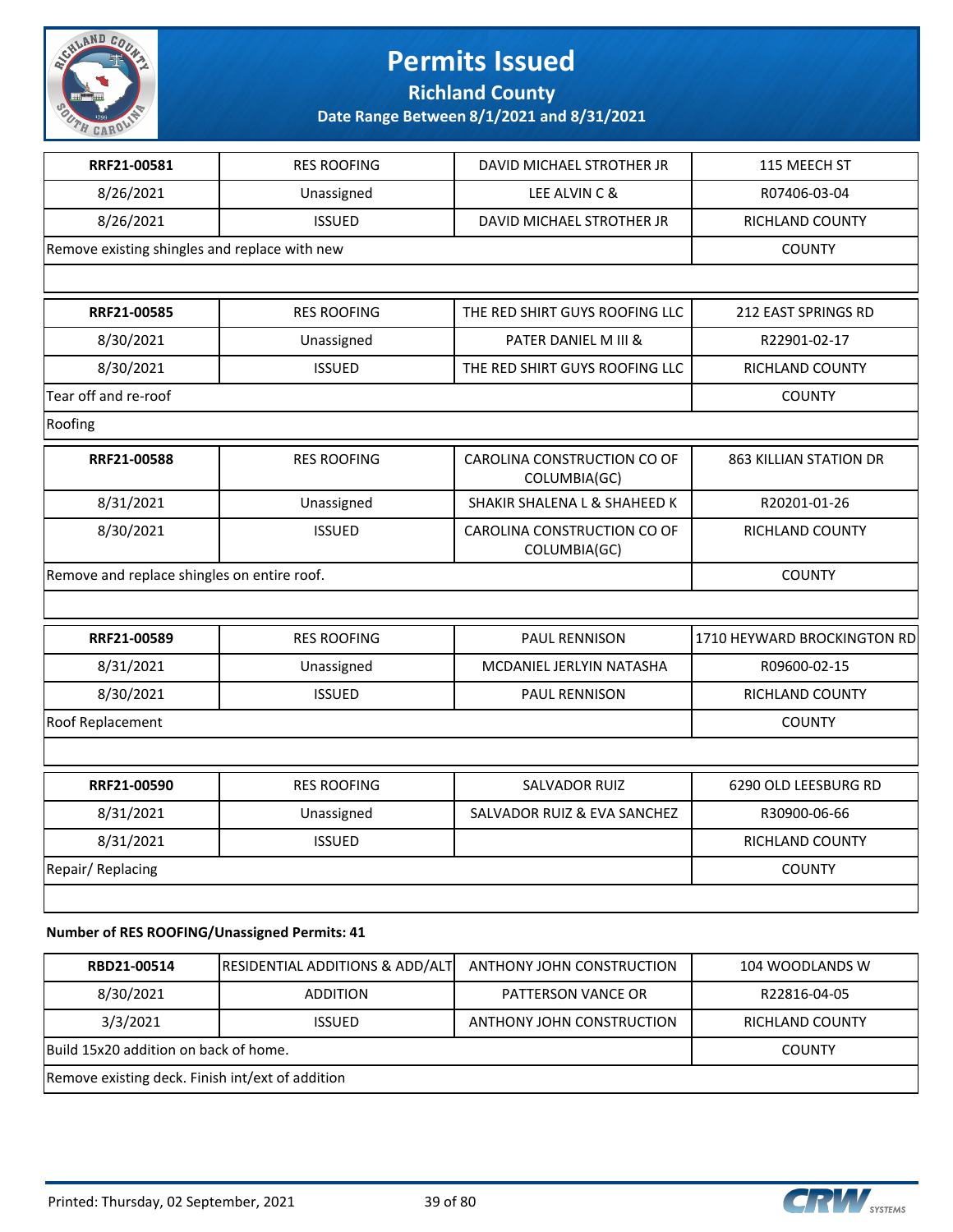

**Richland County**

**Date Range Between 8/1/2021 and 8/31/2021**

| RRF21-00581                                   | <b>RES ROOFING</b> | DAVID MICHAEL STROTHER JR                   | 115 MEECH ST                  |
|-----------------------------------------------|--------------------|---------------------------------------------|-------------------------------|
| 8/26/2021                                     | Unassigned         | LEE ALVIN C &                               | R07406-03-04                  |
| 8/26/2021                                     | <b>ISSUED</b>      | DAVID MICHAEL STROTHER JR                   | <b>RICHLAND COUNTY</b>        |
| Remove existing shingles and replace with new |                    |                                             | <b>COUNTY</b>                 |
|                                               |                    |                                             |                               |
| RRF21-00585                                   | <b>RES ROOFING</b> | THE RED SHIRT GUYS ROOFING LLC              | 212 EAST SPRINGS RD           |
| 8/30/2021                                     | Unassigned         | PATER DANIEL M III &                        | R22901-02-17                  |
| 8/30/2021                                     | <b>ISSUED</b>      | THE RED SHIRT GUYS ROOFING LLC              | RICHLAND COUNTY               |
| Tear off and re-roof                          |                    |                                             | <b>COUNTY</b>                 |
| Roofing                                       |                    |                                             |                               |
| RRF21-00588                                   | <b>RES ROOFING</b> | CAROLINA CONSTRUCTION CO OF<br>COLUMBIA(GC) | <b>863 KILLIAN STATION DR</b> |
| 8/31/2021                                     | Unassigned         | SHAKIR SHALENA L & SHAHEED K                | R20201-01-26                  |
| 8/30/2021                                     | <b>ISSUED</b>      | CAROLINA CONSTRUCTION CO OF<br>COLUMBIA(GC) | <b>RICHLAND COUNTY</b>        |
| Remove and replace shingles on entire roof.   |                    |                                             | <b>COUNTY</b>                 |
|                                               |                    |                                             |                               |
| RRF21-00589                                   | <b>RES ROOFING</b> | <b>PAUL RENNISON</b>                        | 1710 HEYWARD BROCKINGTON RD   |
| 8/31/2021                                     | Unassigned         | MCDANIEL JERLYIN NATASHA                    | R09600-02-15                  |
| 8/30/2021                                     | <b>ISSUED</b>      | PAUL RENNISON                               | <b>RICHLAND COUNTY</b>        |
| Roof Replacement                              |                    |                                             | <b>COUNTY</b>                 |
|                                               |                    |                                             |                               |
| RRF21-00590                                   | <b>RES ROOFING</b> | <b>SALVADOR RUIZ</b>                        | 6290 OLD LEESBURG RD          |
| 8/31/2021                                     | Unassigned         | SALVADOR RUIZ & EVA SANCHEZ                 | R30900-06-66                  |
| 8/31/2021                                     | <b>ISSUED</b>      |                                             | RICHLAND COUNTY               |
| <b>Repair/Replacing</b>                       |                    |                                             | <b>COUNTY</b>                 |
|                                               |                    |                                             |                               |
| Number of RES ROOFING/Linessianed Permits: 41 |                    |                                             |                               |

#### **Number of RES ROOFING/Unassigned Permits: 41**

| RBD21-00514                                      | <b>RESIDENTIAL ADDITIONS &amp; ADD/ALT</b> | ANTHONY JOHN CONSTRUCTION | 104 WOODLANDS W        |
|--------------------------------------------------|--------------------------------------------|---------------------------|------------------------|
| 8/30/2021                                        | <b>ADDITION</b>                            | PATTERSON VANCE OR        | R22816-04-05           |
| 3/3/2021                                         | <b>ISSUED</b>                              | ANTHONY JOHN CONSTRUCTION | <b>RICHLAND COUNTY</b> |
| Build 15x20 addition on back of home.            |                                            |                           | <b>COUNTY</b>          |
| Remove existing deck. Finish int/ext of addition |                                            |                           |                        |

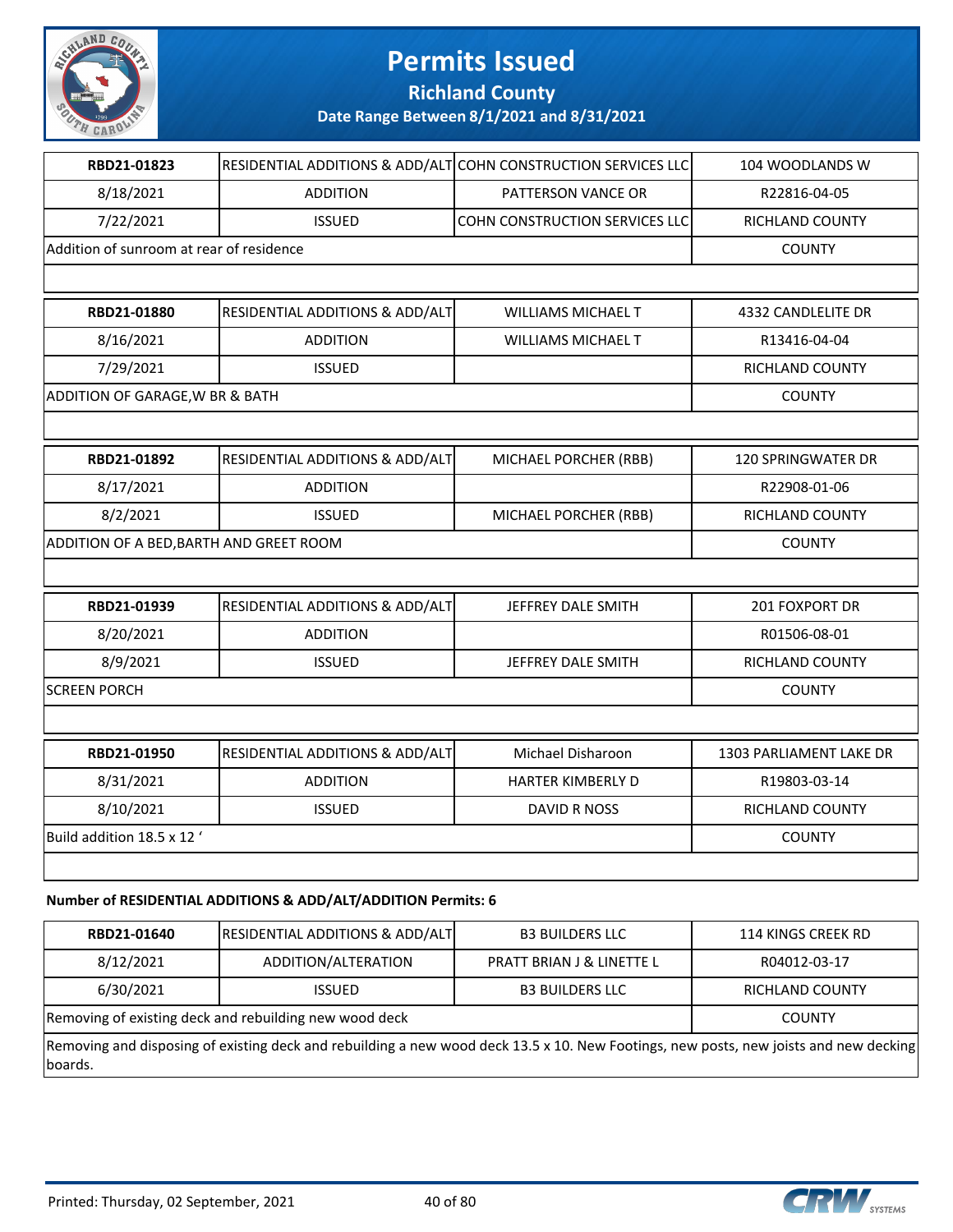

**Richland County**

**Date Range Between 8/1/2021 and 8/31/2021**

| RBD21-01823                              |                                            | RESIDENTIAL ADDITIONS & ADD/ALT COHN CONSTRUCTION SERVICES LLC | 104 WOODLANDS W         |
|------------------------------------------|--------------------------------------------|----------------------------------------------------------------|-------------------------|
| 8/18/2021                                | <b>ADDITION</b>                            | PATTERSON VANCE OR                                             | R22816-04-05            |
| 7/22/2021                                | <b>ISSUED</b>                              | COHN CONSTRUCTION SERVICES LLC                                 | RICHLAND COUNTY         |
| Addition of sunroom at rear of residence |                                            |                                                                | <b>COUNTY</b>           |
|                                          |                                            |                                                                |                         |
| RBD21-01880                              | RESIDENTIAL ADDITIONS & ADD/ALT            | <b>WILLIAMS MICHAEL T</b>                                      | 4332 CANDLELITE DR      |
| 8/16/2021                                | <b>ADDITION</b>                            | <b>WILLIAMS MICHAEL T</b>                                      | R13416-04-04            |
| 7/29/2021                                | <b>ISSUED</b>                              |                                                                | RICHLAND COUNTY         |
| ADDITION OF GARAGE, W BR & BATH          |                                            |                                                                | <b>COUNTY</b>           |
|                                          |                                            |                                                                |                         |
| RBD21-01892                              | RESIDENTIAL ADDITIONS & ADD/ALT            | MICHAEL PORCHER (RBB)                                          | 120 SPRINGWATER DR      |
| 8/17/2021                                | <b>ADDITION</b>                            |                                                                | R22908-01-06            |
| 8/2/2021                                 | <b>ISSUED</b>                              | MICHAEL PORCHER (RBB)                                          | RICHLAND COUNTY         |
| ADDITION OF A BED, BARTH AND GREET ROOM  |                                            | <b>COUNTY</b>                                                  |                         |
|                                          |                                            |                                                                |                         |
| RBD21-01939                              | <b>RESIDENTIAL ADDITIONS &amp; ADD/ALT</b> | JEFFREY DALE SMITH                                             | 201 FOXPORT DR          |
| 8/20/2021                                | <b>ADDITION</b>                            |                                                                | R01506-08-01            |
| 8/9/2021                                 | <b>ISSUED</b>                              | JEFFREY DALE SMITH                                             | RICHLAND COUNTY         |
| <b>SCREEN PORCH</b>                      |                                            |                                                                | <b>COUNTY</b>           |
|                                          |                                            |                                                                |                         |
| RBD21-01950                              | RESIDENTIAL ADDITIONS & ADD/ALT            | Michael Disharoon                                              | 1303 PARLIAMENT LAKE DR |
| 8/31/2021                                | <b>ADDITION</b>                            | HARTER KIMBERLY D                                              | R19803-03-14            |
| 8/10/2021                                | <b>ISSUED</b>                              | <b>DAVID R NOSS</b>                                            | RICHLAND COUNTY         |
| Build addition 18.5 x 12'                |                                            |                                                                | <b>COUNTY</b>           |
|                                          |                                            |                                                                |                         |

#### **Number of RESIDENTIAL ADDITIONS & ADD/ALT/ADDITION Permits: 6**

| RBD21-01640 | RESIDENTIAL ADDITIONS & ADD/ALT                                                                                                       | <b>B3 BUILDERS LLC</b>               | 114 KINGS CREEK RD |
|-------------|---------------------------------------------------------------------------------------------------------------------------------------|--------------------------------------|--------------------|
| 8/12/2021   | ADDITION/ALTERATION                                                                                                                   | <b>PRATT BRIAN J &amp; LINETTE L</b> | R04012-03-17       |
| 6/30/2021   | <b>ISSUED</b>                                                                                                                         | <b>B3 BUILDERS LLC</b>               | RICHLAND COUNTY    |
|             | Removing of existing deck and rebuilding new wood deck                                                                                |                                      | <b>COUNTY</b>      |
| boards.     | Removing and disposing of existing deck and rebuilding a new wood deck 13.5 x 10. New Footings, new posts, new joists and new decking |                                      |                    |

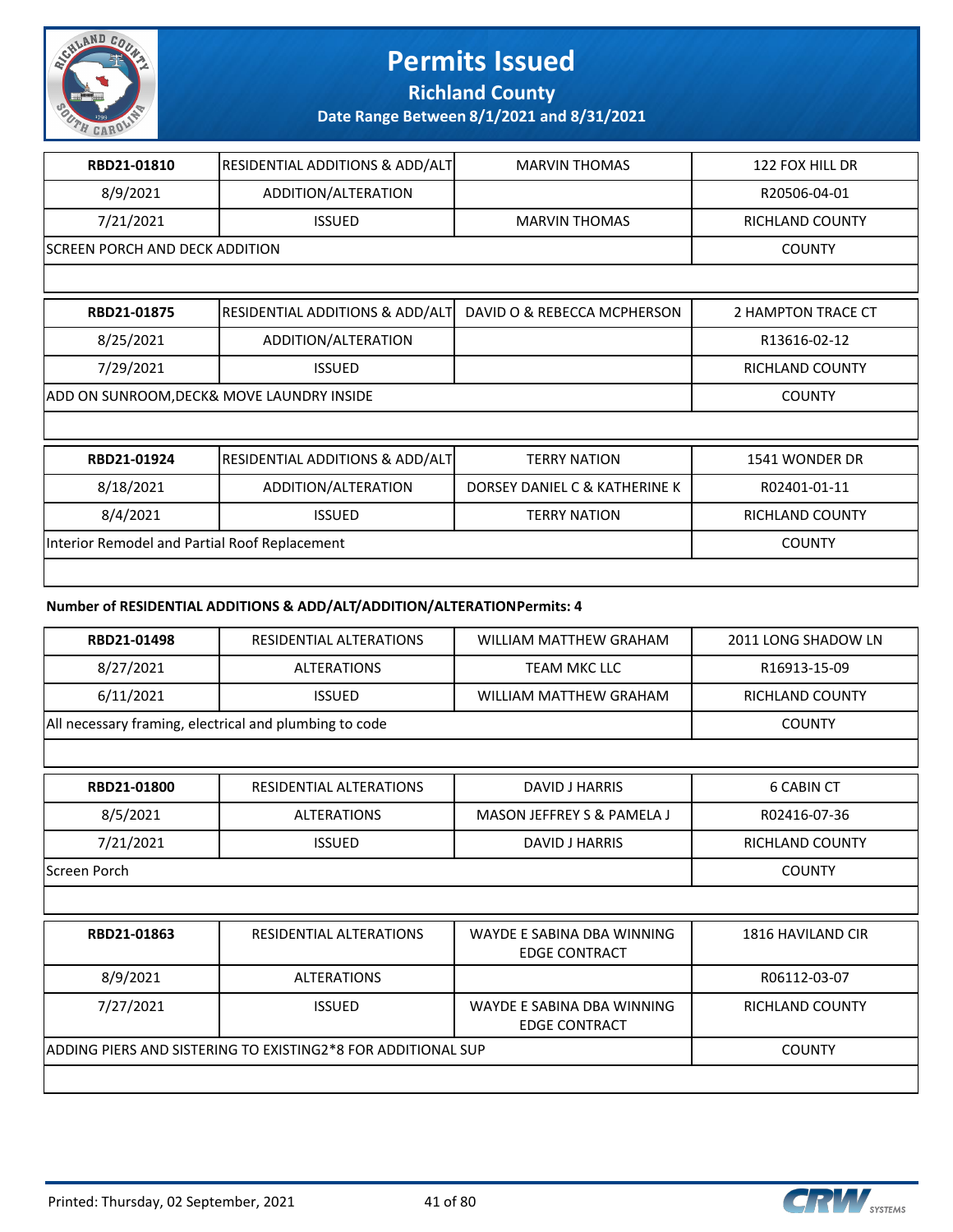

**Richland County**

**Date Range Between 8/1/2021 and 8/31/2021**

| RBD21-01810                                   | RESIDENTIAL ADDITIONS & ADD/ALT            | <b>MARVIN THOMAS</b>          | 122 FOX HILL DR        |
|-----------------------------------------------|--------------------------------------------|-------------------------------|------------------------|
| 8/9/2021                                      | ADDITION/ALTERATION                        |                               | R20506-04-01           |
| 7/21/2021                                     | <b>ISSUED</b>                              | <b>MARVIN THOMAS</b>          | <b>RICHLAND COUNTY</b> |
| <b>SCREEN PORCH AND DECK ADDITION</b>         |                                            |                               | <b>COUNTY</b>          |
|                                               |                                            |                               |                        |
| RBD21-01875                                   | RESIDENTIAL ADDITIONS & ADD/ALT            | DAVID O & REBECCA MCPHERSON   | 2 HAMPTON TRACE CT     |
| 8/25/2021                                     | ADDITION/ALTERATION                        |                               | R13616-02-12           |
| 7/29/2021                                     | <b>ISSUED</b>                              |                               | <b>RICHLAND COUNTY</b> |
| ADD ON SUNROOM, DECK& MOVE LAUNDRY INSIDE     |                                            |                               | <b>COUNTY</b>          |
|                                               |                                            |                               |                        |
| RBD21-01924                                   | <b>RESIDENTIAL ADDITIONS &amp; ADD/ALT</b> | <b>TERRY NATION</b>           | 1541 WONDER DR         |
| 8/18/2021                                     | ADDITION/ALTERATION                        | DORSEY DANIEL C & KATHERINE K | R02401-01-11           |
| 8/4/2021                                      | <b>ISSUED</b>                              | <b>TERRY NATION</b>           | <b>RICHLAND COUNTY</b> |
| Interior Remodel and Partial Roof Replacement |                                            |                               | <b>COUNTY</b>          |

#### **Number of RESIDENTIAL ADDITIONS & ADD/ALT/ADDITION/ALTERATION Permits: 4**

| RBD21-01498                                            | RESIDENTIAL ALTERATIONS                                      | <b>WILLIAM MATTHEW GRAHAM</b>                      | 2011 LONG SHADOW LN    |
|--------------------------------------------------------|--------------------------------------------------------------|----------------------------------------------------|------------------------|
| 8/27/2021                                              | <b>ALTERATIONS</b>                                           | <b>TEAM MKC LLC</b>                                | R16913-15-09           |
| 6/11/2021                                              | <b>ISSUED</b>                                                | <b>WILLIAM MATTHEW GRAHAM</b>                      | <b>RICHLAND COUNTY</b> |
| All necessary framing, electrical and plumbing to code |                                                              |                                                    | <b>COUNTY</b>          |
|                                                        |                                                              |                                                    |                        |
| RBD21-01800                                            | RESIDENTIAL ALTERATIONS                                      | DAVID J HARRIS                                     | <b>6 CABIN CT</b>      |
| 8/5/2021                                               | <b>ALTERATIONS</b>                                           | MASON JEFFREY S & PAMELA J                         | R02416-07-36           |
| 7/21/2021                                              | <b>ISSUED</b>                                                | DAVID J HARRIS                                     | <b>RICHLAND COUNTY</b> |
| Screen Porch                                           |                                                              |                                                    | <b>COUNTY</b>          |
|                                                        |                                                              |                                                    |                        |
| RBD21-01863                                            | RESIDENTIAL ALTERATIONS                                      | WAYDE E SABINA DBA WINNING<br><b>EDGE CONTRACT</b> | 1816 HAVILAND CIR      |
| 8/9/2021                                               | <b>ALTERATIONS</b>                                           |                                                    | R06112-03-07           |
| 7/27/2021                                              | <b>ISSUED</b>                                                | WAYDE E SABINA DBA WINNING<br><b>EDGE CONTRACT</b> | <b>RICHLAND COUNTY</b> |
|                                                        | ADDING PIERS AND SISTERING TO EXISTING2*8 FOR ADDITIONAL SUP |                                                    | <b>COUNTY</b>          |
|                                                        |                                                              |                                                    |                        |

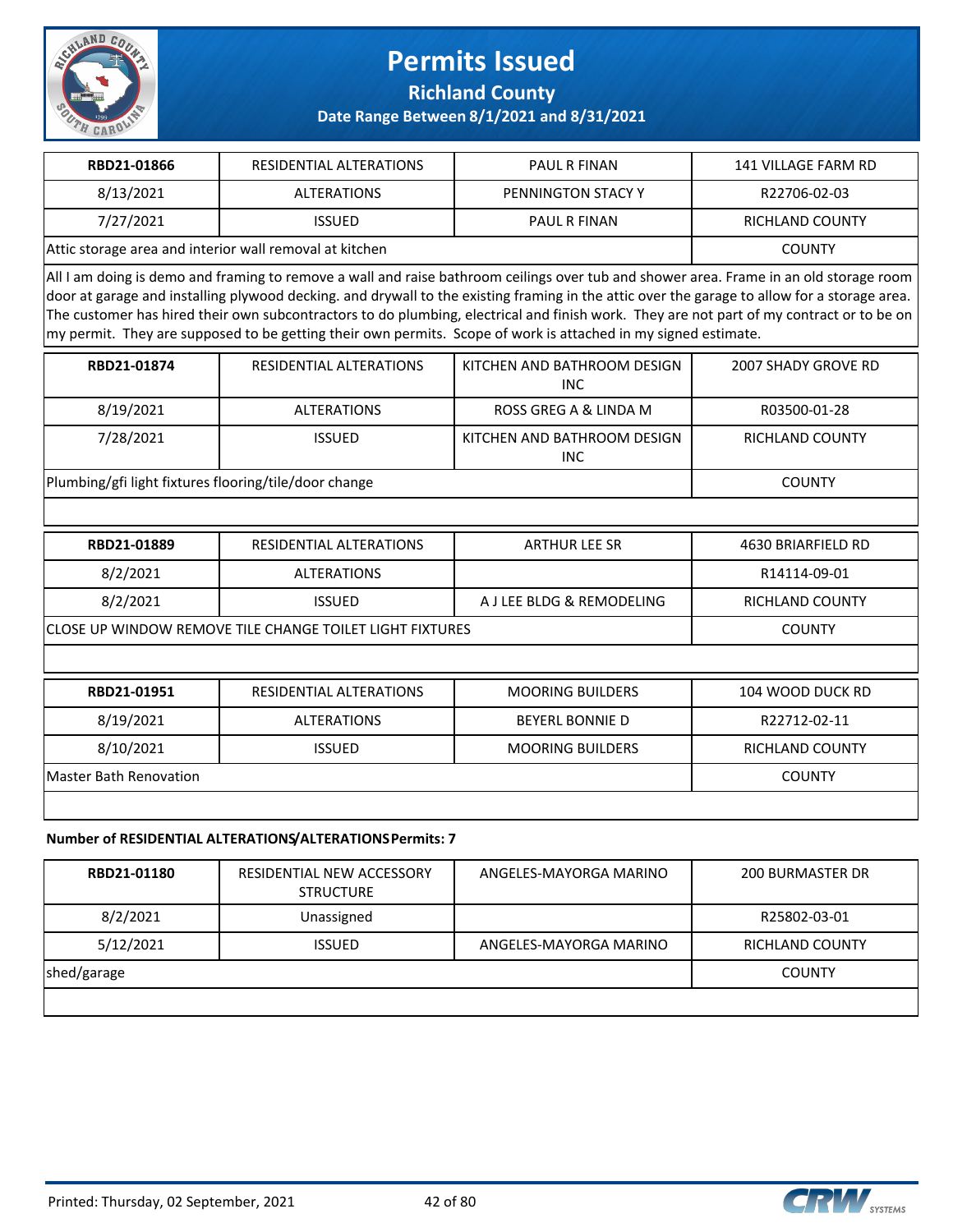

**Richland County**

**Date Range Between 8/1/2021 and 8/31/2021**

| RBD21-01866                                             | RESIDENTIAL ALTERATIONS | <b>PAUL R FINAN</b> | 141 VILLAGE FARM RD |
|---------------------------------------------------------|-------------------------|---------------------|---------------------|
| 8/13/2021                                               | <b>ALTERATIONS</b>      | PENNINGTON STACY Y  | R22706-02-03        |
| 7/27/2021                                               | <b>ISSUED</b>           | <b>PAUL R FINAN</b> | RICHLAND COUNTY     |
| Attic storage area and interior wall removal at kitchen |                         |                     | COUNTY              |

All I am doing is demo and framing to remove a wall and raise bathroom ceilings over tub and shower area. Frame in an old storage room door at garage and installing plywood decking. and drywall to the existing framing in the attic over the garage to allow for a storage area. The customer has hired their own subcontractors to do plumbing, electrical and finish work. They are not part of my contract or to be on my permit. They are supposed to be getting their own permits. Scope of work is attached in my signed estimate.

| RBD21-01874                                           | RESIDENTIAL ALTERATIONS | KITCHEN AND BATHROOM DESIGN<br><b>INC</b> | 2007 SHADY GROVE RD |
|-------------------------------------------------------|-------------------------|-------------------------------------------|---------------------|
| 8/19/2021                                             | ALTERATIONS             | ROSS GREG A & LINDA M                     | R03500-01-28        |
| 7/28/2021                                             | <b>ISSUED</b>           | KITCHEN AND BATHROOM DESIGN<br><b>INC</b> | RICHLAND COUNTY     |
| Plumbing/gfi light fixtures flooring/tile/door change |                         |                                           | <b>COUNTY</b>       |

| RBD21-01889                                                     | RESIDENTIAL ALTERATIONS | <b>ARTHUR LEE SR</b>      | 4630 BRIARFIELD RD |
|-----------------------------------------------------------------|-------------------------|---------------------------|--------------------|
| 8/2/2021                                                        | <b>ALTERATIONS</b>      |                           | R14114-09-01       |
| 8/2/2021                                                        | <b>ISSUED</b>           | A J LEE BLDG & REMODELING | RICHLAND COUNTY    |
| <b>CLOSE UP WINDOW REMOVE TILE CHANGE TOILET LIGHT FIXTURES</b> |                         |                           | <b>COUNTY</b>      |
|                                                                 |                         |                           |                    |
| RBD21-01951                                                     | RESIDENTIAL ALTERATIONS | <b>MOORING BUILDERS</b>   | 104 WOOD DUCK RD   |
| 8/19/2021                                                       | <b>ALTERATIONS</b>      | <b>BEYERL BONNIE D</b>    | R22712-02-11       |

8/10/2021 | ISSUED | MOORING BUILDERS | RICHLAND COUNTY

| Master Bath Renovation | COUNTY |
|------------------------|--------|
|------------------------|--------|

#### **Number of RESIDENTIAL ALTERATIONS/ALTERATIONS Permits: 7**

| RBD21-01180 | RESIDENTIAL NEW ACCESSORY<br><b>STRUCTURE</b> | ANGELES-MAYORGA MARINO | 200 BURMASTER DR       |
|-------------|-----------------------------------------------|------------------------|------------------------|
| 8/2/2021    | Unassigned                                    |                        | R25802-03-01           |
| 5/12/2021   | <b>ISSUED</b>                                 | ANGELES-MAYORGA MARINO | <b>RICHLAND COUNTY</b> |
| shed/garage |                                               |                        | <b>COUNTY</b>          |
|             |                                               |                        |                        |

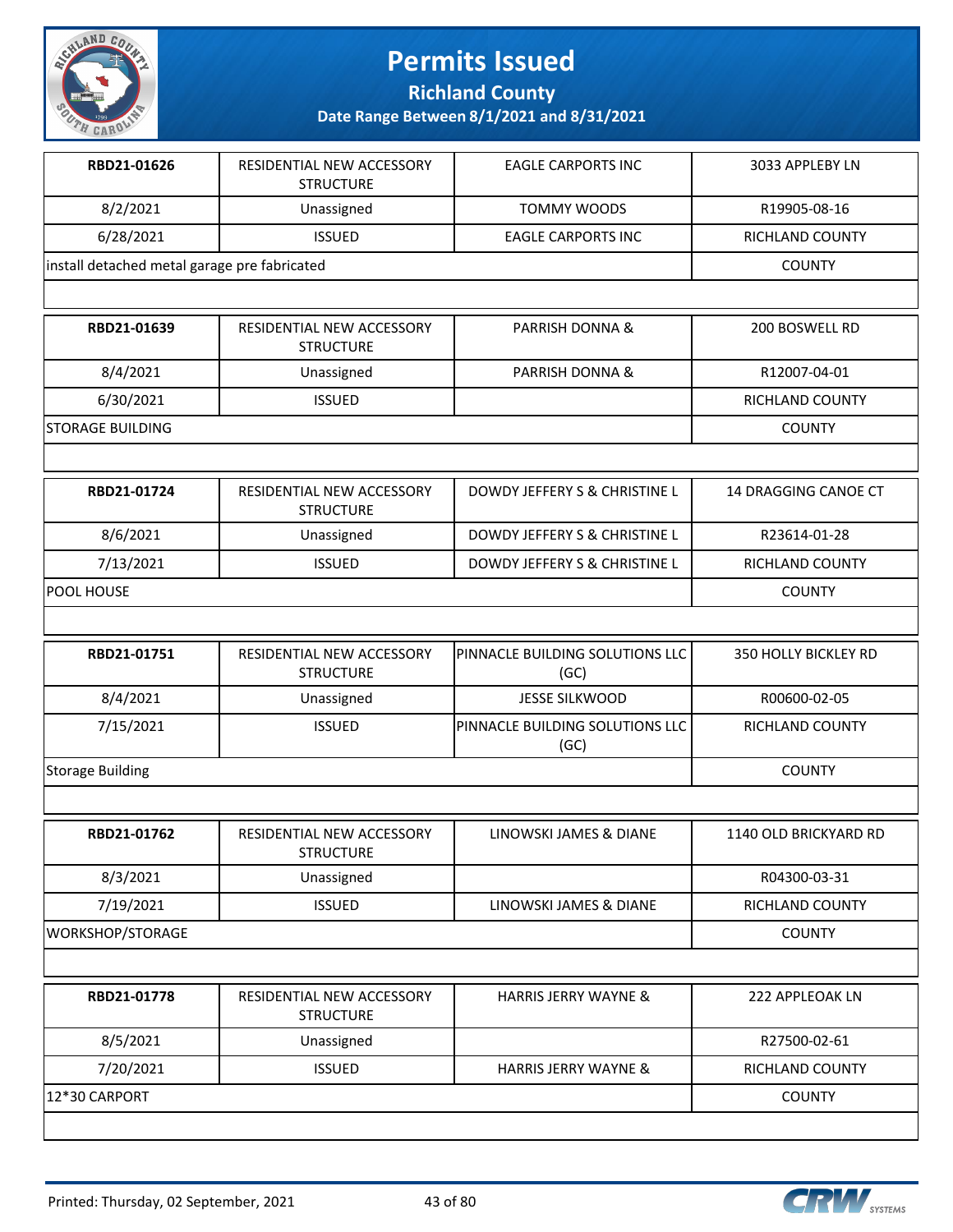

**Richland County**

| RBD21-01626                                  | RESIDENTIAL NEW ACCESSORY<br><b>STRUCTURE</b> | <b>EAGLE CARPORTS INC</b>               | 3033 APPLEBY LN       |
|----------------------------------------------|-----------------------------------------------|-----------------------------------------|-----------------------|
| 8/2/2021                                     | Unassigned                                    | <b>TOMMY WOODS</b>                      | R19905-08-16          |
| 6/28/2021                                    | <b>ISSUED</b>                                 | <b>EAGLE CARPORTS INC</b>               | RICHLAND COUNTY       |
| install detached metal garage pre fabricated |                                               |                                         | <b>COUNTY</b>         |
|                                              |                                               |                                         |                       |
| RBD21-01639                                  | RESIDENTIAL NEW ACCESSORY<br><b>STRUCTURE</b> | <b>PARRISH DONNA &amp;</b>              | 200 BOSWELL RD        |
| 8/4/2021                                     | Unassigned                                    | PARRISH DONNA &                         | R12007-04-01          |
| 6/30/2021                                    | <b>ISSUED</b>                                 |                                         | RICHLAND COUNTY       |
| <b>STORAGE BUILDING</b>                      |                                               |                                         | <b>COUNTY</b>         |
|                                              |                                               |                                         |                       |
| RBD21-01724                                  | RESIDENTIAL NEW ACCESSORY<br><b>STRUCTURE</b> | DOWDY JEFFERY S & CHRISTINE L           | 14 DRAGGING CANOE CT  |
| 8/6/2021                                     | Unassigned                                    | DOWDY JEFFERY S & CHRISTINE L           | R23614-01-28          |
| 7/13/2021                                    | <b>ISSUED</b>                                 | DOWDY JEFFERY S & CHRISTINE L           | RICHLAND COUNTY       |
| POOL HOUSE                                   |                                               |                                         | <b>COUNTY</b>         |
|                                              |                                               |                                         |                       |
| RBD21-01751                                  | RESIDENTIAL NEW ACCESSORY<br><b>STRUCTURE</b> | PINNACLE BUILDING SOLUTIONS LLC<br>(GC) | 350 HOLLY BICKLEY RD  |
| 8/4/2021                                     | Unassigned                                    | <b>JESSE SILKWOOD</b>                   | R00600-02-05          |
| 7/15/2021                                    | <b>ISSUED</b>                                 | PINNACLE BUILDING SOLUTIONS LLC<br>(GC) | RICHLAND COUNTY       |
| <b>Storage Building</b>                      |                                               |                                         | <b>COUNTY</b>         |
|                                              |                                               |                                         |                       |
| RBD21-01762                                  | RESIDENTIAL NEW ACCESSORY<br><b>STRUCTURE</b> | LINOWSKI JAMES & DIANE                  | 1140 OLD BRICKYARD RD |
| 8/3/2021                                     | Unassigned                                    |                                         | R04300-03-31          |
| 7/19/2021                                    | <b>ISSUED</b>                                 | LINOWSKI JAMES & DIANE                  | RICHLAND COUNTY       |
| WORKSHOP/STORAGE                             |                                               |                                         | <b>COUNTY</b>         |
|                                              |                                               |                                         |                       |
| RBD21-01778                                  | RESIDENTIAL NEW ACCESSORY<br><b>STRUCTURE</b> | <b>HARRIS JERRY WAYNE &amp;</b>         | 222 APPLEOAK LN       |
| 8/5/2021                                     | Unassigned                                    |                                         | R27500-02-61          |
| 7/20/2021                                    | <b>ISSUED</b>                                 | <b>HARRIS JERRY WAYNE &amp;</b>         | RICHLAND COUNTY       |
| 12*30 CARPORT                                |                                               |                                         | <b>COUNTY</b>         |
|                                              |                                               |                                         |                       |

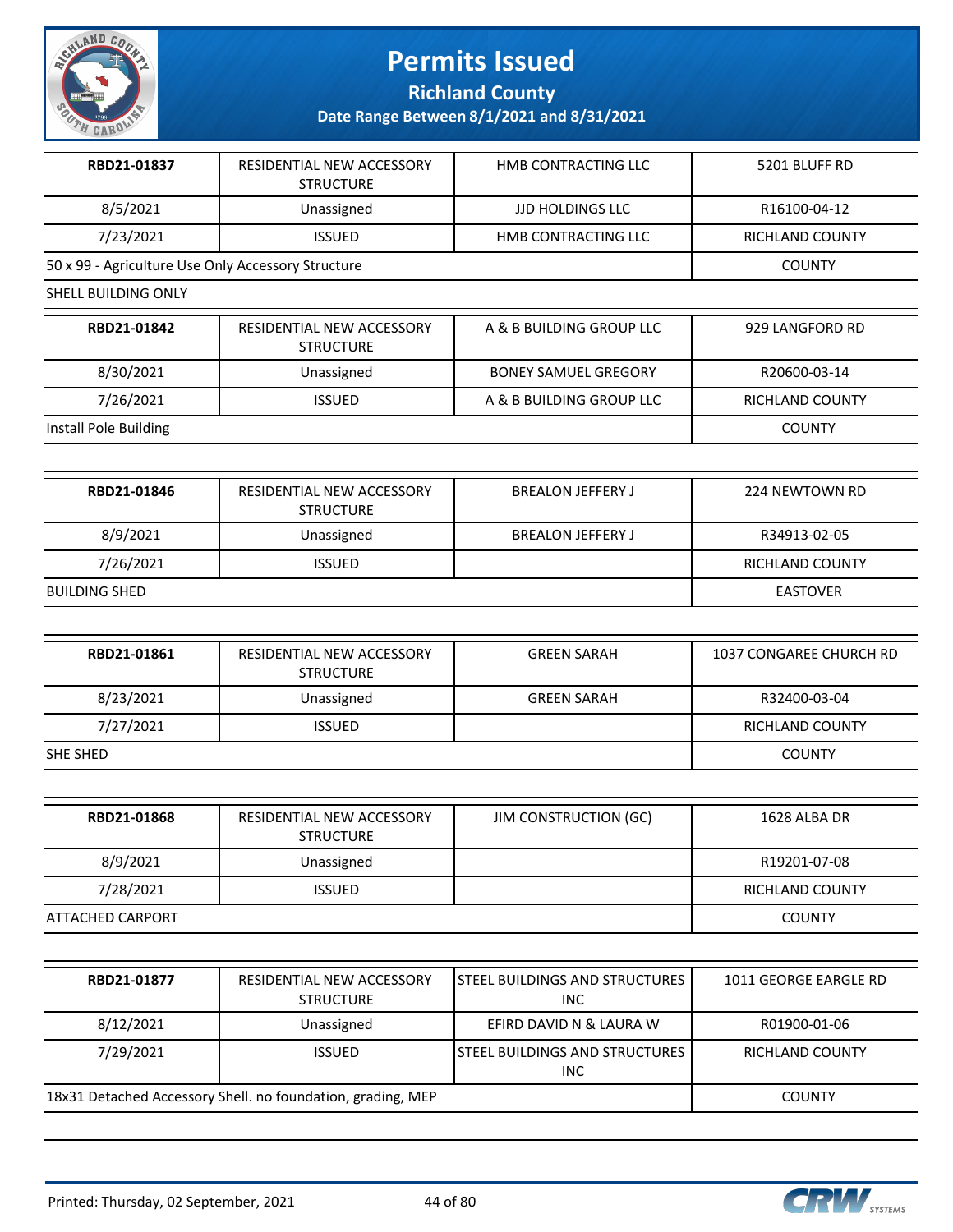

**Richland County**

| RBD21-01837                                        | RESIDENTIAL NEW ACCESSORY<br><b>STRUCTURE</b>               | HMB CONTRACTING LLC                          | 5201 BLUFF RD           |
|----------------------------------------------------|-------------------------------------------------------------|----------------------------------------------|-------------------------|
| 8/5/2021                                           | Unassigned                                                  | <b>JJD HOLDINGS LLC</b>                      | R16100-04-12            |
| 7/23/2021                                          | <b>ISSUED</b>                                               | HMB CONTRACTING LLC                          | RICHLAND COUNTY         |
| 50 x 99 - Agriculture Use Only Accessory Structure |                                                             |                                              | <b>COUNTY</b>           |
| <b>SHELL BUILDING ONLY</b>                         |                                                             |                                              |                         |
| RBD21-01842                                        | RESIDENTIAL NEW ACCESSORY<br><b>STRUCTURE</b>               | A & B BUILDING GROUP LLC                     | 929 LANGFORD RD         |
| 8/30/2021                                          | Unassigned                                                  | <b>BONEY SAMUEL GREGORY</b>                  | R20600-03-14            |
| 7/26/2021                                          | <b>ISSUED</b>                                               | A & B BUILDING GROUP LLC                     | RICHLAND COUNTY         |
| Install Pole Building                              |                                                             |                                              | <b>COUNTY</b>           |
|                                                    |                                                             |                                              |                         |
| RBD21-01846                                        | RESIDENTIAL NEW ACCESSORY<br><b>STRUCTURE</b>               | <b>BREALON JEFFERY J</b>                     | 224 NEWTOWN RD          |
| 8/9/2021                                           | Unassigned                                                  | <b>BREALON JEFFERY J</b>                     | R34913-02-05            |
| 7/26/2021                                          | <b>ISSUED</b>                                               |                                              | RICHLAND COUNTY         |
| <b>BUILDING SHED</b>                               |                                                             |                                              | <b>EASTOVER</b>         |
|                                                    |                                                             |                                              |                         |
| RBD21-01861                                        | RESIDENTIAL NEW ACCESSORY<br><b>STRUCTURE</b>               | <b>GREEN SARAH</b>                           | 1037 CONGAREE CHURCH RD |
| 8/23/2021                                          | Unassigned                                                  | <b>GREEN SARAH</b>                           | R32400-03-04            |
| 7/27/2021                                          | <b>ISSUED</b>                                               |                                              | RICHLAND COUNTY         |
| <b>SHE SHED</b>                                    |                                                             |                                              | <b>COUNTY</b>           |
|                                                    |                                                             |                                              |                         |
| RBD21-01868                                        | RESIDENTIAL NEW ACCESSORY<br><b>STRUCTURE</b>               | <b>JIM CONSTRUCTION (GC)</b>                 | 1628 ALBA DR            |
| 8/9/2021                                           | Unassigned                                                  |                                              | R19201-07-08            |
| 7/28/2021                                          | <b>ISSUED</b>                                               |                                              | RICHLAND COUNTY         |
| <b>ATTACHED CARPORT</b>                            |                                                             |                                              | <b>COUNTY</b>           |
|                                                    |                                                             |                                              |                         |
| RBD21-01877                                        | RESIDENTIAL NEW ACCESSORY<br><b>STRUCTURE</b>               | STEEL BUILDINGS AND STRUCTURES<br><b>INC</b> | 1011 GEORGE EARGLE RD   |
| 8/12/2021                                          | Unassigned                                                  | EFIRD DAVID N & LAURA W                      | R01900-01-06            |
| 7/29/2021                                          | <b>ISSUED</b>                                               | STEEL BUILDINGS AND STRUCTURES<br><b>INC</b> | RICHLAND COUNTY         |
|                                                    | 18x31 Detached Accessory Shell. no foundation, grading, MEP |                                              | <b>COUNTY</b>           |
|                                                    |                                                             |                                              |                         |

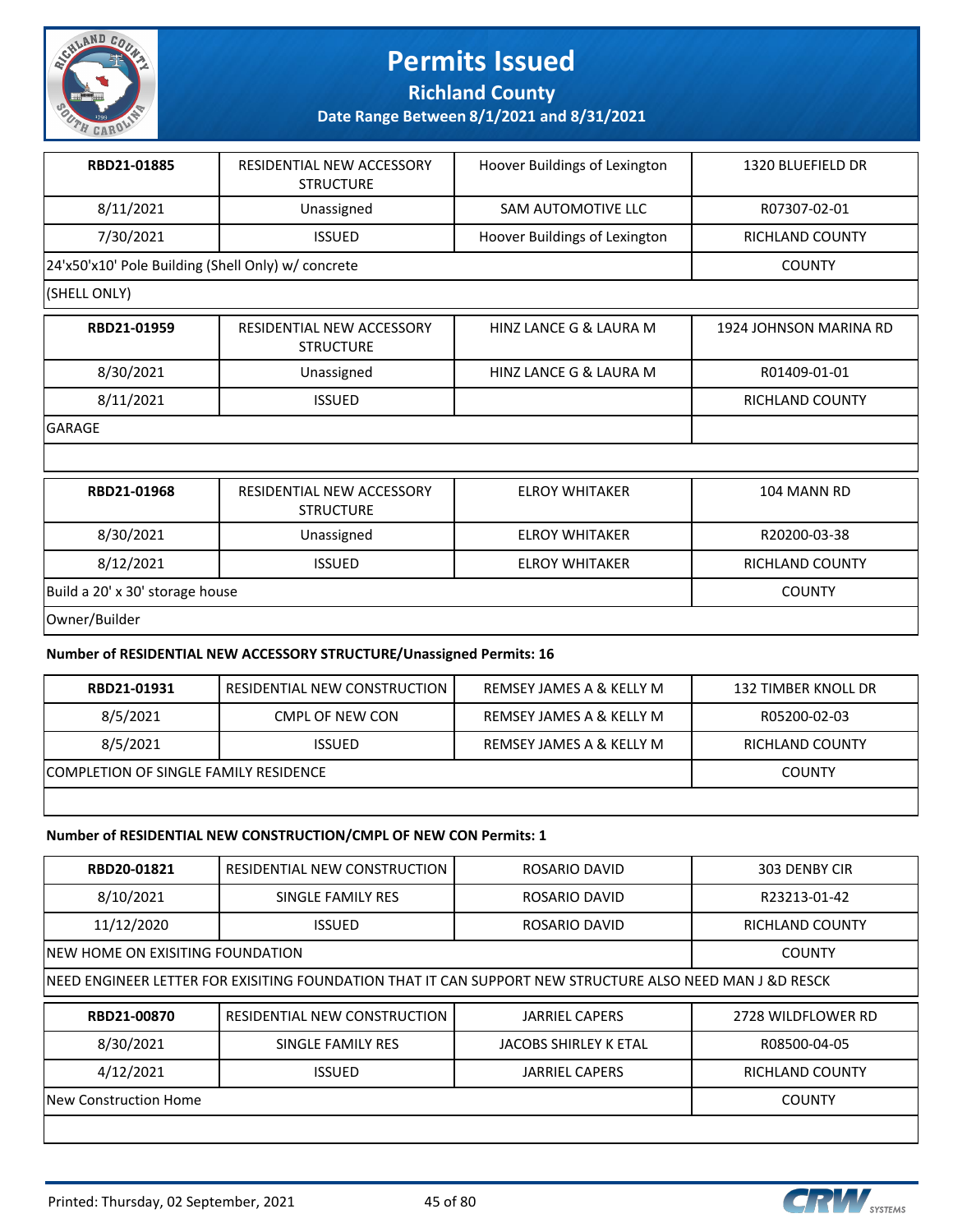

**Richland County**

**Date Range Between 8/1/2021 and 8/31/2021**

| RBD21-01885                                        | RESIDENTIAL NEW ACCESSORY<br><b>STRUCTURE</b> | Hoover Buildings of Lexington | 1320 BLUEFIELD DR |
|----------------------------------------------------|-----------------------------------------------|-------------------------------|-------------------|
| 8/11/2021                                          | Unassigned                                    | SAM AUTOMOTIVE LLC            | R07307-02-01      |
| 7/30/2021                                          | <b>ISSUED</b>                                 | Hoover Buildings of Lexington | RICHLAND COUNTY   |
| 24'x50'x10' Pole Building (Shell Only) w/ concrete |                                               |                               | <b>COUNTY</b>     |

#### (SHELL ONLY)

| RBD21-01959   | RESIDENTIAL NEW ACCESSORY<br><b>STRUCTURE</b> | HINZ LANCE G & LAURA M | 1924 JOHNSON MARINA RD |
|---------------|-----------------------------------------------|------------------------|------------------------|
| 8/30/2021     | Unassigned                                    | HINZ LANCE G & LAURA M | R01409-01-01           |
| 8/11/2021     | <b>ISSUED</b>                                 |                        | RICHLAND COUNTY        |
| <b>GARAGE</b> |                                               |                        |                        |
|               |                                               |                        |                        |
| RBD21-01968   | RESIDENTIAL NEW ACCESSORY<br><b>STRUCTURE</b> | <b>ELROY WHITAKER</b>  | 104 MANN RD            |

|                                 | -----------   |                       |                 |
|---------------------------------|---------------|-----------------------|-----------------|
| 8/30/2021                       | Unassigned    | <b>ELROY WHITAKER</b> | R20200-03-38    |
| 8/12/2021                       | <b>ISSUED</b> | <b>ELROY WHITAKER</b> | RICHLAND COUNTY |
| Build a 20' x 30' storage house |               |                       | <b>COUNTY</b>   |
| Owner/Builder                   |               |                       |                 |

#### **Number of RESIDENTIAL NEW ACCESSORY STRUCTURE/Unassigned Permits: 16**

| RBD21-01931                           | RESIDENTIAL NEW CONSTRUCTION | REMSEY JAMES A & KELLY M | 132 TIMBER KNOLL DR |
|---------------------------------------|------------------------------|--------------------------|---------------------|
| 8/5/2021                              | CMPL OF NEW CON              | REMSEY JAMES A & KELLY M | R05200-02-03        |
| 8/5/2021                              | <b>ISSUED</b>                | REMSEY JAMES A & KELLY M | RICHLAND COUNTY     |
| COMPLETION OF SINGLE FAMILY RESIDENCE |                              |                          | <b>COUNTY</b>       |

#### **Number of RESIDENTIAL NEW CONSTRUCTION/CMPL OF NEW CON Permits: 1**

| RBD20-01821                       | RESIDENTIAL NEW CONSTRUCTION                                                                              | ROSARIO DAVID                | 303 DENBY CIR          |
|-----------------------------------|-----------------------------------------------------------------------------------------------------------|------------------------------|------------------------|
| 8/10/2021                         | SINGLE FAMILY RES                                                                                         | ROSARIO DAVID                | R23213-01-42           |
| 11/12/2020                        | <b>ISSUED</b>                                                                                             | ROSARIO DAVID                | RICHLAND COUNTY        |
| INEW HOME ON EXISITING FOUNDATION | <b>COUNTY</b>                                                                                             |                              |                        |
|                                   | INEED ENGINEER LETTER FOR EXISITING FOUNDATION THAT IT CAN SUPPORT NEW STRUCTURE ALSO NEED MAN J &D RESCK |                              |                        |
|                                   |                                                                                                           |                              |                        |
| RBD21-00870                       | RESIDENTIAL NEW CONSTRUCTION                                                                              | <b>JARRIEL CAPERS</b>        | 2728 WILDFLOWER RD     |
| 8/30/2021                         | SINGLE FAMILY RES                                                                                         | <b>JACOBS SHIRLEY K ETAL</b> | R08500-04-05           |
| 4/12/2021                         | <b>ISSUED</b>                                                                                             | <b>JARRIEL CAPERS</b>        | <b>RICHLAND COUNTY</b> |
| New Construction Home             |                                                                                                           |                              | <b>COUNTY</b>          |

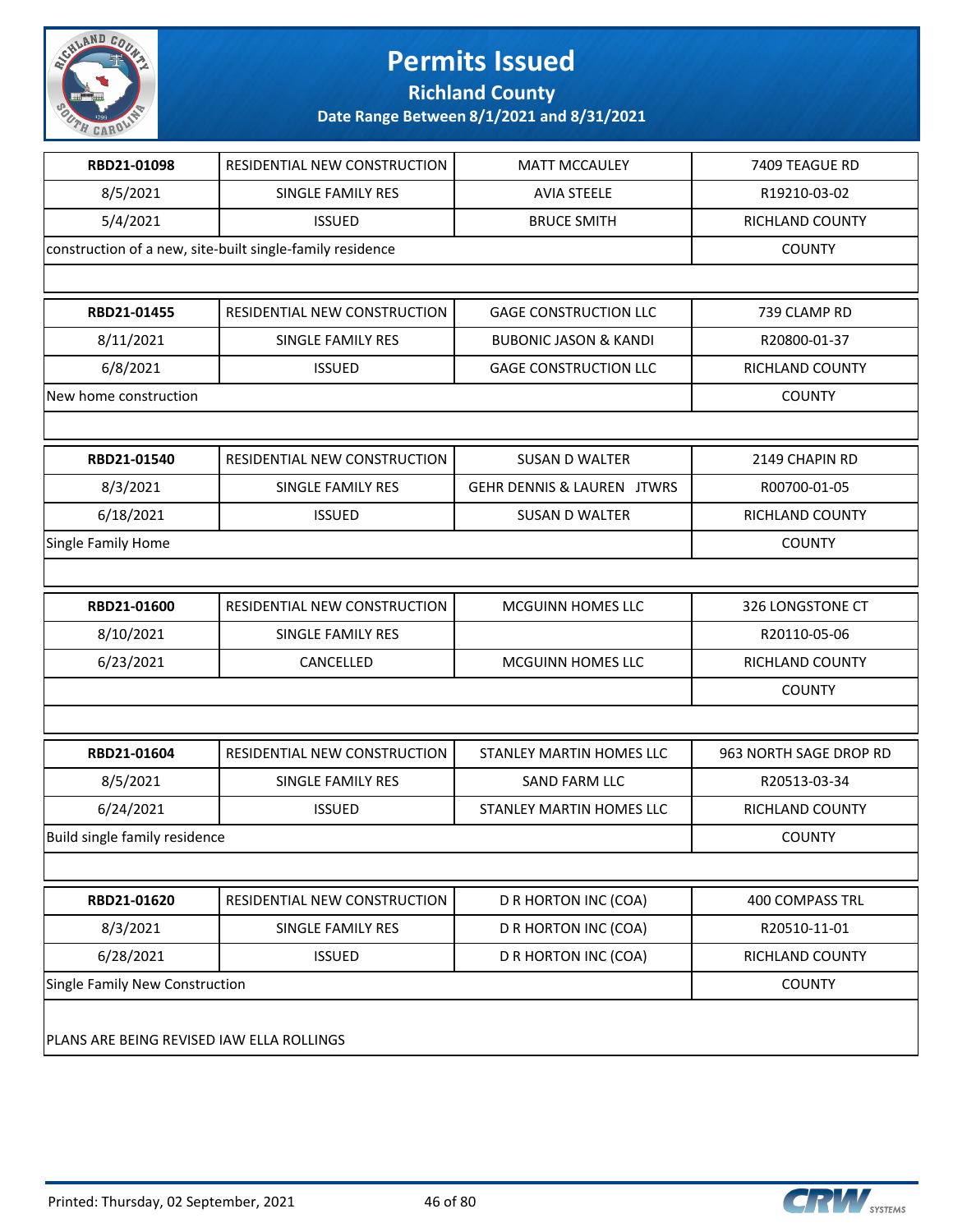

**Richland County**

| RBD21-01098                               | <b>RESIDENTIAL NEW CONSTRUCTION</b>                       | <b>MATT MCCAULEY</b>             | 7409 TEAGUE RD         |
|-------------------------------------------|-----------------------------------------------------------|----------------------------------|------------------------|
| 8/5/2021                                  | <b>SINGLE FAMILY RES</b>                                  | <b>AVIA STEELE</b>               | R19210-03-02           |
| 5/4/2021                                  | <b>ISSUED</b>                                             | <b>BRUCE SMITH</b>               | RICHLAND COUNTY        |
|                                           | construction of a new, site-built single-family residence |                                  | <b>COUNTY</b>          |
|                                           |                                                           |                                  |                        |
| RBD21-01455                               | RESIDENTIAL NEW CONSTRUCTION                              | <b>GAGE CONSTRUCTION LLC</b>     | 739 CLAMP RD           |
| 8/11/2021                                 | SINGLE FAMILY RES                                         | <b>BUBONIC JASON &amp; KANDI</b> | R20800-01-37           |
| 6/8/2021                                  | <b>ISSUED</b>                                             | <b>GAGE CONSTRUCTION LLC</b>     | RICHLAND COUNTY        |
| New home construction                     |                                                           |                                  | <b>COUNTY</b>          |
|                                           |                                                           |                                  |                        |
| RBD21-01540                               | RESIDENTIAL NEW CONSTRUCTION                              | <b>SUSAN D WALTER</b>            | 2149 CHAPIN RD         |
| 8/3/2021                                  | SINGLE FAMILY RES                                         | GEHR DENNIS & LAUREN JTWRS       | R00700-01-05           |
| 6/18/2021                                 | <b>ISSUED</b>                                             | <b>SUSAN D WALTER</b>            | <b>RICHLAND COUNTY</b> |
| <b>Single Family Home</b>                 |                                                           |                                  | <b>COUNTY</b>          |
|                                           |                                                           |                                  |                        |
| RBD21-01600                               | RESIDENTIAL NEW CONSTRUCTION                              | MCGUINN HOMES LLC                | 326 LONGSTONE CT       |
| 8/10/2021                                 | SINGLE FAMILY RES                                         |                                  | R20110-05-06           |
| 6/23/2021                                 | CANCELLED                                                 | MCGUINN HOMES LLC                | RICHLAND COUNTY        |
|                                           |                                                           |                                  | <b>COUNTY</b>          |
|                                           |                                                           |                                  |                        |
| RBD21-01604                               | RESIDENTIAL NEW CONSTRUCTION                              | STANLEY MARTIN HOMES LLC         | 963 NORTH SAGE DROP RD |
| 8/5/2021                                  | SINGLE FAMILY RES                                         | SAND FARM LLC                    | R20513-03-34           |
| 6/24/2021                                 | <b>ISSUED</b>                                             | STANLEY MARTIN HOMES LLC         | RICHLAND COUNTY        |
| Build single family residence             |                                                           |                                  | <b>COUNTY</b>          |
|                                           |                                                           |                                  |                        |
| RBD21-01620                               | RESIDENTIAL NEW CONSTRUCTION                              | D R HORTON INC (COA)             | 400 COMPASS TRL        |
| 8/3/2021                                  | SINGLE FAMILY RES                                         | <b>D R HORTON INC (COA)</b>      | R20510-11-01           |
| 6/28/2021                                 | <b>ISSUED</b>                                             | <b>D R HORTON INC (COA)</b>      | RICHLAND COUNTY        |
| Single Family New Construction            |                                                           |                                  | <b>COUNTY</b>          |
| PLANS ARE BEING REVISED IAW ELLA ROLLINGS |                                                           |                                  |                        |

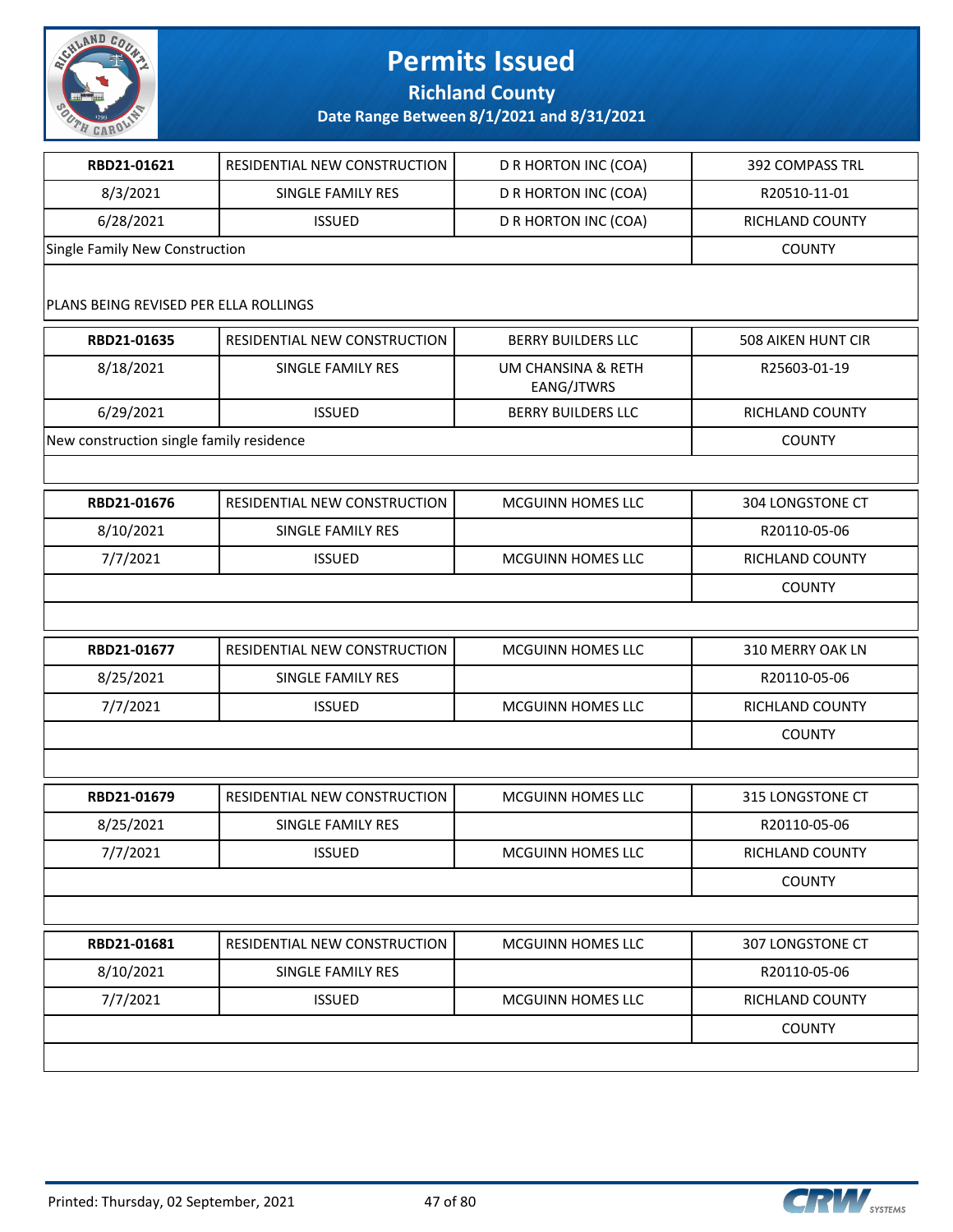

**Richland County**

| RBD21-01621                              | RESIDENTIAL NEW CONSTRUCTION        | D R HORTON INC (COA)             | 392 COMPASS TRL        |
|------------------------------------------|-------------------------------------|----------------------------------|------------------------|
| 8/3/2021                                 | SINGLE FAMILY RES                   | D R HORTON INC (COA)             | R20510-11-01           |
| 6/28/2021                                | <b>ISSUED</b>                       | D R HORTON INC (COA)             | RICHLAND COUNTY        |
| Single Family New Construction           |                                     |                                  | <b>COUNTY</b>          |
|                                          |                                     |                                  |                        |
| PLANS BEING REVISED PER ELLA ROLLINGS    |                                     |                                  |                        |
| RBD21-01635                              | RESIDENTIAL NEW CONSTRUCTION        | <b>BERRY BUILDERS LLC</b>        | 508 AIKEN HUNT CIR     |
| 8/18/2021                                | SINGLE FAMILY RES                   | UM CHANSINA & RETH<br>EANG/JTWRS | R25603-01-19           |
| 6/29/2021                                | <b>ISSUED</b>                       | <b>BERRY BUILDERS LLC</b>        | RICHLAND COUNTY        |
| New construction single family residence |                                     |                                  | <b>COUNTY</b>          |
|                                          |                                     |                                  |                        |
| RBD21-01676                              | <b>RESIDENTIAL NEW CONSTRUCTION</b> | <b>MCGUINN HOMES LLC</b>         | 304 LONGSTONE CT       |
| 8/10/2021                                | SINGLE FAMILY RES                   |                                  | R20110-05-06           |
| 7/7/2021                                 | <b>ISSUED</b>                       | MCGUINN HOMES LLC                | RICHLAND COUNTY        |
|                                          |                                     |                                  | <b>COUNTY</b>          |
|                                          |                                     |                                  |                        |
| RBD21-01677                              | RESIDENTIAL NEW CONSTRUCTION        | MCGUINN HOMES LLC                | 310 MERRY OAK LN       |
| 8/25/2021                                | SINGLE FAMILY RES                   |                                  | R20110-05-06           |
| 7/7/2021                                 | <b>ISSUED</b>                       | MCGUINN HOMES LLC                | <b>RICHLAND COUNTY</b> |
|                                          |                                     |                                  | <b>COUNTY</b>          |
|                                          |                                     |                                  |                        |
| RBD21-01679                              | RESIDENTIAL NEW CONSTRUCTION        | MCGUINN HOMES LLC                | 315 LONGSTONE CT       |
| 8/25/2021                                | SINGLE FAMILY RES                   |                                  | R20110-05-06           |
| 7/7/2021                                 | <b>ISSUED</b>                       | <b>MCGUINN HOMES LLC</b>         | RICHLAND COUNTY        |
|                                          |                                     |                                  | <b>COUNTY</b>          |
|                                          |                                     |                                  |                        |
|                                          |                                     |                                  |                        |
| RBD21-01681                              | RESIDENTIAL NEW CONSTRUCTION        | <b>MCGUINN HOMES LLC</b>         | 307 LONGSTONE CT       |
| 8/10/2021                                | SINGLE FAMILY RES                   |                                  | R20110-05-06           |
| 7/7/2021                                 | <b>ISSUED</b>                       | MCGUINN HOMES LLC                | RICHLAND COUNTY        |

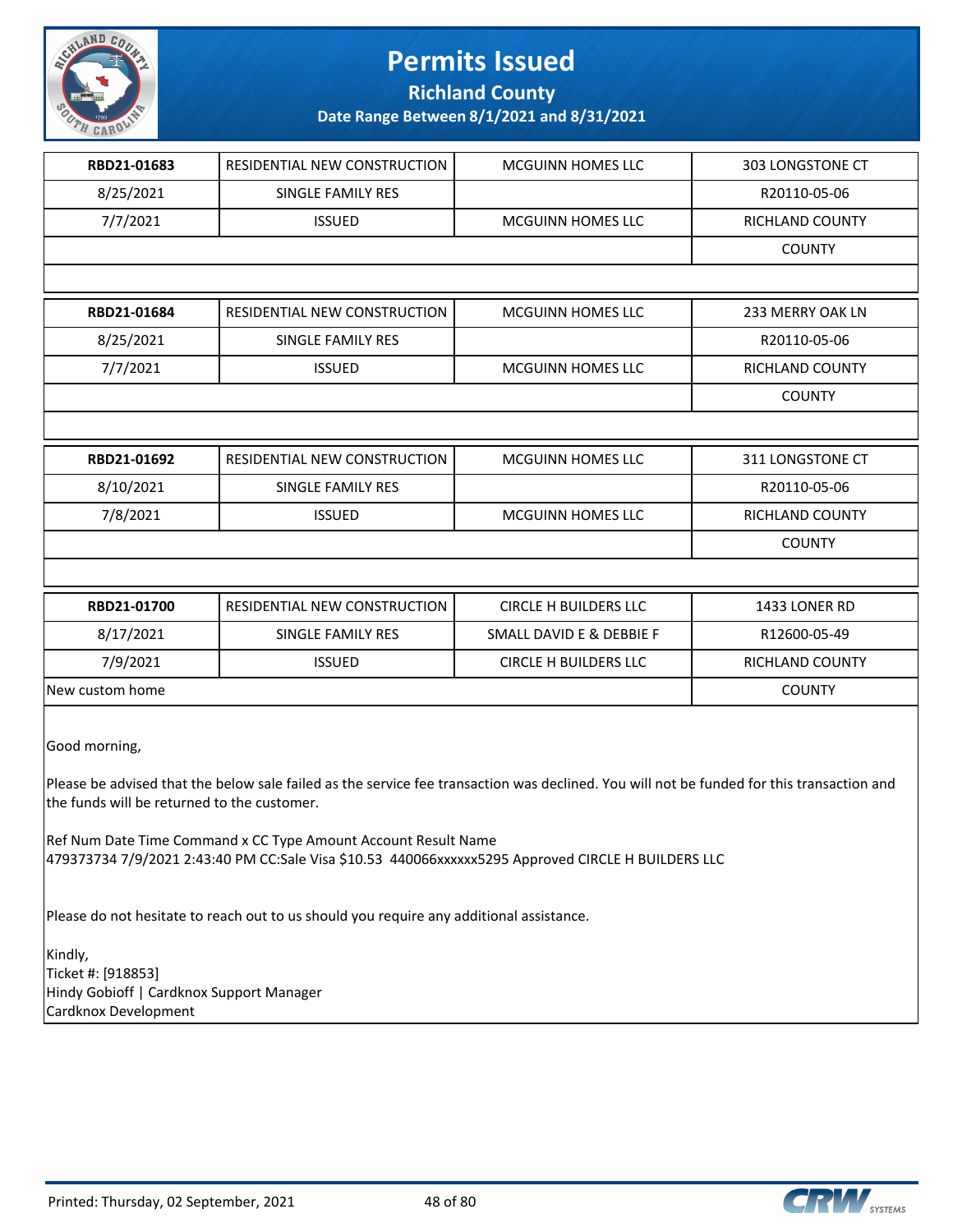

**Richland County**

| RBD21-01683                                                                                       | RESIDENTIAL NEW CONSTRUCTION                                                                                                                                         | <b>MCGUINN HOMES LLC</b>     | 303 LONGSTONE CT |
|---------------------------------------------------------------------------------------------------|----------------------------------------------------------------------------------------------------------------------------------------------------------------------|------------------------------|------------------|
| 8/25/2021                                                                                         | SINGLE FAMILY RES                                                                                                                                                    |                              | R20110-05-06     |
| 7/7/2021                                                                                          | <b>ISSUED</b>                                                                                                                                                        | <b>MCGUINN HOMES LLC</b>     | RICHLAND COUNTY  |
|                                                                                                   |                                                                                                                                                                      |                              | <b>COUNTY</b>    |
|                                                                                                   |                                                                                                                                                                      |                              |                  |
| RBD21-01684                                                                                       | RESIDENTIAL NEW CONSTRUCTION                                                                                                                                         | <b>MCGUINN HOMES LLC</b>     | 233 MERRY OAK LN |
| 8/25/2021                                                                                         | SINGLE FAMILY RES                                                                                                                                                    |                              | R20110-05-06     |
| 7/7/2021                                                                                          | <b>ISSUED</b>                                                                                                                                                        | MCGUINN HOMES LLC            | RICHLAND COUNTY  |
|                                                                                                   |                                                                                                                                                                      |                              | <b>COUNTY</b>    |
|                                                                                                   |                                                                                                                                                                      |                              |                  |
| RBD21-01692                                                                                       | RESIDENTIAL NEW CONSTRUCTION                                                                                                                                         | MCGUINN HOMES LLC            | 311 LONGSTONE CT |
| 8/10/2021                                                                                         | SINGLE FAMILY RES                                                                                                                                                    |                              | R20110-05-06     |
| 7/8/2021                                                                                          | <b>ISSUED</b>                                                                                                                                                        | MCGUINN HOMES LLC            | RICHLAND COUNTY  |
|                                                                                                   |                                                                                                                                                                      |                              | <b>COUNTY</b>    |
|                                                                                                   |                                                                                                                                                                      |                              |                  |
| RBD21-01700                                                                                       | RESIDENTIAL NEW CONSTRUCTION                                                                                                                                         | <b>CIRCLE H BUILDERS LLC</b> | 1433 LONER RD    |
| 8/17/2021                                                                                         | SINGLE FAMILY RES                                                                                                                                                    | SMALL DAVID E & DEBBIE F     | R12600-05-49     |
| 7/9/2021                                                                                          | <b>ISSUED</b>                                                                                                                                                        | <b>CIRCLE H BUILDERS LLC</b> | RICHLAND COUNTY  |
| New custom home                                                                                   |                                                                                                                                                                      |                              | <b>COUNTY</b>    |
| Good morning,<br>the funds will be returned to the customer.                                      | Please be advised that the below sale failed as the service fee transaction was declined. You will not be funded for this transaction and                            |                              |                  |
|                                                                                                   | Ref Num Date Time Command x CC Type Amount Account Result Name<br>479373734 7/9/2021 2:43:40 PM CC:Sale Visa \$10.53 440066xxxxxx5295 Approved CIRCLE H BUILDERS LLC |                              |                  |
|                                                                                                   | Please do not hesitate to reach out to us should you require any additional assistance.                                                                              |                              |                  |
| Kindly,<br>Ticket #: [918853]<br>Hindy Gobioff   Cardknox Support Manager<br>Cardknox Development |                                                                                                                                                                      |                              |                  |

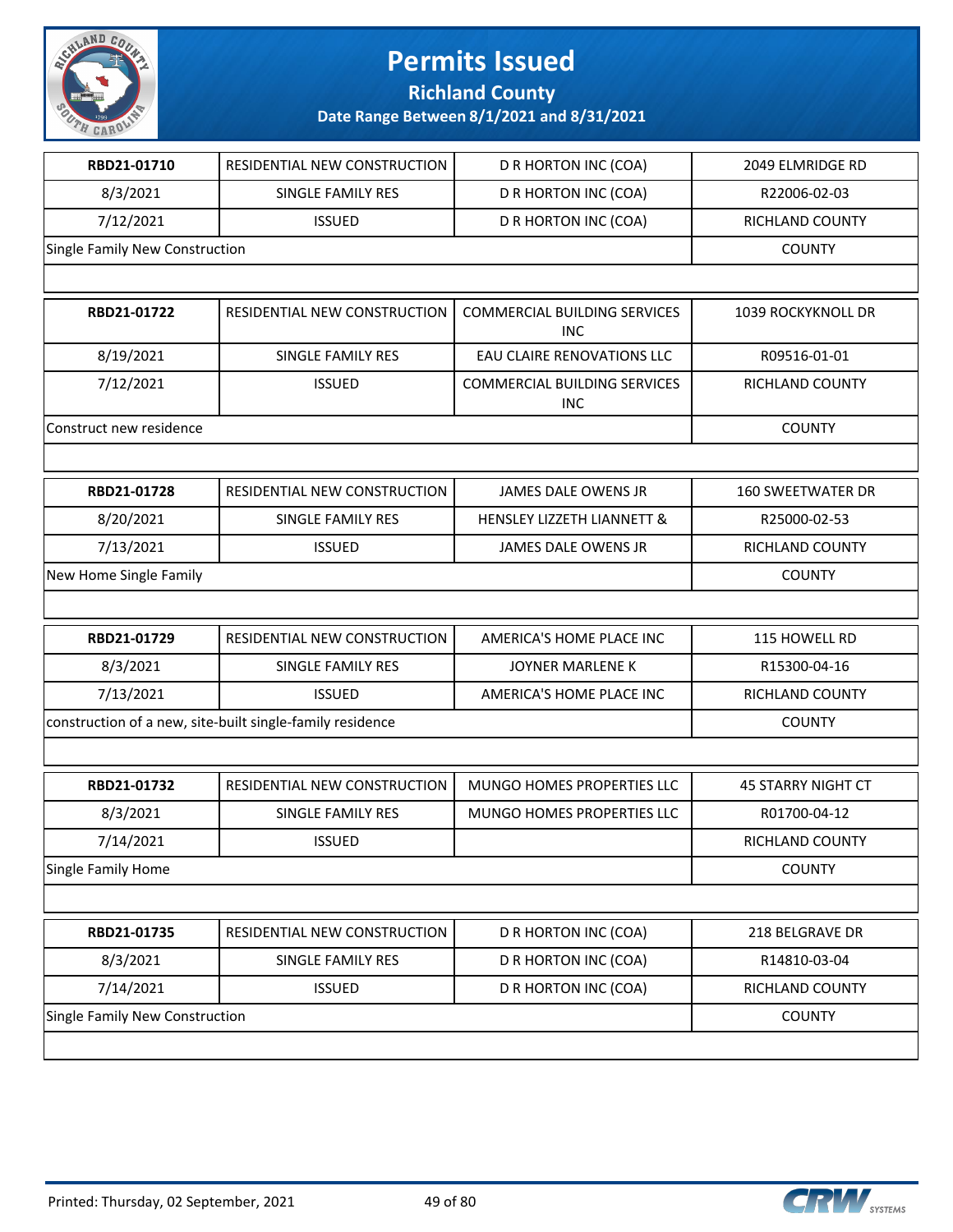

**Richland County**

| RBD21-01710                    |                                                           |                                                   |                           |
|--------------------------------|-----------------------------------------------------------|---------------------------------------------------|---------------------------|
|                                | RESIDENTIAL NEW CONSTRUCTION                              | D R HORTON INC (COA)                              | 2049 ELMRIDGE RD          |
| 8/3/2021                       | <b>SINGLE FAMILY RES</b>                                  | D R HORTON INC (COA)                              | R22006-02-03              |
| 7/12/2021                      | <b>ISSUED</b>                                             | D R HORTON INC (COA)                              | RICHLAND COUNTY           |
| Single Family New Construction |                                                           |                                                   | <b>COUNTY</b>             |
|                                |                                                           |                                                   |                           |
| RBD21-01722                    | RESIDENTIAL NEW CONSTRUCTION                              | <b>COMMERCIAL BUILDING SERVICES</b><br><b>INC</b> | 1039 ROCKYKNOLL DR        |
| 8/19/2021                      | SINGLE FAMILY RES                                         | EAU CLAIRE RENOVATIONS LLC                        | R09516-01-01              |
| 7/12/2021                      | <b>ISSUED</b>                                             | <b>COMMERCIAL BUILDING SERVICES</b><br>INC        | RICHLAND COUNTY           |
| Construct new residence        |                                                           |                                                   | <b>COUNTY</b>             |
|                                |                                                           |                                                   |                           |
| RBD21-01728                    | RESIDENTIAL NEW CONSTRUCTION                              | JAMES DALE OWENS JR                               | <b>160 SWEETWATER DR</b>  |
| 8/20/2021                      | <b>SINGLE FAMILY RES</b>                                  | <b>HENSLEY LIZZETH LIANNETT &amp;</b>             | R25000-02-53              |
| 7/13/2021                      | <b>ISSUED</b>                                             | <b>JAMES DALE OWENS JR</b>                        | <b>RICHLAND COUNTY</b>    |
| New Home Single Family         |                                                           |                                                   | <b>COUNTY</b>             |
|                                |                                                           |                                                   |                           |
| RBD21-01729                    | RESIDENTIAL NEW CONSTRUCTION                              | AMERICA'S HOME PLACE INC                          | 115 HOWELL RD             |
|                                |                                                           |                                                   |                           |
| 8/3/2021                       | SINGLE FAMILY RES                                         | JOYNER MARLENE K                                  | R15300-04-16              |
| 7/13/2021                      | <b>ISSUED</b>                                             | AMERICA'S HOME PLACE INC                          | RICHLAND COUNTY           |
|                                | construction of a new, site-built single-family residence |                                                   | <b>COUNTY</b>             |
|                                |                                                           |                                                   |                           |
| RBD21-01732                    | RESIDENTIAL NEW CONSTRUCTION                              | MUNGO HOMES PROPERTIES LLC                        | <b>45 STARRY NIGHT CT</b> |
| 8/3/2021                       | SINGLE FAMILY RES                                         | MUNGO HOMES PROPERTIES LLC                        | R01700-04-12              |
| 7/14/2021                      | <b>ISSUED</b>                                             |                                                   | RICHLAND COUNTY           |
| Single Family Home             |                                                           |                                                   | <b>COUNTY</b>             |
|                                |                                                           |                                                   |                           |
| RBD21-01735                    | RESIDENTIAL NEW CONSTRUCTION                              | D R HORTON INC (COA)                              | 218 BELGRAVE DR           |
| 8/3/2021                       | SINGLE FAMILY RES                                         | D R HORTON INC (COA)                              | R14810-03-04              |
| 7/14/2021                      | <b>ISSUED</b>                                             | D R HORTON INC (COA)                              | RICHLAND COUNTY           |

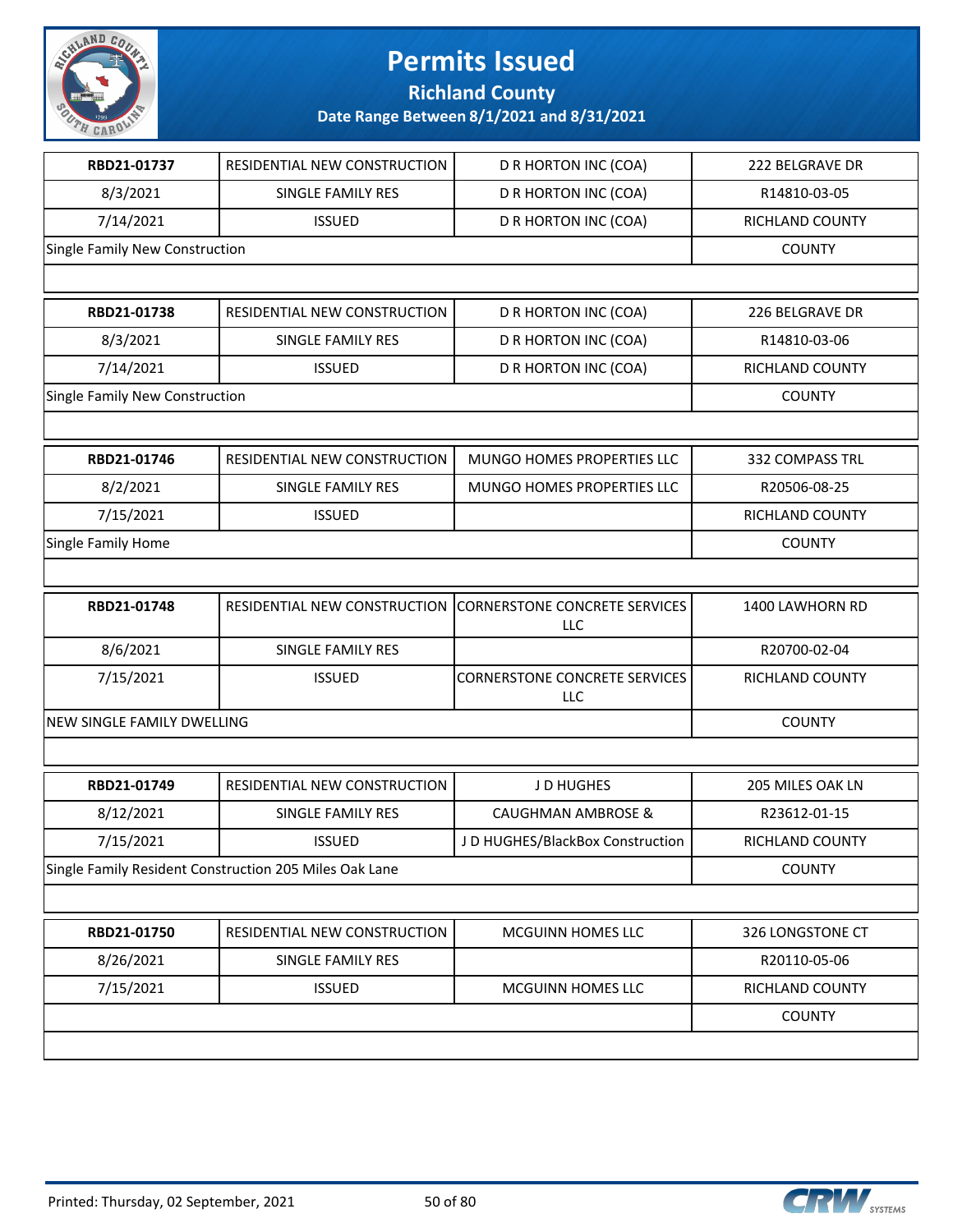

**Richland County**

| RBD21-01737                    | RESIDENTIAL NEW CONSTRUCTION                           | D R HORTON INC (COA)                               | 222 BELGRAVE DR  |
|--------------------------------|--------------------------------------------------------|----------------------------------------------------|------------------|
| 8/3/2021                       | SINGLE FAMILY RES                                      | D R HORTON INC (COA)                               | R14810-03-05     |
| 7/14/2021                      | <b>ISSUED</b>                                          | D R HORTON INC (COA)                               | RICHLAND COUNTY  |
| Single Family New Construction |                                                        |                                                    | <b>COUNTY</b>    |
|                                |                                                        |                                                    |                  |
| RBD21-01738                    | RESIDENTIAL NEW CONSTRUCTION                           | D R HORTON INC (COA)                               | 226 BELGRAVE DR  |
| 8/3/2021                       | SINGLE FAMILY RES                                      | D R HORTON INC (COA)                               | R14810-03-06     |
| 7/14/2021                      | <b>ISSUED</b>                                          | D R HORTON INC (COA)                               | RICHLAND COUNTY  |
| Single Family New Construction |                                                        |                                                    | <b>COUNTY</b>    |
|                                |                                                        |                                                    |                  |
| RBD21-01746                    | RESIDENTIAL NEW CONSTRUCTION                           | MUNGO HOMES PROPERTIES LLC                         | 332 COMPASS TRL  |
| 8/2/2021                       | SINGLE FAMILY RES                                      | MUNGO HOMES PROPERTIES LLC                         | R20506-08-25     |
| 7/15/2021                      | <b>ISSUED</b>                                          |                                                    | RICHLAND COUNTY  |
| Single Family Home             |                                                        |                                                    | <b>COUNTY</b>    |
|                                |                                                        |                                                    |                  |
| RBD21-01748                    | RESIDENTIAL NEW CONSTRUCTION                           | <b>CORNERSTONE CONCRETE SERVICES</b><br><b>LLC</b> | 1400 LAWHORN RD  |
| 8/6/2021                       | SINGLE FAMILY RES                                      |                                                    | R20700-02-04     |
| 7/15/2021                      | <b>ISSUED</b>                                          | <b>CORNERSTONE CONCRETE SERVICES</b><br>LLC        | RICHLAND COUNTY  |
| NEW SINGLE FAMILY DWELLING     |                                                        |                                                    | <b>COUNTY</b>    |
|                                |                                                        |                                                    |                  |
| RBD21-01749                    | RESIDENTIAL NEW CONSTRUCTION                           | JD HUGHES                                          | 205 MILES OAK LN |
| 8/12/2021                      | <b>SINGLE FAMILY RES</b>                               | <b>CAUGHMAN AMBROSE &amp;</b>                      | R23612-01-15     |
| 7/15/2021                      | <b>ISSUED</b>                                          | JD HUGHES/BlackBox Construction                    | RICHLAND COUNTY  |
|                                | Single Family Resident Construction 205 Miles Oak Lane |                                                    | <b>COUNTY</b>    |
|                                |                                                        |                                                    |                  |
| RBD21-01750                    | RESIDENTIAL NEW CONSTRUCTION                           | MCGUINN HOMES LLC                                  | 326 LONGSTONE CT |
| 8/26/2021                      | SINGLE FAMILY RES                                      |                                                    | R20110-05-06     |
| 7/15/2021                      | <b>ISSUED</b>                                          | MCGUINN HOMES LLC                                  | RICHLAND COUNTY  |
|                                |                                                        |                                                    | <b>COUNTY</b>    |
|                                |                                                        |                                                    |                  |

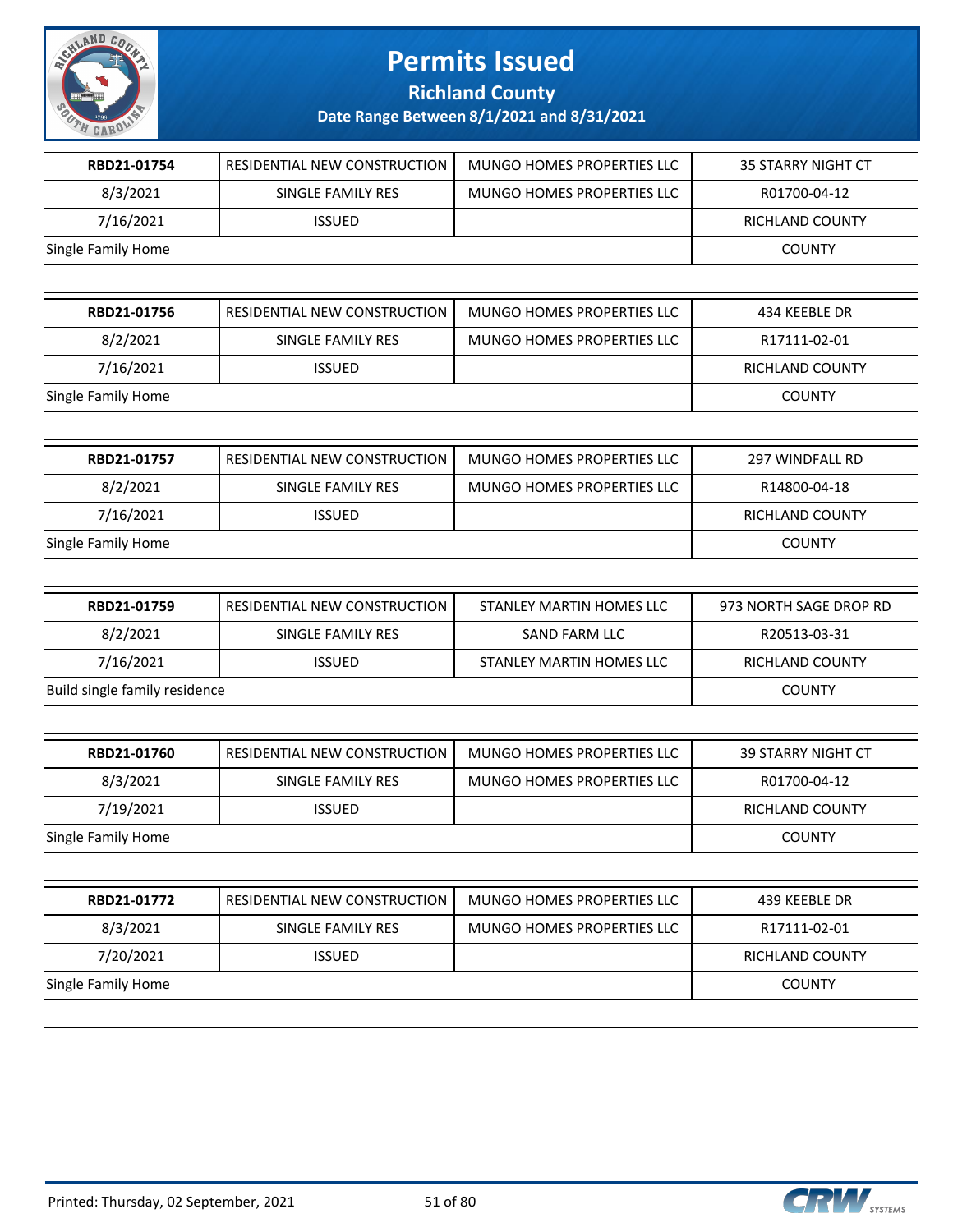

**Richland County**

| RBD21-01754                   | RESIDENTIAL NEW CONSTRUCTION | MUNGO HOMES PROPERTIES LLC        | <b>35 STARRY NIGHT CT</b> |
|-------------------------------|------------------------------|-----------------------------------|---------------------------|
| 8/3/2021                      | SINGLE FAMILY RES            | MUNGO HOMES PROPERTIES LLC        | R01700-04-12              |
| 7/16/2021                     | <b>ISSUED</b>                |                                   | RICHLAND COUNTY           |
| Single Family Home            |                              |                                   | <b>COUNTY</b>             |
|                               |                              |                                   |                           |
| RBD21-01756                   | RESIDENTIAL NEW CONSTRUCTION | MUNGO HOMES PROPERTIES LLC        | 434 KEEBLE DR             |
| 8/2/2021                      | SINGLE FAMILY RES            | <b>MUNGO HOMES PROPERTIES LLC</b> | R17111-02-01              |
| 7/16/2021                     | <b>ISSUED</b>                |                                   | RICHLAND COUNTY           |
| Single Family Home            |                              |                                   | <b>COUNTY</b>             |
|                               |                              |                                   |                           |
| RBD21-01757                   | RESIDENTIAL NEW CONSTRUCTION | MUNGO HOMES PROPERTIES LLC        | 297 WINDFALL RD           |
| 8/2/2021                      | SINGLE FAMILY RES            | MUNGO HOMES PROPERTIES LLC        | R14800-04-18              |
| 7/16/2021                     | <b>ISSUED</b>                |                                   | RICHLAND COUNTY           |
| Single Family Home            |                              |                                   | <b>COUNTY</b>             |
|                               |                              |                                   |                           |
| RBD21-01759                   | RESIDENTIAL NEW CONSTRUCTION | STANLEY MARTIN HOMES LLC          | 973 NORTH SAGE DROP RD    |
| 8/2/2021                      | SINGLE FAMILY RES            | SAND FARM LLC                     | R20513-03-31              |
| 7/16/2021                     | <b>ISSUED</b>                | STANLEY MARTIN HOMES LLC          | RICHLAND COUNTY           |
| Build single family residence |                              |                                   |                           |
|                               |                              |                                   | <b>COUNTY</b>             |
|                               |                              |                                   |                           |
| RBD21-01760                   | RESIDENTIAL NEW CONSTRUCTION | MUNGO HOMES PROPERTIES LLC        | <b>39 STARRY NIGHT CT</b> |
| 8/3/2021                      | SINGLE FAMILY RES            | MUNGO HOMES PROPERTIES LLC        | R01700-04-12              |
| 7/19/2021                     | <b>ISSUED</b>                |                                   | RICHLAND COUNTY           |
| Single Family Home            |                              |                                   | <b>COUNTY</b>             |
|                               |                              |                                   |                           |
| RBD21-01772                   | RESIDENTIAL NEW CONSTRUCTION | MUNGO HOMES PROPERTIES LLC        | 439 KEEBLE DR             |
| 8/3/2021                      | SINGLE FAMILY RES            | MUNGO HOMES PROPERTIES LLC        | R17111-02-01              |
| 7/20/2021                     | <b>ISSUED</b>                |                                   | RICHLAND COUNTY           |
| Single Family Home            |                              |                                   | <b>COUNTY</b>             |

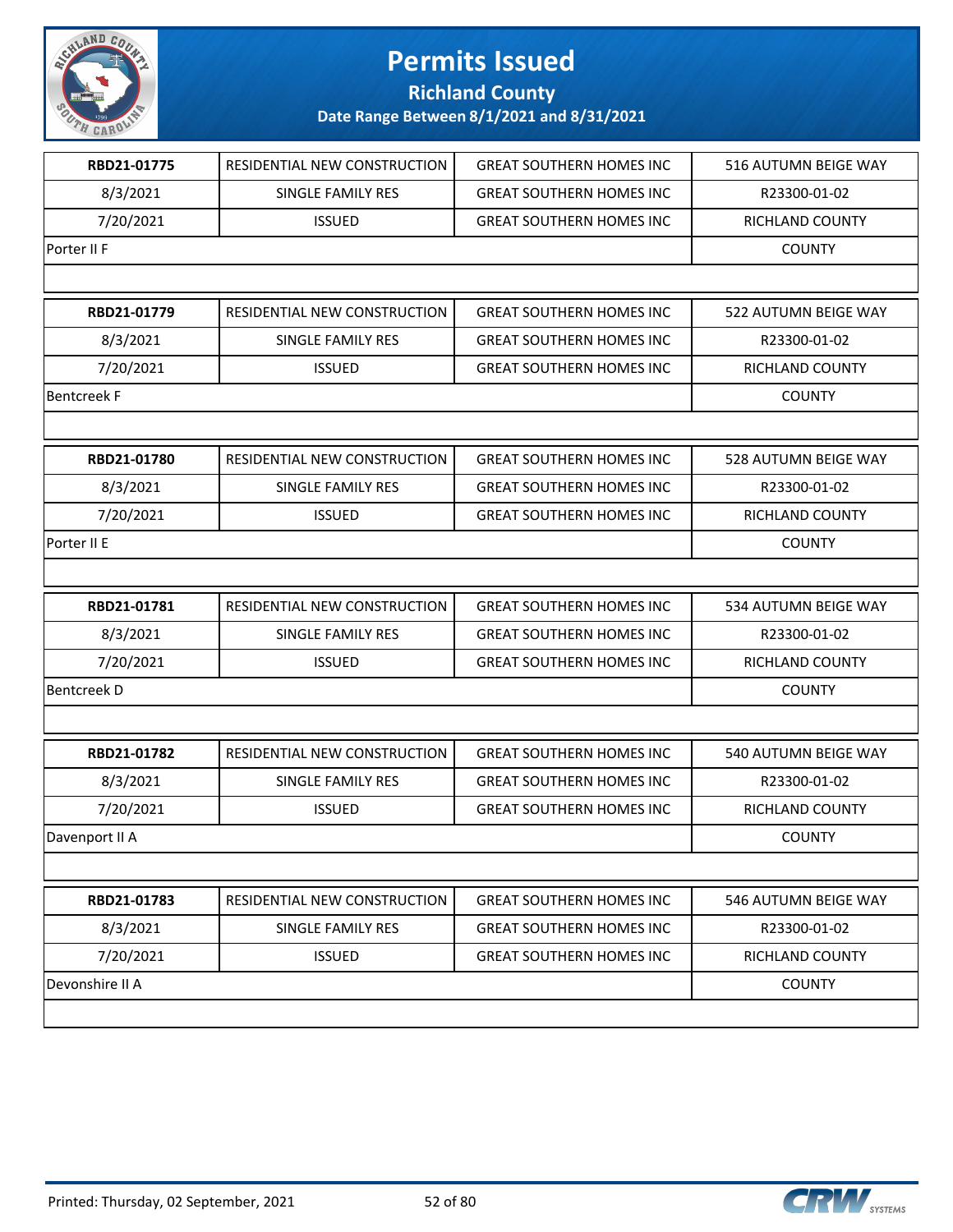

**Richland County**

| RBD21-01775        | RESIDENTIAL NEW CONSTRUCTION | <b>GREAT SOUTHERN HOMES INC</b> | 516 AUTUMN BEIGE WAY   |
|--------------------|------------------------------|---------------------------------|------------------------|
| 8/3/2021           | SINGLE FAMILY RES            | <b>GREAT SOUTHERN HOMES INC</b> | R23300-01-02           |
| 7/20/2021          | <b>ISSUED</b>                | <b>GREAT SOUTHERN HOMES INC</b> | RICHLAND COUNTY        |
| Porter II F        |                              |                                 | <b>COUNTY</b>          |
|                    |                              |                                 |                        |
| RBD21-01779        | RESIDENTIAL NEW CONSTRUCTION | <b>GREAT SOUTHERN HOMES INC</b> | 522 AUTUMN BEIGE WAY   |
| 8/3/2021           | SINGLE FAMILY RES            | <b>GREAT SOUTHERN HOMES INC</b> | R23300-01-02           |
| 7/20/2021          | <b>ISSUED</b>                | <b>GREAT SOUTHERN HOMES INC</b> | RICHLAND COUNTY        |
| <b>Bentcreek F</b> |                              |                                 | <b>COUNTY</b>          |
|                    |                              |                                 |                        |
| RBD21-01780        | RESIDENTIAL NEW CONSTRUCTION | <b>GREAT SOUTHERN HOMES INC</b> | 528 AUTUMN BEIGE WAY   |
| 8/3/2021           | SINGLE FAMILY RES            | <b>GREAT SOUTHERN HOMES INC</b> | R23300-01-02           |
| 7/20/2021          | <b>ISSUED</b>                | <b>GREAT SOUTHERN HOMES INC</b> | RICHLAND COUNTY        |
| Porter II E        |                              |                                 | <b>COUNTY</b>          |
|                    |                              |                                 |                        |
| RBD21-01781        | RESIDENTIAL NEW CONSTRUCTION | <b>GREAT SOUTHERN HOMES INC</b> | 534 AUTUMN BEIGE WAY   |
| 8/3/2021           | SINGLE FAMILY RES            | <b>GREAT SOUTHERN HOMES INC</b> | R23300-01-02           |
| 7/20/2021          | <b>ISSUED</b>                | <b>GREAT SOUTHERN HOMES INC</b> | <b>RICHLAND COUNTY</b> |
| <b>Bentcreek D</b> |                              |                                 | <b>COUNTY</b>          |
|                    |                              |                                 |                        |
| RBD21-01782        | RESIDENTIAL NEW CONSTRUCTION | <b>GREAT SOUTHERN HOMES INC</b> | 540 AUTUMN BEIGE WAY   |
| 8/3/2021           | SINGLE FAMILY RES            | <b>GREAT SOUTHERN HOMES INC</b> | R23300-01-02           |
| 7/20/2021          | <b>ISSUED</b>                | <b>GREAT SOUTHERN HOMES INC</b> | RICHLAND COUNTY        |
| Davenport II A     |                              |                                 | <b>COUNTY</b>          |
|                    |                              |                                 |                        |
| RBD21-01783        | RESIDENTIAL NEW CONSTRUCTION | <b>GREAT SOUTHERN HOMES INC</b> | 546 AUTUMN BEIGE WAY   |
| 8/3/2021           | SINGLE FAMILY RES            | <b>GREAT SOUTHERN HOMES INC</b> | R23300-01-02           |
| 7/20/2021          | <b>ISSUED</b>                | <b>GREAT SOUTHERN HOMES INC</b> | RICHLAND COUNTY        |
| Devonshire II A    |                              |                                 | <b>COUNTY</b>          |
|                    |                              |                                 |                        |

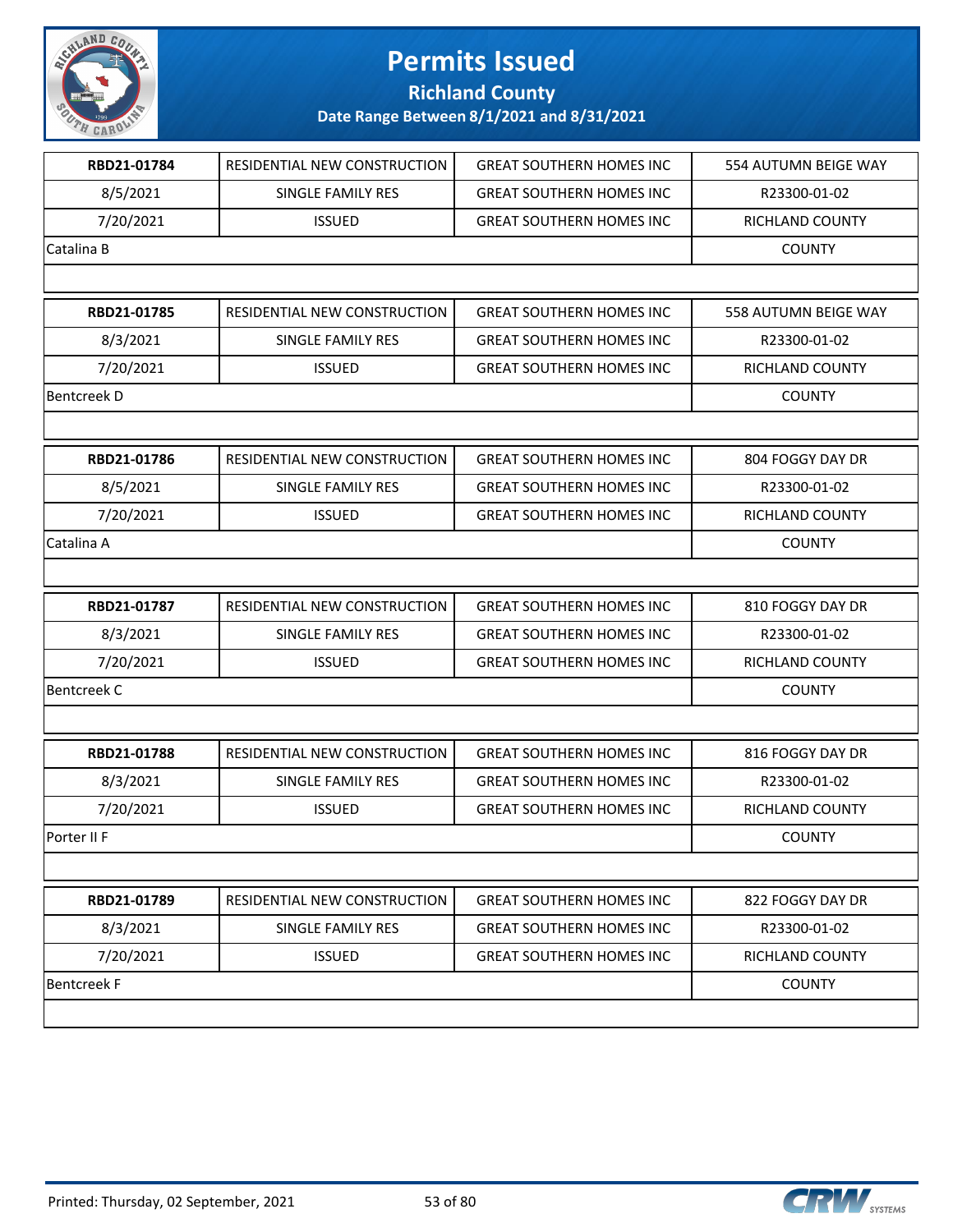

**Richland County**

| RBD21-01784        | RESIDENTIAL NEW CONSTRUCTION | <b>GREAT SOUTHERN HOMES INC</b> | 554 AUTUMN BEIGE WAY |
|--------------------|------------------------------|---------------------------------|----------------------|
| 8/5/2021           | SINGLE FAMILY RES            | <b>GREAT SOUTHERN HOMES INC</b> | R23300-01-02         |
| 7/20/2021          | <b>ISSUED</b>                | <b>GREAT SOUTHERN HOMES INC</b> | RICHLAND COUNTY      |
| Catalina B         |                              |                                 | <b>COUNTY</b>        |
|                    |                              |                                 |                      |
| RBD21-01785        | RESIDENTIAL NEW CONSTRUCTION | <b>GREAT SOUTHERN HOMES INC</b> | 558 AUTUMN BEIGE WAY |
| 8/3/2021           | SINGLE FAMILY RES            | <b>GREAT SOUTHERN HOMES INC</b> | R23300-01-02         |
| 7/20/2021          | <b>ISSUED</b>                | <b>GREAT SOUTHERN HOMES INC</b> | RICHLAND COUNTY      |
| <b>Bentcreek D</b> |                              |                                 | <b>COUNTY</b>        |
|                    |                              |                                 |                      |
| RBD21-01786        | RESIDENTIAL NEW CONSTRUCTION | <b>GREAT SOUTHERN HOMES INC</b> | 804 FOGGY DAY DR     |
| 8/5/2021           | SINGLE FAMILY RES            | <b>GREAT SOUTHERN HOMES INC</b> | R23300-01-02         |
| 7/20/2021          | <b>ISSUED</b>                | <b>GREAT SOUTHERN HOMES INC</b> | RICHLAND COUNTY      |
| Catalina A         |                              |                                 | <b>COUNTY</b>        |
|                    |                              |                                 |                      |
| RBD21-01787        | RESIDENTIAL NEW CONSTRUCTION | <b>GREAT SOUTHERN HOMES INC</b> | 810 FOGGY DAY DR     |
| 8/3/2021           | SINGLE FAMILY RES            | <b>GREAT SOUTHERN HOMES INC</b> | R23300-01-02         |
| 7/20/2021          | <b>ISSUED</b>                | <b>GREAT SOUTHERN HOMES INC</b> | RICHLAND COUNTY      |
| <b>Bentcreek C</b> |                              |                                 | <b>COUNTY</b>        |
|                    |                              |                                 |                      |
| RBD21-01788        | RESIDENTIAL NEW CONSTRUCTION | <b>GREAT SOUTHERN HOMES INC</b> | 816 FOGGY DAY DR     |
| 8/3/2021           | SINGLE FAMILY RES            | <b>GREAT SOUTHERN HOMES INC</b> | R23300-01-02         |
| 7/20/2021          | <b>ISSUED</b>                | <b>GREAT SOUTHERN HOMES INC</b> | RICHLAND COUNTY      |
| Porter II F        |                              |                                 | <b>COUNTY</b>        |
|                    |                              |                                 |                      |
| RBD21-01789        | RESIDENTIAL NEW CONSTRUCTION | <b>GREAT SOUTHERN HOMES INC</b> | 822 FOGGY DAY DR     |
| 8/3/2021           | SINGLE FAMILY RES            | <b>GREAT SOUTHERN HOMES INC</b> | R23300-01-02         |
| 7/20/2021          | <b>ISSUED</b>                | <b>GREAT SOUTHERN HOMES INC</b> | RICHLAND COUNTY      |
| <b>Bentcreek F</b> |                              |                                 | <b>COUNTY</b>        |
|                    |                              |                                 |                      |

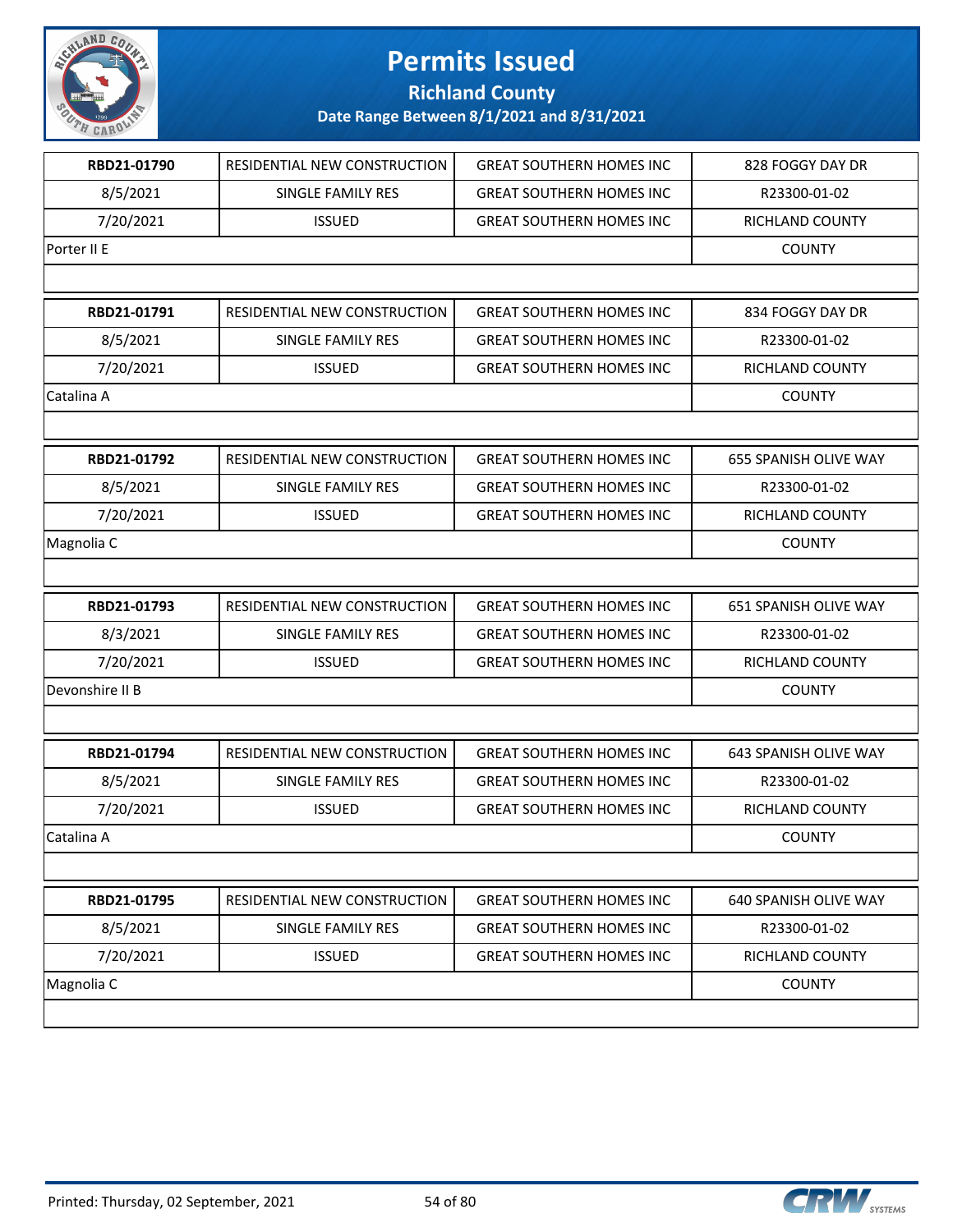

**Richland County**

| RBD21-01790     | RESIDENTIAL NEW CONSTRUCTION | <b>GREAT SOUTHERN HOMES INC</b> | 828 FOGGY DAY DR       |
|-----------------|------------------------------|---------------------------------|------------------------|
| 8/5/2021        | SINGLE FAMILY RES            | <b>GREAT SOUTHERN HOMES INC</b> | R23300-01-02           |
| 7/20/2021       | <b>ISSUED</b>                | <b>GREAT SOUTHERN HOMES INC</b> | RICHLAND COUNTY        |
| Porter II E     |                              |                                 | <b>COUNTY</b>          |
|                 |                              |                                 |                        |
| RBD21-01791     | RESIDENTIAL NEW CONSTRUCTION | <b>GREAT SOUTHERN HOMES INC</b> | 834 FOGGY DAY DR       |
| 8/5/2021        | SINGLE FAMILY RES            | <b>GREAT SOUTHERN HOMES INC</b> | R23300-01-02           |
| 7/20/2021       | <b>ISSUED</b>                | <b>GREAT SOUTHERN HOMES INC</b> | <b>RICHLAND COUNTY</b> |
| Catalina A      |                              |                                 | <b>COUNTY</b>          |
|                 |                              |                                 |                        |
| RBD21-01792     | RESIDENTIAL NEW CONSTRUCTION | <b>GREAT SOUTHERN HOMES INC</b> | 655 SPANISH OLIVE WAY  |
| 8/5/2021        | SINGLE FAMILY RES            | <b>GREAT SOUTHERN HOMES INC</b> | R23300-01-02           |
| 7/20/2021       | <b>ISSUED</b>                | <b>GREAT SOUTHERN HOMES INC</b> | RICHLAND COUNTY        |
| Magnolia C      |                              |                                 | <b>COUNTY</b>          |
|                 |                              |                                 |                        |
| RBD21-01793     | RESIDENTIAL NEW CONSTRUCTION | <b>GREAT SOUTHERN HOMES INC</b> | 651 SPANISH OLIVE WAY  |
| 8/3/2021        | SINGLE FAMILY RES            | <b>GREAT SOUTHERN HOMES INC</b> | R23300-01-02           |
| 7/20/2021       | <b>ISSUED</b>                | <b>GREAT SOUTHERN HOMES INC</b> | RICHLAND COUNTY        |
| Devonshire II B |                              |                                 | <b>COUNTY</b>          |
|                 |                              |                                 |                        |
| RBD21-01794     | RESIDENTIAL NEW CONSTRUCTION | <b>GREAT SOUTHERN HOMES INC</b> | 643 SPANISH OLIVE WAY  |
| 8/5/2021        | <b>SINGLE FAMILY RES</b>     | <b>GREAT SOUTHERN HOMES INC</b> | R23300-01-02           |
| 7/20/2021       | <b>ISSUED</b>                | <b>GREAT SOUTHERN HOMES INC</b> | RICHLAND COUNTY        |
| Catalina A      |                              |                                 | <b>COUNTY</b>          |
|                 |                              |                                 |                        |
| RBD21-01795     | RESIDENTIAL NEW CONSTRUCTION | <b>GREAT SOUTHERN HOMES INC</b> | 640 SPANISH OLIVE WAY  |
| 8/5/2021        | SINGLE FAMILY RES            | <b>GREAT SOUTHERN HOMES INC</b> | R23300-01-02           |
| 7/20/2021       | <b>ISSUED</b>                | <b>GREAT SOUTHERN HOMES INC</b> | RICHLAND COUNTY        |
| Magnolia C      |                              |                                 | <b>COUNTY</b>          |
|                 |                              |                                 |                        |
|                 |                              |                                 |                        |

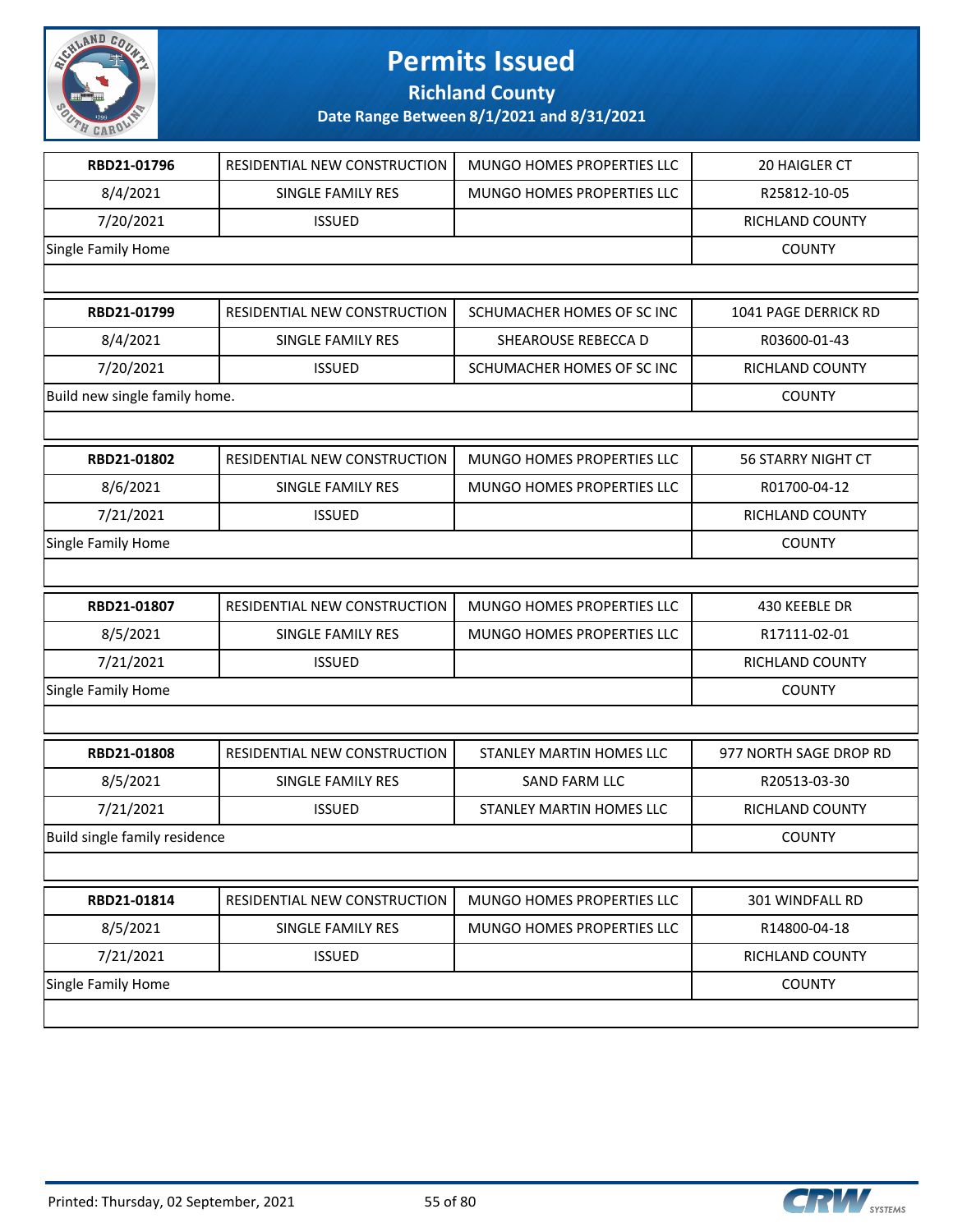

**Richland County**

| RBD21-01796                   | RESIDENTIAL NEW CONSTRUCTION | <b>MUNGO HOMES PROPERTIES LLC</b> | 20 HAIGLER CT             |
|-------------------------------|------------------------------|-----------------------------------|---------------------------|
| 8/4/2021                      | SINGLE FAMILY RES            | MUNGO HOMES PROPERTIES LLC        | R25812-10-05              |
| 7/20/2021                     | <b>ISSUED</b>                |                                   | RICHLAND COUNTY           |
| Single Family Home            |                              |                                   | <b>COUNTY</b>             |
|                               |                              |                                   |                           |
| RBD21-01799                   | RESIDENTIAL NEW CONSTRUCTION | SCHUMACHER HOMES OF SC INC        | 1041 PAGE DERRICK RD      |
| 8/4/2021                      | SINGLE FAMILY RES            | SHEAROUSE REBECCA D               | R03600-01-43              |
| 7/20/2021                     | <b>ISSUED</b>                | SCHUMACHER HOMES OF SC INC        | RICHLAND COUNTY           |
| Build new single family home. |                              |                                   | <b>COUNTY</b>             |
|                               |                              |                                   |                           |
| RBD21-01802                   | RESIDENTIAL NEW CONSTRUCTION | MUNGO HOMES PROPERTIES LLC        | <b>56 STARRY NIGHT CT</b> |
| 8/6/2021                      | SINGLE FAMILY RES            | MUNGO HOMES PROPERTIES LLC        | R01700-04-12              |
| 7/21/2021                     | <b>ISSUED</b>                |                                   | RICHLAND COUNTY           |
| Single Family Home            |                              |                                   | <b>COUNTY</b>             |
|                               |                              |                                   |                           |
| RBD21-01807                   | RESIDENTIAL NEW CONSTRUCTION | MUNGO HOMES PROPERTIES LLC        | 430 KEEBLE DR             |
| 8/5/2021                      | SINGLE FAMILY RES            | MUNGO HOMES PROPERTIES LLC        | R17111-02-01              |
| 7/21/2021                     | <b>ISSUED</b>                |                                   | RICHLAND COUNTY           |
| Single Family Home            |                              |                                   | <b>COUNTY</b>             |
|                               |                              |                                   |                           |
| RBD21-01808                   | RESIDENTIAL NEW CONSTRUCTION | STANLEY MARTIN HOMES LLC          | 977 NORTH SAGE DROP RD    |
| 8/5/2021                      | <b>SINGLE FAMILY RES</b>     | <b>SAND FARM LLC</b>              | R20513-03-30              |
| 7/21/2021                     | <b>ISSUED</b>                | STANLEY MARTIN HOMES LLC          | RICHLAND COUNTY           |
| Build single family residence |                              |                                   | <b>COUNTY</b>             |
|                               |                              |                                   |                           |
| RBD21-01814                   | RESIDENTIAL NEW CONSTRUCTION | MUNGO HOMES PROPERTIES LLC        | 301 WINDFALL RD           |
| 8/5/2021                      | SINGLE FAMILY RES            | MUNGO HOMES PROPERTIES LLC        | R14800-04-18              |
| 7/21/2021                     | <b>ISSUED</b>                |                                   | RICHLAND COUNTY           |
| Single Family Home            |                              |                                   | <b>COUNTY</b>             |
|                               |                              |                                   |                           |
|                               |                              |                                   |                           |

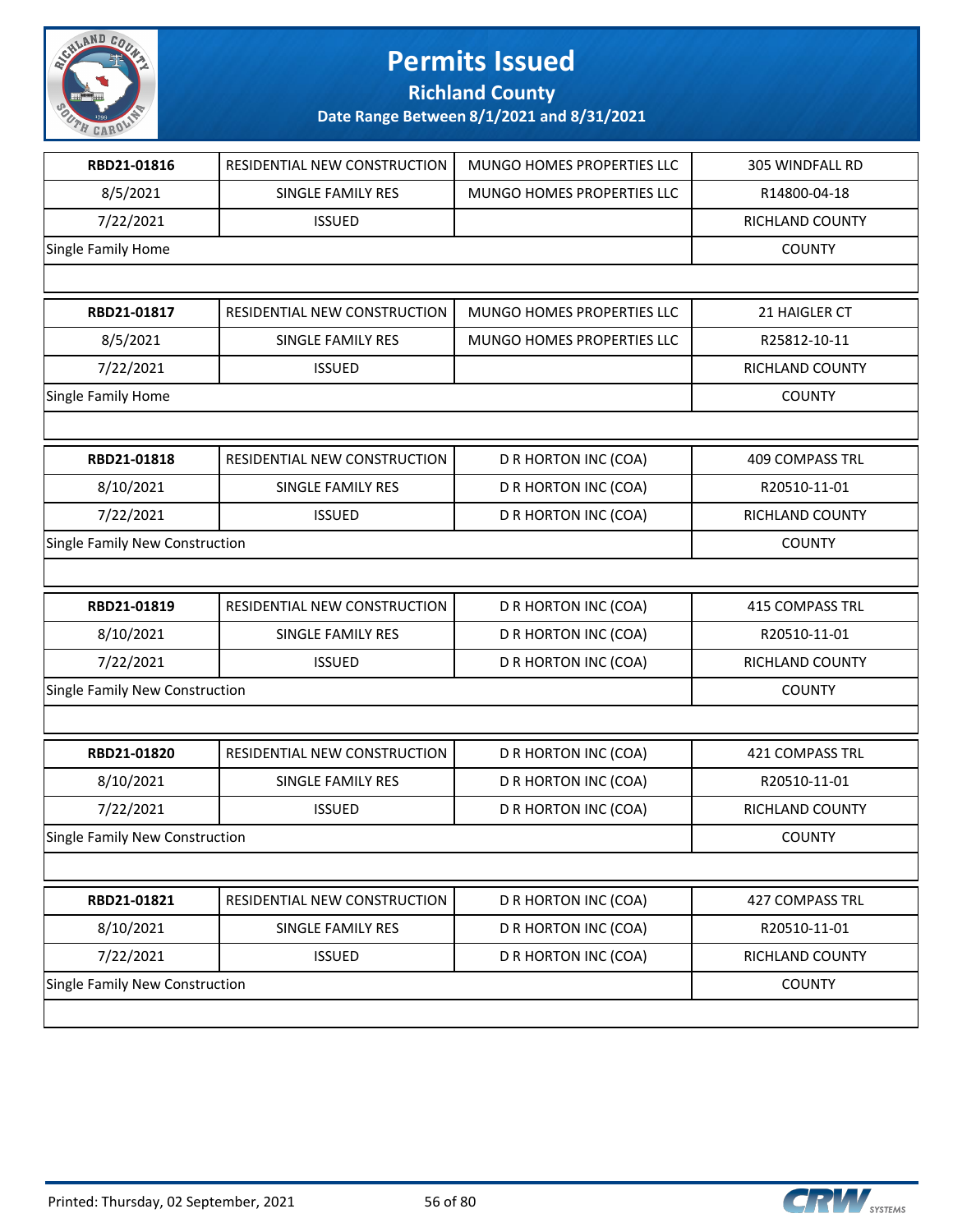

**Richland County**

| RBD21-01816                    | RESIDENTIAL NEW CONSTRUCTION | MUNGO HOMES PROPERTIES LLC  | 305 WINDFALL RD        |
|--------------------------------|------------------------------|-----------------------------|------------------------|
| 8/5/2021                       | SINGLE FAMILY RES            | MUNGO HOMES PROPERTIES LLC  | R14800-04-18           |
| 7/22/2021                      | <b>ISSUED</b>                |                             | RICHLAND COUNTY        |
| Single Family Home             |                              |                             | <b>COUNTY</b>          |
|                                |                              |                             |                        |
| RBD21-01817                    | RESIDENTIAL NEW CONSTRUCTION | MUNGO HOMES PROPERTIES LLC  | 21 HAIGLER CT          |
| 8/5/2021                       | SINGLE FAMILY RES            | MUNGO HOMES PROPERTIES LLC  | R25812-10-11           |
| 7/22/2021                      | <b>ISSUED</b>                |                             | <b>RICHLAND COUNTY</b> |
| Single Family Home             |                              |                             | <b>COUNTY</b>          |
|                                |                              |                             |                        |
| RBD21-01818                    | RESIDENTIAL NEW CONSTRUCTION | D R HORTON INC (COA)        | <b>409 COMPASS TRL</b> |
| 8/10/2021                      | SINGLE FAMILY RES            | D R HORTON INC (COA)        | R20510-11-01           |
| 7/22/2021                      | <b>ISSUED</b>                | D R HORTON INC (COA)        | RICHLAND COUNTY        |
| Single Family New Construction |                              |                             | <b>COUNTY</b>          |
|                                |                              |                             |                        |
| RBD21-01819                    | RESIDENTIAL NEW CONSTRUCTION | D R HORTON INC (COA)        | <b>415 COMPASS TRL</b> |
| 8/10/2021                      | SINGLE FAMILY RES            | D R HORTON INC (COA)        | R20510-11-01           |
| 7/22/2021                      | <b>ISSUED</b>                | D R HORTON INC (COA)        | RICHLAND COUNTY        |
| Single Family New Construction |                              |                             | <b>COUNTY</b>          |
|                                |                              |                             |                        |
| RBD21-01820                    | RESIDENTIAL NEW CONSTRUCTION | D R HORTON INC (COA)        | <b>421 COMPASS TRL</b> |
| 8/10/2021                      | SINGLE FAMILY RES            | D R HORTON INC (COA)        | R20510-11-01           |
| 7/22/2021                      | <b>ISSUED</b>                | D R HORTON INC (COA)        | RICHLAND COUNTY        |
| Single Family New Construction |                              |                             | <b>COUNTY</b>          |
|                                |                              |                             |                        |
| RBD21-01821                    | RESIDENTIAL NEW CONSTRUCTION | D R HORTON INC (COA)        | 427 COMPASS TRL        |
| 8/10/2021                      | SINGLE FAMILY RES            | D R HORTON INC (COA)        | R20510-11-01           |
| 7/22/2021                      | <b>ISSUED</b>                | <b>D R HORTON INC (COA)</b> | RICHLAND COUNTY        |
| Single Family New Construction |                              |                             | <b>COUNTY</b>          |
|                                |                              |                             |                        |

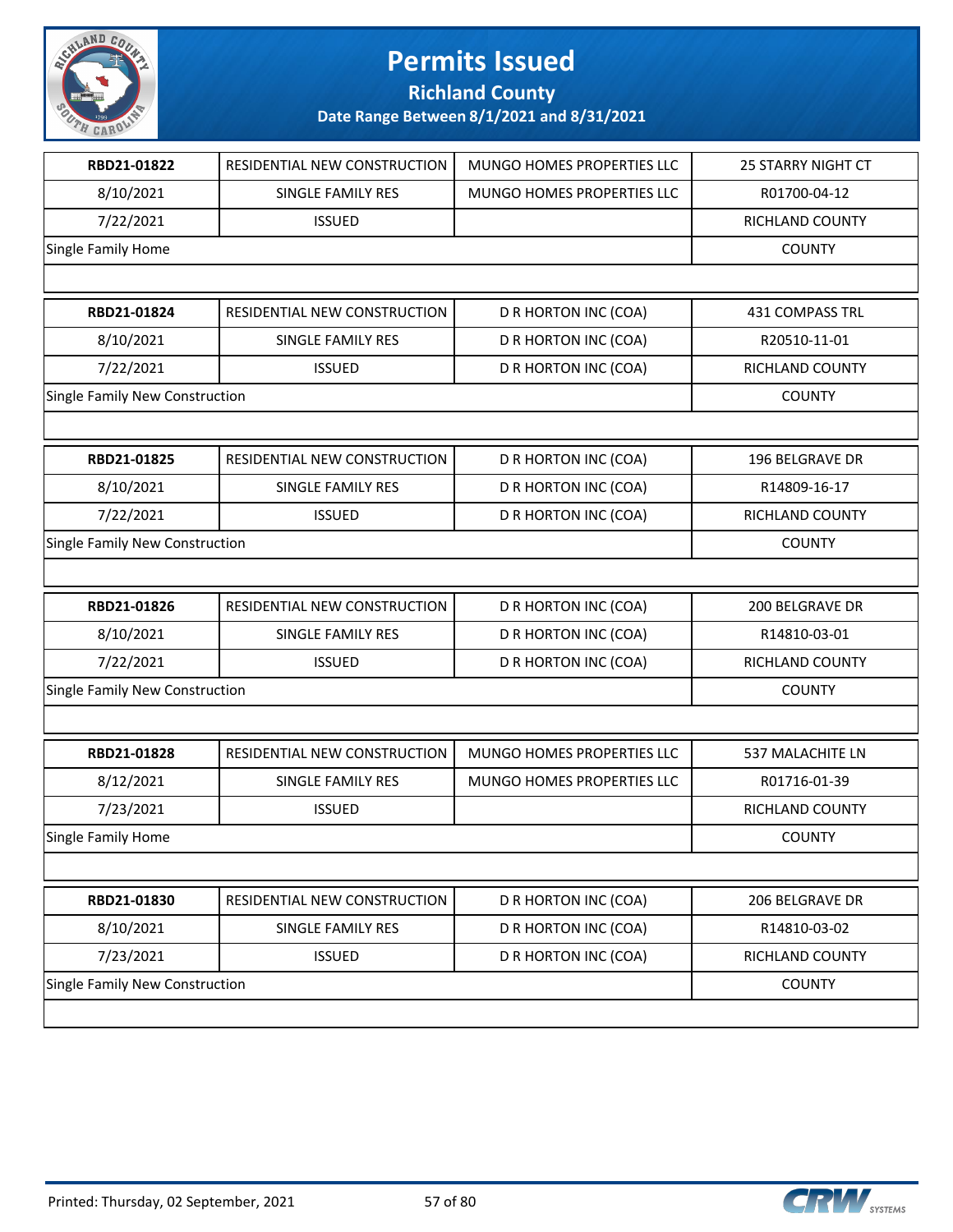

**Richland County**

| RBD21-01822                    | RESIDENTIAL NEW CONSTRUCTION | MUNGO HOMES PROPERTIES LLC | <b>25 STARRY NIGHT CT</b> |
|--------------------------------|------------------------------|----------------------------|---------------------------|
| 8/10/2021                      | <b>SINGLE FAMILY RES</b>     | MUNGO HOMES PROPERTIES LLC | R01700-04-12              |
| 7/22/2021                      | <b>ISSUED</b>                |                            | RICHLAND COUNTY           |
| Single Family Home             |                              |                            | <b>COUNTY</b>             |
|                                |                              |                            |                           |
| RBD21-01824                    | RESIDENTIAL NEW CONSTRUCTION | D R HORTON INC (COA)       | 431 COMPASS TRL           |
| 8/10/2021                      | <b>SINGLE FAMILY RES</b>     | D R HORTON INC (COA)       | R20510-11-01              |
| 7/22/2021                      | <b>ISSUED</b>                | D R HORTON INC (COA)       | RICHLAND COUNTY           |
| Single Family New Construction |                              |                            | <b>COUNTY</b>             |
|                                |                              |                            |                           |
| RBD21-01825                    | RESIDENTIAL NEW CONSTRUCTION | D R HORTON INC (COA)       | 196 BELGRAVE DR           |
| 8/10/2021                      | <b>SINGLE FAMILY RES</b>     | D R HORTON INC (COA)       | R14809-16-17              |
| 7/22/2021                      | <b>ISSUED</b>                | D R HORTON INC (COA)       | RICHLAND COUNTY           |
| Single Family New Construction |                              |                            | <b>COUNTY</b>             |
|                                |                              |                            |                           |
| RBD21-01826                    | RESIDENTIAL NEW CONSTRUCTION | D R HORTON INC (COA)       | 200 BELGRAVE DR           |
| 8/10/2021                      | SINGLE FAMILY RES            | D R HORTON INC (COA)       | R14810-03-01              |
| 7/22/2021                      | <b>ISSUED</b>                | D R HORTON INC (COA)       | RICHLAND COUNTY           |
| Single Family New Construction |                              |                            | <b>COUNTY</b>             |
|                                |                              |                            |                           |
| RBD21-01828                    | RESIDENTIAL NEW CONSTRUCTION | MUNGO HOMES PROPERTIES LLC | 537 MALACHITE LN          |
| 8/12/2021                      | SINGLE FAMILY RES            | MUNGO HOMES PROPERTIES LLC | R01716-01-39              |
| 7/23/2021                      | <b>ISSUED</b>                |                            | RICHLAND COUNTY           |
| Single Family Home             |                              |                            | <b>COUNTY</b>             |
|                                |                              |                            |                           |
| RBD21-01830                    | RESIDENTIAL NEW CONSTRUCTION | D R HORTON INC (COA)       | 206 BELGRAVE DR           |
| 8/10/2021                      | SINGLE FAMILY RES            | D R HORTON INC (COA)       | R14810-03-02              |
| 7/23/2021                      | <b>ISSUED</b>                | D R HORTON INC (COA)       | RICHLAND COUNTY           |
| Single Family New Construction |                              |                            | <b>COUNTY</b>             |
|                                |                              |                            |                           |

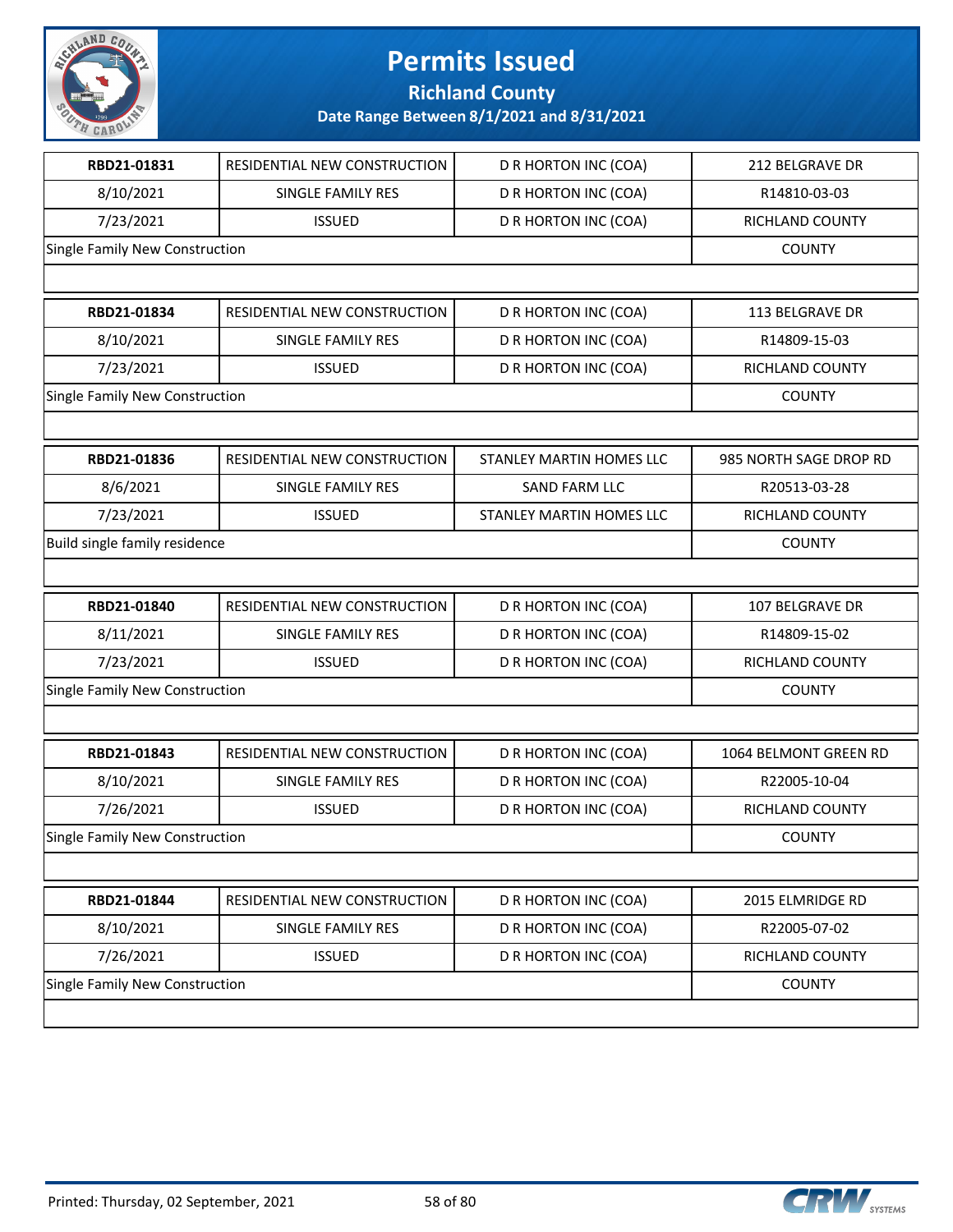

**Richland County**

| RBD21-01831                    | RESIDENTIAL NEW CONSTRUCTION | D R HORTON INC (COA)        | 212 BELGRAVE DR        |
|--------------------------------|------------------------------|-----------------------------|------------------------|
| 8/10/2021                      | SINGLE FAMILY RES            | D R HORTON INC (COA)        | R14810-03-03           |
| 7/23/2021                      | <b>ISSUED</b>                | D R HORTON INC (COA)        | RICHLAND COUNTY        |
| Single Family New Construction |                              |                             | <b>COUNTY</b>          |
|                                |                              |                             |                        |
| RBD21-01834                    | RESIDENTIAL NEW CONSTRUCTION | D R HORTON INC (COA)        | <b>113 BELGRAVE DR</b> |
| 8/10/2021                      | SINGLE FAMILY RES            | D R HORTON INC (COA)        | R14809-15-03           |
| 7/23/2021                      | <b>ISSUED</b>                | D R HORTON INC (COA)        | RICHLAND COUNTY        |
| Single Family New Construction |                              |                             | <b>COUNTY</b>          |
|                                |                              |                             |                        |
| RBD21-01836                    | RESIDENTIAL NEW CONSTRUCTION | STANLEY MARTIN HOMES LLC    | 985 NORTH SAGE DROP RD |
| 8/6/2021                       | SINGLE FAMILY RES            | SAND FARM LLC               | R20513-03-28           |
| 7/23/2021                      | <b>ISSUED</b>                | STANLEY MARTIN HOMES LLC    | RICHLAND COUNTY        |
| Build single family residence  |                              |                             | <b>COUNTY</b>          |
|                                |                              |                             |                        |
| RBD21-01840                    | RESIDENTIAL NEW CONSTRUCTION | D R HORTON INC (COA)        | 107 BELGRAVE DR        |
| 8/11/2021                      | SINGLE FAMILY RES            | D R HORTON INC (COA)        | R14809-15-02           |
| 7/23/2021                      | <b>ISSUED</b>                | D R HORTON INC (COA)        | RICHLAND COUNTY        |
| Single Family New Construction |                              |                             | <b>COUNTY</b>          |
|                                |                              |                             |                        |
| RBD21-01843                    | RESIDENTIAL NEW CONSTRUCTION | D R HORTON INC (COA)        | 1064 BELMONT GREEN RD  |
| 8/10/2021                      | SINGLE FAMILY RES            | D R HORTON INC (COA)        | R22005-10-04           |
| 7/26/2021                      | <b>ISSUED</b>                | D R HORTON INC (COA)        | RICHLAND COUNTY        |
| Single Family New Construction |                              |                             | <b>COUNTY</b>          |
|                                |                              |                             |                        |
| RBD21-01844                    | RESIDENTIAL NEW CONSTRUCTION | D R HORTON INC (COA)        | 2015 ELMRIDGE RD       |
| 8/10/2021                      | SINGLE FAMILY RES            | D R HORTON INC (COA)        | R22005-07-02           |
| 7/26/2021                      | <b>ISSUED</b>                | <b>D R HORTON INC (COA)</b> | RICHLAND COUNTY        |
| Single Family New Construction |                              |                             | <b>COUNTY</b>          |
|                                |                              |                             |                        |

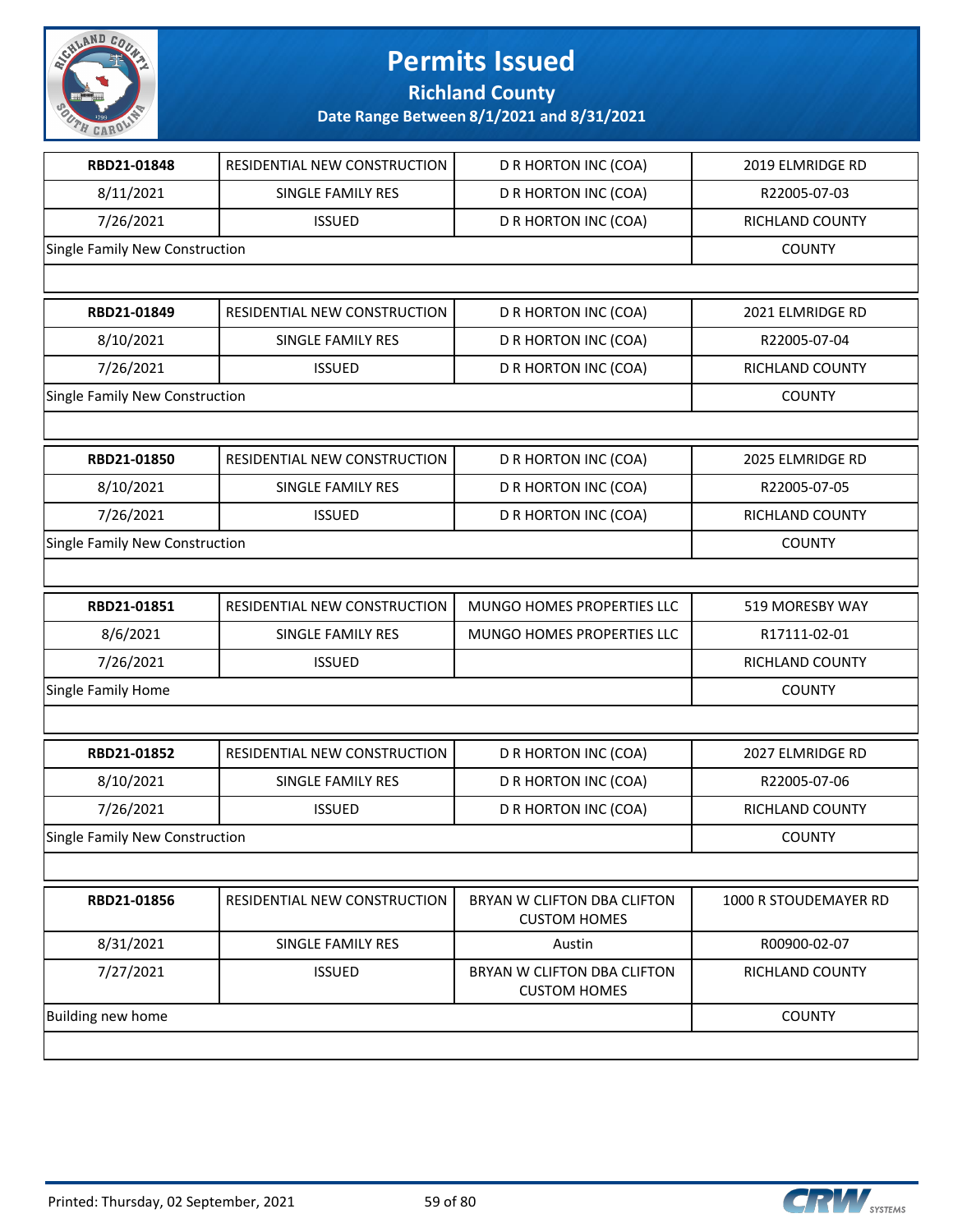

**Richland County**

| RBD21-01848                    | RESIDENTIAL NEW CONSTRUCTION | D R HORTON INC (COA)                               | 2019 ELMRIDGE RD       |
|--------------------------------|------------------------------|----------------------------------------------------|------------------------|
| 8/11/2021                      | SINGLE FAMILY RES            | D R HORTON INC (COA)                               | R22005-07-03           |
| 7/26/2021                      | <b>ISSUED</b>                | D R HORTON INC (COA)                               | RICHLAND COUNTY        |
| Single Family New Construction |                              |                                                    | <b>COUNTY</b>          |
|                                |                              |                                                    |                        |
| RBD21-01849                    | RESIDENTIAL NEW CONSTRUCTION | D R HORTON INC (COA)                               | 2021 ELMRIDGE RD       |
| 8/10/2021                      | SINGLE FAMILY RES            | D R HORTON INC (COA)                               | R22005-07-04           |
| 7/26/2021                      | <b>ISSUED</b>                | D R HORTON INC (COA)                               | RICHLAND COUNTY        |
| Single Family New Construction |                              |                                                    | <b>COUNTY</b>          |
|                                |                              |                                                    |                        |
| RBD21-01850                    | RESIDENTIAL NEW CONSTRUCTION | D R HORTON INC (COA)                               | 2025 ELMRIDGE RD       |
| 8/10/2021                      | SINGLE FAMILY RES            | D R HORTON INC (COA)                               | R22005-07-05           |
| 7/26/2021                      | <b>ISSUED</b>                | D R HORTON INC (COA)                               | <b>RICHLAND COUNTY</b> |
| Single Family New Construction |                              |                                                    | <b>COUNTY</b>          |
|                                |                              |                                                    |                        |
| RBD21-01851                    | RESIDENTIAL NEW CONSTRUCTION | MUNGO HOMES PROPERTIES LLC                         | 519 MORESBY WAY        |
| 8/6/2021                       | SINGLE FAMILY RES            | MUNGO HOMES PROPERTIES LLC                         | R17111-02-01           |
| 7/26/2021                      | <b>ISSUED</b>                |                                                    | RICHLAND COUNTY        |
| Single Family Home             |                              |                                                    | <b>COUNTY</b>          |
|                                |                              |                                                    |                        |
| RBD21-01852                    | RESIDENTIAL NEW CONSTRUCTION | D R HORTON INC (COA)                               | 2027 ELMRIDGE RD       |
| 8/10/2021                      | SINGLE FAMILY RES            | D R HORTON INC (COA)                               | R22005-07-06           |
| 7/26/2021                      | <b>ISSUED</b>                | D R HORTON INC (COA)                               | RICHLAND COUNTY        |
| Single Family New Construction |                              |                                                    | <b>COUNTY</b>          |
|                                |                              |                                                    |                        |
| RBD21-01856                    | RESIDENTIAL NEW CONSTRUCTION | BRYAN W CLIFTON DBA CLIFTON<br><b>CUSTOM HOMES</b> | 1000 R STOUDEMAYER RD  |
| 8/31/2021                      | <b>SINGLE FAMILY RES</b>     | Austin                                             | R00900-02-07           |
| 7/27/2021                      | <b>ISSUED</b>                | BRYAN W CLIFTON DBA CLIFTON<br><b>CUSTOM HOMES</b> | RICHLAND COUNTY        |
| Building new home              |                              |                                                    | <b>COUNTY</b>          |
|                                |                              |                                                    |                        |

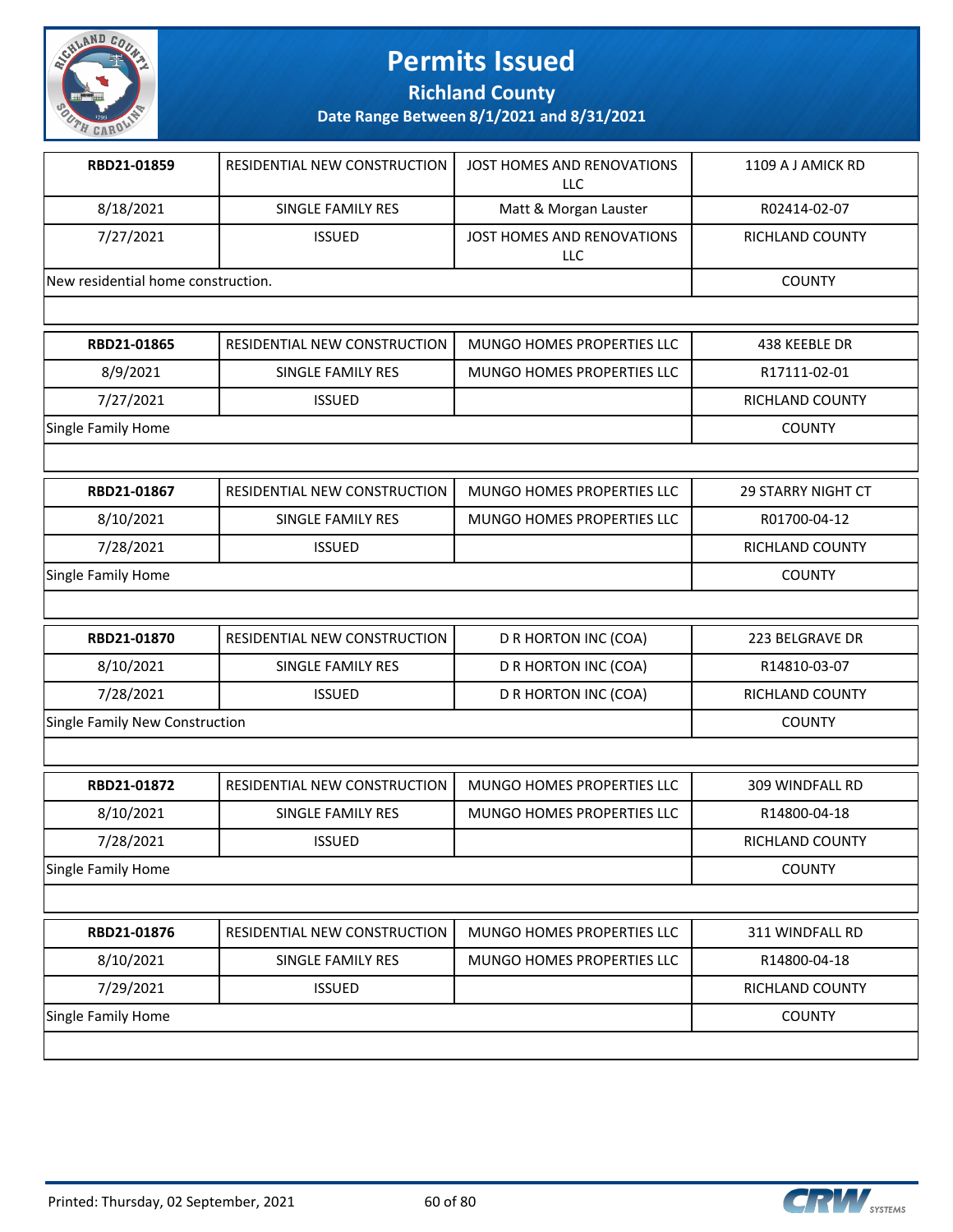

**Richland County**

| RBD21-01859                        | l RESIDENTIAL NEW CONSTRUCTION. | JOST HOMES AND RENOVATIONS<br>LLC | 1109 A J AMICK RD |
|------------------------------------|---------------------------------|-----------------------------------|-------------------|
| 8/18/2021                          | SINGLE FAMILY RES               | Matt & Morgan Lauster             | R02414-02-07      |
| 7/27/2021                          | <b>ISSUED</b>                   | JOST HOMES AND RENOVATIONS<br>LLC | RICHLAND COUNTY   |
| New residential home construction. |                                 |                                   | <b>COUNTY</b>     |
|                                    |                                 |                                   |                   |

| RBD21-01865        | RESIDENTIAL NEW CONSTRUCTION | MUNGO HOMES PROPERTIES LLC | 438 KEEBLE DR   |
|--------------------|------------------------------|----------------------------|-----------------|
| 8/9/2021           | SINGLE FAMILY RES            | MUNGO HOMES PROPERTIES LLC | R17111-02-01    |
| 7/27/2021          | <b>ISSUED</b>                |                            | RICHLAND COUNTY |
| Single Family Home |                              |                            | <b>COUNTY</b>   |

| RBD21-01867        | RESIDENTIAL NEW CONSTRUCTION | MUNGO HOMES PROPERTIES LLC | 29 STARRY NIGHT CT |
|--------------------|------------------------------|----------------------------|--------------------|
| 8/10/2021          | SINGLE FAMILY RES            | MUNGO HOMES PROPERTIES LLC | R01700-04-12       |
| 7/28/2021          | <b>ISSUED</b>                |                            | RICHLAND COUNTY    |
| Single Family Home |                              |                            | <b>COUNTY</b>      |
|                    |                              |                            |                    |

| RBD21-01870                    | RESIDENTIAL NEW CONSTRUCTION | D R HORTON INC (COA) | 223 BELGRAVE DR |
|--------------------------------|------------------------------|----------------------|-----------------|
| 8/10/2021                      | SINGLE FAMILY RES            | D R HORTON INC (COA) | R14810-03-07    |
| 7/28/2021                      | ISSUED.                      | D R HORTON INC (COA) | RICHLAND COUNTY |
| Single Family New Construction |                              |                      | <b>COUNTY</b>   |

| RBD21-01872        | RESIDENTIAL NEW CONSTRUCTION | MUNGO HOMES PROPERTIES LLC | 309 WINDFALL RD        |
|--------------------|------------------------------|----------------------------|------------------------|
| 8/10/2021          | SINGLE FAMILY RES            | MUNGO HOMES PROPERTIES LLC | R14800-04-18           |
| 7/28/2021          | <b>ISSUED</b>                |                            | <b>RICHLAND COUNTY</b> |
| Single Family Home |                              |                            | <b>COUNTY</b>          |
|                    |                              |                            |                        |
| RBD21-01876        | RESIDENTIAL NEW CONSTRUCTION | MUNGO HOMES PROPERTIES LLC | 311 WINDFALL RD        |

| 8/10/2021          | SINGLE FAMILY RES | MUNGO HOMES PROPERTIES LLC | R14800-04-18    |
|--------------------|-------------------|----------------------------|-----------------|
| 7/29/2021          | <b>ISSUED</b>     |                            | RICHLAND COUNTY |
| Single Family Home |                   |                            | <b>COUNTY</b>   |
|                    |                   |                            |                 |

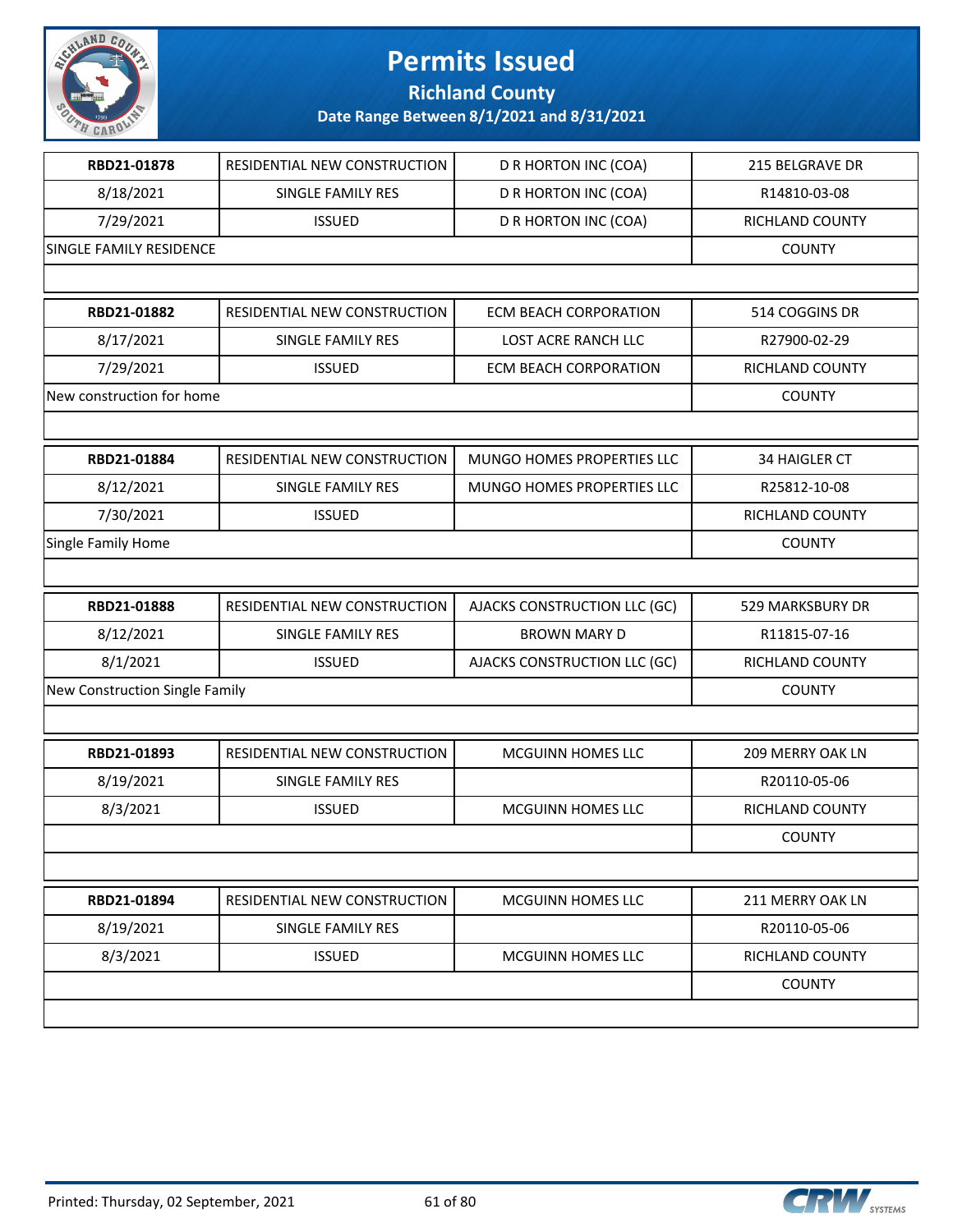

**Richland County**

| RBD21-01878                    | RESIDENTIAL NEW CONSTRUCTION | D R HORTON INC (COA)         | 215 BELGRAVE DR        |
|--------------------------------|------------------------------|------------------------------|------------------------|
| 8/18/2021                      | SINGLE FAMILY RES            | D R HORTON INC (COA)         | R14810-03-08           |
| 7/29/2021                      | <b>ISSUED</b>                | D R HORTON INC (COA)         | RICHLAND COUNTY        |
| SINGLE FAMILY RESIDENCE        |                              |                              | <b>COUNTY</b>          |
|                                |                              |                              |                        |
| RBD21-01882                    | RESIDENTIAL NEW CONSTRUCTION | <b>ECM BEACH CORPORATION</b> | 514 COGGINS DR         |
| 8/17/2021                      | SINGLE FAMILY RES            | LOST ACRE RANCH LLC          | R27900-02-29           |
| 7/29/2021                      | <b>ISSUED</b>                | <b>ECM BEACH CORPORATION</b> | RICHLAND COUNTY        |
| New construction for home      |                              |                              | <b>COUNTY</b>          |
|                                |                              |                              |                        |
| RBD21-01884                    | RESIDENTIAL NEW CONSTRUCTION | MUNGO HOMES PROPERTIES LLC   | <b>34 HAIGLER CT</b>   |
| 8/12/2021                      | SINGLE FAMILY RES            | MUNGO HOMES PROPERTIES LLC   | R25812-10-08           |
| 7/30/2021                      | <b>ISSUED</b>                |                              | RICHLAND COUNTY        |
| Single Family Home             |                              |                              | <b>COUNTY</b>          |
|                                |                              |                              |                        |
| RBD21-01888                    | RESIDENTIAL NEW CONSTRUCTION | AJACKS CONSTRUCTION LLC (GC) | 529 MARKSBURY DR       |
| 8/12/2021                      | SINGLE FAMILY RES            | <b>BROWN MARY D</b>          | R11815-07-16           |
| 8/1/2021                       | <b>ISSUED</b>                | AJACKS CONSTRUCTION LLC (GC) | RICHLAND COUNTY        |
| New Construction Single Family |                              |                              | <b>COUNTY</b>          |
|                                |                              |                              |                        |
| RBD21-01893                    | RESIDENTIAL NEW CONSTRUCTION | MCGUINN HOMES LLC            | 209 MERRY OAK LN       |
| 8/19/2021                      | SINGLE FAMILY RES            |                              | R20110-05-06           |
| 8/3/2021                       | <b>ISSUED</b>                | MCGUINN HOMES LLC            | RICHLAND COUNTY        |
|                                |                              |                              | <b>COUNTY</b>          |
|                                |                              |                              |                        |
| RBD21-01894                    | RESIDENTIAL NEW CONSTRUCTION | MCGUINN HOMES LLC            | 211 MERRY OAK LN       |
| 8/19/2021                      | SINGLE FAMILY RES            |                              | R20110-05-06           |
| 8/3/2021                       | <b>ISSUED</b>                | MCGUINN HOMES LLC            | <b>RICHLAND COUNTY</b> |
|                                |                              |                              |                        |
|                                |                              |                              | <b>COUNTY</b>          |

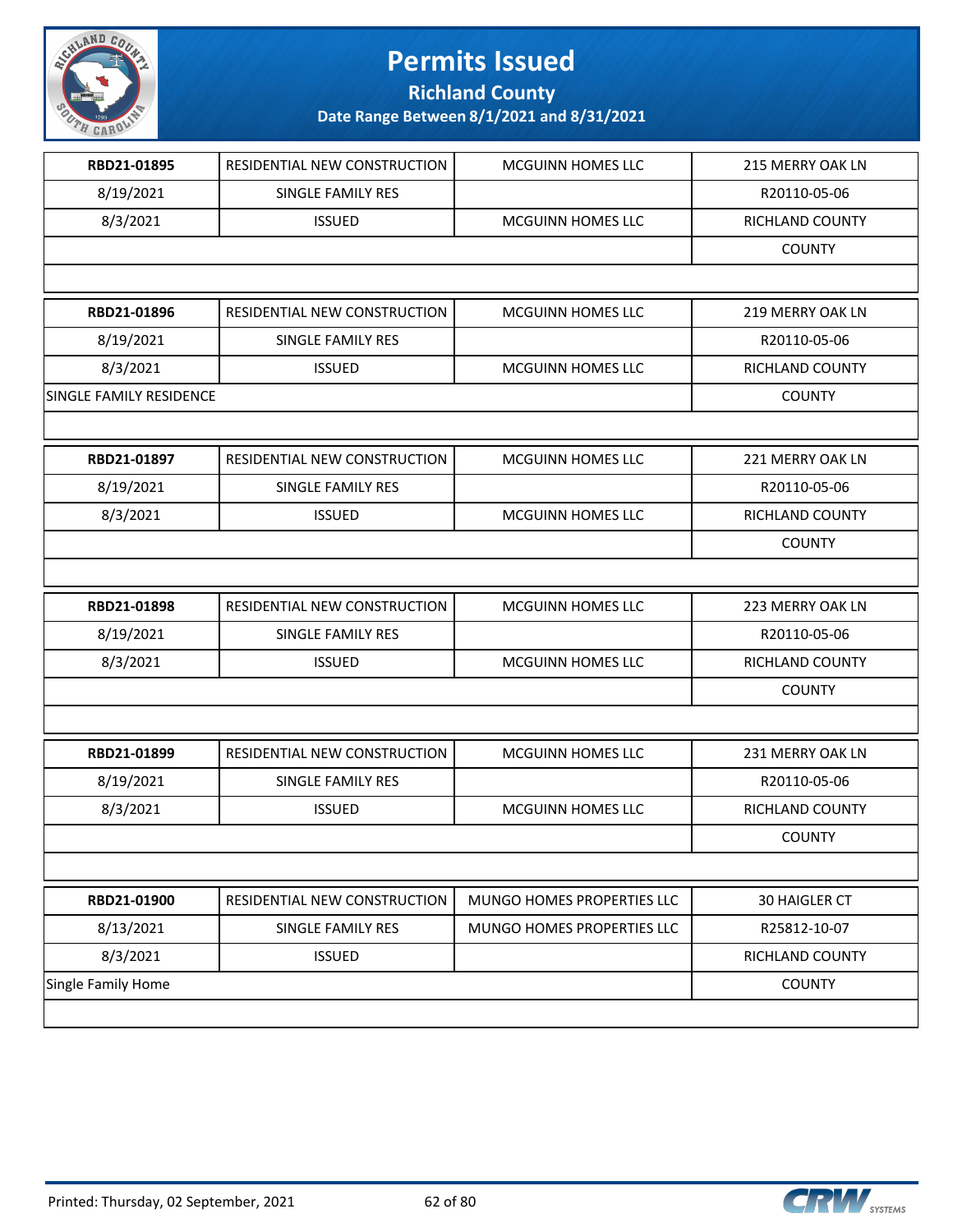

**Richland County**

| RBD21-01895             | RESIDENTIAL NEW CONSTRUCTION | MCGUINN HOMES LLC          | 215 MERRY OAK LN |
|-------------------------|------------------------------|----------------------------|------------------|
| 8/19/2021               | SINGLE FAMILY RES            |                            | R20110-05-06     |
| 8/3/2021                | <b>ISSUED</b>                | <b>MCGUINN HOMES LLC</b>   | RICHLAND COUNTY  |
|                         |                              |                            | <b>COUNTY</b>    |
|                         |                              |                            |                  |
| RBD21-01896             | RESIDENTIAL NEW CONSTRUCTION | MCGUINN HOMES LLC          | 219 MERRY OAK LN |
| 8/19/2021               | SINGLE FAMILY RES            |                            | R20110-05-06     |
| 8/3/2021                | <b>ISSUED</b>                | MCGUINN HOMES LLC          | RICHLAND COUNTY  |
| SINGLE FAMILY RESIDENCE |                              |                            | <b>COUNTY</b>    |
|                         |                              |                            |                  |
| RBD21-01897             | RESIDENTIAL NEW CONSTRUCTION | <b>MCGUINN HOMES LLC</b>   | 221 MERRY OAK LN |
| 8/19/2021               | SINGLE FAMILY RES            |                            | R20110-05-06     |
| 8/3/2021                | <b>ISSUED</b>                | <b>MCGUINN HOMES LLC</b>   | RICHLAND COUNTY  |
|                         |                              |                            | <b>COUNTY</b>    |
|                         |                              |                            |                  |
| RBD21-01898             | RESIDENTIAL NEW CONSTRUCTION | <b>MCGUINN HOMES LLC</b>   | 223 MERRY OAK LN |
| 8/19/2021               | SINGLE FAMILY RES            |                            | R20110-05-06     |
| 8/3/2021                | <b>ISSUED</b>                | MCGUINN HOMES LLC          | RICHLAND COUNTY  |
|                         |                              |                            | <b>COUNTY</b>    |
|                         |                              |                            |                  |
| RBD21-01899             | RESIDENTIAL NEW CONSTRUCTION | <b>MCGUINN HOMES LLC</b>   | 231 MERRY OAK LN |
| 8/19/2021               | SINGLE FAMILY RES            |                            | R20110-05-06     |
| 8/3/2021                | <b>ISSUED</b>                | <b>MCGUINN HOMES LLC</b>   | RICHLAND COUNTY  |
|                         |                              |                            | <b>COUNTY</b>    |
|                         |                              |                            |                  |
| RBD21-01900             | RESIDENTIAL NEW CONSTRUCTION | MUNGO HOMES PROPERTIES LLC | 30 HAIGLER CT    |
| 8/13/2021               | SINGLE FAMILY RES            | MUNGO HOMES PROPERTIES LLC | R25812-10-07     |
| 8/3/2021                | <b>ISSUED</b>                |                            | RICHLAND COUNTY  |
| Single Family Home      |                              |                            | <b>COUNTY</b>    |
|                         |                              |                            |                  |
|                         |                              |                            |                  |

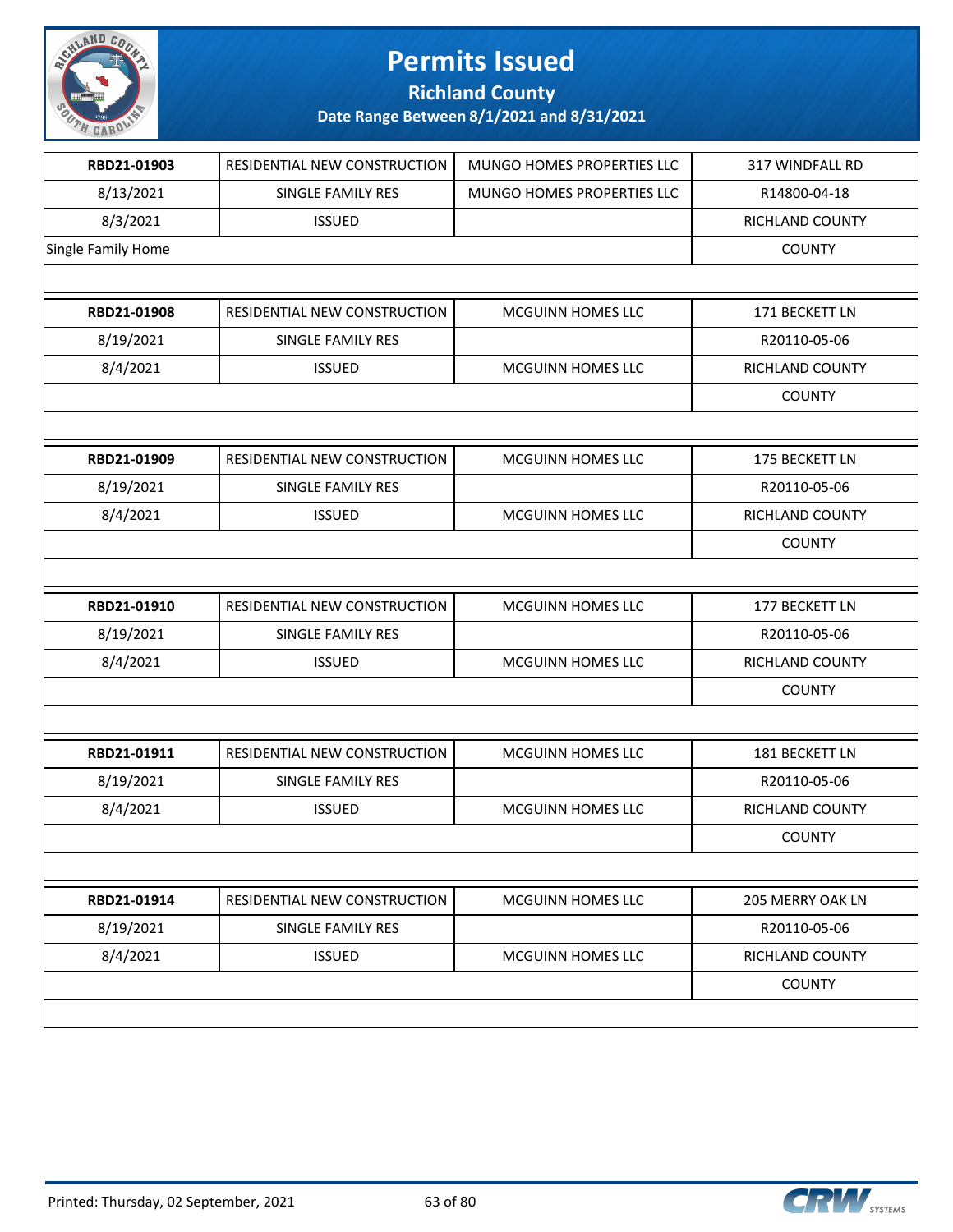

**Richland County**

| RBD21-01903        | RESIDENTIAL NEW CONSTRUCTION | MUNGO HOMES PROPERTIES LLC | 317 WINDFALL RD        |
|--------------------|------------------------------|----------------------------|------------------------|
| 8/13/2021          | SINGLE FAMILY RES            | MUNGO HOMES PROPERTIES LLC | R14800-04-18           |
| 8/3/2021           | <b>ISSUED</b>                |                            | RICHLAND COUNTY        |
| Single Family Home |                              |                            | <b>COUNTY</b>          |
|                    |                              |                            |                        |
| RBD21-01908        | RESIDENTIAL NEW CONSTRUCTION | MCGUINN HOMES LLC          | 171 BECKETT LN         |
| 8/19/2021          | SINGLE FAMILY RES            |                            | R20110-05-06           |
| 8/4/2021           | <b>ISSUED</b>                | MCGUINN HOMES LLC          | <b>RICHLAND COUNTY</b> |
|                    |                              |                            | <b>COUNTY</b>          |
|                    |                              |                            |                        |
| RBD21-01909        | RESIDENTIAL NEW CONSTRUCTION | MCGUINN HOMES LLC          | 175 BECKETT LN         |
| 8/19/2021          | SINGLE FAMILY RES            |                            | R20110-05-06           |
| 8/4/2021           | <b>ISSUED</b>                | MCGUINN HOMES LLC          | RICHLAND COUNTY        |
|                    |                              |                            | <b>COUNTY</b>          |
|                    |                              |                            |                        |
| RBD21-01910        | RESIDENTIAL NEW CONSTRUCTION | MCGUINN HOMES LLC          | 177 BECKETT LN         |
| 8/19/2021          | SINGLE FAMILY RES            |                            | R20110-05-06           |
| 8/4/2021           | <b>ISSUED</b>                | MCGUINN HOMES LLC          | RICHLAND COUNTY        |
|                    |                              |                            | <b>COUNTY</b>          |
|                    |                              |                            |                        |
| RBD21-01911        | RESIDENTIAL NEW CONSTRUCTION | MCGUINN HOMES LLC          | 181 BECKETT LN         |
| 8/19/2021          | SINGLE FAMILY RES            |                            | R20110-05-06           |
| 8/4/2021           | <b>ISSUED</b>                | MCGUINN HOMES LLC          | RICHLAND COUNTY        |
|                    |                              |                            | <b>COUNTY</b>          |
|                    |                              |                            |                        |
| RBD21-01914        | RESIDENTIAL NEW CONSTRUCTION | MCGUINN HOMES LLC          | 205 MERRY OAK LN       |
| 8/19/2021          | SINGLE FAMILY RES            |                            | R20110-05-06           |
| 8/4/2021           | <b>ISSUED</b>                | MCGUINN HOMES LLC          | RICHLAND COUNTY        |
|                    |                              |                            | <b>COUNTY</b>          |
|                    |                              |                            |                        |
|                    |                              |                            |                        |

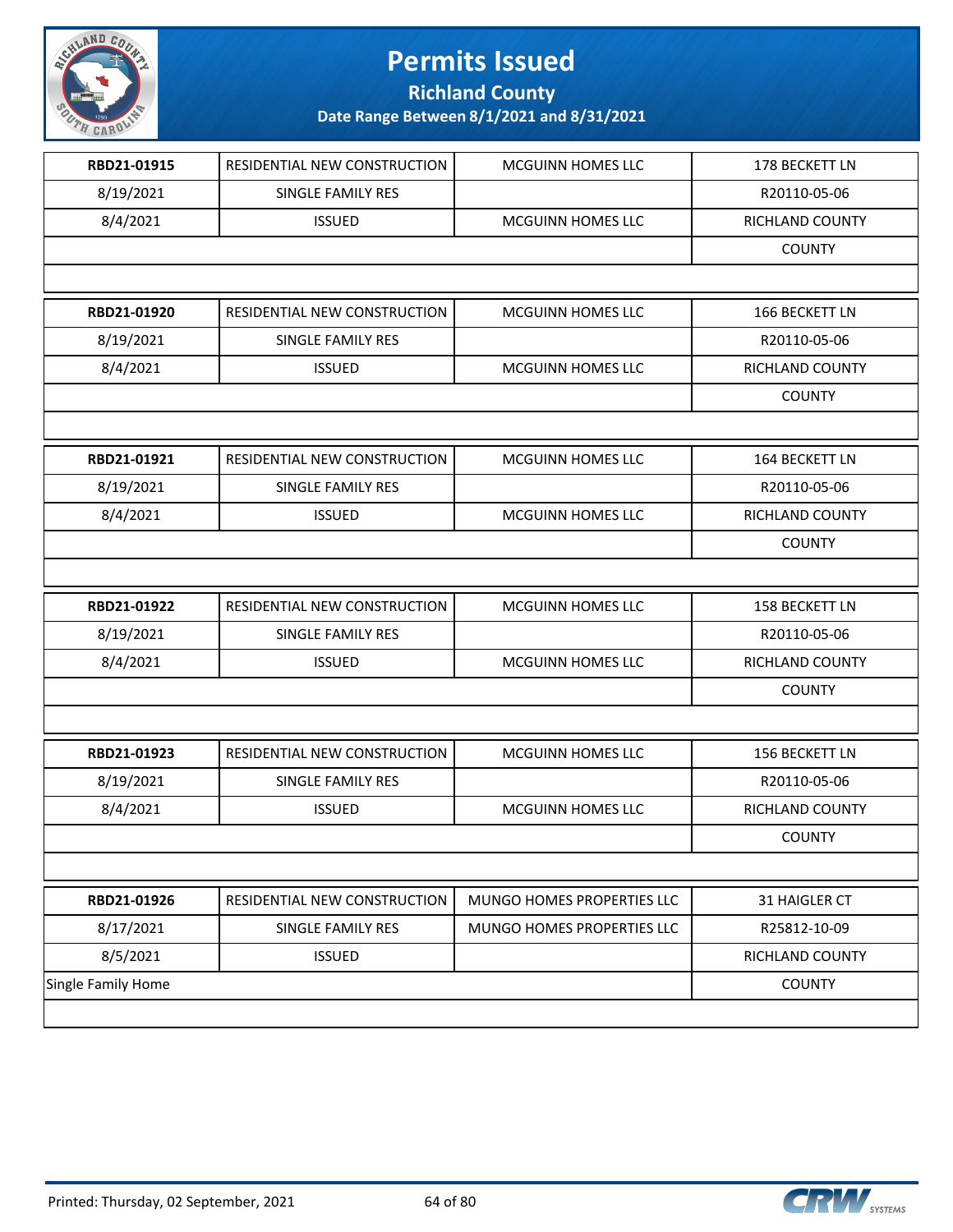

**Richland County**

| RBD21-01915        | RESIDENTIAL NEW CONSTRUCTION | MCGUINN HOMES LLC          | 178 BECKETT LN        |
|--------------------|------------------------------|----------------------------|-----------------------|
| 8/19/2021          | SINGLE FAMILY RES            |                            | R20110-05-06          |
| 8/4/2021           | <b>ISSUED</b>                | MCGUINN HOMES LLC          | RICHLAND COUNTY       |
|                    |                              |                            | <b>COUNTY</b>         |
|                    |                              |                            |                       |
| RBD21-01920        | RESIDENTIAL NEW CONSTRUCTION | MCGUINN HOMES LLC          | 166 BECKETT LN        |
| 8/19/2021          | SINGLE FAMILY RES            |                            | R20110-05-06          |
| 8/4/2021           | <b>ISSUED</b>                | MCGUINN HOMES LLC          | RICHLAND COUNTY       |
|                    |                              |                            | <b>COUNTY</b>         |
|                    |                              |                            |                       |
| RBD21-01921        | RESIDENTIAL NEW CONSTRUCTION | MCGUINN HOMES LLC          | 164 BECKETT LN        |
| 8/19/2021          | SINGLE FAMILY RES            |                            | R20110-05-06          |
| 8/4/2021           | <b>ISSUED</b>                | MCGUINN HOMES LLC          | RICHLAND COUNTY       |
|                    |                              |                            | <b>COUNTY</b>         |
|                    |                              |                            |                       |
| RBD21-01922        | RESIDENTIAL NEW CONSTRUCTION | MCGUINN HOMES LLC          | 158 BECKETT LN        |
| 8/19/2021          | SINGLE FAMILY RES            |                            | R20110-05-06          |
| 8/4/2021           | <b>ISSUED</b>                | MCGUINN HOMES LLC          | RICHLAND COUNTY       |
|                    |                              |                            | <b>COUNTY</b>         |
|                    |                              |                            |                       |
| RBD21-01923        | RESIDENTIAL NEW CONSTRUCTION | MCGUINN HOMES LLC          | <b>156 BECKETT LN</b> |
| 8/19/2021          | SINGLE FAMILY RES            |                            | R20110-05-06          |
| 8/4/2021           | <b>ISSUED</b>                | MCGUINN HOMES LLC          | RICHLAND COUNTY       |
|                    |                              |                            | <b>COUNTY</b>         |
|                    |                              |                            |                       |
| RBD21-01926        | RESIDENTIAL NEW CONSTRUCTION | MUNGO HOMES PROPERTIES LLC | 31 HAIGLER CT         |
| 8/17/2021          | SINGLE FAMILY RES            | MUNGO HOMES PROPERTIES LLC | R25812-10-09          |
| 8/5/2021           | <b>ISSUED</b>                |                            | RICHLAND COUNTY       |
| Single Family Home |                              |                            | <b>COUNTY</b>         |

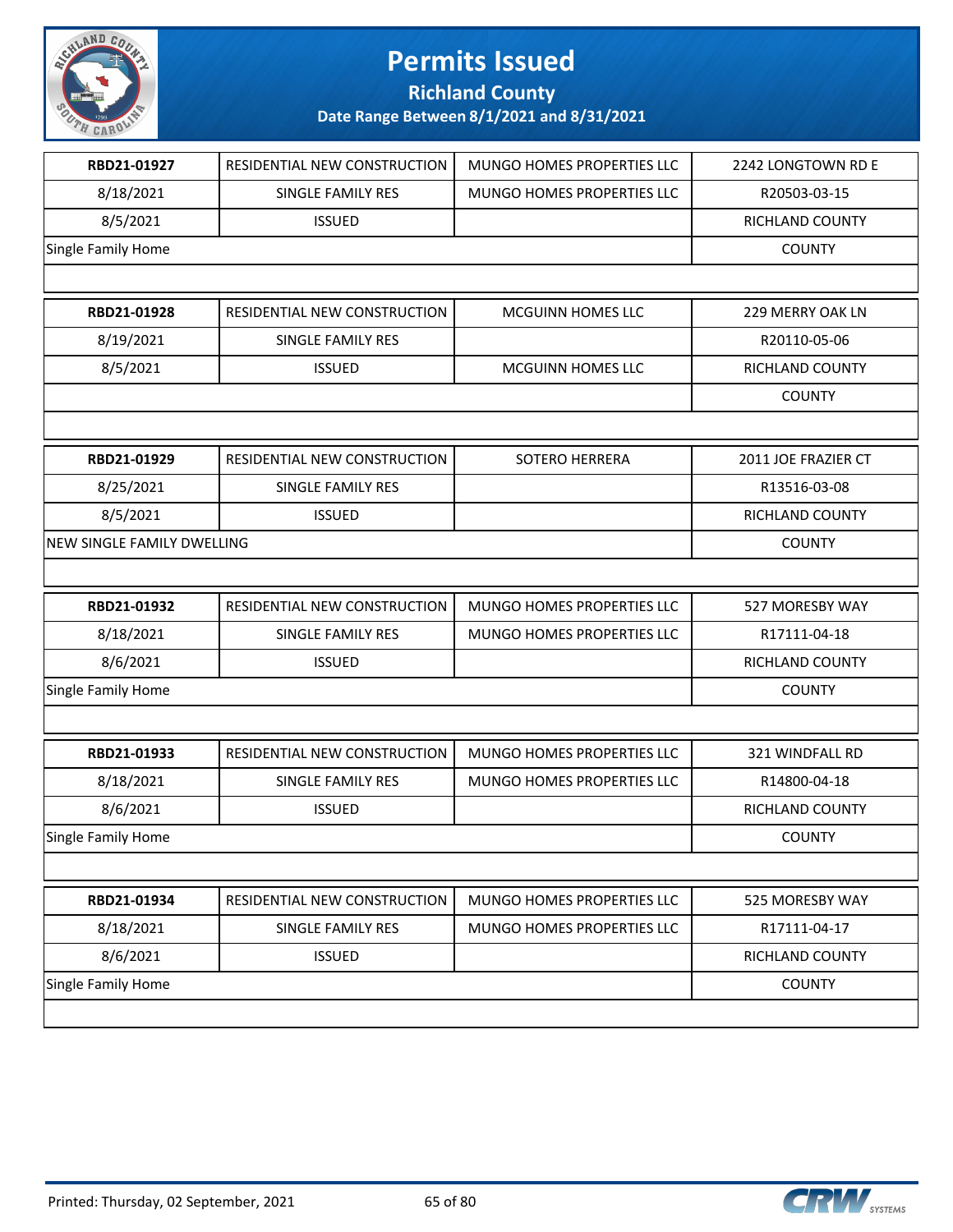

**Richland County**

| RBD21-01927                | RESIDENTIAL NEW CONSTRUCTION | MUNGO HOMES PROPERTIES LLC | 2242 LONGTOWN RD E  |
|----------------------------|------------------------------|----------------------------|---------------------|
| 8/18/2021                  | SINGLE FAMILY RES            | MUNGO HOMES PROPERTIES LLC | R20503-03-15        |
| 8/5/2021                   | <b>ISSUED</b>                |                            | RICHLAND COUNTY     |
| Single Family Home         |                              |                            | <b>COUNTY</b>       |
|                            |                              |                            |                     |
| RBD21-01928                | RESIDENTIAL NEW CONSTRUCTION | <b>MCGUINN HOMES LLC</b>   | 229 MERRY OAK LN    |
| 8/19/2021                  | SINGLE FAMILY RES            |                            | R20110-05-06        |
| 8/5/2021                   | <b>ISSUED</b>                | MCGUINN HOMES LLC          | RICHLAND COUNTY     |
|                            |                              |                            | <b>COUNTY</b>       |
|                            |                              |                            |                     |
| RBD21-01929                | RESIDENTIAL NEW CONSTRUCTION | SOTERO HERRERA             | 2011 JOE FRAZIER CT |
| 8/25/2021                  | SINGLE FAMILY RES            |                            | R13516-03-08        |
| 8/5/2021                   | <b>ISSUED</b>                |                            | RICHLAND COUNTY     |
| NEW SINGLE FAMILY DWELLING |                              |                            | <b>COUNTY</b>       |
|                            |                              |                            |                     |
| RBD21-01932                | RESIDENTIAL NEW CONSTRUCTION | MUNGO HOMES PROPERTIES LLC | 527 MORESBY WAY     |
| 8/18/2021                  | SINGLE FAMILY RES            | MUNGO HOMES PROPERTIES LLC | R17111-04-18        |
| 8/6/2021                   | <b>ISSUED</b>                |                            | RICHLAND COUNTY     |
| Single Family Home         |                              |                            | <b>COUNTY</b>       |
|                            |                              |                            |                     |
| RBD21-01933                | RESIDENTIAL NEW CONSTRUCTION | MUNGO HOMES PROPERTIES LLC | 321 WINDFALL RD     |
| 8/18/2021                  | SINGLE FAMILY RES            | MUNGO HOMES PROPERTIES LLC | R14800-04-18        |
| 8/6/2021                   | <b>ISSUED</b>                |                            | RICHLAND COUNTY     |
| Single Family Home         |                              |                            | <b>COUNTY</b>       |
|                            |                              |                            |                     |
| RBD21-01934                | RESIDENTIAL NEW CONSTRUCTION | MUNGO HOMES PROPERTIES LLC | 525 MORESBY WAY     |
| 8/18/2021                  | SINGLE FAMILY RES            | MUNGO HOMES PROPERTIES LLC | R17111-04-17        |
| 8/6/2021                   | <b>ISSUED</b>                |                            | RICHLAND COUNTY     |
| Single Family Home         |                              |                            | <b>COUNTY</b>       |
|                            |                              |                            |                     |

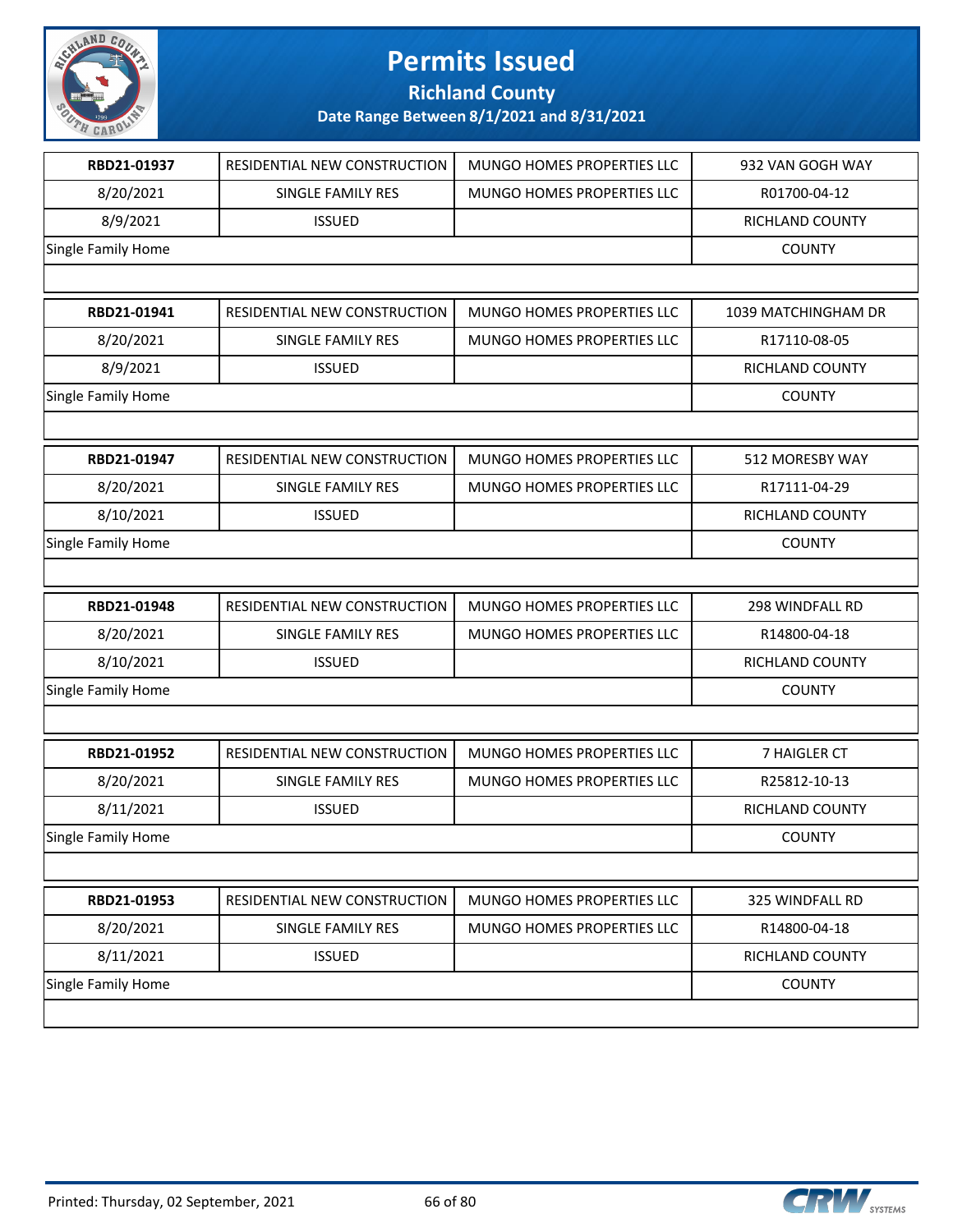

**Richland County**

| RBD21-01937        | RESIDENTIAL NEW CONSTRUCTION | MUNGO HOMES PROPERTIES LLC        | 932 VAN GOGH WAY    |
|--------------------|------------------------------|-----------------------------------|---------------------|
| 8/20/2021          | SINGLE FAMILY RES            | MUNGO HOMES PROPERTIES LLC        | R01700-04-12        |
| 8/9/2021           | <b>ISSUED</b>                |                                   | RICHLAND COUNTY     |
| Single Family Home |                              |                                   | <b>COUNTY</b>       |
|                    |                              |                                   |                     |
| RBD21-01941        | RESIDENTIAL NEW CONSTRUCTION | MUNGO HOMES PROPERTIES LLC        | 1039 MATCHINGHAM DR |
| 8/20/2021          | SINGLE FAMILY RES            | <b>MUNGO HOMES PROPERTIES LLC</b> | R17110-08-05        |
| 8/9/2021           | <b>ISSUED</b>                |                                   | RICHLAND COUNTY     |
| Single Family Home |                              |                                   | <b>COUNTY</b>       |
|                    |                              |                                   |                     |
| RBD21-01947        | RESIDENTIAL NEW CONSTRUCTION | MUNGO HOMES PROPERTIES LLC        | 512 MORESBY WAY     |
| 8/20/2021          | SINGLE FAMILY RES            | <b>MUNGO HOMES PROPERTIES LLC</b> | R17111-04-29        |
| 8/10/2021          | <b>ISSUED</b>                |                                   | RICHLAND COUNTY     |
| Single Family Home |                              |                                   | <b>COUNTY</b>       |
|                    |                              |                                   |                     |
| RBD21-01948        | RESIDENTIAL NEW CONSTRUCTION | MUNGO HOMES PROPERTIES LLC        | 298 WINDFALL RD     |
| 8/20/2021          | SINGLE FAMILY RES            | MUNGO HOMES PROPERTIES LLC        | R14800-04-18        |
| 8/10/2021          | <b>ISSUED</b>                |                                   | RICHLAND COUNTY     |
| Single Family Home |                              |                                   | <b>COUNTY</b>       |
|                    |                              |                                   |                     |
| RBD21-01952        | RESIDENTIAL NEW CONSTRUCTION | MUNGO HOMES PROPERTIES LLC        | 7 HAIGLER CT        |
| 8/20/2021          | SINGLE FAMILY RES            | MUNGO HOMES PROPERTIES LLC        | R25812-10-13        |
| 8/11/2021          | <b>ISSUED</b>                |                                   | RICHLAND COUNTY     |
| Single Family Home |                              |                                   | <b>COUNTY</b>       |
|                    |                              |                                   |                     |
| RBD21-01953        | RESIDENTIAL NEW CONSTRUCTION | MUNGO HOMES PROPERTIES LLC        | 325 WINDFALL RD     |
| 8/20/2021          | SINGLE FAMILY RES            | MUNGO HOMES PROPERTIES LLC        | R14800-04-18        |
| 8/11/2021          | <b>ISSUED</b>                |                                   | RICHLAND COUNTY     |
| Single Family Home |                              |                                   | <b>COUNTY</b>       |
|                    |                              |                                   |                     |

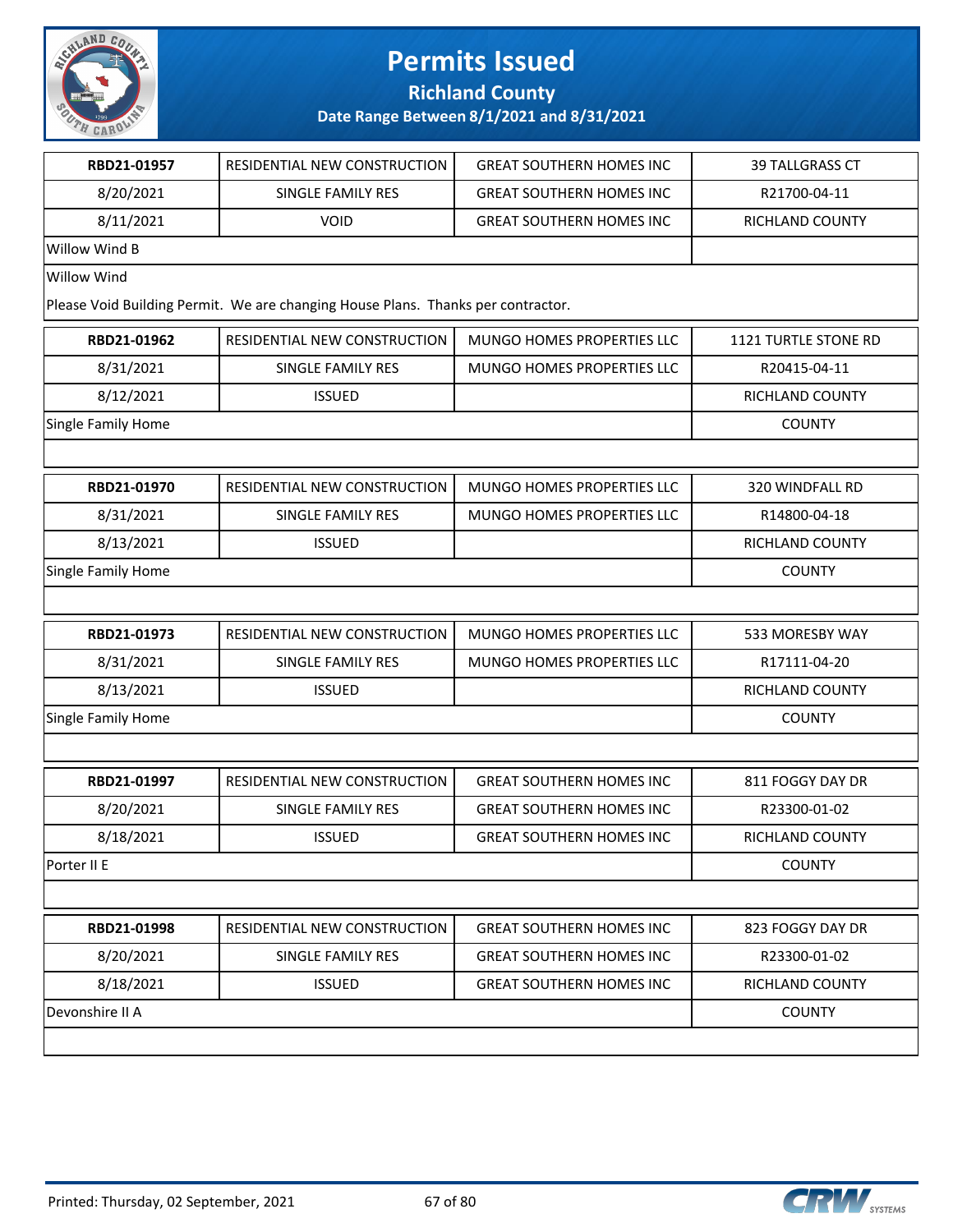

**Richland County**

| RBD21-01957        | RESIDENTIAL NEW CONSTRUCTION                                                     | <b>GREAT SOUTHERN HOMES INC</b> | <b>39 TALLGRASS CT</b> |
|--------------------|----------------------------------------------------------------------------------|---------------------------------|------------------------|
| 8/20/2021          | <b>SINGLE FAMILY RES</b>                                                         | <b>GREAT SOUTHERN HOMES INC</b> | R21700-04-11           |
| 8/11/2021          | <b>VOID</b>                                                                      | <b>GREAT SOUTHERN HOMES INC</b> | RICHLAND COUNTY        |
| Willow Wind B      |                                                                                  |                                 |                        |
| <b>Willow Wind</b> |                                                                                  |                                 |                        |
|                    | Please Void Building Permit. We are changing House Plans. Thanks per contractor. |                                 |                        |
| RBD21-01962        | RESIDENTIAL NEW CONSTRUCTION                                                     | MUNGO HOMES PROPERTIES LLC      | 1121 TURTLE STONE RD   |
| 8/31/2021          | SINGLE FAMILY RES                                                                | MUNGO HOMES PROPERTIES LLC      | R20415-04-11           |
| 8/12/2021          | <b>ISSUED</b>                                                                    |                                 | RICHLAND COUNTY        |
| Single Family Home |                                                                                  |                                 | <b>COUNTY</b>          |
|                    |                                                                                  |                                 |                        |
| RBD21-01970        | RESIDENTIAL NEW CONSTRUCTION                                                     | MUNGO HOMES PROPERTIES LLC      | 320 WINDFALL RD        |
| 8/31/2021          | SINGLE FAMILY RES                                                                | MUNGO HOMES PROPERTIES LLC      | R14800-04-18           |
| 8/13/2021          | <b>ISSUED</b>                                                                    |                                 | RICHLAND COUNTY        |
| Single Family Home |                                                                                  |                                 | <b>COUNTY</b>          |
|                    |                                                                                  |                                 |                        |
| RBD21-01973        | RESIDENTIAL NEW CONSTRUCTION                                                     | MUNGO HOMES PROPERTIES LLC      | 533 MORESBY WAY        |
| 8/31/2021          | SINGLE FAMILY RES                                                                | MUNGO HOMES PROPERTIES LLC      | R17111-04-20           |
| 8/13/2021          | <b>ISSUED</b>                                                                    |                                 | RICHLAND COUNTY        |
| Single Family Home |                                                                                  |                                 | <b>COUNTY</b>          |
|                    |                                                                                  |                                 |                        |
| RBD21-01997        | RESIDENTIAL NEW CONSTRUCTION                                                     | <b>GREAT SOUTHERN HOMES INC</b> | 811 FOGGY DAY DR       |
| 8/20/2021          | SINGLE FAMILY RES                                                                | <b>GREAT SOUTHERN HOMES INC</b> | R23300-01-02           |
| 8/18/2021          | <b>ISSUED</b>                                                                    | <b>GREAT SOUTHERN HOMES INC</b> | <b>RICHLAND COUNTY</b> |
| Porter II E        |                                                                                  |                                 | <b>COUNTY</b>          |
|                    |                                                                                  |                                 |                        |
| RBD21-01998        | RESIDENTIAL NEW CONSTRUCTION                                                     | <b>GREAT SOUTHERN HOMES INC</b> | 823 FOGGY DAY DR       |
| 8/20/2021          | SINGLE FAMILY RES                                                                | <b>GREAT SOUTHERN HOMES INC</b> | R23300-01-02           |
| 8/18/2021          | <b>ISSUED</b>                                                                    | <b>GREAT SOUTHERN HOMES INC</b> | RICHLAND COUNTY        |
|                    |                                                                                  |                                 |                        |

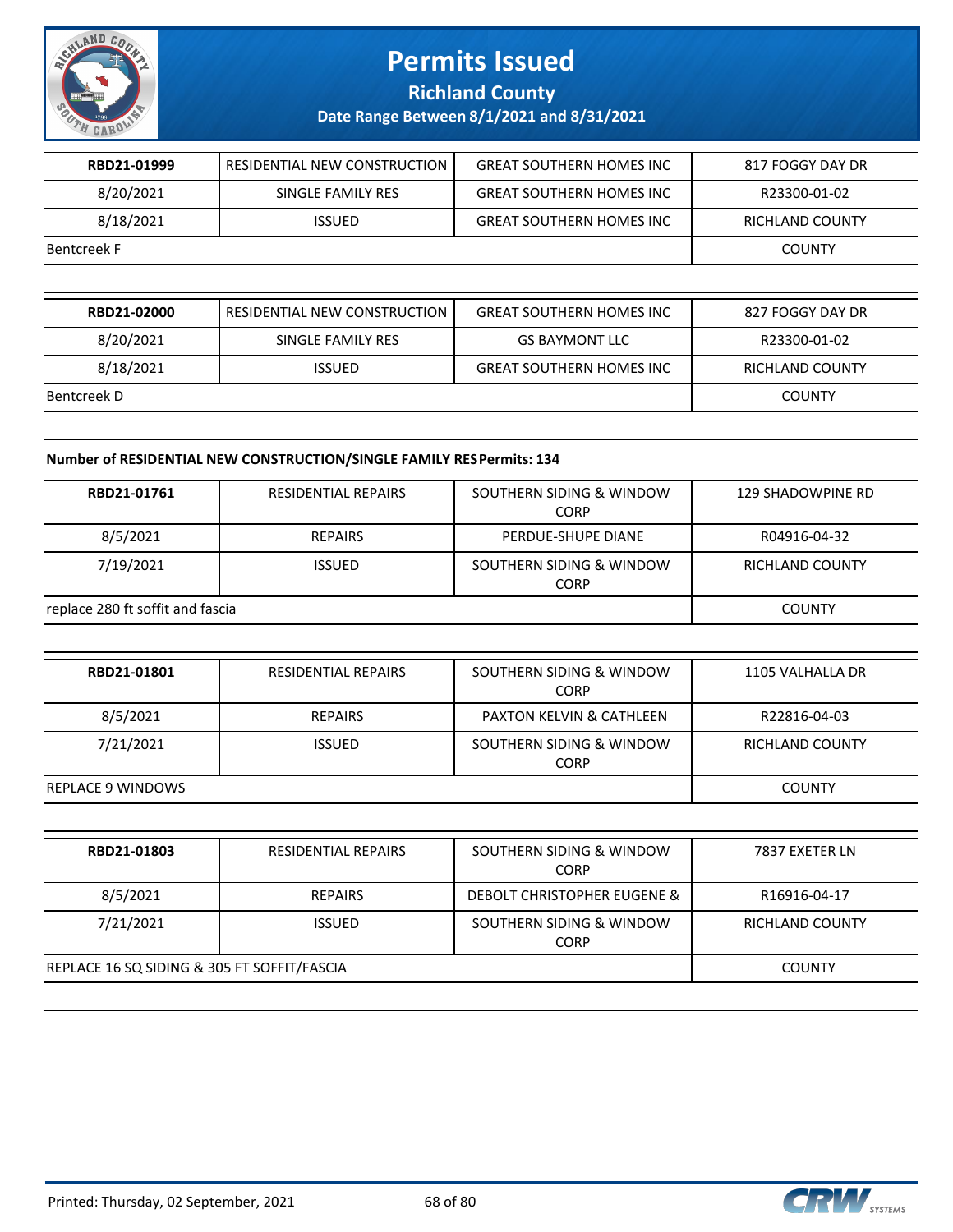

### **Richland County**

### **Date Range Between 8/1/2021 and 8/31/2021**

| RBD21-01999        | RESIDENTIAL NEW CONSTRUCTION | <b>GREAT SOUTHERN HOMES INC</b> | 817 FOGGY DAY DR       |
|--------------------|------------------------------|---------------------------------|------------------------|
| 8/20/2021          | SINGLE FAMILY RES            | <b>GREAT SOUTHERN HOMES INC</b> | R23300-01-02           |
| 8/18/2021          | <b>ISSUED</b>                | <b>GREAT SOUTHERN HOMES INC</b> | RICHLAND COUNTY        |
| Bentcreek F        |                              |                                 | <b>COUNTY</b>          |
|                    |                              |                                 |                        |
|                    |                              |                                 |                        |
| RBD21-02000        | RESIDENTIAL NEW CONSTRUCTION | <b>GREAT SOUTHERN HOMES INC</b> | 827 FOGGY DAY DR       |
| 8/20/2021          | SINGLE FAMILY RES            | <b>GS BAYMONT LLC</b>           | R23300-01-02           |
| 8/18/2021          | <b>ISSUED</b>                | <b>GREAT SOUTHERN HOMES INC</b> | <b>RICHLAND COUNTY</b> |
| <b>Bentcreek D</b> |                              |                                 | <b>COUNTY</b>          |

#### **Number of RESIDENTIAL NEW CONSTRUCTION/SINGLE FAMILY RES Permits: 134**

| RBD21-01761                      | <b>RESIDENTIAL REPAIRS</b> | SOUTHERN SIDING & WINDOW<br><b>CORP</b> | 129 SHADOWPINE RD |
|----------------------------------|----------------------------|-----------------------------------------|-------------------|
| 8/5/2021                         | <b>REPAIRS</b>             | PERDUE-SHUPE DIANE                      | R04916-04-32      |
| 7/19/2021                        | <b>ISSUED</b>              | SOUTHERN SIDING & WINDOW<br><b>CORP</b> | RICHLAND COUNTY   |
| replace 280 ft soffit and fascia |                            |                                         | <b>COUNTY</b>     |
|                                  |                            |                                         |                   |

| RBD21-01801       | <b>RESIDENTIAL REPAIRS</b> | SOUTHERN SIDING & WINDOW<br><b>CORP</b> | 1105 VALHALLA DR       |
|-------------------|----------------------------|-----------------------------------------|------------------------|
| 8/5/2021          | <b>REPAIRS</b>             | <b>PAXTON KELVIN &amp; CATHLEEN</b>     | R22816-04-03           |
| 7/21/2021         | <b>ISSUED</b>              | SOUTHERN SIDING & WINDOW<br><b>CORP</b> | <b>RICHLAND COUNTY</b> |
| REPLACE 9 WINDOWS |                            |                                         | <b>COUNTY</b>          |
|                   |                            |                                         |                        |
| RBD21-01803       | <b>RESIDENTIAL REPAIRS</b> | SOUTHERN SIDING & WINDOW<br><b>CORP</b> | 7837 EXETER LN         |
| $\sim$ In In a a  | ------                     |                                         | ---------              |

| 8/5/2021                                    | <b>REPAIRS</b> | DEBOLT CHRISTOPHER EUGENE &      | R16916-04-17    |
|---------------------------------------------|----------------|----------------------------------|-----------------|
| 7/21/2021                                   | <b>ISSUED</b>  | SOUTHERN SIDING & WINDOW<br>CORP | RICHLAND COUNTY |
| REPLACE 16 SQ SIDING & 305 FT SOFFIT/FASCIA |                |                                  | COUNTY          |
|                                             |                |                                  |                 |

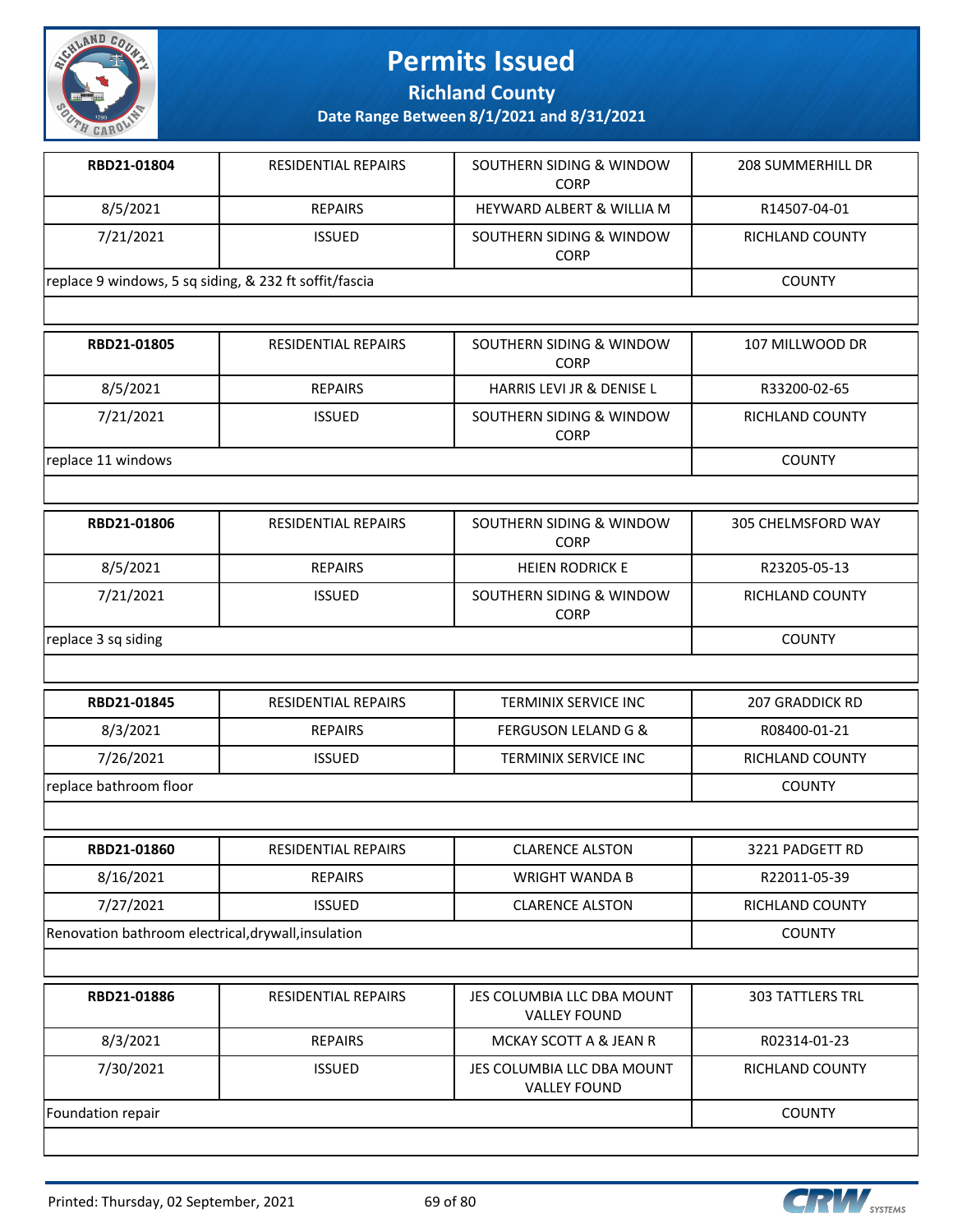

**Richland County**

| RBD21-01804                                            | RESIDENTIAL REPAIRS        | SOUTHERN SIDING & WINDOW<br><b>CORP</b> | <b>208 SUMMERHILL DR</b> |
|--------------------------------------------------------|----------------------------|-----------------------------------------|--------------------------|
| 8/5/2021                                               | <b>REPAIRS</b>             | <b>HEYWARD ALBERT &amp; WILLIA M</b>    | R14507-04-01             |
| 7/21/2021                                              | <b>ISSUED</b>              | SOUTHERN SIDING & WINDOW<br><b>CORP</b> | <b>RICHLAND COUNTY</b>   |
| replace 9 windows, 5 sq siding, & 232 ft soffit/fascia |                            |                                         | <b>COUNTY</b>            |
|                                                        |                            |                                         |                          |
| RBD21-01805                                            | <b>RESIDENTIAL REPAIRS</b> | SOUTHERN SIDING & WINDOW<br><b>CORP</b> | 107 MILLWOOD DR          |
| 8/5/2021                                               | <b>REPAIRS</b>             | <b>HARRIS LEVI JR &amp; DENISE L</b>    | R33200-02-65             |
| 7/21/2021                                              | <b>ISSUED</b>              | SOUTHERN SIDING & WINDOW<br><b>CORP</b> | RICHLAND COUNTY          |
| replace 11 windows                                     |                            |                                         | <b>COUNTY</b>            |
|                                                        |                            |                                         |                          |

| RBD21-01806         | <b>RESIDENTIAL REPAIRS</b> | SOUTHERN SIDING & WINDOW<br><b>CORP</b> | 305 CHELMSFORD WAY     |
|---------------------|----------------------------|-----------------------------------------|------------------------|
| 8/5/2021            | REPAIRS                    | <b>HEIEN RODRICK E</b>                  | R23205-05-13           |
| 7/21/2021           | <b>ISSUED</b>              | SOUTHERN SIDING & WINDOW<br><b>CORP</b> | <b>RICHLAND COUNTY</b> |
| replace 3 sq siding |                            |                                         | <b>COUNTY</b>          |

| RBD21-01845            | <b>RESIDENTIAL REPAIRS</b> | TERMINIX SERVICE INC           | 207 GRADDICK RD        |
|------------------------|----------------------------|--------------------------------|------------------------|
| 8/3/2021               | <b>REPAIRS</b>             | <b>FERGUSON LELAND G &amp;</b> | R08400-01-21           |
| 7/26/2021              | <b>ISSUED</b>              | TERMINIX SERVICE INC           | <b>RICHLAND COUNTY</b> |
| replace bathroom floor |                            |                                | <b>COUNTY</b>          |

| RBD21-01860                                         | RESIDENTIAL REPAIRS | <b>CLARENCE ALSTON</b> | 3221 PADGETT RD |
|-----------------------------------------------------|---------------------|------------------------|-----------------|
| 8/16/2021                                           | <b>REPAIRS</b>      | WRIGHT WANDA B         | R22011-05-39    |
| 7/27/2021                                           | <b>ISSUED</b>       | <b>CLARENCE ALSTON</b> | RICHLAND COUNTY |
| Renovation bathroom electrical, drywall, insulation |                     |                        | COUNTY          |

| RBD21-01886       | <b>RESIDENTIAL REPAIRS</b> | JES COLUMBIA LLC DBA MOUNT<br><b>VALLEY FOUND</b> | <b>303 TATTLERS TRL</b> |
|-------------------|----------------------------|---------------------------------------------------|-------------------------|
| 8/3/2021          | <b>REPAIRS</b>             | MCKAY SCOTT A & JEAN R                            | R02314-01-23            |
| 7/30/2021         | <b>ISSUED</b>              | JES COLUMBIA LLC DBA MOUNT<br><b>VALLEY FOUND</b> | RICHLAND COUNTY         |
| Foundation repair |                            |                                                   | <b>COUNTY</b>           |

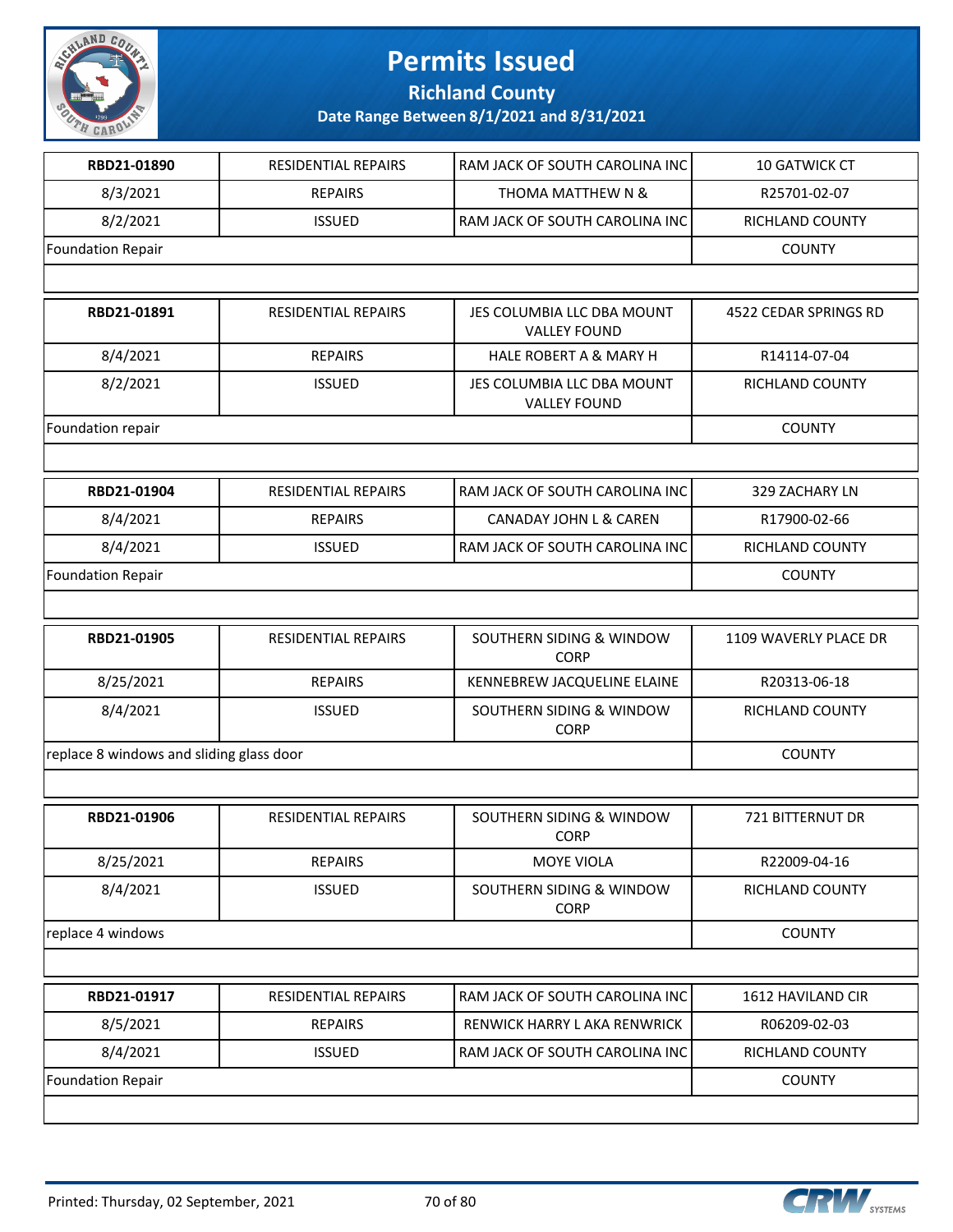

**Richland County**

| RBD21-01890                              | <b>RESIDENTIAL REPAIRS</b> | RAM JACK OF SOUTH CAROLINA INC                     | <b>10 GATWICK CT</b>    |
|------------------------------------------|----------------------------|----------------------------------------------------|-------------------------|
| 8/3/2021                                 | <b>REPAIRS</b>             | THOMA MATTHEW N &                                  | R25701-02-07            |
| 8/2/2021                                 | <b>ISSUED</b>              | RAM JACK OF SOUTH CAROLINA INC                     | RICHLAND COUNTY         |
| <b>Foundation Repair</b>                 |                            |                                                    | <b>COUNTY</b>           |
|                                          |                            |                                                    |                         |
| RBD21-01891                              | <b>RESIDENTIAL REPAIRS</b> | JES COLUMBIA LLC DBA MOUNT<br><b>VALLEY FOUND</b>  | 4522 CEDAR SPRINGS RD   |
| 8/4/2021                                 | <b>REPAIRS</b>             | <b>HALE ROBERT A &amp; MARY H</b>                  | R14114-07-04            |
| 8/2/2021                                 | <b>ISSUED</b>              | JES COLUMBIA LLC DBA MOUNT<br><b>VALLEY FOUND</b>  | RICHLAND COUNTY         |
| Foundation repair                        |                            |                                                    | <b>COUNTY</b>           |
|                                          |                            |                                                    |                         |
| RBD21-01904                              | <b>RESIDENTIAL REPAIRS</b> | RAM JACK OF SOUTH CAROLINA INC                     | 329 ZACHARY LN          |
| 8/4/2021                                 | <b>REPAIRS</b>             | CANADAY JOHN L & CAREN                             | R17900-02-66            |
| 8/4/2021                                 | <b>ISSUED</b>              | RAM JACK OF SOUTH CAROLINA INC                     | <b>RICHLAND COUNTY</b>  |
| <b>Foundation Repair</b>                 |                            |                                                    | <b>COUNTY</b>           |
|                                          |                            |                                                    |                         |
| RBD21-01905                              | <b>RESIDENTIAL REPAIRS</b> | SOUTHERN SIDING & WINDOW<br>CORP                   | 1109 WAVERLY PLACE DR   |
| 8/25/2021                                | <b>REPAIRS</b>             | KENNEBREW JACQUELINE ELAINE                        | R20313-06-18            |
| 8/4/2021                                 | <b>ISSUED</b>              | SOUTHERN SIDING & WINDOW<br><b>CORP</b>            | RICHLAND COUNTY         |
| replace 8 windows and sliding glass door | <b>COUNTY</b>              |                                                    |                         |
|                                          |                            |                                                    |                         |
| RBD21-01906                              | <b>RESIDENTIAL REPAIRS</b> | SOUTHERN SIDING & WINDOW<br><b>CORP</b>            | <b>721 BITTERNUT DR</b> |
| 8/25/2021                                | <b>REPAIRS</b>             | MOYE VIOLA                                         | R22009-04-16            |
| 8/4/2021                                 | <b>ISSUED</b>              | <b>SOUTHERN SIDING &amp; WINDOW</b><br><b>CORP</b> | RICHLAND COUNTY         |
| replace 4 windows                        |                            |                                                    | <b>COUNTY</b>           |
|                                          |                            |                                                    |                         |
| RBD21-01917                              | RESIDENTIAL REPAIRS        | RAM JACK OF SOUTH CAROLINA INC                     | 1612 HAVILAND CIR       |
| 8/5/2021                                 | <b>REPAIRS</b>             | RENWICK HARRY L AKA RENWRICK                       | R06209-02-03            |
| 8/4/2021                                 | <b>ISSUED</b>              | RAM JACK OF SOUTH CAROLINA INC                     | RICHLAND COUNTY         |
| <b>Foundation Repair</b>                 |                            |                                                    | <b>COUNTY</b>           |
|                                          |                            |                                                    |                         |

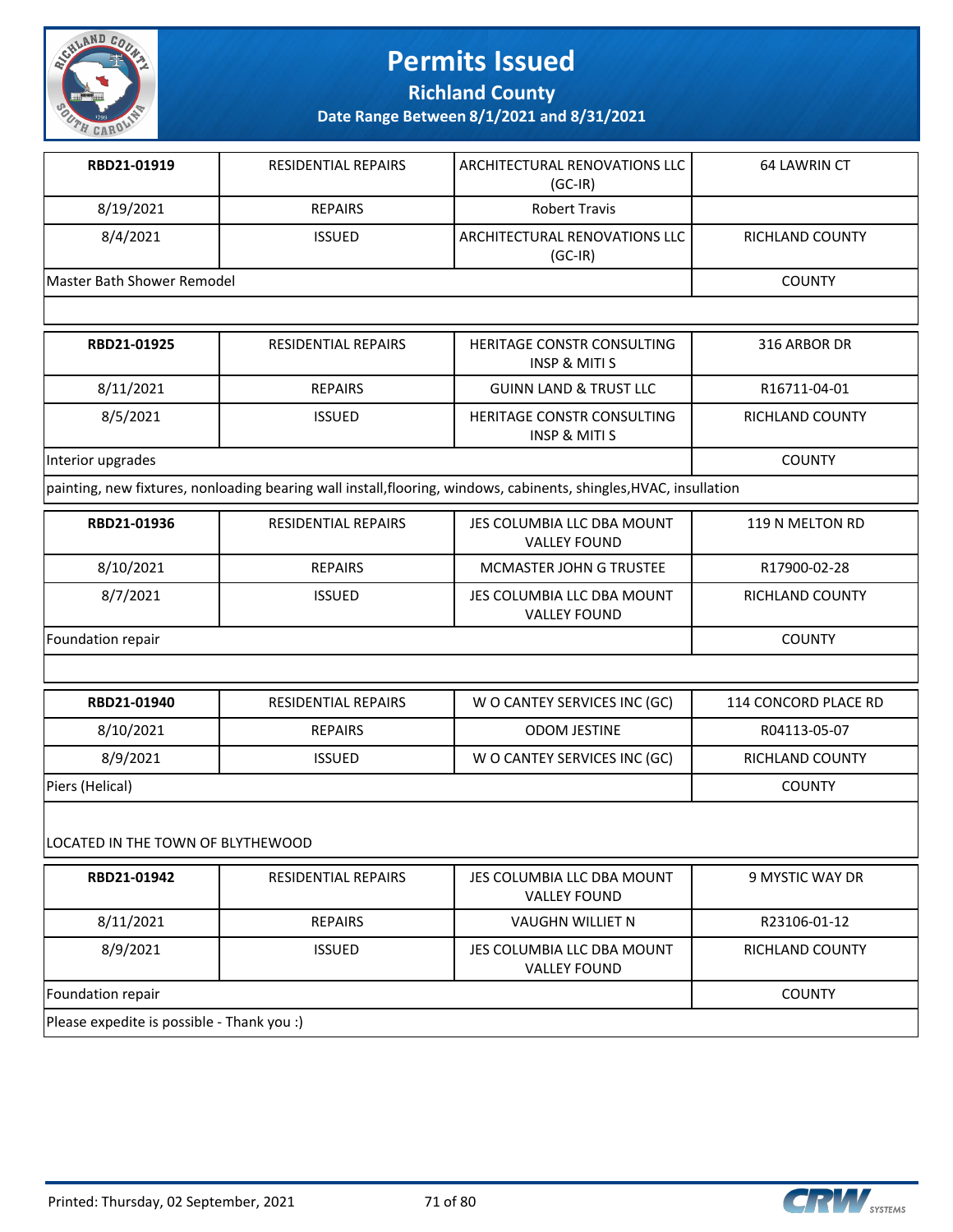

**Richland County**

**Date Range Between 8/1/2021 and 8/31/2021**

| RBD21-01919                | <b>RESIDENTIAL REPAIRS</b> | l ARCHITECTURAL RENOVATIONS LLC<br>$(GC-IR)$   | 64 LAWRIN CT    |
|----------------------------|----------------------------|------------------------------------------------|-----------------|
| 8/19/2021                  | <b>REPAIRS</b>             | <b>Robert Travis</b>                           |                 |
| 8/4/2021                   | <b>ISSUED</b>              | I ARCHITECTURAL RENOVATIONS LLC I<br>$(GC-IR)$ | RICHLAND COUNTY |
| Master Bath Shower Remodel |                            |                                                | <b>COUNTY</b>   |

| RBD21-01925       | <b>RESIDENTIAL REPAIRS</b> | <b>HERITAGE CONSTR CONSULTING</b><br>INSP & MITI S     | 316 ARBOR DR    |
|-------------------|----------------------------|--------------------------------------------------------|-----------------|
| 8/11/2021         | <b>REPAIRS</b>             | <b>GUINN LAND &amp; TRUST LLC</b>                      | R16711-04-01    |
| 8/5/2021          | <b>ISSUED</b>              | HERITAGE CONSTR CONSULTING<br><b>INSP &amp; MITI S</b> | RICHLAND COUNTY |
| Interior upgrades |                            |                                                        | <b>COUNTY</b>   |

painting, new fixtures, nonloading bearing wall install,flooring, windows, cabinents, shingles,HVAC, insullation

| RBD21-01936       | <b>RESIDENTIAL REPAIRS</b> | JES COLUMBIA LLC DBA MOUNT<br><b>VALLEY FOUND</b> | 119 N MELTON RD |
|-------------------|----------------------------|---------------------------------------------------|-----------------|
| 8/10/2021         | <b>REPAIRS</b>             | MCMASTER JOHN G TRUSTEE                           | R17900-02-28    |
| 8/7/2021          | <b>ISSUED</b>              | JES COLUMBIA LLC DBA MOUNT<br><b>VALLEY FOUND</b> | RICHLAND COUNTY |
| Foundation repair |                            |                                                   | <b>COUNTY</b>   |

| RBD21-01940     | RESIDENTIAL REPAIRS | W O CANTEY SERVICES INC (GC) | 114 CONCORD PLACE RD |
|-----------------|---------------------|------------------------------|----------------------|
| 8/10/2021       | <b>REPAIRS</b>      | <b>ODOM JESTINE</b>          | R04113-05-07         |
| 8/9/2021        | <b>ISSUED</b>       | W O CANTEY SERVICES INC (GC) | RICHLAND COUNTY      |
| Piers (Helical) |                     |                              | COUNTY               |

#### LOCATED IN THE TOWN OF BLYTHEWOOD

| RBD21-01942                                | <b>RESIDENTIAL REPAIRS</b> | JES COLUMBIA LLC DBA MOUNT<br><b>VALLEY FOUND</b> | 9 MYSTIC WAY DR |  |  |
|--------------------------------------------|----------------------------|---------------------------------------------------|-----------------|--|--|
| 8/11/2021                                  | <b>REPAIRS</b>             | <b>VAUGHN WILLIET N</b>                           | R23106-01-12    |  |  |
| 8/9/2021                                   | <b>ISSUED</b>              | JES COLUMBIA LLC DBA MOUNT<br><b>VALLEY FOUND</b> | RICHLAND COUNTY |  |  |
| Foundation repair                          | <b>COUNTY</b>              |                                                   |                 |  |  |
| Please expedite is possible - Thank you :) |                            |                                                   |                 |  |  |

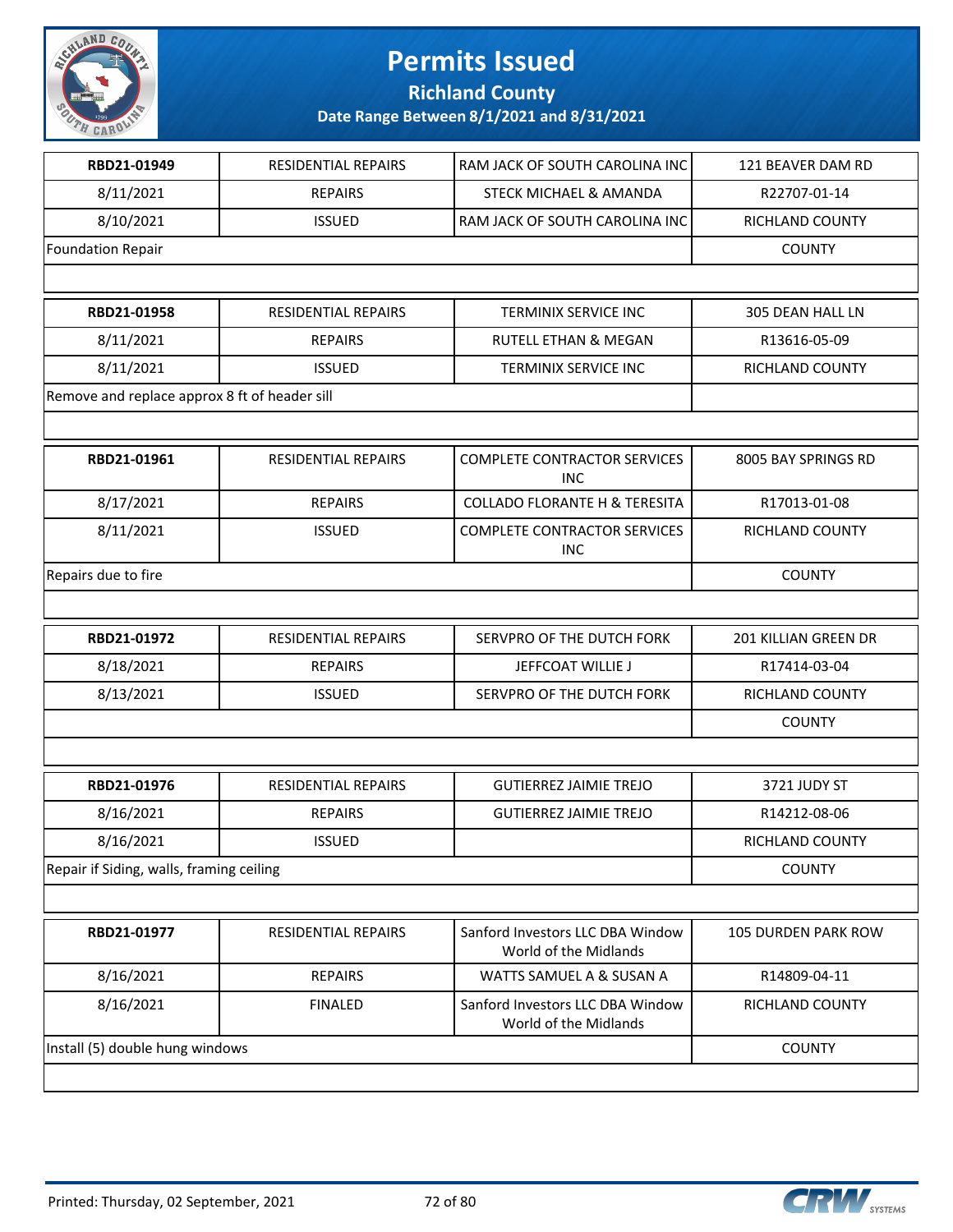

**Richland County**

| RBD21-01949                                   | RESIDENTIAL REPAIRS | RAM JACK OF SOUTH CAROLINA INC                            | 121 BEAVER DAM RD           |
|-----------------------------------------------|---------------------|-----------------------------------------------------------|-----------------------------|
| 8/11/2021                                     | <b>REPAIRS</b>      | STECK MICHAEL & AMANDA                                    | R22707-01-14                |
| 8/10/2021                                     | <b>ISSUED</b>       | RAM JACK OF SOUTH CAROLINA INC                            | RICHLAND COUNTY             |
| <b>Foundation Repair</b>                      |                     |                                                           | <b>COUNTY</b>               |
|                                               |                     |                                                           |                             |
| RBD21-01958                                   | RESIDENTIAL REPAIRS | TERMINIX SERVICE INC                                      | 305 DEAN HALL LN            |
| 8/11/2021                                     | <b>REPAIRS</b>      | <b>RUTELL ETHAN &amp; MEGAN</b>                           | R13616-05-09                |
| 8/11/2021                                     | <b>ISSUED</b>       | <b>TERMINIX SERVICE INC</b>                               | RICHLAND COUNTY             |
| Remove and replace approx 8 ft of header sill |                     |                                                           |                             |
|                                               |                     |                                                           |                             |
| RBD21-01961                                   | RESIDENTIAL REPAIRS | <b>COMPLETE CONTRACTOR SERVICES</b><br><b>INC</b>         | 8005 BAY SPRINGS RD         |
| 8/17/2021                                     | <b>REPAIRS</b>      | <b>COLLADO FLORANTE H &amp; TERESITA</b>                  | R17013-01-08                |
| 8/11/2021                                     | <b>ISSUED</b>       | <b>COMPLETE CONTRACTOR SERVICES</b><br><b>INC</b>         | RICHLAND COUNTY             |
| Repairs due to fire                           |                     |                                                           | <b>COUNTY</b>               |
|                                               |                     |                                                           |                             |
| RBD21-01972                                   | RESIDENTIAL REPAIRS | SERVPRO OF THE DUTCH FORK                                 | <b>201 KILLIAN GREEN DR</b> |
| 8/18/2021                                     | <b>REPAIRS</b>      | JEFFCOAT WILLIE J                                         | R17414-03-04                |
| 8/13/2021                                     | <b>ISSUED</b>       | SERVPRO OF THE DUTCH FORK                                 | RICHLAND COUNTY             |
|                                               |                     |                                                           | <b>COUNTY</b>               |
|                                               |                     |                                                           |                             |
| RBD21-01976                                   | RESIDENTIAL REPAIRS | <b>GUTIERREZ JAIMIE TREJO</b>                             | 3721 JUDY ST                |
| 8/16/2021                                     | <b>REPAIRS</b>      | <b>GUTIERREZ JAIMIE TREJO</b>                             | R14212-08-06                |
| 8/16/2021                                     | <b>ISSUED</b>       |                                                           | RICHLAND COUNTY             |
| Repair if Siding, walls, framing ceiling      | <b>COUNTY</b>       |                                                           |                             |
|                                               |                     |                                                           |                             |
| RBD21-01977                                   | RESIDENTIAL REPAIRS | Sanford Investors LLC DBA Window<br>World of the Midlands | 105 DURDEN PARK ROW         |
| 8/16/2021                                     | <b>REPAIRS</b>      | WATTS SAMUEL A & SUSAN A                                  | R14809-04-11                |
| 8/16/2021                                     | <b>FINALED</b>      | Sanford Investors LLC DBA Window<br>World of the Midlands | RICHLAND COUNTY             |
| Install (5) double hung windows               | <b>COUNTY</b>       |                                                           |                             |
|                                               |                     |                                                           |                             |

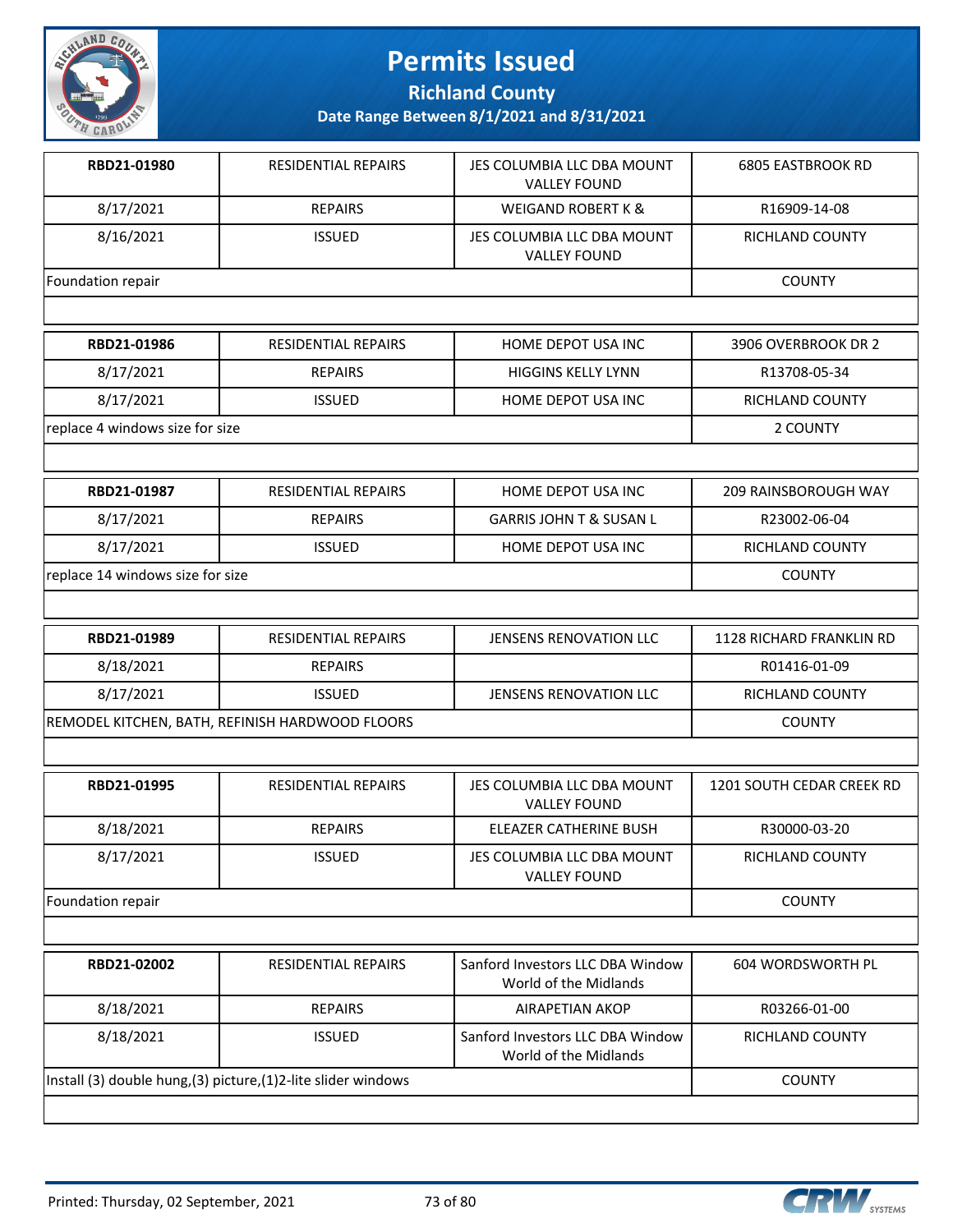

**Richland County**

| RBD21-01980                      | RESIDENTIAL REPAIRS                                            | JES COLUMBIA LLC DBA MOUNT<br><b>VALLEY FOUND</b>         | <b>6805 EASTBROOK RD</b>        |
|----------------------------------|----------------------------------------------------------------|-----------------------------------------------------------|---------------------------------|
| 8/17/2021                        | <b>REPAIRS</b>                                                 | <b>WEIGAND ROBERT K &amp;</b>                             | R16909-14-08                    |
| 8/16/2021                        | <b>ISSUED</b>                                                  | JES COLUMBIA LLC DBA MOUNT<br><b>VALLEY FOUND</b>         | RICHLAND COUNTY                 |
| Foundation repair                |                                                                |                                                           | <b>COUNTY</b>                   |
|                                  |                                                                |                                                           |                                 |
| RBD21-01986                      | <b>RESIDENTIAL REPAIRS</b>                                     | HOME DEPOT USA INC                                        | 3906 OVERBROOK DR 2             |
| 8/17/2021                        | <b>REPAIRS</b>                                                 | <b>HIGGINS KELLY LYNN</b>                                 | R13708-05-34                    |
| 8/17/2021                        | <b>ISSUED</b>                                                  | HOME DEPOT USA INC                                        | RICHLAND COUNTY                 |
| replace 4 windows size for size  |                                                                |                                                           | 2 COUNTY                        |
|                                  |                                                                |                                                           |                                 |
| RBD21-01987                      | <b>RESIDENTIAL REPAIRS</b>                                     | HOME DEPOT USA INC                                        | <b>209 RAINSBOROUGH WAY</b>     |
| 8/17/2021                        | <b>REPAIRS</b>                                                 | <b>GARRIS JOHN T &amp; SUSAN L</b>                        | R23002-06-04                    |
| 8/17/2021                        | <b>ISSUED</b>                                                  | HOME DEPOT USA INC                                        | <b>RICHLAND COUNTY</b>          |
| replace 14 windows size for size |                                                                |                                                           | <b>COUNTY</b>                   |
|                                  |                                                                |                                                           |                                 |
| RBD21-01989                      | <b>RESIDENTIAL REPAIRS</b>                                     | JENSENS RENOVATION LLC                                    | <b>1128 RICHARD FRANKLIN RD</b> |
| 8/18/2021                        | <b>REPAIRS</b>                                                 |                                                           | R01416-01-09                    |
| 8/17/2021                        | <b>ISSUED</b>                                                  | JENSENS RENOVATION LLC                                    | RICHLAND COUNTY                 |
|                                  | REMODEL KITCHEN, BATH, REFINISH HARDWOOD FLOORS                |                                                           | <b>COUNTY</b>                   |
|                                  |                                                                |                                                           |                                 |
| RBD21-01995                      | <b>RESIDENTIAL REPAIRS</b>                                     | JES COLUMBIA LLC DBA MOUNT<br><b>VALLEY FOUND</b>         | 1201 SOUTH CEDAR CREEK RD       |
| 8/18/2021                        | <b>REPAIRS</b>                                                 | ELEAZER CATHERINE BUSH                                    | R30000-03-20                    |
| 8/17/2021                        | <b>ISSUED</b>                                                  | JES COLUMBIA LLC DBA MOUNT<br><b>VALLEY FOUND</b>         | RICHLAND COUNTY                 |
| Foundation repair                | <b>COUNTY</b>                                                  |                                                           |                                 |
|                                  |                                                                |                                                           |                                 |
| RBD21-02002                      | RESIDENTIAL REPAIRS                                            | Sanford Investors LLC DBA Window<br>World of the Midlands | 604 WORDSWORTH PL               |
| 8/18/2021                        | <b>REPAIRS</b>                                                 | <b>AIRAPETIAN AKOP</b>                                    | R03266-01-00                    |
| 8/18/2021                        | <b>ISSUED</b>                                                  | Sanford Investors LLC DBA Window<br>World of the Midlands | RICHLAND COUNTY                 |
|                                  | Install (3) double hung, (3) picture, (1)2-lite slider windows |                                                           | <b>COUNTY</b>                   |
|                                  |                                                                |                                                           |                                 |

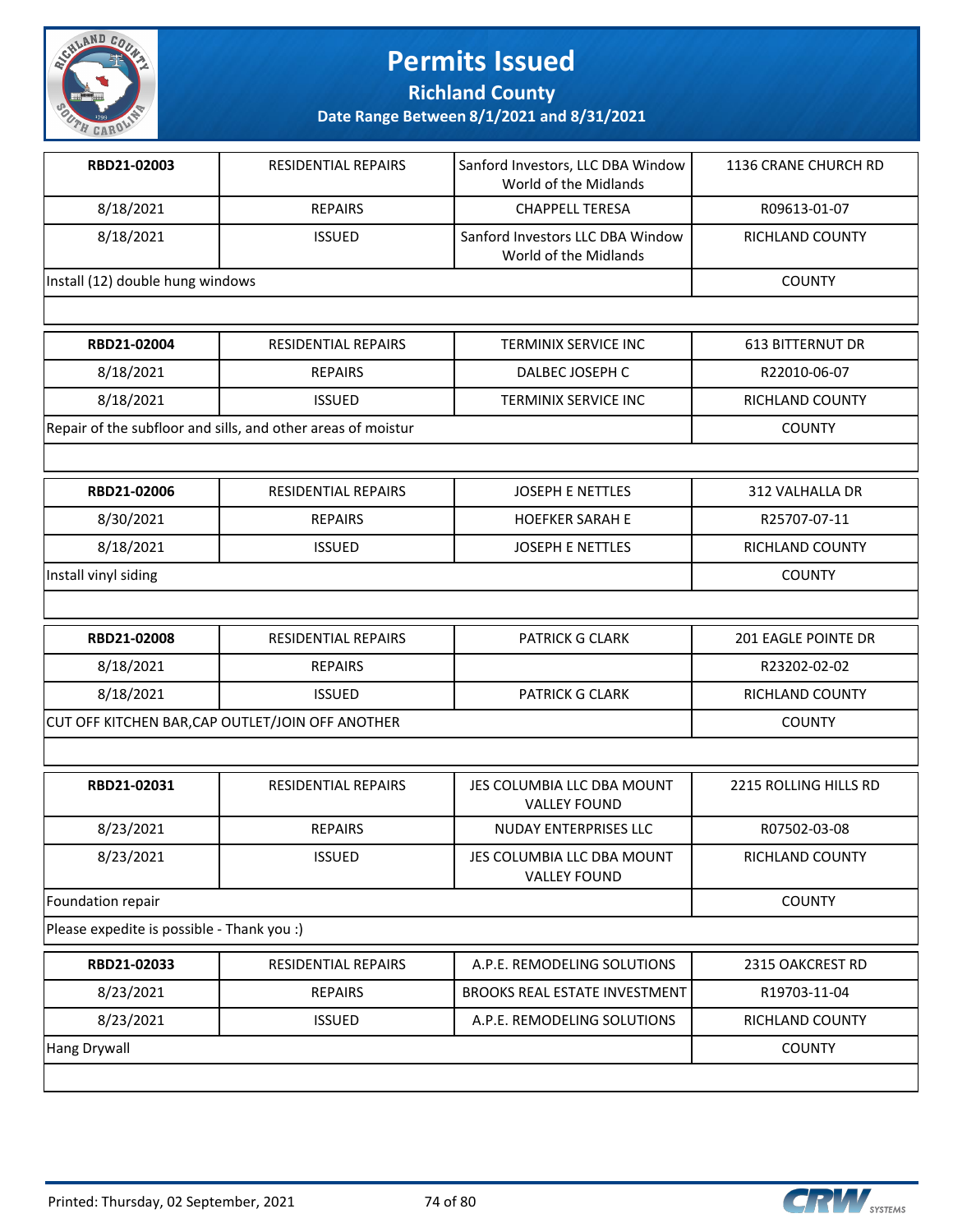

**Richland County**

**Date Range Between 8/1/2021 and 8/31/2021**

| RBD21-02003                      | <b>RESIDENTIAL REPAIRS</b> | Sanford Investors, LLC DBA Window<br>World of the Midlands | 1136 CRANE CHURCH RD |
|----------------------------------|----------------------------|------------------------------------------------------------|----------------------|
| 8/18/2021                        | <b>REPAIRS</b>             | <b>CHAPPELL TERESA</b>                                     | R09613-01-07         |
| 8/18/2021                        | <b>ISSUED</b>              | Sanford Investors LLC DBA Window<br>World of the Midlands  | RICHLAND COUNTY      |
| Install (12) double hung windows |                            |                                                            | <b>COUNTY</b>        |
|                                  |                            |                                                            |                      |

| RBD21-02004                                                  | RESIDENTIAL REPAIRS | TERMINIX SERVICE INC | 613 BITTERNUT DR |
|--------------------------------------------------------------|---------------------|----------------------|------------------|
| 8/18/2021                                                    | <b>REPAIRS</b>      | DALBEC JOSEPH C      | R22010-06-07     |
| 8/18/2021                                                    | <b>ISSUED</b>       | TERMINIX SERVICE INC | RICHLAND COUNTY  |
| Repair of the subfloor and sills, and other areas of moistur |                     |                      | <b>COUNTY</b>    |

| RBD21-02006          | <b>RESIDENTIAL REPAIRS</b> | <b>JOSEPH E NETTLES</b> | 312 VALHALLA DR |
|----------------------|----------------------------|-------------------------|-----------------|
| 8/30/2021            | <b>REPAIRS</b>             | <b>HOEFKER SARAH E</b>  | R25707-07-11    |
| 8/18/2021            | <b>ISSUED</b>              | JOSEPH E NETTLES        | RICHLAND COUNTY |
| Install vinyl siding |                            |                         | <b>COUNTY</b>   |
|                      |                            |                         |                 |

| RBD21-02008                                      | <b>RESIDENTIAL REPAIRS</b> | <b>PATRICK G CLARK</b> | 201 EAGLE POINTE DR    |
|--------------------------------------------------|----------------------------|------------------------|------------------------|
| 8/18/2021                                        | REPAIRS                    |                        | R23202-02-02           |
| 8/18/2021                                        | <b>ISSUED</b>              | <b>PATRICK G CLARK</b> | <b>RICHLAND COUNTY</b> |
| CUT OFF KITCHEN BAR, CAP OUTLET/JOIN OFF ANOTHER |                            |                        | <b>COUNTY</b>          |

| RBD21-02031       | <b>RESIDENTIAL REPAIRS</b> | JES COLUMBIA LLC DBA MOUNT<br><b>VALLEY FOUND</b> | 2215 ROLLING HILLS RD |
|-------------------|----------------------------|---------------------------------------------------|-----------------------|
| 8/23/2021         | REPAIRS                    | NUDAY ENTERPRISES LLC                             | R07502-03-08          |
| 8/23/2021         | <b>ISSUED</b>              | JES COLUMBIA LLC DBA MOUNT<br><b>VALLEY FOUND</b> | RICHLAND COUNTY       |
| Foundation repair |                            |                                                   | <b>COUNTY</b>         |

Please expedite is possible - Thank you :)

| 8/23/2021<br><b>BROOKS REAL ESTATE INVESTMENT</b><br><b>REPAIRS</b><br>R19703-11-04<br>8/23/2021<br>A.P.E. REMODELING SOLUTIONS<br><b>RICHLAND COUNTY</b><br><b>ISSUED</b><br>Hang Drywall<br><b>COUNTY</b> | RBD21-02033 | RESIDENTIAL REPAIRS | A.P.E. REMODELING SOLUTIONS | 2315 OAKCREST RD |
|-------------------------------------------------------------------------------------------------------------------------------------------------------------------------------------------------------------|-------------|---------------------|-----------------------------|------------------|
|                                                                                                                                                                                                             |             |                     |                             |                  |
|                                                                                                                                                                                                             |             |                     |                             |                  |
|                                                                                                                                                                                                             |             |                     |                             |                  |

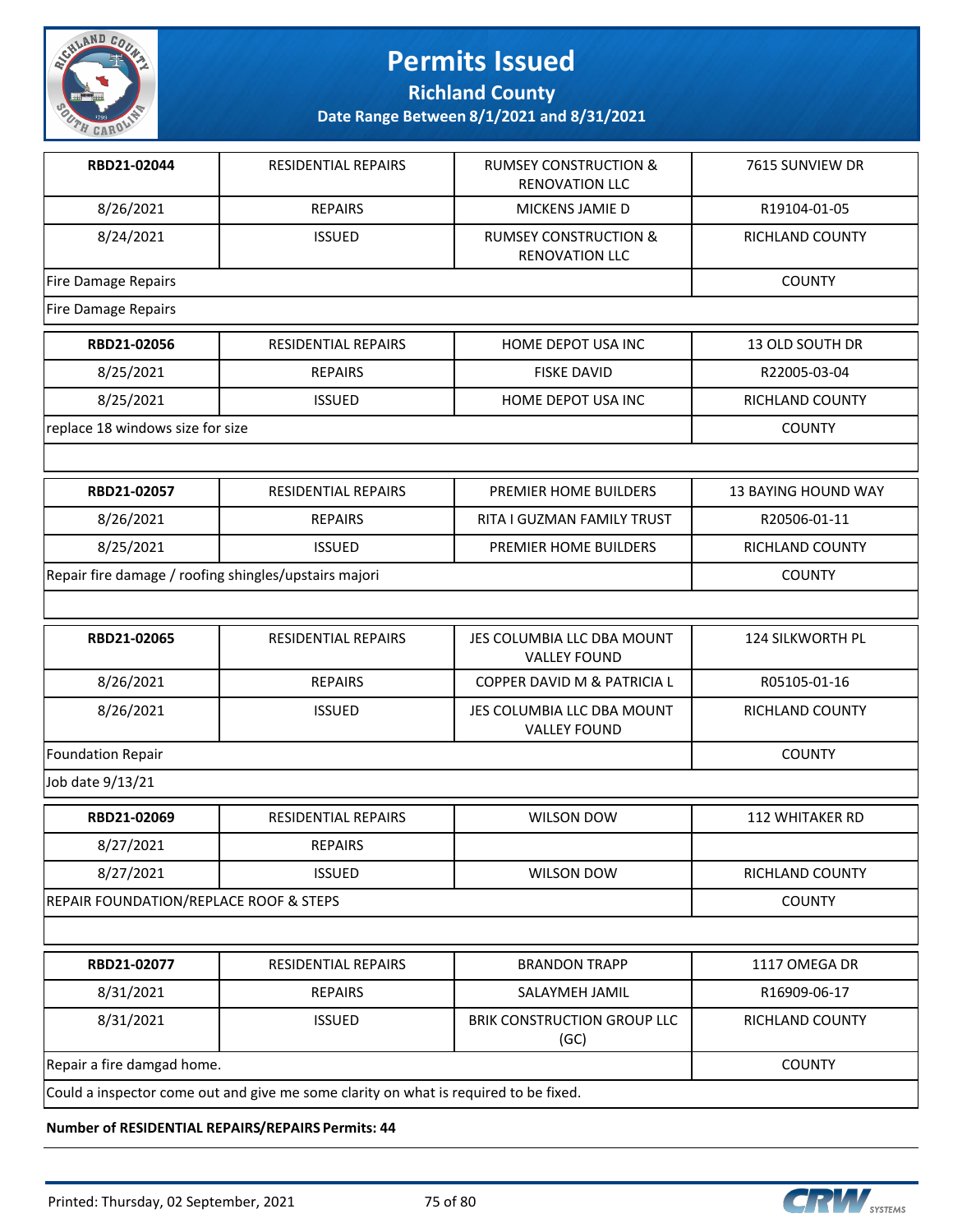

**Richland County**

**Date Range Between 8/1/2021 and 8/31/2021**

| RBD21-02044                                           | <b>RESIDENTIAL REPAIRS</b>                                                           | <b>RUMSEY CONSTRUCTION &amp;</b><br><b>RENOVATION LLC</b> | 7615 SUNVIEW DR            |
|-------------------------------------------------------|--------------------------------------------------------------------------------------|-----------------------------------------------------------|----------------------------|
| 8/26/2021                                             | <b>REPAIRS</b>                                                                       | MICKENS JAMIE D                                           | R19104-01-05               |
| 8/24/2021                                             | <b>ISSUED</b>                                                                        | <b>RUMSEY CONSTRUCTION &amp;</b><br><b>RENOVATION LLC</b> | RICHLAND COUNTY            |
| Fire Damage Repairs                                   |                                                                                      |                                                           | <b>COUNTY</b>              |
| <b>Fire Damage Repairs</b>                            |                                                                                      |                                                           |                            |
| RBD21-02056                                           | <b>RESIDENTIAL REPAIRS</b>                                                           | HOME DEPOT USA INC                                        | <b>13 OLD SOUTH DR</b>     |
| 8/25/2021                                             | <b>REPAIRS</b>                                                                       | <b>FISKE DAVID</b>                                        | R22005-03-04               |
| 8/25/2021                                             | <b>ISSUED</b>                                                                        | HOME DEPOT USA INC                                        | RICHLAND COUNTY            |
| replace 18 windows size for size                      |                                                                                      |                                                           | <b>COUNTY</b>              |
|                                                       |                                                                                      |                                                           |                            |
| RBD21-02057                                           | <b>RESIDENTIAL REPAIRS</b>                                                           | PREMIER HOME BUILDERS                                     | <b>13 BAYING HOUND WAY</b> |
| 8/26/2021                                             | <b>REPAIRS</b>                                                                       | RITA I GUZMAN FAMILY TRUST                                | R20506-01-11               |
| 8/25/2021                                             | <b>ISSUED</b>                                                                        | PREMIER HOME BUILDERS                                     | RICHLAND COUNTY            |
| Repair fire damage / roofing shingles/upstairs majori | <b>COUNTY</b>                                                                        |                                                           |                            |
|                                                       |                                                                                      |                                                           |                            |
| RBD21-02065                                           | <b>RESIDENTIAL REPAIRS</b>                                                           | JES COLUMBIA LLC DBA MOUNT<br><b>VALLEY FOUND</b>         | 124 SILKWORTH PL           |
| 8/26/2021                                             | <b>REPAIRS</b>                                                                       | COPPER DAVID M & PATRICIA L                               | R05105-01-16               |
| 8/26/2021                                             | <b>ISSUED</b>                                                                        | JES COLUMBIA LLC DBA MOUNT<br><b>VALLEY FOUND</b>         | RICHLAND COUNTY            |
| Foundation Repair                                     |                                                                                      |                                                           | <b>COUNTY</b>              |
| Job date 9/13/21                                      |                                                                                      |                                                           |                            |
| RBD21-02069                                           | RESIDENTIAL REPAIRS                                                                  | <b>WILSON DOW</b>                                         | 112 WHITAKER RD            |
| 8/27/2021                                             | <b>REPAIRS</b>                                                                       |                                                           |                            |
| 8/27/2021                                             | <b>ISSUED</b>                                                                        | WILSON DOW                                                | RICHLAND COUNTY            |
| REPAIR FOUNDATION/REPLACE ROOF & STEPS                | <b>COUNTY</b>                                                                        |                                                           |                            |
|                                                       |                                                                                      |                                                           |                            |
| RBD21-02077                                           | <b>RESIDENTIAL REPAIRS</b>                                                           | <b>BRANDON TRAPP</b>                                      | 1117 OMEGA DR              |
| 8/31/2021                                             | <b>REPAIRS</b>                                                                       | SALAYMEH JAMIL                                            | R16909-06-17               |
| 8/31/2021                                             | <b>ISSUED</b>                                                                        | BRIK CONSTRUCTION GROUP LLC<br>(GC)                       | RICHLAND COUNTY            |
| Repair a fire damgad home.                            | <b>COUNTY</b>                                                                        |                                                           |                            |
|                                                       | Could a inspector come out and give me some clarity on what is required to be fixed. |                                                           |                            |

**Number of RESIDENTIAL REPAIRS/REPAIRS Permits: 44**

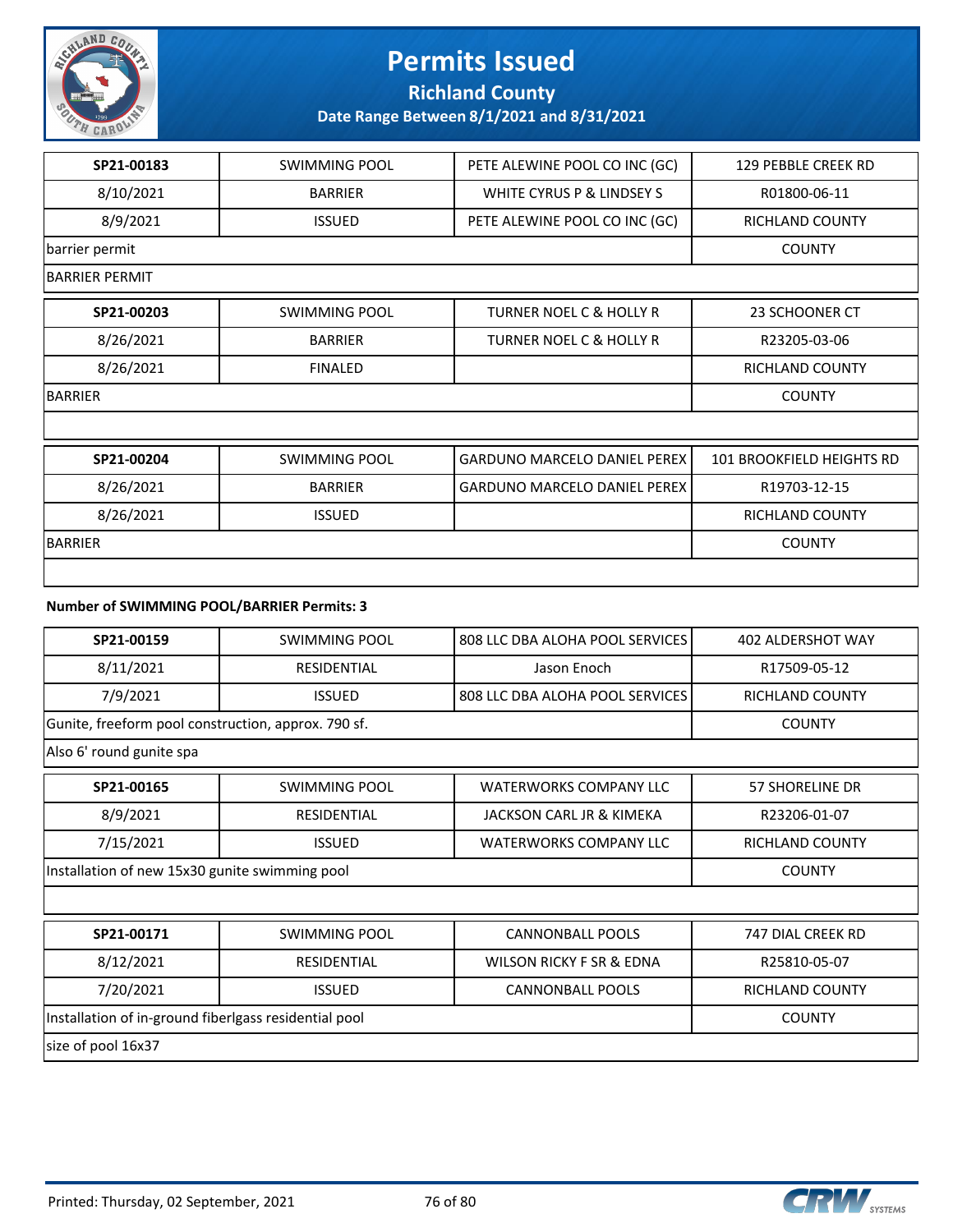

**Richland County**

**Date Range Between 8/1/2021 and 8/31/2021**

| SP21-00183            | SWIMMING POOL        | PETE ALEWINE POOL CO INC (GC)       | <b>129 PEBBLE CREEK RD</b> |
|-----------------------|----------------------|-------------------------------------|----------------------------|
| 8/10/2021             | <b>BARRIER</b>       | WHITE CYRUS P & LINDSEY S           | R01800-06-11               |
| 8/9/2021              | <b>ISSUED</b>        | PETE ALEWINE POOL CO INC (GC)       | <b>RICHLAND COUNTY</b>     |
| barrier permit        |                      |                                     | <b>COUNTY</b>              |
| <b>BARRIER PERMIT</b> |                      |                                     |                            |
| SP21-00203            | <b>SWIMMING POOL</b> | <b>TURNER NOEL C &amp; HOLLY R</b>  | <b>23 SCHOONER CT</b>      |
| 8/26/2021             | <b>BARRIER</b>       | <b>TURNER NOEL C &amp; HOLLY R</b>  | R23205-03-06               |
| 8/26/2021             | <b>FINALED</b>       |                                     | <b>RICHLAND COUNTY</b>     |
| <b>BARRIER</b>        | <b>COUNTY</b>        |                                     |                            |
|                       |                      |                                     |                            |
| SP21-00204            | <b>SWIMMING POOL</b> | <b>GARDUNO MARCELO DANIEL PEREX</b> | 101 BROOKFIELD HEIGHTS RD  |
| 8/26/2021             | <b>BARRIER</b>       | <b>GARDUNO MARCELO DANIEL PEREX</b> | R19703-12-15               |
| 8/26/2021             | <b>ISSUED</b>        |                                     | <b>RICHLAND COUNTY</b>     |
| <b>BARRIER</b>        | <b>COUNTY</b>        |                                     |                            |
|                       |                      |                                     |                            |

#### **Number of SWIMMING POOL/BARRIER Permits: 3**

| SP21-00159                                            | <b>SWIMMING POOL</b> | 808 LLC DBA ALOHA POOL SERVICES | <b>402 ALDERSHOT WAY</b> |  |
|-------------------------------------------------------|----------------------|---------------------------------|--------------------------|--|
| 8/11/2021                                             | <b>RESIDENTIAL</b>   | Jason Enoch                     | R17509-05-12             |  |
| 7/9/2021                                              | <b>ISSUED</b>        | 808 LLC DBA ALOHA POOL SERVICES | <b>RICHLAND COUNTY</b>   |  |
| Gunite, freeform pool construction, approx. 790 sf.   |                      |                                 | <b>COUNTY</b>            |  |
| Also 6' round gunite spa                              |                      |                                 |                          |  |
| SP21-00165                                            | <b>SWIMMING POOL</b> | <b>WATERWORKS COMPANY LLC</b>   | <b>57 SHORELINE DR</b>   |  |
| 8/9/2021                                              | RESIDENTIAL          | JACKSON CARL JR & KIMEKA        | R23206-01-07             |  |
| 7/15/2021                                             | <b>ISSUED</b>        | <b>WATERWORKS COMPANY LLC</b>   | <b>RICHLAND COUNTY</b>   |  |
| Installation of new 15x30 gunite swimming pool        | <b>COUNTY</b>        |                                 |                          |  |
|                                                       |                      |                                 |                          |  |
| SP21-00171                                            | SWIMMING POOL        | <b>CANNONBALL POOLS</b>         | 747 DIAL CREEK RD        |  |
| 8/12/2021                                             | RESIDENTIAL          | WILSON RICKY F SR & EDNA        | R25810-05-07             |  |
| 7/20/2021                                             | <b>ISSUED</b>        | <b>CANNONBALL POOLS</b>         | <b>RICHLAND COUNTY</b>   |  |
| Installation of in-ground fiberlgass residential pool |                      |                                 | <b>COUNTY</b>            |  |
| size of pool 16x37                                    |                      |                                 |                          |  |

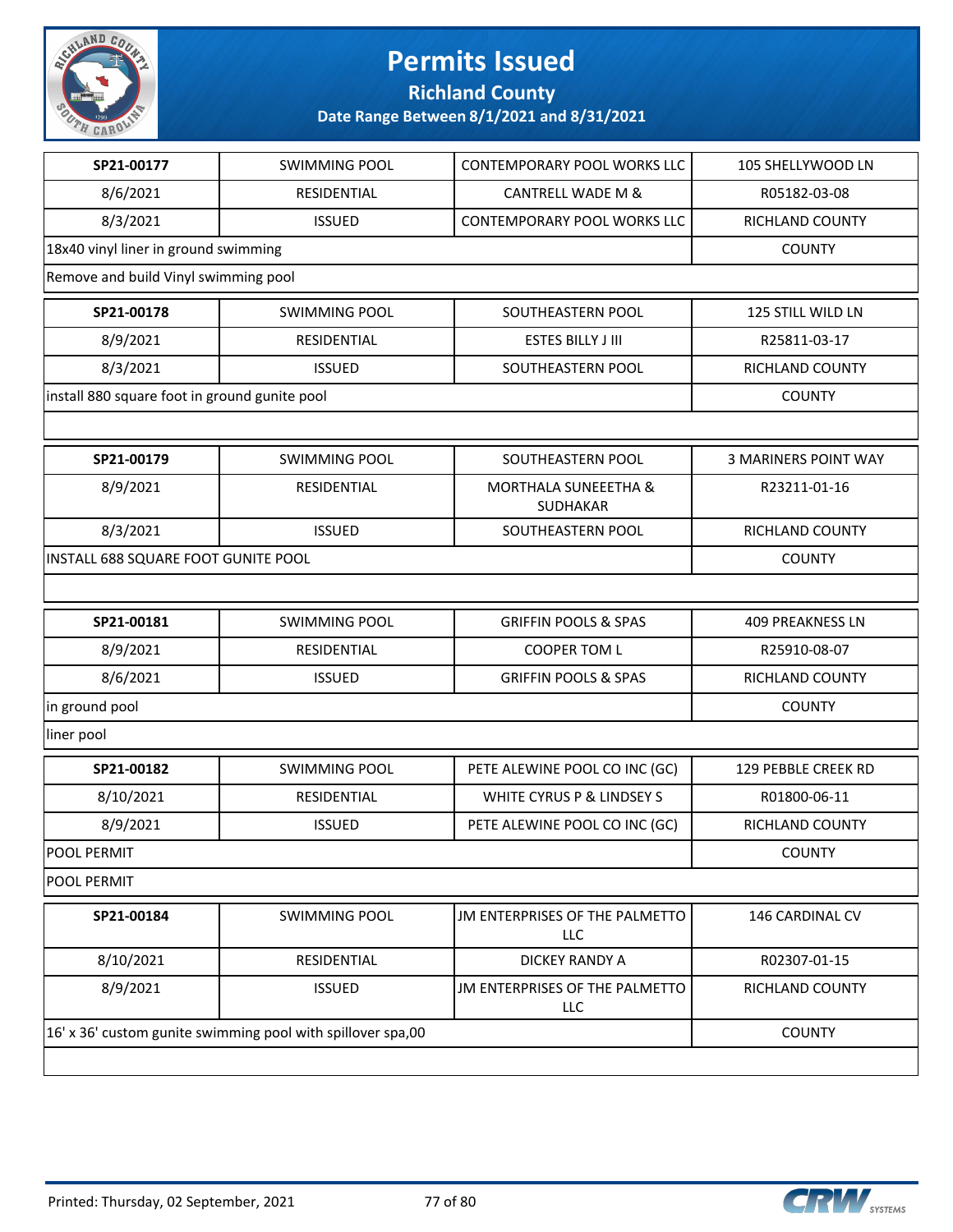

**Richland County**

| SP21-00177                                                  | <b>SWIMMING POOL</b> | CONTEMPORARY POOL WORKS LLC                  | 105 SHELLYWOOD LN           |  |
|-------------------------------------------------------------|----------------------|----------------------------------------------|-----------------------------|--|
| 8/6/2021                                                    | RESIDENTIAL          | <b>CANTRELL WADE M &amp;</b>                 | R05182-03-08                |  |
| 8/3/2021                                                    | <b>ISSUED</b>        | CONTEMPORARY POOL WORKS LLC                  | RICHLAND COUNTY             |  |
| 18x40 vinyl liner in ground swimming                        |                      |                                              | <b>COUNTY</b>               |  |
| Remove and build Vinyl swimming pool                        |                      |                                              |                             |  |
| SP21-00178                                                  | <b>SWIMMING POOL</b> | SOUTHEASTERN POOL                            | 125 STILL WILD LN           |  |
| 8/9/2021                                                    | RESIDENTIAL          | <b>ESTES BILLY J III</b>                     | R25811-03-17                |  |
| 8/3/2021                                                    | <b>ISSUED</b>        | SOUTHEASTERN POOL                            | RICHLAND COUNTY             |  |
| install 880 square foot in ground gunite pool               |                      |                                              | <b>COUNTY</b>               |  |
|                                                             |                      |                                              |                             |  |
| SP21-00179                                                  | <b>SWIMMING POOL</b> | SOUTHEASTERN POOL                            | <b>3 MARINERS POINT WAY</b> |  |
| 8/9/2021                                                    | RESIDENTIAL          | <b>MORTHALA SUNEEETHA &amp;</b><br>SUDHAKAR  | R23211-01-16                |  |
| 8/3/2021                                                    | <b>ISSUED</b>        | SOUTHEASTERN POOL                            | RICHLAND COUNTY             |  |
| INSTALL 688 SQUARE FOOT GUNITE POOL                         | <b>COUNTY</b>        |                                              |                             |  |
|                                                             |                      |                                              |                             |  |
| SP21-00181                                                  | <b>SWIMMING POOL</b> | <b>GRIFFIN POOLS &amp; SPAS</b>              | <b>409 PREAKNESS LN</b>     |  |
| 8/9/2021                                                    | RESIDENTIAL          | <b>COOPER TOM L</b>                          | R25910-08-07                |  |
| 8/6/2021                                                    | <b>ISSUED</b>        | <b>GRIFFIN POOLS &amp; SPAS</b>              | RICHLAND COUNTY             |  |
| in ground pool                                              |                      |                                              | <b>COUNTY</b>               |  |
| liner pool                                                  |                      |                                              |                             |  |
| SP21-00182                                                  | <b>SWIMMING POOL</b> | PETE ALEWINE POOL CO INC (GC)                | 129 PEBBLE CREEK RD         |  |
| 8/10/2021                                                   | RESIDENTIAL          | WHITE CYRUS P & LINDSEY S                    | R01800-06-11                |  |
| 8/9/2021                                                    | <b>ISSUED</b>        | PETE ALEWINE POOL CO INC (GC)                | RICHLAND COUNTY             |  |
| POOL PERMIT                                                 | <b>COUNTY</b>        |                                              |                             |  |
| POOL PERMIT                                                 |                      |                                              |                             |  |
| SP21-00184                                                  | <b>SWIMMING POOL</b> | JM ENTERPRISES OF THE PALMETTO<br><b>LLC</b> | 146 CARDINAL CV             |  |
| 8/10/2021                                                   | RESIDENTIAL          | DICKEY RANDY A                               | R02307-01-15                |  |
| 8/9/2021                                                    | <b>ISSUED</b>        | JM ENTERPRISES OF THE PALMETTO<br>LLC        | RICHLAND COUNTY             |  |
| 16' x 36' custom gunite swimming pool with spillover spa,00 | <b>COUNTY</b>        |                                              |                             |  |
|                                                             |                      |                                              |                             |  |

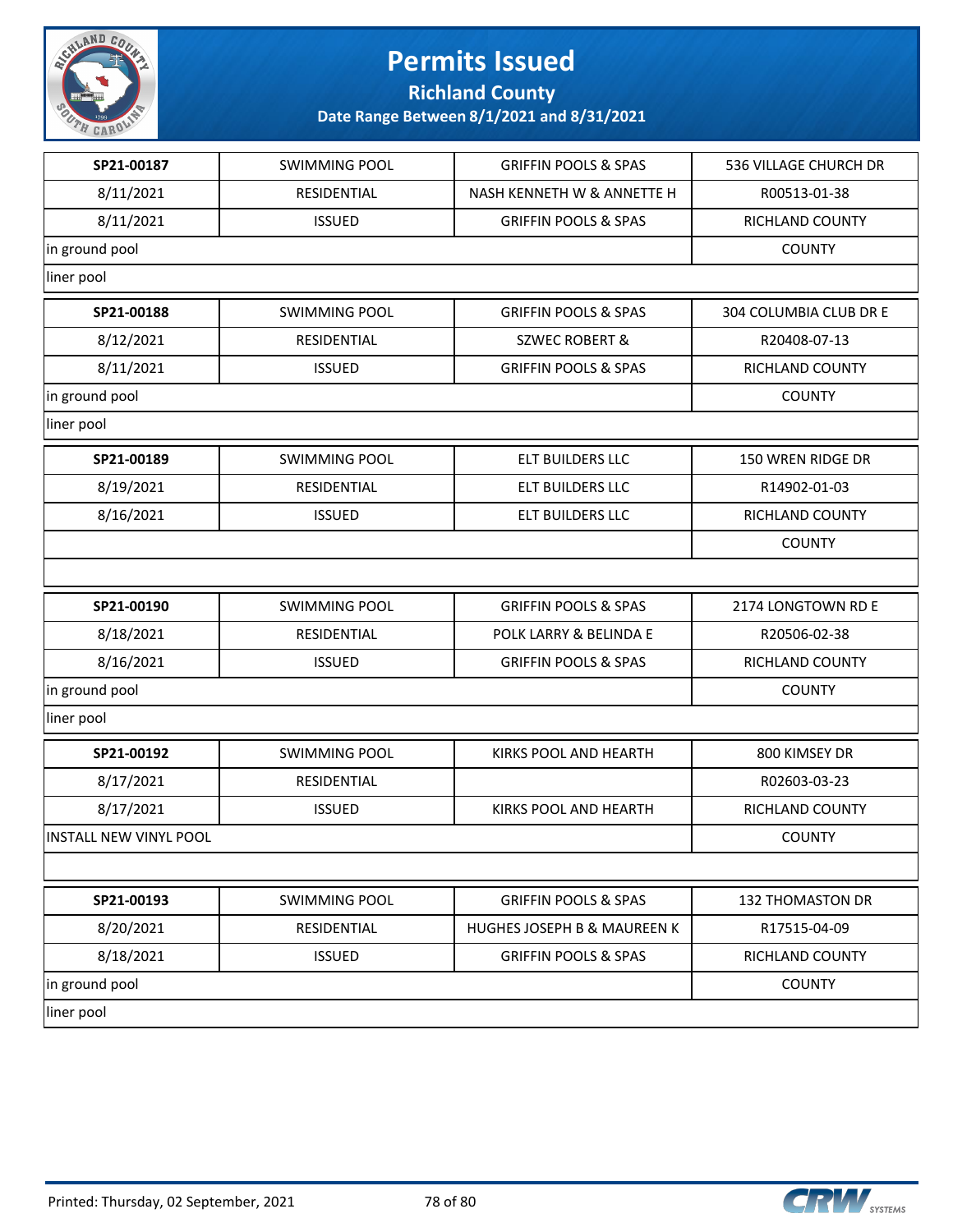

**Richland County**

| SP21-00187                    | <b>SWIMMING POOL</b> | <b>GRIFFIN POOLS &amp; SPAS</b> | 536 VILLAGE CHURCH DR  |
|-------------------------------|----------------------|---------------------------------|------------------------|
| 8/11/2021                     | RESIDENTIAL          | NASH KENNETH W & ANNETTE H      | R00513-01-38           |
| 8/11/2021                     | <b>ISSUED</b>        | <b>GRIFFIN POOLS &amp; SPAS</b> | RICHLAND COUNTY        |
| in ground pool                |                      |                                 | <b>COUNTY</b>          |
| liner pool                    |                      |                                 |                        |
| SP21-00188                    | <b>SWIMMING POOL</b> | <b>GRIFFIN POOLS &amp; SPAS</b> | 304 COLUMBIA CLUB DR E |
| 8/12/2021                     | RESIDENTIAL          | <b>SZWEC ROBERT &amp;</b>       | R20408-07-13           |
| 8/11/2021                     | <b>ISSUED</b>        | <b>GRIFFIN POOLS &amp; SPAS</b> | RICHLAND COUNTY        |
| in ground pool                |                      |                                 | <b>COUNTY</b>          |
| liner pool                    |                      |                                 |                        |
| SP21-00189                    | <b>SWIMMING POOL</b> | ELT BUILDERS LLC                | 150 WREN RIDGE DR      |
| 8/19/2021                     | RESIDENTIAL          | ELT BUILDERS LLC                | R14902-01-03           |
| 8/16/2021                     | <b>ISSUED</b>        | ELT BUILDERS LLC                | RICHLAND COUNTY        |
|                               |                      |                                 | <b>COUNTY</b>          |
|                               |                      |                                 |                        |
| SP21-00190                    | <b>SWIMMING POOL</b> | <b>GRIFFIN POOLS &amp; SPAS</b> | 2174 LONGTOWN RD E     |
| 8/18/2021                     | RESIDENTIAL          | POLK LARRY & BELINDA E          | R20506-02-38           |
| 8/16/2021                     | <b>ISSUED</b>        | <b>GRIFFIN POOLS &amp; SPAS</b> | RICHLAND COUNTY        |
| in ground pool                | <b>COUNTY</b>        |                                 |                        |
| liner pool                    |                      |                                 |                        |
| SP21-00192                    | <b>SWIMMING POOL</b> | KIRKS POOL AND HEARTH           | 800 KIMSEY DR          |
| 8/17/2021                     | RESIDENTIAL          |                                 | R02603-03-23           |
| 8/17/2021                     | <b>ISSUED</b>        | KIRKS POOL AND HEARTH           | RICHLAND COUNTY        |
| <b>INSTALL NEW VINYL POOL</b> | <b>COUNTY</b>        |                                 |                        |
|                               |                      |                                 |                        |
| SP21-00193                    | <b>SWIMMING POOL</b> | <b>GRIFFIN POOLS &amp; SPAS</b> | 132 THOMASTON DR       |
| 8/20/2021                     | RESIDENTIAL          | HUGHES JOSEPH B & MAUREEN K     | R17515-04-09           |
| 8/18/2021                     | <b>ISSUED</b>        | <b>GRIFFIN POOLS &amp; SPAS</b> | RICHLAND COUNTY        |
| in ground pool                |                      |                                 | <b>COUNTY</b>          |
| liner pool                    |                      |                                 |                        |

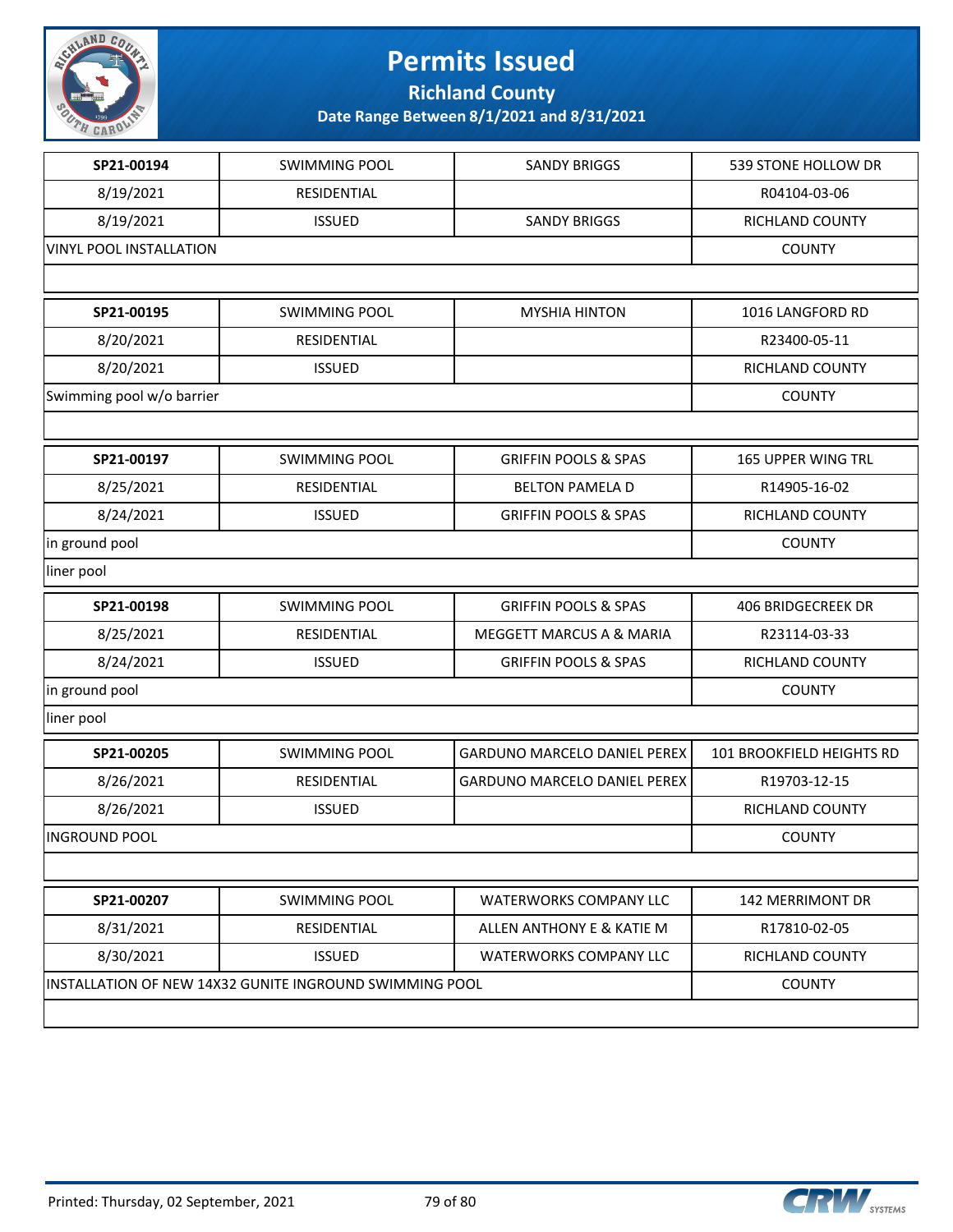

**Richland County**

| SP21-00194                                              | <b>SWIMMING POOL</b> | <b>SANDY BRIGGS</b>                 | 539 STONE HOLLOW DR       |
|---------------------------------------------------------|----------------------|-------------------------------------|---------------------------|
|                                                         |                      |                                     |                           |
| 8/19/2021                                               | RESIDENTIAL          |                                     | R04104-03-06              |
| 8/19/2021                                               | <b>ISSUED</b>        | <b>SANDY BRIGGS</b>                 | RICHLAND COUNTY           |
| <b>VINYL POOL INSTALLATION</b>                          |                      |                                     | <b>COUNTY</b>             |
|                                                         |                      |                                     |                           |
| SP21-00195                                              | <b>SWIMMING POOL</b> | <b>MYSHIA HINTON</b>                | 1016 LANGFORD RD          |
| 8/20/2021                                               | RESIDENTIAL          |                                     | R23400-05-11              |
| 8/20/2021                                               | <b>ISSUED</b>        |                                     | RICHLAND COUNTY           |
| Swimming pool w/o barrier                               | <b>COUNTY</b>        |                                     |                           |
|                                                         |                      |                                     |                           |
| SP21-00197                                              | <b>SWIMMING POOL</b> | <b>GRIFFIN POOLS &amp; SPAS</b>     | <b>165 UPPER WING TRL</b> |
| 8/25/2021                                               | RESIDENTIAL          | <b>BELTON PAMELA D</b>              | R14905-16-02              |
| 8/24/2021                                               | <b>ISSUED</b>        | <b>GRIFFIN POOLS &amp; SPAS</b>     | RICHLAND COUNTY           |
| in ground pool                                          | <b>COUNTY</b>        |                                     |                           |
| liner pool                                              |                      |                                     |                           |
| SP21-00198                                              | <b>SWIMMING POOL</b> | <b>GRIFFIN POOLS &amp; SPAS</b>     | 406 BRIDGECREEK DR        |
| 8/25/2021                                               | RESIDENTIAL          | MEGGETT MARCUS A & MARIA            | R23114-03-33              |
| 8/24/2021                                               | <b>ISSUED</b>        | <b>GRIFFIN POOLS &amp; SPAS</b>     | RICHLAND COUNTY           |
| in ground pool                                          |                      |                                     | <b>COUNTY</b>             |
| liner pool                                              |                      |                                     |                           |
| SP21-00205                                              | <b>SWIMMING POOL</b> | <b>GARDUNO MARCELO DANIEL PEREX</b> | 101 BROOKFIELD HEIGHTS RD |
| 8/26/2021                                               | RESIDENTIAL          | <b>GARDUNO MARCELO DANIEL PEREX</b> | R19703-12-15              |
| 8/26/2021                                               | <b>ISSUED</b>        |                                     | RICHLAND COUNTY           |
| <b>INGROUND POOL</b>                                    | <b>COUNTY</b>        |                                     |                           |
|                                                         |                      |                                     |                           |
| SP21-00207                                              | <b>SWIMMING POOL</b> | <b>WATERWORKS COMPANY LLC</b>       | 142 MERRIMONT DR          |
| 8/31/2021                                               | RESIDENTIAL          | ALLEN ANTHONY E & KATIE M           | R17810-02-05              |
| 8/30/2021                                               | <b>ISSUED</b>        | <b>WATERWORKS COMPANY LLC</b>       | RICHLAND COUNTY           |
| INSTALLATION OF NEW 14X32 GUNITE INGROUND SWIMMING POOL | <b>COUNTY</b>        |                                     |                           |
|                                                         |                      |                                     |                           |
|                                                         |                      |                                     |                           |